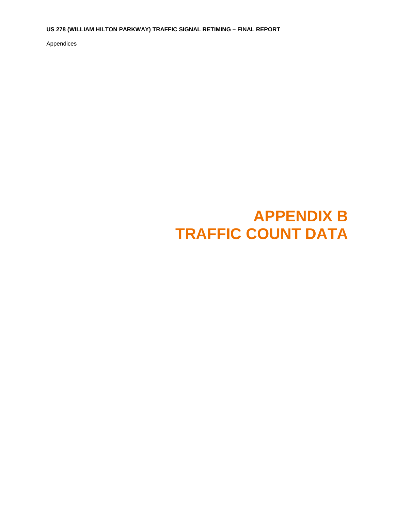**US 278 (WILLIAM HILTON PARKWAY) TRAFFIC SIGNAL RETIMING – FINAL REPORT** 

Appendices

## **APPENDIX B TRAFFIC COUNT DATA**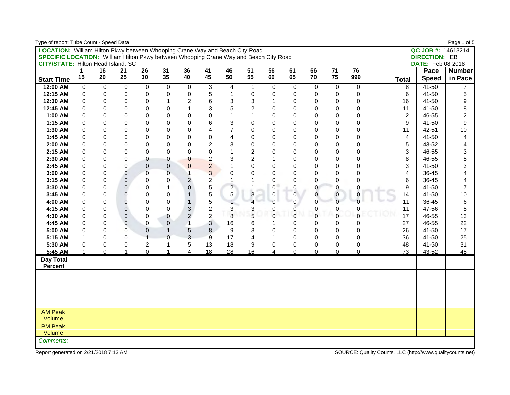| Type of report: Tube Count - Speed Data                                                      |              |                |                |                 |                |                           |                  |                |                |             |                     |                |                 |             |                |                          | Page 1 of 5    |
|----------------------------------------------------------------------------------------------|--------------|----------------|----------------|-----------------|----------------|---------------------------|------------------|----------------|----------------|-------------|---------------------|----------------|-----------------|-------------|----------------|--------------------------|----------------|
| <b>LOCATION:</b> William Hilton Pkwy between Whooping Crane Way and Beach City Road          |              |                |                |                 |                |                           |                  |                |                |             |                     |                |                 |             |                | QC JOB #: 14613214       |                |
| <b>SPECIFIC LOCATION:</b> William Hilton Pkwy between Whooping Crane Way and Beach City Road |              |                |                |                 |                |                           |                  |                |                |             |                     |                |                 |             |                | <b>DIRECTION: EB</b>     |                |
| <b>CITY/STATE: Hilton Head Island, SC</b>                                                    |              |                |                |                 |                |                           |                  |                |                |             |                     |                |                 |             |                | <b>DATE:</b> Feb 08 2018 |                |
|                                                                                              | $\mathbf{1}$ | 16             | 21             | $\overline{26}$ | 31             | 36                        | 41               | 46             | 51             | 56          | 61                  | 66             | $\overline{71}$ | 76          |                | Pace                     | <b>Number</b>  |
| <b>Start Time</b>                                                                            | 15           | 20             | 25             | 30              | 35             | 40                        | 45               | 50             | 55             | 60          | 65                  | 70             | 75              | 999         | <b>Total</b>   | <b>Speed</b>             | in Pace        |
| 12:00 AM                                                                                     | $\Omega$     | $\mathbf 0$    | $\mathbf 0$    | 0               | $\mathbf 0$    | 0                         | $\mathbf 3$      | 4              | $\mathbf{1}$   | $\mathbf 0$ | 0                   | $\mathbf 0$    | $\mathbf 0$     | $\mathbf 0$ | 8              | $41 - 50$                |                |
| 12:15 AM                                                                                     | $\mathbf 0$  | $\Omega$       | 0              | 0               | 0              | 0                         | 5                | 1              | 0              | $\mathbf 0$ | 0                   | 0              | 0               | $\Omega$    | 6              | 41-50                    | 5              |
| 12:30 AM                                                                                     | 0            | 0              | 0              | 0               | 1              | $\boldsymbol{2}$          | 6                | 3              | 3              | $\mathbf 1$ | $\mathbf 0$         | $\mathbf 0$    | 0               | 0           | 16             | 41-50                    | 9              |
| 12:45 AM                                                                                     | $\Omega$     | 0              | $\Omega$       | 0               | 0              | $\mathbf{1}$              | 3                | 5              | $\overline{2}$ | $\mathbf 0$ | $\mathbf 0$         | 0              | $\Omega$        | $\Omega$    | 11             | 41-50                    | 8              |
| 1:00 AM                                                                                      | 0            | 0              | 0              | 0               | $\Omega$       | $\mathbf 0$               | 0                |                | 1              | $\Omega$    | $\mathbf 0$         | 0              | $\Omega$        | $\Omega$    | $\overline{2}$ | 46-55                    | $\overline{c}$ |
| 1:15 AM                                                                                      | $\Omega$     | $\Omega$       | $\Omega$       | 0               | $\mathbf 0$    | $\mathbf 0$               | 6                | 3              | $\Omega$       | $\Omega$    | $\mathbf 0$         | 0              | $\Omega$        | $\Omega$    | 9              | 41-50                    | 9              |
| 1:30 AM                                                                                      | 0            | 0              | $\mathbf 0$    | 0               | 0              | 0                         | $\overline{4}$   | 7              | 0              | $\mathbf 0$ | $\pmb{0}$           | 0              | $\mathbf 0$     | 0           | 11             | 42-51                    | $10$           |
| 1:45 AM                                                                                      | 0            | 0              | $\mathbf 0$    | 0               | $\mathbf 0$    | $\mathbf 0$               | $\pmb{0}$        | 4              | $\mathbf 0$    | 0           | $\pmb{0}$           | $\mathbf 0$    | $\mathbf 0$     | 0           | 4              | 41-50                    | 4              |
| 2:00 AM                                                                                      | $\Omega$     | 0              | $\Omega$       | 0               | $\Omega$       | $\Omega$                  | $\overline{2}$   | 3              | $\mathbf{0}$   | $\Omega$    | $\mathbf{0}$        | 0              | $\Omega$        | $\Omega$    | 5              | 43-52                    | 4              |
| 2:15 AM                                                                                      | $\Omega$     | $\Omega$       | $\Omega$       | 0               | $\mathbf 0$    | $\mathbf 0$               | 0                |                | $\overline{2}$ | $\Omega$    | $\mathbf 0$         | 0              | $\Omega$        | $\Omega$    | 3              | 46-55                    | 3              |
| 2:30 AM                                                                                      | $\mathbf 0$  | 0              | $\mathbf 0$    | 0               | $\pmb{0}$      | $\bf{0}$                  | $\overline{c}$   | 3              | $\overline{c}$ | $\mathbf 1$ | $\pmb{0}$           | 0              | $\mathbf 0$     | 0           | 8              | 46-55                    | 5              |
| 2:45 AM                                                                                      | 0            | $\mathsf 0$    | $\mathbf 0$    | $\mathbf 0$     | $\pmb{0}$      | $\pmb{0}$                 | $\overline{c}$   |                | 0              | 0           | $\pmb{0}$           | $\mathbf 0$    | $\overline{0}$  | 0           | 3              | 41-50                    | 3              |
| 3:00 AM                                                                                      | $\Omega$     | $\mathsf 0$    | 0              | $\overline{0}$  | $\mathbf 0$    | $\mathbf{1}$              | 3                | $\Omega$       | $\Omega$       | 0           | $\mathbf 0$         | $\overline{0}$ | $\Omega$        | $\Omega$    | 4              | 36-45                    | $\overline{4}$ |
| 3:15 AM                                                                                      | $\mathbf 0$  | $\overline{0}$ | $\mathbf 0$    | 0               | 0              | $\overline{2}$            | $\overline{2}$   |                | 1              | $\mathbf 0$ | $\mathbf 0$         | 0              | $\Omega$        | $\Omega$    | 6              | 36-45                    | 4              |
| 3:30 AM                                                                                      | 0            | 0              | 0              | 0               | $\mathbf{1}$   | $\mathbf 0$               | 5                | $\overline{a}$ |                | 0           | $\pmb{0}$           | 0              | 0               | 0           | 9              | 41-50                    | $\overline{7}$ |
| 3:45 AM                                                                                      | 0            | 0              | 0              | 0               | 0              | $\mathbf{1}$              | 5                | 5              | $\mathbf{3}$   | $\pmb{0}$   | $\mathbf 0$         | 0              | $\mathbf 0$     | 0           | 14             | 41-50                    | $10$           |
| 4:00 AM                                                                                      | $\Omega$     | $\Omega$       | 0              | 0               | 0              | $\mathbf{1}$              | $\mathbf 5$      |                | $\overline{A}$ | $\mathbf 0$ | $\mathbf 0$         | $\mathbf 0$    | $\overline{0}$  | $\Omega$    | 11             | 36-45                    | 6              |
| 4:15 AM                                                                                      | $\Omega$     | $\overline{0}$ | 0              | 0               | 0              | $\ensuremath{\mathsf{3}}$ | $\boldsymbol{2}$ | 3              | 3              | 0           | $\mathsf{O}\xspace$ | 0              | 0               | 0           | 11             | 47-56                    | 5              |
| 4:30 AM                                                                                      | $\mathbf 0$  | 0              | $\mathbf 0$    | 0               | 0              | $\overline{c}$            | $\overline{c}$   | 8              | 5              | $\mathbf 0$ | $\mathbf 0$         | $\mathbf 0$    | $\Omega$        | $\Omega$    | 17             | 46-55                    | 13             |
| 4:45 AM                                                                                      | $\mathbf 0$  | 0              | $\overline{0}$ | 0               | $\pmb{0}$      | $\overline{1}$            | $\sqrt{3}$       | 16             | 6              | 1           | 0                   | 0              | $\Omega$        | $\Omega$    | 27             | 46-55                    | 22             |
| 5:00 AM                                                                                      | $\Omega$     | $\Omega$       | $\Omega$       | 0               | $\mathbf{1}$   | $\sqrt{5}$                | $\,8\,$          | 9              | 3              | $\Omega$    | $\mathbf 0$         | $\mathbf{0}$   | $\Omega$        | $\Omega$    | 26             | 41-50                    | 17             |
| 5:15 AM                                                                                      | $\mathbf{1}$ | $\Omega$       | $\Omega$       | $\overline{1}$  | $\overline{0}$ | $\overline{3}$            | 9                | 17             | $\overline{4}$ | 1           | $\mathbf 0$         | $\mathbf 0$    | $\Omega$        | 0           | 36             | 41-50                    | 25             |
| 5:30 AM                                                                                      | 0            | 0              | 0              | $\overline{c}$  | $\mathbf{1}$   | 5                         | 13               | 18             | 9              | 0           | $\mathbf 0$         | 0              | $\Omega$        | 0           | 48             | 41-50                    | 31             |
| 5:45 AM                                                                                      | $\mathbf{1}$ | 0              | 1              | 0               | $\mathbf{1}$   | 4                         | 18               | 28             | 16             | 4           | 0                   | 0              | $\mathbf 0$     | 0           | 73             | 43-52                    | 45             |
| Day Total                                                                                    |              |                |                |                 |                |                           |                  |                |                |             |                     |                |                 |             |                |                          |                |
| <b>Percent</b>                                                                               |              |                |                |                 |                |                           |                  |                |                |             |                     |                |                 |             |                |                          |                |
|                                                                                              |              |                |                |                 |                |                           |                  |                |                |             |                     |                |                 |             |                |                          |                |
|                                                                                              |              |                |                |                 |                |                           |                  |                |                |             |                     |                |                 |             |                |                          |                |
|                                                                                              |              |                |                |                 |                |                           |                  |                |                |             |                     |                |                 |             |                |                          |                |
|                                                                                              |              |                |                |                 |                |                           |                  |                |                |             |                     |                |                 |             |                |                          |                |
|                                                                                              |              |                |                |                 |                |                           |                  |                |                |             |                     |                |                 |             |                |                          |                |
| <b>AM Peak</b>                                                                               |              |                |                |                 |                |                           |                  |                |                |             |                     |                |                 |             |                |                          |                |
| Volume                                                                                       |              |                |                |                 |                |                           |                  |                |                |             |                     |                |                 |             |                |                          |                |
| <b>PM Peak</b>                                                                               |              |                |                |                 |                |                           |                  |                |                |             |                     |                |                 |             |                |                          |                |
| Volume                                                                                       |              |                |                |                 |                |                           |                  |                |                |             |                     |                |                 |             |                |                          |                |
| Comments:                                                                                    |              |                |                |                 |                |                           |                  |                |                |             |                     |                |                 |             |                |                          |                |
|                                                                                              |              |                |                |                 |                |                           |                  |                |                |             |                     |                |                 |             |                |                          |                |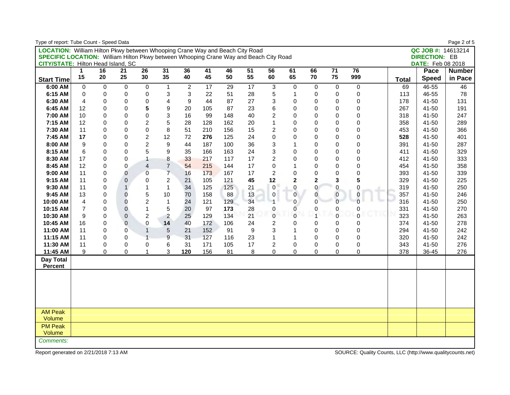| Type of report: Tube Count - Speed Data                                                      |                  |             |                 |                 |                |                |     |     |    |                |                     |                     |                 |              |              |                          | Page 2 of 5   |
|----------------------------------------------------------------------------------------------|------------------|-------------|-----------------|-----------------|----------------|----------------|-----|-----|----|----------------|---------------------|---------------------|-----------------|--------------|--------------|--------------------------|---------------|
| <b>LOCATION:</b> William Hilton Pkwy between Whooping Crane Way and Beach City Road          |                  |             |                 |                 |                |                |     |     |    |                |                     |                     |                 |              |              | QC JOB #: 14613214       |               |
| <b>SPECIFIC LOCATION:</b> William Hilton Pkwy between Whooping Crane Way and Beach City Road |                  |             |                 |                 |                |                |     |     |    |                |                     |                     |                 |              |              | <b>DIRECTION: EB</b>     |               |
| <b>CITY/STATE: Hilton Head Island, SC</b>                                                    |                  |             |                 |                 |                |                |     |     |    |                |                     |                     |                 |              |              | <b>DATE:</b> Feb 08 2018 |               |
|                                                                                              | $\mathbf 1$      | 16          | $\overline{21}$ | $\overline{26}$ | 31             | 36             | 41  | 46  | 51 | 56             | 61                  | 66                  | $\overline{71}$ | 76           |              | Pace                     | <b>Number</b> |
| <b>Start Time</b>                                                                            | 15               | 20          | 25              | 30              | 35             | 40             | 45  | 50  | 55 | 60             | 65                  | 70                  | 75              | 999          | <b>Total</b> | <b>Speed</b>             | in Pace       |
| 6:00 AM                                                                                      | $\mathbf 0$      | $\mathbf 0$ | $\mathbf 0$     | 0               | $\mathbf{1}$   | $\overline{2}$ | 17  | 29  | 17 | 3              | 0                   | $\mathbf 0$         | $\Omega$        | $\mathbf 0$  | 69           | 46-55                    | 46            |
| 6:15 AM                                                                                      | $\mathbf 0$      | 0           | $\mathbf 0$     | 0               | 3              | 3              | 22  | 51  | 28 | 5              | $\mathbf{1}$        | 0                   | $\Omega$        | $\mathbf 0$  | 113          | 46-55                    | 78            |
| 6:30 AM                                                                                      | $\overline{4}$   | $\mathbf 0$ | 0               | 0               | 4              | 9              | 44  | 87  | 27 | 3              | $\mathbf 0$         | $\mathbf 0$         | 0               | $\mathbf 0$  | 178          | 41-50                    | 131           |
| 6:45 AM                                                                                      | 12               | 0           | 0               | 5               | 9              | 20             | 105 | 87  | 23 | 6              | $\pmb{0}$           | $\boldsymbol{0}$    | $\mathbf 0$     | 0            | 267          | 41-50                    | 191           |
| 7:00 AM                                                                                      | 10               | 0           | 0               | $\mathbf 0$     | 3              | 16             | 99  | 148 | 40 | $\overline{c}$ | $\mathbf 0$         | 0                   | $\Omega$        | 0            | 318          | 41-50                    | 247           |
| 7:15 AM                                                                                      | 12               | $\Omega$    | $\Omega$        | $\overline{c}$  | 5              | 28             | 128 | 162 | 20 | $\mathbf{1}$   | $\mathbf{0}$        | $\mathbf 0$         | $\Omega$        | $\mathbf{0}$ | 358          | 41-50                    | 289           |
| 7:30 AM                                                                                      | 11               | 0           | 0               | 0               | 8              | 51             | 210 | 156 | 15 | $\overline{c}$ | $\mathbf{0}$        | $\mathbf 0$         | $\Omega$        | 0            | 453          | 41-50                    | 366           |
| 7:45 AM                                                                                      | 17               | 0           | 0               | $\overline{c}$  | 12             | 72             | 276 | 125 | 24 | 0              | 0                   | $\mathbf 0$         | 0               | 0            | 528          | 41-50                    | 401           |
| 8:00 AM                                                                                      | 9                | 0           | 0               | $\overline{2}$  | 9              | 44             | 187 | 100 | 36 | 3              | $\mathbf{1}$        | $\mathbf 0$         | 0               | 0            | 391          | 41-50                    | 287           |
| 8:15 AM                                                                                      | 6                | $\Omega$    | 0               | 5               | 9              | 35             | 166 | 163 | 24 | 3              | $\Omega$            | $\mathbf 0$         | $\Omega$        | $\mathbf{0}$ | 411          | 41-50                    | 329           |
| 8:30 AM                                                                                      | 17               | 0           | 0               | $\mathbf{1}$    | 8              | 33             | 217 | 117 | 17 | $\overline{c}$ | $\mathbf 0$         | $\mathbf 0$         | $\Omega$        | 0            | 412          | 41-50                    | 333           |
| 8:45 AM                                                                                      | 12 <sup>2</sup>  | 0           | 0               | $\overline{4}$  | $\overline{7}$ | 54             | 215 | 144 | 17 | $\mathbf 0$    | $\mathbf{1}$        | 0                   | 0               | 0            | 454          | 41-50                    | 358           |
| 9:00 AM                                                                                      | 11               | 0           | 0               | $\mathbf 0$     | $\overline{7}$ | 16             | 173 | 167 | 17 | $\overline{2}$ | $\mathbf 0$         | $\mathsf 0$         | 0               | 0            | 393          | 41-50                    | 339           |
| 9:15 AM                                                                                      | 11               | 0           | 0               | 0               | $\overline{c}$ | 21             | 105 | 121 | 45 | 12             | $\overline{2}$      | $\mathbf{2}$        | 3               | 5            | 329          | 41-50                    | 225           |
| 9:30 AM                                                                                      | 11               | 0           | $\mathbf{1}$    | $\mathbf{1}$    | $\mathbf{1}$   | 34             | 125 | 125 | 21 | $\mathbf 0$    | $\mathsf 0$         | $\mathsf{O}\xspace$ | 0               | 0            | 319          | 41-50                    | 250           |
| 9:45 AM                                                                                      | 13               | 0           | 0               | 5               | 10             | 70             | 158 | 88  | 13 | $\mathbf 0$    | $\mathsf{O}\xspace$ | 0                   | $\Omega$        | 0            | 357          | 41-50                    | 246           |
| 10:00 AM                                                                                     | $\overline{4}$   | 0           | 0               | $\overline{2}$  | $\mathbf{1}$   | 24             | 121 | 129 | 34 | $\overline{1}$ | $\Omega$            | $\mathbf 0$         | $\Omega$        | $\Omega$     | 316          | 41-50                    | 250           |
| 10:15 AM                                                                                     | $\overline{7}$   | 0           | 0               | $\mathbf{1}$    | 5              | 20             | 97  | 173 | 28 | 0              | 0                   | 0                   | 0               | 0            | 331          | 41-50                    | 270           |
| 10:30 AM                                                                                     | 9                | 0           | 0               | $\overline{c}$  | $\overline{c}$ | 25             | 129 | 134 | 21 | $\mathbf 0$    | $\mathbf 0$         | $\overline{1}$      | $\Omega$        | $\Omega$     | 323          | 41-50                    | 263           |
| 10:45 AM                                                                                     | 16               | 0           | 0               | $\Omega$        | 14             | 40             | 172 | 106 | 24 | $\overline{c}$ | 0                   | 0                   | 0               | 0            | 374          | 41-50                    | 278           |
| 11:00 AM                                                                                     | 11               | $\Omega$    | 0               | $\mathbf{1}$    | 5              | 21             | 152 | 91  | 9  | 3              | $\mathbf{1}$        | $\Omega$            | $\Omega$        | $\mathbf{0}$ | 294          | 41-50                    | 242           |
| 11:15 AM                                                                                     | 11               | 0           | 0               | $\mathbf{1}$    | 9              | 31             | 127 | 116 | 23 | $\mathbf{1}$   | 1                   | $\mathbf 0$         | $\Omega$        | $\mathbf 0$  | 320          | 41-50                    | 242           |
| 11:30 AM                                                                                     | 11               | 0           | 0               | $\mathbf 0$     | 6              | 31             | 171 | 105 | 17 | $\overline{c}$ | $\mathbf 0$         | $\mathbf 0$         | $\Omega$        | 0            | 343          | 41-50                    | 276           |
| 11:45 AM                                                                                     | $\boldsymbol{9}$ | $\Omega$    | 0               | $\mathbf{1}$    | 3              | 120            | 156 | 81  | 8  | 0              | 0                   | $\Omega$            | 0               | 0            | 378          | 36-45                    | 276           |
| Day Total                                                                                    |                  |             |                 |                 |                |                |     |     |    |                |                     |                     |                 |              |              |                          |               |
| Percent                                                                                      |                  |             |                 |                 |                |                |     |     |    |                |                     |                     |                 |              |              |                          |               |
|                                                                                              |                  |             |                 |                 |                |                |     |     |    |                |                     |                     |                 |              |              |                          |               |
|                                                                                              |                  |             |                 |                 |                |                |     |     |    |                |                     |                     |                 |              |              |                          |               |
|                                                                                              |                  |             |                 |                 |                |                |     |     |    |                |                     |                     |                 |              |              |                          |               |
|                                                                                              |                  |             |                 |                 |                |                |     |     |    |                |                     |                     |                 |              |              |                          |               |
|                                                                                              |                  |             |                 |                 |                |                |     |     |    |                |                     |                     |                 |              |              |                          |               |
| <b>AM Peak</b>                                                                               |                  |             |                 |                 |                |                |     |     |    |                |                     |                     |                 |              |              |                          |               |
| Volume                                                                                       |                  |             |                 |                 |                |                |     |     |    |                |                     |                     |                 |              |              |                          |               |
| <b>PM Peak</b>                                                                               |                  |             |                 |                 |                |                |     |     |    |                |                     |                     |                 |              |              |                          |               |
| Volume                                                                                       |                  |             |                 |                 |                |                |     |     |    |                |                     |                     |                 |              |              |                          |               |
| Comments:                                                                                    |                  |             |                 |                 |                |                |     |     |    |                |                     |                     |                 |              |              |                          |               |
|                                                                                              |                  |             |                 |                 |                |                |     |     |    |                |                     |                     |                 |              |              |                          |               |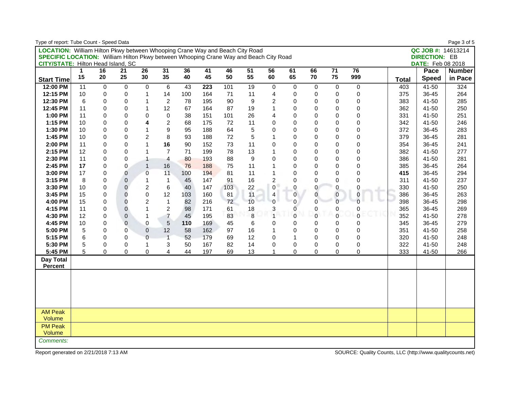| Type of report: Tube Count - Speed Data                                                      |                 |                |                     |                 |                |     |     |     |    |                         |                     |              |                 |                |              |                          | Page 3 of 5   |
|----------------------------------------------------------------------------------------------|-----------------|----------------|---------------------|-----------------|----------------|-----|-----|-----|----|-------------------------|---------------------|--------------|-----------------|----------------|--------------|--------------------------|---------------|
| <b>LOCATION:</b> William Hilton Pkwy between Whooping Crane Way and Beach City Road          |                 |                |                     |                 |                |     |     |     |    |                         |                     |              |                 |                |              | QC JOB #: 14613214       |               |
| <b>SPECIFIC LOCATION:</b> William Hilton Pkwy between Whooping Crane Way and Beach City Road |                 |                |                     |                 |                |     |     |     |    |                         |                     |              |                 |                |              | <b>DIRECTION: EB</b>     |               |
| <b>CITY/STATE: Hilton Head Island, SC</b>                                                    |                 |                |                     |                 |                |     |     |     |    |                         |                     |              |                 |                |              | <b>DATE:</b> Feb 08 2018 |               |
|                                                                                              | 1               | 16             | 21                  | $\overline{26}$ | 31             | 36  | 41  | 46  | 51 | 56                      | 61                  | 66           | $\overline{71}$ | 76             |              | Pace                     | <b>Number</b> |
| <b>Start Time</b>                                                                            | 15              | 20             | 25                  | 30              | 35             | 40  | 45  | 50  | 55 | 60                      | 65                  | 70           | 75              | 999            | <b>Total</b> | <b>Speed</b>             | in Pace       |
| 12:00 PM                                                                                     | $\overline{11}$ | $\mathbf 0$    | $\mathbf 0$         | $\Omega$        | 6              | 43  | 223 | 101 | 19 | $\mathbf 0$             | 0                   | $\mathbf 0$  | $\mathbf 0$     | $\mathbf 0$    | 403          | $41 - 50$                | 324           |
| 12:15 PM                                                                                     | 10              | 0              | $\Omega$            | $\mathbf{1}$    | 14             | 100 | 164 | 71  | 11 | $\overline{\mathbf{4}}$ | $\mathbf 0$         | $\mathbf 0$  | $\mathbf 0$     | $\mathbf 0$    | 375          | 36-45                    | 264           |
| 12:30 PM                                                                                     | 6               | 0              | 0                   | 1               | $\overline{c}$ | 78  | 195 | 90  | 9  | $\overline{c}$          | 0                   | 0            | 0               | $\mathbf 0$    | 383          | 41-50                    | 285           |
| 12:45 PM                                                                                     | 11              | 0              | $\mathsf 0$         | $\mathbf{1}$    | 12             | 67  | 164 | 87  | 19 | $\mathbf{1}$            | $\mathbf 0$         | $\mathbf 0$  | $\mathbf 0$     | $\mathsf 0$    | 362          | 41-50                    | 250           |
| 1:00 PM                                                                                      | 11              | 0              | $\mathbf 0$         | 0               | $\mathsf 0$    | 38  | 151 | 101 | 26 | 4                       | $\mathbf 0$         | $\mathbf 0$  | $\Omega$        | 0              | 331          | 41-50                    | 251           |
| 1:15 PM                                                                                      | 10              | 0              | $\Omega$            | 4               | $\overline{c}$ | 68  | 175 | 72  | 11 | 0                       | $\mathbf 0$         | $\mathbf 0$  | $\Omega$        | 0              | 342          | $41 - 50$                | 246           |
| 1:30 PM                                                                                      | 10              | $\Omega$       | $\mathbf 0$         | $\mathbf{1}$    | 9              | 95  | 188 | 64  | 5  | $\mathbf 0$             | $\mathbf 0$         | 0            | $\Omega$        | $\mathbf 0$    | 372          | 36-45                    | 283           |
| 1:45 PM                                                                                      | 10              | 0              | $\mathbf 0$         | $\overline{2}$  | 8              | 93  | 188 | 72  | 5  | $\mathbf{1}$            | $\mathbf 0$         | $\mathbf 0$  | $\mathbf 0$     | 0              | 379          | 36-45                    | 281           |
| 2:00 PM                                                                                      | 11              | 0              | $\Omega$            | $\mathbf{1}$    | 16             | 90  | 152 | 73  | 11 | $\mathbf 0$             | 0                   | 0            | $\Omega$        | 0              | 354          | 36-45                    | 241           |
| 2:15 PM                                                                                      | 12              | $\Omega$       | $\Omega$            | $\mathbf 1$     | $\overline{7}$ | 71  | 199 | 78  | 13 | 1                       | $\mathbf 0$         | $\mathbf{0}$ | $\Omega$        | $\Omega$       | 382          | 41-50                    | 277           |
| 2:30 PM                                                                                      | 11              | 0              | $\mathbf 0$         | $\mathbf{1}$    | $\overline{4}$ | 80  | 193 | 88  | 9  | $\mathbf 0$             | $\mathbf 0$         | $\mathbf 0$  | $\mathbf 0$     | $\mathbf 0$    | 386          | 41-50                    | 281           |
| 2:45 PM                                                                                      | 17              | 0              | 0                   | $\mathbf{1}$    | 16             | 76  | 188 | 75  | 11 | $\mathbf{1}$            | $\mathbf 0$         | $\mathbf 0$  | $\Omega$        | 0              | 385          | 36-45                    | 264           |
| 3:00 PM                                                                                      | 17              | 0              | $\mathbf 0$         | $\overline{0}$  | 11             | 100 | 194 | 81  | 11 | 1                       | $\mathbf 0$         | $\mathbf 0$  | $\Omega$        | $\Omega$       | 415          | 36-45                    | 294           |
| 3:15 PM                                                                                      | 8               | 0              | $\mathbf 0$         | 1               | $\mathbf{1}$   | 45  | 147 | 91  | 16 | $\overline{c}$          | $\mathbf 0$         | 0            | $\Omega$        | $\overline{0}$ | 311          | 41-50                    | 237           |
| 3:30 PM                                                                                      | 10              | 0              | $\mathsf{O}\xspace$ | $\overline{c}$  | 6              | 40  | 147 | 103 | 22 | $\mathbf 0$             | $\pmb{0}$           | 0            | 0               | 0              | 330          | 41-50                    | 250           |
| 3:45 PM                                                                                      | 15              | 0              | 0                   | 0               | 12             | 103 | 160 | 81  | 11 | 4                       | $\mathbf 0$         | 0            | $\pmb{0}$       | 0              | 386          | 36-45                    | 263           |
| 4:00 PM                                                                                      | 15              | 0              | 0                   | $\overline{2}$  | $\mathbf{1}$   | 82  | 216 | 72  | 10 | $\Omega$                | $\mathbf 0$         | $\mathbf 0$  | $\Omega$        | $\Omega$       | 398          | 36-45                    | 298           |
| 4:15 PM                                                                                      | 11              | $\overline{0}$ | $\mathbf 0$         | $\mathbf{1}$    | $\overline{2}$ | 98  | 171 | 61  | 18 | 3                       | $\mathsf{O}\xspace$ | 0            | 0               | 0              | 365          | 36-45                    | 269           |
| 4:30 PM                                                                                      | 12              | 0              | $\mathbf 0$         | 1               | $\overline{7}$ | 45  | 195 | 83  | 8  | $\overline{1}$          | $\mathbf 0$         | $\mathbf 0$  | $\Omega$        | $\Omega$       | 352          | 41-50                    | 278           |
| 4:45 PM                                                                                      | 10              | 0              | $\mathbf{0}$        | 0               | 5              | 110 | 169 | 45  | 6  | 0                       | 0                   | 0            | $\Omega$        | $\Omega$       | 345          | 36-45                    | 279           |
| 5:00 PM                                                                                      | 5               | 0              | $\Omega$            | 0               | 12             | 58  | 162 | 97  | 16 | 1                       | $\mathbf 0$         | 0            | $\Omega$        | $\mathbf 0$    | 351          | 41-50                    | 258           |
| 5:15 PM                                                                                      | 6               | 0              | $\mathbf 0$         | $\mathbf 0$     | $\overline{1}$ | 52  | 179 | 69  | 12 | 0                       | $\mathbf{1}$        | $\pmb{0}$    | $\mathbf 0$     | 0              | 320          | 41-50                    | 248           |
| 5:30 PM                                                                                      | 5               | 0              | $\mathbf 0$         | 1               | 3              | 50  | 167 | 82  | 14 | 0                       | $\mathbf 0$         | 0            | $\mathbf 0$     | 0              | 322          | 41-50                    | 248           |
| 5:45 PM                                                                                      | 5               | 0              | $\mathbf 0$         | 0               | 4              | 44  | 197 | 69  | 13 | $\mathbf{1}$            | $\mathsf 0$         | 0            | $\mathbf 0$     | 0              | 333          | 41-50                    | 266           |
| Day Total                                                                                    |                 |                |                     |                 |                |     |     |     |    |                         |                     |              |                 |                |              |                          |               |
| <b>Percent</b>                                                                               |                 |                |                     |                 |                |     |     |     |    |                         |                     |              |                 |                |              |                          |               |
|                                                                                              |                 |                |                     |                 |                |     |     |     |    |                         |                     |              |                 |                |              |                          |               |
|                                                                                              |                 |                |                     |                 |                |     |     |     |    |                         |                     |              |                 |                |              |                          |               |
|                                                                                              |                 |                |                     |                 |                |     |     |     |    |                         |                     |              |                 |                |              |                          |               |
|                                                                                              |                 |                |                     |                 |                |     |     |     |    |                         |                     |              |                 |                |              |                          |               |
|                                                                                              |                 |                |                     |                 |                |     |     |     |    |                         |                     |              |                 |                |              |                          |               |
| <b>AM Peak</b>                                                                               |                 |                |                     |                 |                |     |     |     |    |                         |                     |              |                 |                |              |                          |               |
| Volume                                                                                       |                 |                |                     |                 |                |     |     |     |    |                         |                     |              |                 |                |              |                          |               |
| <b>PM Peak</b>                                                                               |                 |                |                     |                 |                |     |     |     |    |                         |                     |              |                 |                |              |                          |               |
| Volume                                                                                       |                 |                |                     |                 |                |     |     |     |    |                         |                     |              |                 |                |              |                          |               |
| Comments:                                                                                    |                 |                |                     |                 |                |     |     |     |    |                         |                     |              |                 |                |              |                          |               |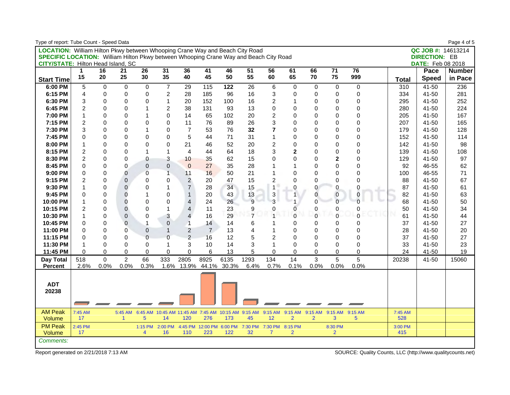| Type of report: Tube Count - Speed Data                                                      |                |             |                |                       |                 |                          |                  |                                                    |      |                |                         |                |                 |              |              |                          | Page 4 of 5   |
|----------------------------------------------------------------------------------------------|----------------|-------------|----------------|-----------------------|-----------------|--------------------------|------------------|----------------------------------------------------|------|----------------|-------------------------|----------------|-----------------|--------------|--------------|--------------------------|---------------|
| LOCATION: William Hilton Pkwy between Whooping Crane Way and Beach City Road                 |                |             |                |                       |                 |                          |                  |                                                    |      |                |                         |                |                 |              |              | QC JOB #: 14613214       |               |
| <b>SPECIFIC LOCATION:</b> William Hilton Pkwy between Whooping Crane Way and Beach City Road |                |             |                |                       |                 |                          |                  |                                                    |      |                |                         |                |                 |              |              | <b>DIRECTION: EB</b>     |               |
| <b>CITY/STATE: Hilton Head Island, SC</b>                                                    |                |             |                |                       |                 |                          |                  |                                                    |      |                |                         |                |                 |              |              | <b>DATE:</b> Feb 08 2018 |               |
|                                                                                              | 1              | 16          | 21             | 26                    | 31              | 36                       | 41               | 46                                                 | 51   | 56             | 61                      | 66             | $\overline{71}$ | 76           |              | Pace                     | <b>Number</b> |
| <b>Start Time</b>                                                                            | 15             | 20          | 25             | 30                    | 35              | 40                       | 45               | 50                                                 | 55   | 60             | 65                      | 70             | 75              | 999          | <b>Total</b> | <b>Speed</b>             | in Pace       |
| 6:00 PM                                                                                      | 5              | $\mathbf 0$ | $\mathbf 0$    | 0                     | $\overline{7}$  | 29                       | 115              | 122                                                | 26   | 6              | 0                       | 0              | $\mathbf 0$     | $\mathbf 0$  | 310          | 41-50                    | 236           |
| 6:15 PM                                                                                      | 4              | 0           | $\Omega$       | 0                     | $\overline{c}$  | 28                       | 185              | 96                                                 | 16   | 3              | 0                       | $\Omega$       | $\mathbf 0$     | $\Omega$     | 334          | 41-50                    | 281           |
| 6:30 PM                                                                                      | 3              | 0           | 0              | 0                     | $\mathbf{1}$    | 20                       | 152              | 100                                                | 16   | $\overline{c}$ | $\mathbf{1}$            | 0              | $\mathbf 0$     | $\Omega$     | 295          | 41-50                    | 252           |
| 6:45 PM                                                                                      | $\overline{2}$ | 0           | $\Omega$       | 1                     | 2               | 38                       | 131              | 93                                                 | 13   | $\mathbf 0$    | 0                       | 0              | $\mathbf 0$     | $\mathbf{0}$ | 280          | 41-50                    | 224           |
| 7:00 PM                                                                                      | $\mathbf{1}$   | 0           | 0              | 1                     | $\Omega$        | 14                       | 65               | 102                                                | 20   | $\overline{c}$ | 0                       | $\Omega$       | $\Omega$        | 0            | 205          | 41-50                    | 167           |
| 7:15 PM                                                                                      | $\overline{2}$ | $\Omega$    | $\Omega$       | 0                     | $\Omega$        | 11                       | 76               | 89                                                 | 26   | 3              | 0                       | $\Omega$       | $\Omega$        | $\Omega$     | 207          | 41-50                    | 165           |
| 7:30 PM                                                                                      | 3              | $\Omega$    | $\Omega$       | $\mathbf{1}$          | 0               | $\overline{7}$           | 53               | 76                                                 | 32   | $\overline{7}$ | 0                       | 0              | $\Omega$        | 0            | 179          | 41-50                    | 128           |
| 7:45 PM                                                                                      | $\Omega$       | $\Omega$    | $\Omega$       | 0                     | 0               | 5                        | 44               | 71                                                 | 31   | $\mathbf{1}$   | 0                       | $\overline{0}$ | $\Omega$        | $\mathbf{0}$ | 152          | 41-50                    | 114           |
| 8:00 PM                                                                                      | 1              | $\Omega$    | $\Omega$       | 0                     | $\mathbf 0$     | 21                       | 46               | 52                                                 | 20   | $\overline{c}$ | 0                       | $\Omega$       | $\Omega$        | $\Omega$     | 142          | 41-50                    | 98            |
| 8:15 PM                                                                                      | $\overline{c}$ | 0           | $\mathbf 0$    | $\mathbf{1}$          | $\mathbf{1}$    | $\overline{4}$           | 44               | 64                                                 | 18   | 3              | $\overline{\mathbf{2}}$ | 0              | $\mathbf 0$     | 0            | 139          | 41-50                    | 108           |
| 8:30 PM                                                                                      | $\overline{2}$ | $\mathbf 0$ | $\mathbf 0$    | 0                     | 3               | 10                       | 35               | 62                                                 | 15   | $\mathbf 0$    | 0                       | $\mathbf 0$    | $\mathbf{2}$    | 0            | 129          | 41-50                    | 97            |
| 8:45 PM                                                                                      | 0              | 0           | $\mathbf 0$    | 0                     | $\pmb{0}$       | $\mathbf{0}$             | 27               | 35                                                 | 28   |                | $\mathbf{1}$            | 0              | $\Omega$        | $\mathbf{0}$ | 92           | 46-55                    | 62            |
| 9:00 PM                                                                                      | 0              | $\mathbf 0$ | $\mathbf 0$    | 0                     | $\mathbf{1}$    | 11                       | 16               | 50                                                 | 21   |                | 0                       | $\Omega$       | $\Omega$        | $\Omega$     | 100          | 46-55                    | 71            |
| 9:15 PM                                                                                      | $\overline{c}$ | 0           | $\mathbf 0$    | 0                     | 0               | $\overline{2}$           | 20               | 47                                                 | 15   | $\overline{c}$ | 0                       | 0              | $\Omega$        | 0            | 88           | 41-50                    | 67            |
| 9:30 PM                                                                                      | $\mathbf{1}$   | $\mathbf 0$ | 0              | 0                     | $\mathbf{1}$    | $\overline{\mathcal{I}}$ | 28               | 34                                                 | 15   | $\mathbf{1}$   | 0                       | 0              | 0               | 0            | 87           | 41-50                    | 61            |
| 9:45 PM                                                                                      | 0              | 0           | $\overline{0}$ | 1                     | 0               | $\mathbf{1}$             | 20               | 43                                                 | 13   | 3              | 1                       | $\overline{0}$ | $\mathbf{0}$    | 0            | 82           | 41-50                    | 63            |
| 10:00 PM                                                                                     | 1              | $\mathbf 0$ | 0              | 0                     | $\mathbf 0$     | $\overline{4}$           | 24               | 26                                                 | 9    | 3              |                         | $\overline{0}$ | $\overline{0}$  | $\Omega$     | 68           | 41-50                    | 50            |
| 10:15 PM                                                                                     | $\overline{c}$ | 0           | $\mathbf 0$    | 0                     | 1               | $\overline{4}$           | 11               | 23                                                 | 9    | 0              | 0                       | 0              | 0               | 0            | 50           | 41-50                    | 34            |
| 10:30 PM                                                                                     | 1              | 0           | $\mathbf 0$    | 0                     | 3               | $\overline{4}$           | 16               | 29                                                 | 7    | $\overline{1}$ | 0                       | $\mathbf 0$    | $\Omega$        | $\Omega$     | 61           | 41-50                    | 44            |
| 10:45 PM                                                                                     | 0              | 0           | $\mathbf{0}$   | $\mathbf{1}$          | $\mathbf 0$     | $\overline{1}$           | 14               | 14                                                 | 6    |                | 0                       | 0              | $\mathbf 0$     | $\Omega$     | 37           | 41-50                    | 27            |
| 11:00 PM                                                                                     | 0              | 0           | $\Omega$       | 0                     | $\mathbf{1}$    | $\overline{c}$           | $\overline{7}$   | 13                                                 | 4    |                | 0                       | $\Omega$       | $\Omega$        | $\Omega$     | 28           | 41-50                    | 20            |
| 11:15 PM                                                                                     | 0              | $\Omega$    | 0              | $\overline{0}$        | $\overline{0}$  | $\overline{2}$           | 16               | 12                                                 | 5    | 2              | 0                       | $\Omega$       | $\Omega$        | 0            | 37           | 41-50                    | 27            |
| 11:30 PM                                                                                     | $\mathbf{1}$   | 0           | $\Omega$       | 0                     | 1               | 3                        | 10               | 14                                                 | 3    | 1              | 0                       | $\Omega$       | $\Omega$        | 0            | 33           | 41-50                    | 23            |
| 11:45 PM                                                                                     | $\mathbf 0$    | $\Omega$    | $\mathbf 0$    | 0                     | $\mathbf 0$     | $\mathbf 0$              | 6                | 13                                                 | 5    | $\mathbf 0$    | 0                       | $\Omega$       | $\Omega$        | $\Omega$     | 24           | 41-50                    | 19            |
| Day Total                                                                                    | 518            | $\Omega$    | $\overline{2}$ | 66                    | 333             | 2805                     | 8925             | 6135                                               | 1293 | 134            | 14                      | 3              | 5               | 5            | 20238        | 41-50                    | 15060         |
| <b>Percent</b>                                                                               | 2.6%           | 0.0%        | 0.0%           | 0.3%                  |                 |                          | 1.6% 13.9% 44.1% | 30.3%                                              | 6.4% | 0.7%           | 0.1%                    | 0.0%           | 0.0%            | 0.0%         |              |                          |               |
| <b>ADT</b><br>20238                                                                          |                |             |                |                       |                 |                          |                  |                                                    |      |                |                         |                |                 |              |              |                          |               |
| <b>AM Peak</b>                                                                               | 7:45 AM        |             | 5:45 AM        |                       |                 |                          |                  | 6:45 AM 10:45 AM 11:45 AM 7:45 AM 10:15 AM 9:15 AM |      | $9:15$ AM      | 9:15 AM                 | 9:15 AM        | 9:15 AM         | 9:15 AM      | 7:45 AM      |                          |               |
| Volume                                                                                       | 17             |             | 1              | 5                     | 14              | 120                      | 276              | 173                                                | 45   | 12             | $\overline{2}$          | $\overline{2}$ | 3               | 5            | 528          |                          |               |
| <b>PM Peak</b>                                                                               | 2:45 PM        |             |                |                       | 1:15 PM 2:00 PM |                          |                  | 4:45 PM 12:00 PM 6:00 PM 7:30 PM 7:30 PM 8:15 PM   |      |                |                         |                | 8:30 PM         |              | 3:00 PM      |                          |               |
| Volume                                                                                       | 17             |             |                | $\boldsymbol{\Delta}$ | 16              | 110                      | 223              | 122                                                | 32   | $\overline{7}$ | $\overline{2}$          |                | $\overline{2}$  |              | 415          |                          |               |
| Comments:                                                                                    |                |             |                |                       |                 |                          |                  |                                                    |      |                |                         |                |                 |              |              |                          |               |
|                                                                                              |                |             |                |                       |                 |                          |                  |                                                    |      |                |                         |                |                 |              |              |                          |               |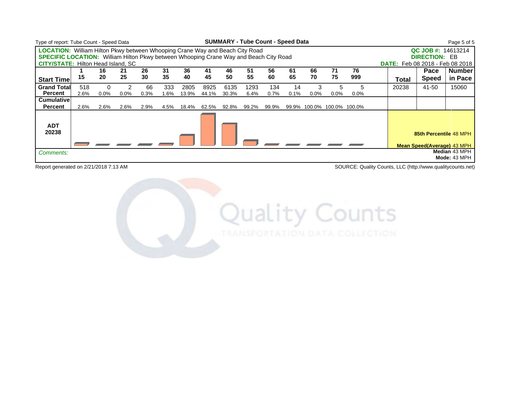| Type of report: Tube Count - Speed Data                                               |      |          |         |      |      |       |       |       | <b>SUMMARY - Tube Count - Speed Data</b> |       |      |         |                            |         |                                        |                                                       | Page 5 of 5                   |
|---------------------------------------------------------------------------------------|------|----------|---------|------|------|-------|-------|-------|------------------------------------------|-------|------|---------|----------------------------|---------|----------------------------------------|-------------------------------------------------------|-------------------------------|
| <b>LOCATION:</b> William Hilton Pkwy between Whooping Crane Way and Beach City Road   |      |          |         |      |      |       |       |       |                                          |       |      |         |                            |         |                                        | QC JOB #: 14613214                                    |                               |
| SPECIFIC LOCATION: William Hilton Pkwy between Whooping Crane Way and Beach City Road |      |          |         |      |      |       |       |       |                                          |       |      |         |                            |         |                                        | <b>DIRECTION: EB</b>                                  |                               |
| <b>CITY/STATE: Hilton Head Island, SC</b>                                             |      |          |         |      |      |       |       |       |                                          |       |      |         |                            |         | <b>DATE:</b> Feb 08 2018 - Feb 08 2018 |                                                       |                               |
|                                                                                       |      | 16       | 21      | 26   | 31   | 36    | 41    | 46    | 51                                       | 56    | 61   | 66      | 71                         | 76      |                                        | Pace                                                  | <b>Number</b>                 |
| <b>Start Time</b>                                                                     | 15   | 20       | 25      | 30   | 35   | 40    | 45    | 50    | 55                                       | 60    | 65   | 70      | 75                         | 999     | Total                                  | <b>Speed</b>                                          | in Pace                       |
| <b>Grand Total</b>                                                                    | 518  | $\Omega$ |         | 66   | 333  | 2805  | 8925  | 6135  | 1293                                     | 134   | 14   | 3       |                            | 5       | 20238                                  | 41-50                                                 | 15060                         |
| Percent                                                                               | 2.6% | 0.0%     | $0.0\%$ | 0.3% | 1.6% | 13.9% | 44.1% | 30.3% | 6.4%                                     | 0.7%  | 0.1% | $0.0\%$ | $0.0\%$                    | $0.0\%$ |                                        |                                                       |                               |
| Cumulative                                                                            |      |          |         |      |      |       |       |       |                                          |       |      |         |                            |         |                                        |                                                       |                               |
| Percent                                                                               | 2.6% | 2.6%     | 2.6%    | 2.9% | 4.5% | 18.4% | 62.5% | 92.8% | 99.2%                                    | 99.9% |      |         | 99.9% 100.0% 100.0% 100.0% |         |                                        |                                                       |                               |
| <b>ADT</b><br>20238                                                                   |      |          |         |      |      |       |       |       |                                          |       |      |         |                            |         |                                        | 85th Percentile 48 MPH<br>Mean Speed(Average): 43 MPH |                               |
| Comments:                                                                             |      |          |         |      |      |       |       |       |                                          |       |      |         |                            |         |                                        |                                                       | Median 43 MPH<br>Mode: 43 MPH |

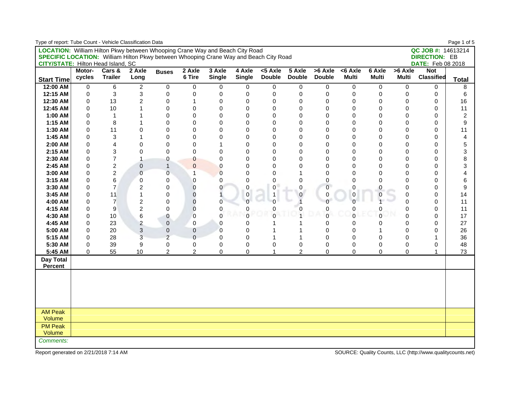| Type of report: Tube Count - Vehicle Classification Data                                     |             |                |                         |                         |                |                |               |                |                |               |                     |                |              |                          | Page 1 of 5             |
|----------------------------------------------------------------------------------------------|-------------|----------------|-------------------------|-------------------------|----------------|----------------|---------------|----------------|----------------|---------------|---------------------|----------------|--------------|--------------------------|-------------------------|
| <b>LOCATION:</b> William Hilton Pkwy between Whooping Crane Way and Beach City Road          |             |                |                         |                         |                |                |               |                |                |               |                     |                |              | QC JOB #: 14613214       |                         |
| <b>SPECIFIC LOCATION:</b> William Hilton Pkwy between Whooping Crane Way and Beach City Road |             |                |                         |                         |                |                |               |                |                |               |                     |                |              | <b>DIRECTION: EB</b>     |                         |
| <b>CITY/STATE: Hilton Head Island, SC</b>                                                    |             |                |                         |                         |                |                |               |                |                |               |                     |                |              | <b>DATE:</b> Feb 08 2018 |                         |
|                                                                                              | Motor-      | Cars &         | 2 Axle                  | <b>Buses</b>            | 2 Axle         | 3 Axle         | 4 Axle        | $5$ Axle       | 5 Axle         | >6 Axle       | $6 Axle$            | 6 Axle         | >6 Axle      | <b>Not</b>               |                         |
| <b>Start Time</b>                                                                            | cycles      | <b>Trailer</b> | Long                    |                         | 6 Tire         | <b>Single</b>  | <b>Single</b> | <b>Double</b>  | <b>Double</b>  | <b>Double</b> | <b>Multi</b>        | <b>Multi</b>   | <b>Multi</b> | <b>Classified</b>        | <b>Total</b>            |
| 12:00 AM                                                                                     | 0           | 6              | 2                       | $\mathbf 0$             | 0              | 0              | 0             | 0              | 0              | 0             | 0                   | 0              | 0            | 0                        | 8                       |
| 12:15 AM                                                                                     | $\mathbf 0$ | 3              | 3                       | 0                       | 0              | 0              | 0             | 0              | 0              | 0             | $\mathbf 0$         | $\mathbf 0$    | 0            | 0                        | 6                       |
| 12:30 AM                                                                                     | $\Omega$    | 13             | $\overline{c}$          | $\mathbf 0$             | 1              | 0              | 0             | 0              | $\Omega$       | $\Omega$      | $\Omega$            | $\Omega$       | $\Omega$     | 0                        | 16                      |
| 12:45 AM                                                                                     | $\Omega$    | 10             | 1                       | $\mathbf 0$             | 0              | 0              | 0             | 0              | 0              | 0             | $\mathbf 0$         | $\Omega$       | 0            | 0                        | 11                      |
| 1:00 AM                                                                                      | $\Omega$    | $\mathbf{1}$   | 1                       | 0                       | 0              | 0              | 0             | 0              | $\Omega$       | 0             | $\Omega$            | $\Omega$       | $\Omega$     | 0                        | $\overline{\mathbf{c}}$ |
| 1:15 AM                                                                                      | $\Omega$    | 8              | 1                       | 0                       | 0              | 0              | 0             | 0              | $\Omega$       | $\Omega$      | $\Omega$            | $\Omega$       | $\Omega$     | 0                        | 9                       |
| 1:30 AM                                                                                      | $\Omega$    | 11             | $\Omega$                | 0                       | 0              | 0              | 0             | 0              | $\Omega$       | 0             | $\Omega$            | $\Omega$       | $\Omega$     | 0                        | 11                      |
| 1:45 AM                                                                                      | $\Omega$    | 3              | 1                       | 0                       | 0              | 0              | 0             | 0              | $\mathbf 0$    | $\mathbf 0$   | $\Omega$            | 0              | $\mathbf 0$  | 0                        | 4                       |
| 2:00 AM                                                                                      | $\Omega$    | 4              | 0                       | 0                       | 0              | 1              | 0             | 0              | $\Omega$       | 0             | $\Omega$            | $\Omega$       | $\Omega$     | 0                        | 5                       |
| 2:15 AM                                                                                      | $\Omega$    | 3              | $\Omega$                | 0                       | 0              | $\Omega$       | 0             | 0              | $\Omega$       | $\Omega$      | $\Omega$            | $\Omega$       | $\Omega$     | 0                        | 3                       |
| 2:30 AM                                                                                      | $\Omega$    | $\overline{7}$ | $\mathbf{1}$            | 0                       | $\overline{0}$ | 0              | 0             | 0              | $\Omega$       | 0             | $\Omega$            | $\Omega$       | 0            | 0                        | 8                       |
| 2:45 AM                                                                                      | $\Omega$    | $\overline{c}$ | $\mathbf{0}$            | $\mathbf{1}$            | 0              | 0              | 0             | $\Omega$       | $\Omega$       | $\Omega$      | $\Omega$            | $\Omega$       | $\Omega$     | 0                        | 3                       |
| 3:00 AM                                                                                      | $\Omega$    | $\overline{c}$ | $\Omega$                | 0                       | $\mathbf{1}$   | $\overline{0}$ | $\Omega$      | 0              |                | $\Omega$      | $\Omega$            | $\Omega$       | $\Omega$     | 0                        | 4                       |
| 3:15 AM                                                                                      | $\Omega$    | 6              | $\mathbf 0$             | $\mathbf 0$             | 0              | 0              | 0             | 0              | $\Omega$       | $\mathbf 0$   | $\Omega$            | $\Omega$       | $\Omega$     | 0                        | 6                       |
| 3:30 AM                                                                                      | $\Omega$    | $\overline{7}$ | $\overline{c}$          | 0                       | 0              | 0              | 0             | 0              | $\pmb{0}$      | $\mathbf 0$   | 0                   | $\pmb{0}$      | 0            | 0                        | 9                       |
| 3:45 AM                                                                                      | 0           | 11             | $\mathbf{1}$            | 0                       | 0              | $\overline{1}$ | 0             | 1              | $\pmb{0}$      | $\pmb{0}$     | $\mathsf{O}\xspace$ | $\pmb{0}$      | 0            | 0                        | 14                      |
| 4:00 AM                                                                                      | 0           | $\overline{7}$ | $\overline{\mathbf{c}}$ | 0                       | 0              | 0              | $\Omega$      | 0              |                | $\mathbf 0$   | $\overline{0}$      |                | $\Omega$     | 0                        | 11                      |
| 4:15 AM                                                                                      | $\mathbf 0$ | 9              | $\overline{c}$          | $\pmb{0}$               | 0              | 0              | 0             | 0              | $\mathbf 0$    | $\pmb{0}$     | 0                   | 0              | 0            | 0                        | 11                      |
| 4:30 AM                                                                                      | 0           | 10             | 6                       | $\pmb{0}$               | 0              | 0              | $\Omega$      | $\overline{0}$ |                | $\Omega$      | $\Omega$            | $\overline{0}$ | $\Omega$     | 0                        | 17                      |
| 4:45 AM                                                                                      | $\mathbf 0$ | 23             | $\overline{c}$          | $\pmb{0}$               | 0              | 0              | 0             | 1              |                | 0             | $\mathbf 0$         | 0              | $\Omega$     | 0                        | 27                      |
| 5:00 AM                                                                                      | $\Omega$    | 20             | 3                       | $\pmb{0}$               | 0              | $\mathbf 0$    | 0             |                |                | $\Omega$      | 0                   |                | $\Omega$     | 0                        | 26                      |
| 5:15 AM                                                                                      | 0           | 28             | 3                       | $\overline{\mathbf{c}}$ | $\overline{0}$ | 0              | 0             | 1              |                | 0             | $\mathbf 0$         | 0              | $\mathbf 0$  | 1                        | 36                      |
| 5:30 AM                                                                                      | 0           | 39             | 9                       | 0                       | 0              | 0              | 0             | 0              | $\mathbf 0$    | 0             | $\mathbf 0$         | $\mathbf 0$    | $\mathbf 0$  | 0                        | 48                      |
| 5:45 AM                                                                                      | 0           | 55             | 10                      | $\overline{2}$          | $\overline{2}$ | 0              | 0             | $\mathbf{1}$   | $\overline{2}$ | $\mathbf 0$   | 0                   | $\mathbf 0$    | 0            | 1                        | 73                      |
| Day Total                                                                                    |             |                |                         |                         |                |                |               |                |                |               |                     |                |              |                          |                         |
| Percent                                                                                      |             |                |                         |                         |                |                |               |                |                |               |                     |                |              |                          |                         |
|                                                                                              |             |                |                         |                         |                |                |               |                |                |               |                     |                |              |                          |                         |
|                                                                                              |             |                |                         |                         |                |                |               |                |                |               |                     |                |              |                          |                         |
|                                                                                              |             |                |                         |                         |                |                |               |                |                |               |                     |                |              |                          |                         |
|                                                                                              |             |                |                         |                         |                |                |               |                |                |               |                     |                |              |                          |                         |
|                                                                                              |             |                |                         |                         |                |                |               |                |                |               |                     |                |              |                          |                         |
| <b>AM Peak</b>                                                                               |             |                |                         |                         |                |                |               |                |                |               |                     |                |              |                          |                         |
| Volume                                                                                       |             |                |                         |                         |                |                |               |                |                |               |                     |                |              |                          |                         |
| <b>PM Peak</b>                                                                               |             |                |                         |                         |                |                |               |                |                |               |                     |                |              |                          |                         |
| Volume                                                                                       |             |                |                         |                         |                |                |               |                |                |               |                     |                |              |                          |                         |
| Comments:                                                                                    |             |                |                         |                         |                |                |               |                |                |               |                     |                |              |                          |                         |
|                                                                                              |             |                |                         |                         |                |                |               |                |                |               |                     |                |              |                          |                         |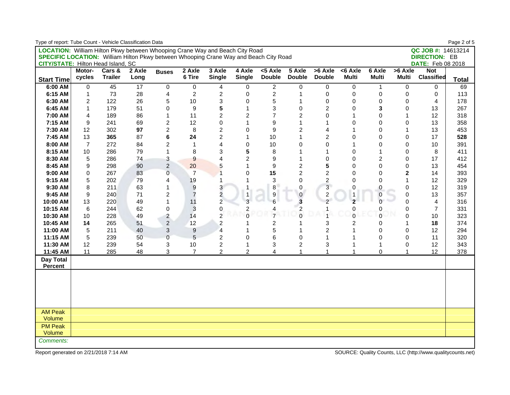| Type of report: Tube Count - Vehicle Classification Data                                     |                         |                |        |                         |                  |                |                |                  |                         |                         |                |                |                |                          | Page 2 of 5  |
|----------------------------------------------------------------------------------------------|-------------------------|----------------|--------|-------------------------|------------------|----------------|----------------|------------------|-------------------------|-------------------------|----------------|----------------|----------------|--------------------------|--------------|
| <b>LOCATION:</b> William Hilton Pkwy between Whooping Crane Way and Beach City Road          |                         |                |        |                         |                  |                |                |                  |                         |                         |                |                |                | QC JOB #: 14613214       |              |
| <b>SPECIFIC LOCATION:</b> William Hilton Pkwy between Whooping Crane Way and Beach City Road |                         |                |        |                         |                  |                |                |                  |                         |                         |                |                |                | <b>DIRECTION: EB</b>     |              |
| <b>CITY/STATE: Hilton Head Island, SC</b>                                                    |                         |                |        |                         |                  |                |                |                  |                         |                         |                |                |                | <b>DATE:</b> Feb 08 2018 |              |
|                                                                                              | Motor-                  | Cars &         | 2 Axle | <b>Buses</b>            | 2 Axle           | 3 Axle         | 4 Axle         | <5 Axle          | 5 Axle                  | >6 Axle                 | <6 Axle        | 6 Axle         | >6 Axle        | <b>Not</b>               |              |
| <b>Start Time</b>                                                                            | cycles                  | <b>Trailer</b> | Long   |                         | 6 Tire           | <b>Single</b>  | <b>Single</b>  | <b>Double</b>    | <b>Double</b>           | <b>Double</b>           | <b>Multi</b>   | <b>Multi</b>   | <b>Multi</b>   | <b>Classified</b>        | <b>Total</b> |
| 6:00 AM                                                                                      | 0                       | 45             | 17     | $\pmb{0}$               | 0                | 4              | 0              | $\overline{c}$   | 0                       | 0                       | 0              | 1              | 0              | 0                        | 69           |
| 6:15 AM                                                                                      | $\mathbf{1}$            | 73             | 28     | 4                       | $\overline{c}$   | $\overline{c}$ | 0              | $\boldsymbol{2}$ | 1                       | 0                       | 0              | $\mathsf 0$    | 0              | 0                        | 113          |
| 6:30 AM                                                                                      | $\overline{\mathbf{c}}$ | 122            | 26     | 5                       | 10               | 3              | 0              | 5                |                         | $\mathbf 0$             | $\Omega$       | $\Omega$       | $\Omega$       | 4                        | 178          |
| 6:45 AM                                                                                      | $\mathbf{1}$            | 179            | 51     | $\mathbf 0$             | 9                | 5              | $\mathbf{1}$   | 3                | $\mathbf 0$             | $\overline{c}$          | $\Omega$       | 3              | $\mathbf{0}$   | 13                       | 267          |
| 7:00 AM                                                                                      | $\overline{4}$          | 189            | 86     | $\mathbf{1}$            | 11               | $\overline{c}$ | $\overline{2}$ | $\overline{7}$   | $\overline{2}$          | $\mathbf 0$             | 1              | $\Omega$       | 1              | 12                       | 318          |
| 7:15 AM                                                                                      | 9                       | 241            | 69     | 2                       | 12               | 0              | $\mathbf{1}$   | 9                | 1                       | 1                       | $\Omega$       | $\Omega$       | $\Omega$       | 13                       | 358          |
| 7:30 AM                                                                                      | 12                      | 302            | 97     | $\overline{c}$          | 8                | $\overline{c}$ | 0              | 9                | $\overline{2}$          | 4                       | 1              | $\Omega$       | 1              | 13                       | 453          |
| 7:45 AM                                                                                      | 13                      | 365            | 87     | 6                       | 24               | $\overline{c}$ | $\mathbf{1}$   | 10               | 1                       | $\overline{c}$          | $\Omega$       | $\mathbf 0$    | 0              | 17                       | 528          |
| 8:00 AM                                                                                      | $\overline{7}$          | 272            | 84     | $\overline{\mathbf{c}}$ | $\mathbf{1}$     | 4              | 0              | 10               | $\Omega$                | $\mathbf 0$             | 1              | 0              | 0              | 10                       | 391          |
| 8:15 AM                                                                                      | 10                      | 286            | 79     | $\mathbf{1}$            | 8                | 3              | 5              | 8                |                         |                         | $\Omega$       | $\mathbf{1}$   | $\Omega$       | 8                        | 411          |
| 8:30 AM                                                                                      | 5                       | 286            | 74     | 3                       | 9                | 4              | $\overline{2}$ | 9                | 1                       | 0                       | $\Omega$       | $\overline{2}$ | $\Omega$       | 17                       | 412          |
| 8:45 AM                                                                                      | 9                       | 298            | 90     | $\sqrt{2}$              | 20               | 5              | $\mathbf{1}$   | 9                | $\overline{2}$          | 5                       | $\mathbf 0$    | 0              | 0              | 13                       | 454          |
| 9:00 AM                                                                                      | $\mathbf 0$             | 267            | 83     | 0                       | $\overline{7}$   |                | 0              | 15               | $\overline{2}$          | $\overline{c}$          | $\Omega$       | $\Omega$       | $\overline{2}$ | 14                       | 393          |
| 9:15 AM                                                                                      | 5                       | 202            | 79     | 4                       | 19               | 1              | 1              | 3                | $\Omega$                | $\overline{c}$          | $\Omega$       | $\Omega$       | $\mathbf{1}$   | 12                       | 329          |
| 9:30 AM                                                                                      | 8                       | 211            | 63     | $\mathbf{1}$            | $\boldsymbol{9}$ | 3              | 1              | $\bf 8$          | $\mathsf 0$             | $\overline{3}$          | 0              | $\pmb{0}$      | 0              | 12                       | 319          |
| 9:45 AM                                                                                      | 9                       | 240            | 71     | $\overline{c}$          | $\overline{7}$   | $\overline{a}$ | $\mathbf{1}$   | $\boldsymbol{9}$ | $\pmb{0}$               | $\overline{\mathbf{c}}$ | 1              | $\pmb{0}$      | 0              | 13                       | 357          |
| 10:00 AM                                                                                     | 13                      | 220            | 49     | $\mathbf{1}$            | 11               | $\overline{2}$ | 3              | 6                | 3                       | $\overline{c}$          | $\overline{2}$ | $\Omega$       | $\Omega$       | 4                        | 316          |
| 10:15 AM                                                                                     | 6                       | 244            | 62     | 0                       | 3                | 0              | $\overline{c}$ | 4                | $\overline{\mathbf{c}}$ |                         | 0              | 0              | $\Omega$       | $\overline{7}$           | 331          |
| 10:30 AM                                                                                     | 10                      | 228            | 49     | $\overline{\mathbf{c}}$ | 14               | $\overline{2}$ | $\Omega$       | $\overline{7}$   | $\overline{0}$          |                         | $\overline{0}$ | $\overline{0}$ | $\Omega$       | 10                       | 323          |
| 10:45 AM                                                                                     | 14                      | 265            | 51     | $\overline{2}$          | 12               | $\overline{c}$ | 1              | 2                | 1                       | 3                       | $\overline{2}$ | 0              | $\mathbf{1}$   | 18                       | 374          |
| 11:00 AM                                                                                     | 5                       | 211            | 40     | $\mathfrak{B}$          | 9                | 4              | 1              | 5                | 1                       | $\overline{c}$          | 1              | $\Omega$       | $\Omega$       | 12                       | 294          |
| 11:15 AM                                                                                     | 5                       | 239            | 50     | 0                       | 5                | $\overline{c}$ | 0              | 6                | $\mathbf 0$             | 1                       | 1              | $\Omega$       | $\Omega$       | 11                       | 320          |
| 11:30 AM                                                                                     | 12                      | 239            | 54     | $\mathbf{3}$            | 10               | $\overline{c}$ | 1              | 3                | $\overline{2}$          | 3                       | 1              | $\mathbf{1}$   | 0              | 12                       | 343          |
| 11:45 AM                                                                                     | 11                      | 285            | 48     | 3                       | $\overline{7}$   | $\overline{c}$ | $\overline{2}$ | 4                | $\mathbf{1}$            | $\mathbf{1}$            | 1              | $\mathbf 0$    | 1              | 12                       | 378          |
| <b>Day Total</b>                                                                             |                         |                |        |                         |                  |                |                |                  |                         |                         |                |                |                |                          |              |
| <b>Percent</b>                                                                               |                         |                |        |                         |                  |                |                |                  |                         |                         |                |                |                |                          |              |
|                                                                                              |                         |                |        |                         |                  |                |                |                  |                         |                         |                |                |                |                          |              |
|                                                                                              |                         |                |        |                         |                  |                |                |                  |                         |                         |                |                |                |                          |              |
|                                                                                              |                         |                |        |                         |                  |                |                |                  |                         |                         |                |                |                |                          |              |
|                                                                                              |                         |                |        |                         |                  |                |                |                  |                         |                         |                |                |                |                          |              |
|                                                                                              |                         |                |        |                         |                  |                |                |                  |                         |                         |                |                |                |                          |              |
| <b>AM Peak</b>                                                                               |                         |                |        |                         |                  |                |                |                  |                         |                         |                |                |                |                          |              |
| Volume                                                                                       |                         |                |        |                         |                  |                |                |                  |                         |                         |                |                |                |                          |              |
| <b>PM Peak</b>                                                                               |                         |                |        |                         |                  |                |                |                  |                         |                         |                |                |                |                          |              |
| Volume                                                                                       |                         |                |        |                         |                  |                |                |                  |                         |                         |                |                |                |                          |              |
| Comments:                                                                                    |                         |                |        |                         |                  |                |                |                  |                         |                         |                |                |                |                          |              |
|                                                                                              |                         |                |        |                         |                  |                |                |                  |                         |                         |                |                |                |                          |              |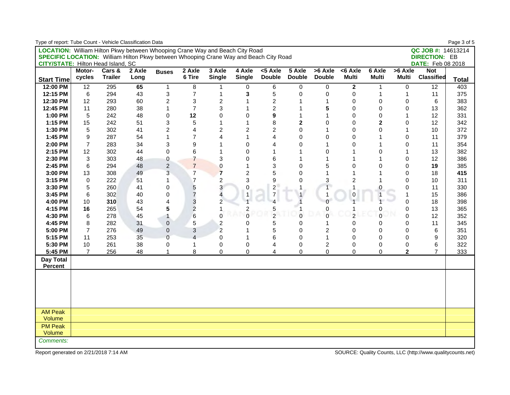| Type of report: Tube Count - Vehicle Classification Data                                     |                |                |        |                |                |                         |                |                |                |                |                |                |                |                          | Page 3 of 5  |
|----------------------------------------------------------------------------------------------|----------------|----------------|--------|----------------|----------------|-------------------------|----------------|----------------|----------------|----------------|----------------|----------------|----------------|--------------------------|--------------|
| <b>LOCATION:</b> William Hilton Pkwy between Whooping Crane Way and Beach City Road          |                |                |        |                |                |                         |                |                |                |                |                |                |                | QC JOB #: 14613214       |              |
| <b>SPECIFIC LOCATION:</b> William Hilton Pkwy between Whooping Crane Way and Beach City Road |                |                |        |                |                |                         |                |                |                |                |                |                |                | <b>DIRECTION: EB</b>     |              |
| <b>CITY/STATE: Hilton Head Island, SC</b>                                                    |                |                |        |                |                |                         |                |                |                |                |                |                |                | <b>DATE:</b> Feb 08 2018 |              |
|                                                                                              | Motor-         | Cars &         | 2 Axle | <b>Buses</b>   | 2 Axle         | 3 Axle                  | 4 Axle         | <5 Axle        | 5 Axle         | >6 Axle        | <6 Axle        | 6 Axle         | >6 Axle        | <b>Not</b>               |              |
| <b>Start Time</b>                                                                            | cycles         | <b>Trailer</b> | Long   |                | 6 Tire         | <b>Single</b>           | <b>Single</b>  | <b>Double</b>  | <b>Double</b>  | <b>Double</b>  | <b>Multi</b>   | <b>Multi</b>   | <b>Multi</b>   | <b>Classified</b>        | <b>Total</b> |
| 12:00 PM                                                                                     | 12             | 295            | 65     | $\mathbf{1}$   | 8              | -1                      | 0              | $\,6$          | 0              | 0              | $\mathbf{2}$   | 1              | 0              | 12                       | 403          |
| 12:15 PM                                                                                     | $\,6\,$        | 294            | 43     | 3              | $\overline{7}$ | $\mathbf{1}$            | 3              | 5              | 0              | 0              | 0              | $\mathbf{1}$   | $\mathbf{1}$   | 11                       | 375          |
| 12:30 PM                                                                                     | 12             | 293            | 60     | $\overline{c}$ | 3              | $\overline{\mathbf{c}}$ |                | 2              | 1              |                | $\Omega$       | $\Omega$       | $\Omega$       | 6                        | 383          |
| 12:45 PM                                                                                     | 11             | 280            | 38     | $\mathbf{1}$   | $\overline{7}$ | 3                       | 1              | $\overline{c}$ | 1              | 5              | $\mathbf 0$    | $\mathbf 0$    | $\Omega$       | 13                       | 362          |
| 1:00 PM                                                                                      | 5              | 242            | 48     | $\mathsf 0$    | 12             | 0                       | $\Omega$       | 9              | 1              |                | $\mathbf 0$    | $\Omega$       | 1              | 12                       | 331          |
| 1:15 PM                                                                                      | 15             | 242            | 51     | 3              | 5              | 1                       | 1              | 8              | $\mathbf{2}$   | 0              | $\Omega$       | $\overline{2}$ | $\Omega$       | 12                       | 342          |
| 1:30 PM                                                                                      | 5              | 302            | 41     | $\overline{2}$ | 4              | $\overline{2}$          | $\overline{2}$ | $\overline{c}$ | 0              | 1              | $\Omega$       | $\Omega$       | $\mathbf 1$    | 10                       | 372          |
| 1:45 PM                                                                                      | 9              | 287            | 54     | $\mathbf{1}$   | $\overline{7}$ | 4                       | $\mathbf{1}$   | 4              | 0              | 0              | $\mathbf 0$    | 1              | 0              | 11                       | 379          |
| 2:00 PM                                                                                      | $\overline{7}$ | 283            | 34     | 3              | 9              | 1                       | 0              | 4              | 0              | 1              | $\mathbf 0$    | 1              | $\mathbf 0$    | 11                       | 354          |
| 2:15 PM                                                                                      | 12             | 302            | 44     | 0              | 6              | 1                       | 0              | 1              | 1              | 0              | 1              | $\mathbf 0$    | $\mathbf 1$    | 13                       | 382          |
| 2:30 PM                                                                                      | 3              | 303            | 48     | 0              | $\overline{7}$ | 3                       | $\mathbf 0$    | 6              | 1              | 1              | 1              | 1              | $\mathbf 0$    | 12                       | 386          |
| 2:45 PM                                                                                      | 6              | 294            | 48     | $\mathbf 2$    | $\overline{7}$ | $\mathbf 0$             | 1              | 3              | 0              | 5              | $\mathbf 0$    | 0              | 0              | 19                       | 385          |
| 3:00 PM                                                                                      | 13             | 308            | 49     | 3              | $\overline{7}$ | $\overline{7}$          | $\overline{c}$ | 5              | $\mathbf 0$    | 1              | 1              | 1              | $\Omega$       | 18                       | 415          |
| 3:15 PM                                                                                      | 0              | 222            | 51     | 1              | $\overline{7}$ | $\overline{c}$          | 3              | 9              | 0              | 3              | $\overline{2}$ | 1              | $\Omega$       | 10                       | 311          |
| 3:30 PM                                                                                      | 5              | 260            | 41     | 0              | 5              | 3                       | 0              | $\overline{c}$ | $\mathbf{1}$   | $\overline{1}$ | $\mathbf{1}$   | $\pmb{0}$      | 0              | 11                       | 330          |
| 3:45 PM                                                                                      | 6              | 302            | 40     | $\mathbf 0$    | $\overline{7}$ | 4                       | $\mathbf{1}$   | $\overline{7}$ |                | 1              | $\pmb{0}$      | $\mathbf{1}$   | $\mathbf{1}$   | 15                       | 386          |
| 4:00 PM                                                                                      | 10             | 310            | 43     | 4              | 3              | $\overline{2}$          |                | $\overline{A}$ |                | $\Omega$       |                |                | $\Omega$       | 18                       | 398          |
| 4:15 PM                                                                                      | 16             | 265            | 54     | 5              | $\overline{c}$ | 1                       | $\overline{c}$ |                |                | 0              |                | 0              | $\Omega$       | 13                       | 365          |
| 4:30 PM                                                                                      | 6              | 278            | 45     | $\mathbf{1}$   | 6              | $\overline{0}$          | $\Omega$       | $\frac{5}{2}$  | $\overline{0}$ | $\overline{0}$ | $\overline{2}$ | $\overline{0}$ | $\Omega$       | 12                       | 352          |
| 4:45 PM                                                                                      | 8              | 282            | 31     | $\pmb{0}$      | 5              | $\overline{c}$          | 0              | 5              | 0              | 1              | $\mathbf 0$    | $\mathbf 0$    | $\Omega$       | 11                       | 345          |
| 5:00 PM                                                                                      | $\overline{7}$ | 276            | 49     | $\pmb{0}$      | 3              | $\overline{2}$          | 1              | 5              | 0              | 2              | $\Omega$       | $\Omega$       | $\overline{0}$ | 6                        | 351          |
| 5:15 PM                                                                                      | 11             | 253            | 35     | $\mathbf 0$    | 4              | 0                       | 1              | 6              | 0              | 1              | $\mathbf 0$    | $\mathbf 0$    | $\overline{0}$ | 9                        | 320          |
| 5:30 PM                                                                                      | 10             | 261            | 38     | $\pmb{0}$      | 1              | 0                       | 0              | 4              | 0              | $\overline{c}$ | $\mathbf 0$    | $\mathbf 0$    | 0              | 6                        | 322          |
| 5:45 PM                                                                                      | $\overline{7}$ | 256            | 48     | $\mathbf{1}$   | 8              | 0                       | 0              | 4              | 0              | 0              | $\mathbf 0$    | $\mathbf 0$    | $\mathbf{2}$   | $\overline{7}$           | 333          |
| Day Total                                                                                    |                |                |        |                |                |                         |                |                |                |                |                |                |                |                          |              |
| <b>Percent</b>                                                                               |                |                |        |                |                |                         |                |                |                |                |                |                |                |                          |              |
|                                                                                              |                |                |        |                |                |                         |                |                |                |                |                |                |                |                          |              |
|                                                                                              |                |                |        |                |                |                         |                |                |                |                |                |                |                |                          |              |
|                                                                                              |                |                |        |                |                |                         |                |                |                |                |                |                |                |                          |              |
|                                                                                              |                |                |        |                |                |                         |                |                |                |                |                |                |                |                          |              |
|                                                                                              |                |                |        |                |                |                         |                |                |                |                |                |                |                |                          |              |
| <b>AM Peak</b>                                                                               |                |                |        |                |                |                         |                |                |                |                |                |                |                |                          |              |
| Volume                                                                                       |                |                |        |                |                |                         |                |                |                |                |                |                |                |                          |              |
| <b>PM Peak</b>                                                                               |                |                |        |                |                |                         |                |                |                |                |                |                |                |                          |              |
| Volume                                                                                       |                |                |        |                |                |                         |                |                |                |                |                |                |                |                          |              |
| <i><b>Comments:</b></i>                                                                      |                |                |        |                |                |                         |                |                |                |                |                |                |                |                          |              |
|                                                                                              |                |                |        |                |                |                         |                |                |                |                |                |                |                |                          |              |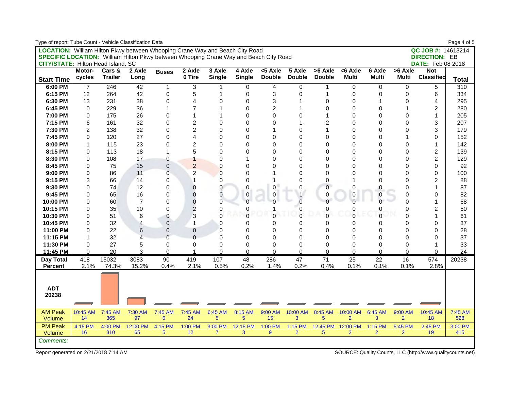| Type of report: Tube Count - Vehicle Classification Data                                     |                |                |                |                 |                |                |                |                |                |                |                |                |                |                          | Page 4 of 5  |
|----------------------------------------------------------------------------------------------|----------------|----------------|----------------|-----------------|----------------|----------------|----------------|----------------|----------------|----------------|----------------|----------------|----------------|--------------------------|--------------|
| LOCATION: William Hilton Pkwy between Whooping Crane Way and Beach City Road                 |                |                |                |                 |                |                |                |                |                |                |                |                |                | QC JOB #: 14613214       |              |
| <b>SPECIFIC LOCATION:</b> William Hilton Pkwy between Whooping Crane Way and Beach City Road |                |                |                |                 |                |                |                |                |                |                |                |                |                | <b>DIRECTION: EB</b>     |              |
| <b>CITY/STATE: Hilton Head Island, SC</b>                                                    |                |                |                |                 |                |                |                |                |                |                |                |                |                | <b>DATE:</b> Feb 08 2018 |              |
|                                                                                              | Motor-         | Cars &         | 2 Axle         | <b>Buses</b>    | 2 Axle         | 3 Axle         | 4 Axle         | <5 Axle        | 5 Axle         | $>6$ Axle      | $< 6$ Axle     | 6 Axle         | >6 Axle        | <b>Not</b>               |              |
| <b>Start Time</b>                                                                            | cycles         | <b>Trailer</b> | Long           |                 | 6 Tire         | <b>Single</b>  | <b>Single</b>  | <b>Double</b>  | <b>Double</b>  | <b>Double</b>  | <b>Multi</b>   | <b>Multi</b>   | <b>Multi</b>   | <b>Classified</b>        | <b>Total</b> |
| 6:00 PM                                                                                      | $\overline{7}$ | 246            | 42             | 1               | 3              | 1              | 0              | 4              | 0              | 1              | 0              | 0              | 0              | 5                        | 310          |
| 6:15 PM                                                                                      | 12             | 264            | 42             | 0               | 5              | 1              | 0              | 3              | 0              | $\mathbf{1}$   | 0              | 0              | 0              | 6                        | 334          |
| 6:30 PM                                                                                      | 13             | 231            | 38             | 0               | 4              | $\mathbf 0$    | $\mathbf 0$    | 3              |                | $\mathbf 0$    | $\mathbf 0$    |                | $\Omega$       | 4                        | 295          |
| 6:45 PM                                                                                      | 0              | 229            | 36             |                 | $\overline{7}$ | 1              | $\mathbf 0$    | $\overline{c}$ |                | $\mathbf 0$    | $\mathbf 0$    | $\Omega$       |                | $\overline{\mathbf{c}}$  | 280          |
| 7:00 PM                                                                                      | 0              | 175            | 26             | 0               | $\mathbf{1}$   | 1              | 0              | $\mathbf 0$    | $\mathbf 0$    | 1              | $\mathbf 0$    | $\mathbf 0$    | $\Omega$       | $\mathbf{1}$             | 205          |
| 7:15 PM                                                                                      | 6              | 161            | 32             | 0               | $\overline{c}$ | $\mathbf 0$    | $\mathbf 0$    | 0              | 1              | $\overline{c}$ | $\mathbf 0$    | $\mathbf 0$    | $\mathbf 0$    | 3                        | 207          |
| 7:30 PM                                                                                      | $\overline{2}$ | 138            | 32             | $\mathbf 0$     | $\overline{2}$ | $\Omega$       | 0              | 1              | $\Omega$       | 1              | $\mathbf{0}$   | $\mathbf{0}$   | $\Omega$       | 3                        | 179          |
| 7:45 PM                                                                                      | $\Omega$       | 120            | 27             | $\Omega$        | $\overline{4}$ | $\Omega$       | $\Omega$       | $\Omega$       | $\Omega$       | $\Omega$       | $\Omega$       | $\Omega$       |                | 0                        | 152          |
| 8:00 PM                                                                                      | 1              | 115            | 23             | $\mathbf 0$     | $\overline{2}$ | 0              | 0              | $\Omega$       | $\Omega$       | $\mathbf 0$    | $\Omega$       | $\Omega$       | $\Omega$       | $\mathbf{1}$             | 142          |
| 8:15 PM                                                                                      | $\Omega$       | 113            | 18             | 1               | 5              | $\Omega$       | $\Omega$       | $\Omega$       | $\Omega$       | $\mathbf 0$    | $\Omega$       | $\Omega$       | $\Omega$       | 2                        | 139          |
| 8:30 PM                                                                                      | $\Omega$       | 108            | 17             | 0               | $\mathbf 1$    | $\Omega$       | $\mathbf 1$    | $\Omega$       | $\Omega$       | $\Omega$       | $\Omega$       | $\Omega$       | $\Omega$       | 2                        | 129          |
| 8:45 PM                                                                                      | $\Omega$       | 75             | 15             | $\overline{0}$  | $\overline{2}$ | $\mathbf{0}$   | $\Omega$       | $\Omega$       | $\Omega$       | $\Omega$       | $\Omega$       | $\Omega$       | $\Omega$       | 0                        | 92           |
| 9:00 PM                                                                                      | 0              | 86             | 11             | $\mathbf 0$     | $\overline{a}$ | $\overline{0}$ | 0              |                | $\Omega$       | $\Omega$       | 0              | 0              | $\Omega$       | 0                        | 100          |
| 9:15 PM                                                                                      | 3              | 66             | 14             | 0               | 1              | 0              | $\mathbf 0$    | 1              | $\mathbf 0$    | $\mathbf 0$    |                | 0              | $\Omega$       | $\overline{c}$           | 88           |
| 9:30 PM                                                                                      | 0              | 74             | 12             | 0               | $\overline{0}$ | 0              | 0              | $\mathbf 0$    | 0              | $\mathbf 0$    | 0              | 0              | $\Omega$       | $\mathbf{1}$             | 87           |
| 9:45 PM                                                                                      | $\Omega$       | 65             | 16             | 0               | $\overline{0}$ | $\overline{0}$ | $\mathsf 0$    | $\overline{0}$ |                | $\mathbf 0$    | 0              | $\mathbf 0$    | $\mathbf 0$    | 0                        | 82           |
| 10:00 PM                                                                                     | $\Omega$       | 60             | $\overline{7}$ | 0               | $\mathbf 0$    | $\overline{0}$ | $\overline{0}$ | $\sqrt{ }$     | $\overline{0}$ | $\overline{0}$ | $\Omega$       | $\Omega$       | $\Omega$       | $\mathbf{1}$             | 68           |
| 10:15 PM                                                                                     | $\Omega$       | 35             | 10             | 0               | $\overline{2}$ | 0              | 0              |                | 0              | $\mathbf 0$    | 0              | 0              | 0              | $\overline{c}$           | 50           |
| 10:30 PM                                                                                     | 0              | 51             | 6              | 0               | 3              | 0              | $\overline{0}$ | $\overline{0}$ | $\overline{0}$ | $\mathbf 0$    | $\mathbf 0$    | $\overline{0}$ | $\overline{0}$ | $\mathbf{1}$             | 61           |
| 10:45 PM                                                                                     | $\Omega$       | 32             | $\overline{4}$ | $\mathbf 0$     | $\mathbf{1}$   | 0              | 0              | 0              | 0              | 0              | 0              | $\mathbf 0$    | 0              | 0                        | 37           |
| 11:00 PM                                                                                     | $\Omega$       | 22             | 6              | $\mathbf 0$     | 0              | $\overline{0}$ | $\Omega$       | $\Omega$       | $\mathbf 0$    | $\Omega$       | $\Omega$       | $\Omega$       | 0              | 0                        | 28           |
| 11:15 PM                                                                                     | 1              | 32             | $\overline{4}$ | $\overline{0}$  | $\Omega$       | $\Omega$       | $\Omega$       | $\Omega$       | $\Omega$       | $\Omega$       | $\Omega$       | 0              | $\Omega$       | $\Omega$                 | 37           |
| 11:30 PM                                                                                     | $\Omega$       | 27             | 5              | $\mathbf{0}$    | $\Omega$       | $\Omega$       | $\Omega$       | $\Omega$       | $\Omega$       | $\Omega$       | $\mathbf 0$    | $\Omega$       | $\Omega$       | $\mathbf{1}$             | 33           |
| 11:45 PM                                                                                     | 0              | 20             | 3              | 0               | 1              | $\overline{0}$ | 0              | $\Omega$       | $\mathbf 0$    | $\Omega$       | $\mathbf 0$    | $\Omega$       | $\Omega$       | 0                        | 24           |
| Day Total                                                                                    | 418            | 15032          | 3083           | 90              | 419            | 107            | 48             | 286            | 47             | 71             | 25             | 22             | 16             | 574                      | 20238        |
| <b>Percent</b>                                                                               | 2.1%           | 74.3%          | 15.2%          | 0.4%            | 2.1%           | 0.5%           | 0.2%           | 1.4%           | 0.2%           | 0.4%           | 0.1%           | 0.1%           | 0.1%           | 2.8%                     |              |
| <b>ADT</b><br>20238                                                                          |                |                |                |                 |                |                |                |                |                |                |                |                |                |                          |              |
| <b>AM Peak</b>                                                                               | 10:45 AM       | 7:45 AM        | 7:30 AM        | 7:45 AM         | 7:45 AM        | 6:45 AM        | 8:15 AM        | 9:00 AM        | 10:00 AM       | 8:45 AM        | 10:00 AM       | 6:45 AM        | 9:00 AM        | 10:45 AM                 | 7:45 AM      |
| Volume                                                                                       | 14             | 365            | 97             | $6\phantom{1}6$ | 24             | 5              | 5              | 15             | 3              | 5              | $\overline{2}$ | 3              | $\overline{2}$ | 18                       | 528          |
| <b>PM Peak</b>                                                                               | 4:15 PM        | 4:00 PM        | 12:00 PM       | 4:15 PM         | 1:00 PM        | 3:00 PM        | 12:15 PM       | 1:00 PM        | 1:15 PM        | 12:45 PM       | 12:00 PM       | 1:15 PM        | 5:45 PM        | 2:45 PM                  | 3:00 PM      |
| Volume                                                                                       | 16             | 310            | 65             | 5               | 12             | $\overline{7}$ | 3              | 9              | $\overline{2}$ | 5              | $\overline{2}$ | $\overline{2}$ | $\overline{2}$ | 19                       | 415          |
| Comments:                                                                                    |                |                |                |                 |                |                |                |                |                |                |                |                |                |                          |              |
|                                                                                              |                |                |                |                 |                |                |                |                |                |                |                |                |                |                          |              |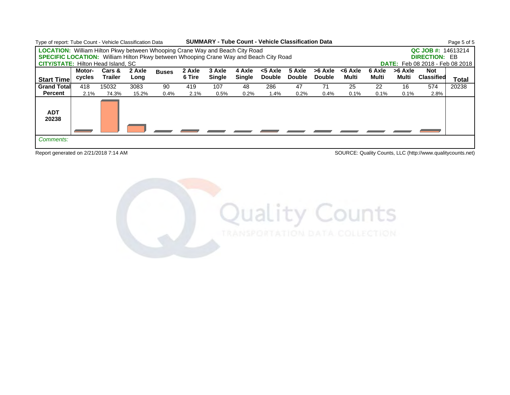

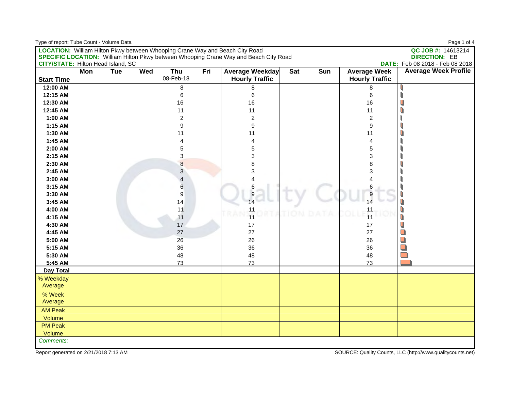| Type of report: Tube Count - Volume Data  |     |            |     |                  |     |                                                                                              |            |     |                                              | Page 1 of 4                                                    |
|-------------------------------------------|-----|------------|-----|------------------|-----|----------------------------------------------------------------------------------------------|------------|-----|----------------------------------------------|----------------------------------------------------------------|
|                                           |     |            |     |                  |     | <b>LOCATION:</b> William Hilton Pkwy between Whooping Crane Way and Beach City Road          |            |     |                                              | QC JOB #: 14613214                                             |
|                                           |     |            |     |                  |     | <b>SPECIFIC LOCATION:</b> William Hilton Pkwy between Whooping Crane Way and Beach City Road |            |     |                                              | <b>DIRECTION: EB</b>                                           |
| <b>CITY/STATE: Hilton Head Island, SC</b> |     |            |     |                  |     |                                                                                              |            |     |                                              | DATE: Feb 08 2018 - Feb 08 2018<br><b>Average Week Profile</b> |
| <b>Start Time</b>                         | Mon | <b>Tue</b> | Wed | Thu<br>08-Feb-18 | Fri | Average Weekday<br><b>Hourly Traffic</b>                                                     | <b>Sat</b> | Sun | <b>Average Week</b><br><b>Hourly Traffic</b> |                                                                |
| 12:00 AM                                  |     |            |     | 8                |     | 8                                                                                            |            |     | 8                                            | U                                                              |
| 12:15 AM                                  |     |            |     | 6                |     | 6                                                                                            |            |     | $\,6\,$                                      | D                                                              |
| 12:30 AM                                  |     |            |     | 16               |     | 16                                                                                           |            |     | 16                                           | U                                                              |
| 12:45 AM                                  |     |            |     | 11               |     | 11                                                                                           |            |     | 11                                           |                                                                |
| 1:00 AM                                   |     |            |     | $\overline{c}$   |     | $\overline{\mathbf{c}}$                                                                      |            |     | $\boldsymbol{2}$                             |                                                                |
| 1:15 AM                                   |     |            |     | 9                |     | 9                                                                                            |            |     | $\boldsymbol{9}$                             |                                                                |
| 1:30 AM                                   |     |            |     | 11               |     | 11                                                                                           |            |     | 11                                           |                                                                |
| 1:45 AM                                   |     |            |     | 4                |     | 4                                                                                            |            |     | 4                                            |                                                                |
| 2:00 AM                                   |     |            |     | 5                |     | 5                                                                                            |            |     | 5                                            |                                                                |
| 2:15 AM                                   |     |            |     | 3                |     | 3                                                                                            |            |     | 3                                            |                                                                |
| 2:30 AM                                   |     |            |     | 8                |     | 8                                                                                            |            |     | 8                                            |                                                                |
| 2:45 AM                                   |     |            |     | $\mathbf{3}$     |     | 3                                                                                            |            |     | 3                                            |                                                                |
| 3:00 AM                                   |     |            |     | $\overline{4}$   |     | 4                                                                                            |            |     | 4                                            |                                                                |
| 3:15 AM                                   |     |            |     | $\,6$            |     | $\,6$                                                                                        |            |     | 6                                            |                                                                |
| 3:30 AM                                   |     |            |     | 9                |     | $\overline{9}$                                                                               |            |     | 9                                            |                                                                |
| 3:45 AM                                   |     |            |     | 14               |     | 14                                                                                           |            |     | 14                                           | 0                                                              |
| 4:00 AM                                   |     |            |     | 11               |     | 11                                                                                           |            |     | 11                                           | Q                                                              |
| 4:15 AM                                   |     |            |     | 11               |     | 11                                                                                           |            |     | 11                                           | l                                                              |
| 4:30 AM                                   |     |            |     | 17               |     | 17                                                                                           |            |     | 17                                           | $\Box$                                                         |
| 4:45 AM                                   |     |            |     | 27               |     | 27                                                                                           |            |     | 27                                           | Q                                                              |
| 5:00 AM                                   |     |            |     | 26               |     | 26                                                                                           |            |     | 26                                           | $\Box$                                                         |
| 5:15 AM                                   |     |            |     | 36               |     | 36                                                                                           |            |     | 36                                           | $\Box$                                                         |
| 5:30 AM                                   |     |            |     | 48               |     | 48                                                                                           |            |     | 48                                           | $\Box$                                                         |
| 5:45 AM                                   |     |            |     | 73               |     | 73                                                                                           |            |     | 73                                           |                                                                |
| <b>Day Total</b>                          |     |            |     |                  |     |                                                                                              |            |     |                                              |                                                                |
| % Weekday                                 |     |            |     |                  |     |                                                                                              |            |     |                                              |                                                                |
| Average                                   |     |            |     |                  |     |                                                                                              |            |     |                                              |                                                                |
| % Week                                    |     |            |     |                  |     |                                                                                              |            |     |                                              |                                                                |
| Average                                   |     |            |     |                  |     |                                                                                              |            |     |                                              |                                                                |
| <b>AM Peak</b>                            |     |            |     |                  |     |                                                                                              |            |     |                                              |                                                                |
| Volume                                    |     |            |     |                  |     |                                                                                              |            |     |                                              |                                                                |
| <b>PM Peak</b>                            |     |            |     |                  |     |                                                                                              |            |     |                                              |                                                                |
| Volume                                    |     |            |     |                  |     |                                                                                              |            |     |                                              |                                                                |
| Comments:                                 |     |            |     |                  |     |                                                                                              |            |     |                                              |                                                                |
|                                           |     |            |     |                  |     |                                                                                              |            |     |                                              |                                                                |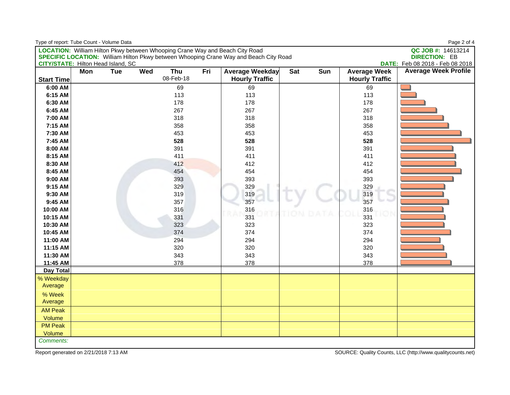| Type of report: Tube Count - Volume Data  |     |     |     |                  |     |                                                                                              |     |     |                                              | Page 2 of 4                     |
|-------------------------------------------|-----|-----|-----|------------------|-----|----------------------------------------------------------------------------------------------|-----|-----|----------------------------------------------|---------------------------------|
|                                           |     |     |     |                  |     | <b>LOCATION:</b> William Hilton Pkwy between Whooping Crane Way and Beach City Road          |     |     |                                              | QC JOB #: 14613214              |
|                                           |     |     |     |                  |     | <b>SPECIFIC LOCATION:</b> William Hilton Pkwy between Whooping Crane Way and Beach City Road |     |     |                                              | <b>DIRECTION: EB</b>            |
| <b>CITY/STATE: Hilton Head Island, SC</b> |     |     |     |                  |     |                                                                                              |     |     |                                              | DATE: Feb 08 2018 - Feb 08 2018 |
| <b>Start Time</b>                         | Mon | Tue | Wed | Thu<br>08-Feb-18 | Fri | Average Weekday<br><b>Hourly Traffic</b>                                                     | Sat | Sun | <b>Average Week</b><br><b>Hourly Traffic</b> | <b>Average Week Profile</b>     |
| 6:00 AM                                   |     |     |     | 69               |     | 69                                                                                           |     |     | 69                                           |                                 |
| 6:15 AM                                   |     |     |     | 113              |     | 113                                                                                          |     |     | 113                                          |                                 |
| 6:30 AM                                   |     |     |     | 178              |     | 178                                                                                          |     |     | 178                                          |                                 |
| 6:45 AM                                   |     |     |     | 267              |     | 267                                                                                          |     |     | 267                                          |                                 |
| 7:00 AM                                   |     |     |     | 318              |     | 318                                                                                          |     |     | 318                                          |                                 |
| 7:15 AM                                   |     |     |     | 358              |     | 358                                                                                          |     |     | 358                                          |                                 |
| 7:30 AM                                   |     |     |     | 453              |     | 453                                                                                          |     |     | 453                                          |                                 |
| 7:45 AM                                   |     |     |     | 528              |     | 528                                                                                          |     |     | 528                                          |                                 |
| 8:00 AM                                   |     |     |     | 391              |     | 391                                                                                          |     |     | 391                                          |                                 |
| 8:15 AM                                   |     |     |     | 411              |     | 411                                                                                          |     |     | 411                                          |                                 |
| 8:30 AM                                   |     |     |     | 412              |     | 412                                                                                          |     |     | 412                                          |                                 |
| 8:45 AM                                   |     |     |     | 454              |     | 454                                                                                          |     |     | 454                                          |                                 |
| 9:00 AM                                   |     |     |     | 393              |     | 393                                                                                          |     |     | 393                                          |                                 |
| 9:15 AM                                   |     |     |     | 329              |     | 329                                                                                          |     |     | 329                                          |                                 |
| 9:30 AM                                   |     |     |     | 319              |     | 319                                                                                          |     |     | 319                                          |                                 |
| 9:45 AM                                   |     |     |     | 357              |     | 357                                                                                          |     |     | 357                                          |                                 |
| 10:00 AM                                  |     |     |     | 316              |     | 316                                                                                          |     |     | 316                                          |                                 |
| 10:15 AM                                  |     |     |     | 331              |     | 331                                                                                          |     |     | 331                                          |                                 |
| 10:30 AM                                  |     |     |     | 323              |     | 323                                                                                          |     |     | 323                                          |                                 |
| 10:45 AM                                  |     |     |     | 374              |     | 374                                                                                          |     |     | 374                                          |                                 |
| 11:00 AM                                  |     |     |     | 294              |     | 294                                                                                          |     |     | 294                                          |                                 |
| 11:15 AM                                  |     |     |     | 320              |     | 320                                                                                          |     |     | 320                                          |                                 |
| 11:30 AM                                  |     |     |     | 343              |     | 343                                                                                          |     |     | 343                                          |                                 |
| 11:45 AM                                  |     |     |     | 378              |     | 378                                                                                          |     |     | 378                                          |                                 |
| <b>Day Total</b>                          |     |     |     |                  |     |                                                                                              |     |     |                                              |                                 |
| % Weekday                                 |     |     |     |                  |     |                                                                                              |     |     |                                              |                                 |
| Average                                   |     |     |     |                  |     |                                                                                              |     |     |                                              |                                 |
| % Week                                    |     |     |     |                  |     |                                                                                              |     |     |                                              |                                 |
| Average                                   |     |     |     |                  |     |                                                                                              |     |     |                                              |                                 |
| <b>AM Peak</b>                            |     |     |     |                  |     |                                                                                              |     |     |                                              |                                 |
| Volume                                    |     |     |     |                  |     |                                                                                              |     |     |                                              |                                 |
| <b>PM Peak</b>                            |     |     |     |                  |     |                                                                                              |     |     |                                              |                                 |
| Volume                                    |     |     |     |                  |     |                                                                                              |     |     |                                              |                                 |
| Comments:                                 |     |     |     |                  |     |                                                                                              |     |     |                                              |                                 |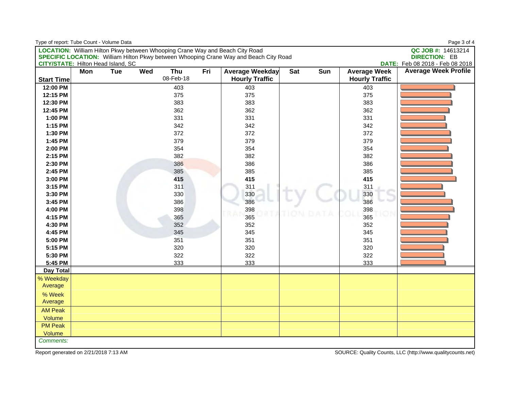| Type of report: Tube Count - Volume Data  |     |            |     |           |     |                                                                                              |            |     |                       | Page 3 of 4                     |
|-------------------------------------------|-----|------------|-----|-----------|-----|----------------------------------------------------------------------------------------------|------------|-----|-----------------------|---------------------------------|
|                                           |     |            |     |           |     | <b>LOCATION:</b> William Hilton Pkwy between Whooping Crane Way and Beach City Road          |            |     |                       | QC JOB #: 14613214              |
|                                           |     |            |     |           |     | <b>SPECIFIC LOCATION:</b> William Hilton Pkwy between Whooping Crane Way and Beach City Road |            |     |                       | <b>DIRECTION: EB</b>            |
| <b>CITY/STATE: Hilton Head Island, SC</b> |     |            |     |           |     |                                                                                              |            |     |                       | DATE: Feb 08 2018 - Feb 08 2018 |
|                                           | Mon | <b>Tue</b> | Wed | Thu       | Fri | Average Weekday                                                                              | <b>Sat</b> | Sun | <b>Average Week</b>   | <b>Average Week Profile</b>     |
| <b>Start Time</b>                         |     |            |     | 08-Feb-18 |     | <b>Hourly Traffic</b>                                                                        |            |     | <b>Hourly Traffic</b> |                                 |
| 12:00 PM                                  |     |            |     | 403       |     | 403                                                                                          |            |     | 403                   |                                 |
| 12:15 PM                                  |     |            |     | 375       |     | 375                                                                                          |            |     | 375                   |                                 |
| 12:30 PM                                  |     |            |     | 383       |     | 383                                                                                          |            |     | 383                   |                                 |
| 12:45 PM                                  |     |            |     | 362       |     | 362                                                                                          |            |     | 362                   |                                 |
| 1:00 PM                                   |     |            |     | 331       |     | 331                                                                                          |            |     | 331                   |                                 |
| 1:15 PM                                   |     |            |     | 342       |     | 342                                                                                          |            |     | 342                   |                                 |
| 1:30 PM                                   |     |            |     | 372       |     | 372                                                                                          |            |     | 372                   |                                 |
| 1:45 PM                                   |     |            |     | 379       |     | 379                                                                                          |            |     | 379                   |                                 |
| 2:00 PM                                   |     |            |     | 354       |     | 354                                                                                          |            |     | 354                   |                                 |
| 2:15 PM                                   |     |            |     | 382       |     | 382                                                                                          |            |     | 382                   |                                 |
| 2:30 PM                                   |     |            |     | 386       |     | 386                                                                                          |            |     | 386                   |                                 |
| 2:45 PM                                   |     |            |     | 385       |     | 385                                                                                          |            |     | 385                   |                                 |
| 3:00 PM                                   |     |            |     | 415       |     | 415                                                                                          |            |     | 415                   |                                 |
| 3:15 PM                                   |     |            |     | 311       |     | 311                                                                                          |            |     | 311                   |                                 |
| 3:30 PM                                   |     |            |     | 330       |     | 330                                                                                          |            |     | 330                   |                                 |
| 3:45 PM                                   |     |            |     | 386       |     | 386                                                                                          |            |     | 386                   |                                 |
| 4:00 PM                                   |     |            |     | 398       |     | 398                                                                                          |            |     | 398                   |                                 |
| 4:15 PM                                   |     |            |     | 365       |     | 365                                                                                          |            |     | 365                   |                                 |
| 4:30 PM                                   |     |            |     | 352       |     | 352                                                                                          |            |     | 352                   |                                 |
| 4:45 PM                                   |     |            |     | 345       |     | 345                                                                                          |            |     | 345                   |                                 |
| 5:00 PM                                   |     |            |     | 351       |     | 351                                                                                          |            |     | 351                   |                                 |
| 5:15 PM                                   |     |            |     | 320       |     | 320                                                                                          |            |     | 320                   |                                 |
| 5:30 PM                                   |     |            |     | 322       |     | 322                                                                                          |            |     | 322                   |                                 |
| 5:45 PM                                   |     |            |     | 333       |     | 333                                                                                          |            |     | 333                   |                                 |
| Day Total                                 |     |            |     |           |     |                                                                                              |            |     |                       |                                 |
| % Weekday                                 |     |            |     |           |     |                                                                                              |            |     |                       |                                 |
| Average                                   |     |            |     |           |     |                                                                                              |            |     |                       |                                 |
| % Week                                    |     |            |     |           |     |                                                                                              |            |     |                       |                                 |
| Average                                   |     |            |     |           |     |                                                                                              |            |     |                       |                                 |
| <b>AM Peak</b>                            |     |            |     |           |     |                                                                                              |            |     |                       |                                 |
| Volume                                    |     |            |     |           |     |                                                                                              |            |     |                       |                                 |
| <b>PM Peak</b>                            |     |            |     |           |     |                                                                                              |            |     |                       |                                 |
| Volume                                    |     |            |     |           |     |                                                                                              |            |     |                       |                                 |
| Comments:                                 |     |            |     |           |     |                                                                                              |            |     |                       |                                 |
|                                           |     |            |     |           |     |                                                                                              |            |     |                       |                                 |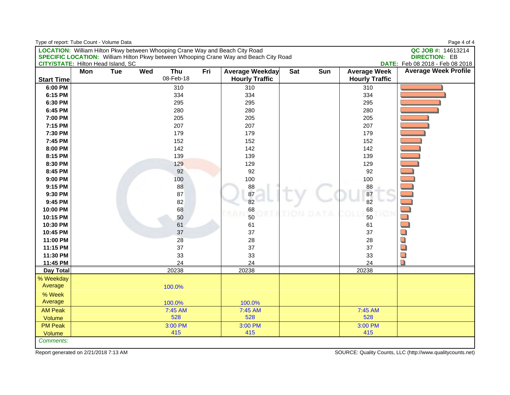| Type of report: Tube Count - Volume Data  |     |            |     |                  |     |                                                                                              |            |     |                                              | Page 4 of 4                     |
|-------------------------------------------|-----|------------|-----|------------------|-----|----------------------------------------------------------------------------------------------|------------|-----|----------------------------------------------|---------------------------------|
|                                           |     |            |     |                  |     | LOCATION: William Hilton Pkwy between Whooping Crane Way and Beach City Road                 |            |     |                                              | QC JOB #: 14613214              |
|                                           |     |            |     |                  |     | <b>SPECIFIC LOCATION:</b> William Hilton Pkwy between Whooping Crane Way and Beach City Road |            |     |                                              | <b>DIRECTION: EB</b>            |
| <b>CITY/STATE: Hilton Head Island, SC</b> |     |            |     |                  |     |                                                                                              |            |     |                                              | DATE: Feb 08 2018 - Feb 08 2018 |
| <b>Start Time</b>                         | Mon | <b>Tue</b> | Wed | Thu<br>08-Feb-18 | Fri | Average Weekday<br><b>Hourly Traffic</b>                                                     | <b>Sat</b> | Sun | <b>Average Week</b><br><b>Hourly Traffic</b> | <b>Average Week Profile</b>     |
| 6:00 PM                                   |     |            |     | 310              |     | 310                                                                                          |            |     | 310                                          |                                 |
| 6:15 PM                                   |     |            |     | 334              |     | 334                                                                                          |            |     | 334                                          |                                 |
| 6:30 PM                                   |     |            |     | 295              |     | 295                                                                                          |            |     | 295                                          |                                 |
| 6:45 PM                                   |     |            |     | 280              |     | 280                                                                                          |            |     | 280                                          |                                 |
| 7:00 PM                                   |     |            |     | 205              |     | 205                                                                                          |            |     | 205                                          |                                 |
| 7:15 PM                                   |     |            |     | 207              |     | 207                                                                                          |            |     | 207                                          |                                 |
| 7:30 PM                                   |     |            |     | 179              |     | 179                                                                                          |            |     | 179                                          |                                 |
| 7:45 PM                                   |     |            |     | 152              |     | 152                                                                                          |            |     | 152                                          |                                 |
| 8:00 PM                                   |     |            |     | 142              |     | 142                                                                                          |            |     | 142                                          |                                 |
| 8:15 PM                                   |     |            |     | 139              |     | 139                                                                                          |            |     | 139                                          |                                 |
| 8:30 PM                                   |     |            |     | 129              |     | 129                                                                                          |            |     | 129                                          |                                 |
| 8:45 PM                                   |     |            |     | 92               |     | 92                                                                                           |            |     | 92                                           |                                 |
| 9:00 PM                                   |     |            |     | 100              |     | 100                                                                                          |            |     | 100                                          |                                 |
| 9:15 PM                                   |     |            |     | 88               |     | 88                                                                                           |            |     | 88                                           |                                 |
| 9:30 PM                                   |     |            |     | 87               |     | 87                                                                                           |            |     | 87                                           |                                 |
| 9:45 PM                                   |     |            |     | 82               |     | 82                                                                                           |            |     | 82                                           |                                 |
| 10:00 PM                                  |     |            |     | 68               |     | 68                                                                                           |            |     | 68                                           |                                 |
| 10:15 PM                                  |     |            |     | 50               |     | 50                                                                                           |            |     | 50                                           |                                 |
| 10:30 PM                                  |     |            |     | 61               |     | 61                                                                                           |            |     | 61                                           |                                 |
| 10:45 PM                                  |     |            |     | 37               |     | 37                                                                                           |            |     | 37                                           | $\Box$                          |
| 11:00 PM                                  |     |            |     | 28               |     | 28                                                                                           |            |     | 28                                           | Q                               |
| 11:15 PM                                  |     |            |     | 37               |     | 37                                                                                           |            |     | 37                                           | $\Box$                          |
| 11:30 PM                                  |     |            |     | 33               |     | 33                                                                                           |            |     | 33                                           | $\Box$                          |
| 11:45 PM                                  |     |            |     | 24               |     | 24                                                                                           |            |     | 24                                           | n                               |
| Day Total                                 |     |            |     | 20238            |     | 20238                                                                                        |            |     | 20238                                        |                                 |
| % Weekday                                 |     |            |     |                  |     |                                                                                              |            |     |                                              |                                 |
| Average                                   |     |            |     | 100.0%           |     |                                                                                              |            |     |                                              |                                 |
| % Week                                    |     |            |     |                  |     |                                                                                              |            |     |                                              |                                 |
| Average                                   |     |            |     | 100.0%           |     | 100.0%                                                                                       |            |     |                                              |                                 |
| <b>AM Peak</b>                            |     |            |     | 7:45 AM          |     | 7:45 AM                                                                                      |            |     | 7:45 AM                                      |                                 |
| Volume                                    |     |            |     | 528              |     | 528                                                                                          |            |     | 528                                          |                                 |
| <b>PM Peak</b>                            |     |            |     | 3:00 PM          |     | 3:00 PM                                                                                      |            |     | 3:00 PM                                      |                                 |
| Volume                                    |     |            |     | 415              |     | 415                                                                                          |            |     | 415                                          |                                 |
| Comments:                                 |     |            |     |                  |     |                                                                                              |            |     |                                              |                                 |
|                                           |     |            |     |                  |     |                                                                                              |            |     |                                              |                                 |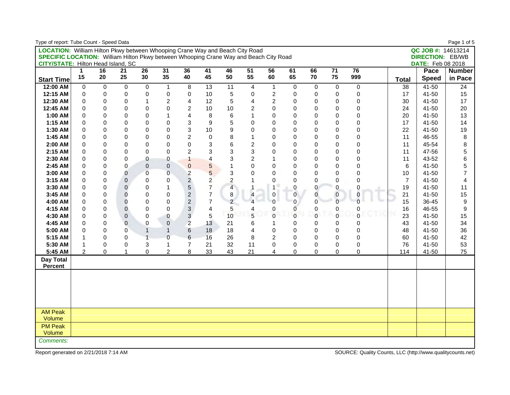| Type of report: Tube Count - Speed Data                                                      |                |                |              |                |                |                         |                          |                         |                         |                |                     |                |                 |             |                |                          | Page 1 of 5    |
|----------------------------------------------------------------------------------------------|----------------|----------------|--------------|----------------|----------------|-------------------------|--------------------------|-------------------------|-------------------------|----------------|---------------------|----------------|-----------------|-------------|----------------|--------------------------|----------------|
| <b>LOCATION:</b> William Hilton Pkwy between Whooping Crane Way and Beach City Road          |                |                |              |                |                |                         |                          |                         |                         |                |                     |                |                 |             |                | QC JOB #: 14613214       |                |
| <b>SPECIFIC LOCATION:</b> William Hilton Pkwy between Whooping Crane Way and Beach City Road |                |                |              |                |                |                         |                          |                         |                         |                |                     |                |                 |             |                | <b>DIRECTION: EB/WB</b>  |                |
| <b>CITY/STATE: Hilton Head Island, SC</b>                                                    |                |                |              |                |                |                         |                          |                         |                         |                |                     |                |                 |             |                | <b>DATE:</b> Feb 08 2018 |                |
|                                                                                              | $\mathbf{1}$   | 16             | 21           | 26             | 31             | 36                      | 41                       | 46                      | 51                      | 56             | 61                  | 66             | $\overline{71}$ | 76          |                | Pace                     | <b>Number</b>  |
| <b>Start Time</b>                                                                            | 15             | 20             | 25           | 30             | 35             | 40                      | 45                       | 50                      | 55                      | 60             | 65                  | 70             | 75              | 999         | <b>Total</b>   | <b>Speed</b>             | in Pace        |
| 12:00 AM                                                                                     | $\Omega$       | $\mathbf 0$    | $\Omega$     | 0              | $\mathbf{1}$   | 8                       | 13                       | $\overline{11}$         | 4                       | $\mathbf{1}$   | 0                   | $\mathbf 0$    | $\mathbf 0$     | $\mathbf 0$ | 38             | $41 - 50$                | 24             |
| 12:15 AM                                                                                     | $\mathbf 0$    | $\Omega$       | 0            | 0              | 0              | $\mathbf 0$             | 10                       | 5                       | 0                       | $\overline{c}$ | 0                   | 0              | $\mathbf 0$     | $\Omega$    | 17             | 41-50                    | 15             |
| 12:30 AM                                                                                     | 0              | 0              | 0            | $\mathbf{1}$   | $\overline{c}$ | $\overline{\mathbf{4}}$ | 12                       | 5                       | $\overline{\mathbf{4}}$ | $\overline{c}$ | $\mathbf 0$         | $\mathbf 0$    | $\mathbf 0$     | 0           | 30             | 41-50                    | 17             |
| 12:45 AM                                                                                     | $\Omega$       | 0              | $\Omega$     | 0              | $\Omega$       | $\overline{2}$          | 10                       | 10                      | $\overline{2}$          | 0              | $\mathbf 0$         | $\mathbf 0$    | $\Omega$        | 0           | 24             | 41-50                    | 20             |
| 1:00 AM                                                                                      | 0              | 0              | 0            | 0              | 1              | $\overline{4}$          | 8                        | 6                       | 1                       | $\Omega$       | $\mathbf 0$         | 0              | $\Omega$        | $\Omega$    | 20             | 41-50                    | 13             |
| 1:15 AM                                                                                      | $\Omega$       | $\Omega$       | $\Omega$     | 0              | 0              | 3                       | 9                        | 5                       | $\Omega$                | $\Omega$       | $\mathbf 0$         | 0              | $\Omega$        | $\Omega$    | 17             | 41-50                    | 14             |
| 1:30 AM                                                                                      | 0              | 0              | $\mathbf 0$  | 0              | 0              | 3                       | 10                       | 9                       | $\mathbf{0}$            | $\mathbf 0$    | $\mathbf 0$         | 0              | $\mathbf 0$     | 0           | 22             | 41-50                    | 19             |
| 1:45 AM                                                                                      | 0              | $\mathsf 0$    | $\mathbf 0$  | 0              | $\mathsf 0$    | $\overline{c}$          | $\pmb{0}$                | 8                       | 1                       | 0              | $\mathbf 0$         | $\mathbf 0$    | $\mathbf 0$     | 0           | 11             | 46-55                    | $\bf 8$        |
| 2:00 AM                                                                                      | $\Omega$       | 0              | $\Omega$     | 0              | $\Omega$       | $\mathbf 0$             | 3                        | 6                       | $\overline{2}$          | $\Omega$       | $\mathbf 0$         | 0              | $\Omega$        | $\Omega$    | 11             | 45-54                    | 8              |
| 2:15 AM                                                                                      | $\Omega$       | $\Omega$       | $\Omega$     | 0              | 0              | $\overline{2}$          | 3                        | 3                       | 3                       | $\Omega$       | $\mathbf 0$         | 0              | $\Omega$        | $\Omega$    | 11             | 47-56                    | 5              |
| 2:30 AM                                                                                      | $\mathbf 0$    | 0              | $\mathbf 0$  | 0              | $\mathsf 0$    | $\mathbf{1}$            | $\overline{4}$           | 3                       | $\overline{c}$          | $\mathbf 1$    | $\pmb{0}$           | 0              | $\mathbf 0$     | 0           | 11             | 43-52                    | 6              |
| 2:45 AM                                                                                      | 0              | 0              | $\mathbf 0$  | 0              | $\mathbf 0$    | $\pmb{0}$               | $\overline{5}$           |                         | 0                       | 0              | $\pmb{0}$           | $\mathbf 0$    | $\overline{0}$  | 0           | 6              | 41-50                    | 5              |
| 3:00 AM                                                                                      | $\Omega$       | $\mathsf 0$    | 0            | $\overline{0}$ | $\mathbf 0$    | $\overline{c}$          | 5                        | 3                       | $\Omega$                | 0              | $\mathbf 0$         | $\overline{0}$ | $\Omega$        | $\Omega$    | 10             | 41-50                    | $\overline{7}$ |
| 3:15 AM                                                                                      | $\mathbf 0$    | $\overline{0}$ | $\mathbf 0$  | 0              | 0              | $\overline{a}$          | $\overline{2}$           | $\overline{2}$          | 1                       | $\mathbf 0$    | $\mathbf 0$         | 0              | $\Omega$        | $\Omega$    | $\overline{7}$ | 41-50                    | $\overline{4}$ |
| 3:30 AM                                                                                      | 0              | 0              | 0            | 0              | $\mathbf{1}$   | $\sqrt{5}$              | $\overline{\mathcal{I}}$ | $\overline{\mathbf{4}}$ |                         | $\mathbf{1}$   | $\pmb{0}$           | 0              | 0               | 0           | 19             | 41-50                    | 11             |
| 3:45 AM                                                                                      | 0              | 0              | 0            | 0              | 0              | $\sqrt{2}$              | $\overline{7}$           | 8                       | $\overline{4}$          | $\pmb{0}$      | $\mathbf 0$         | 0              | $\mathbf 0$     | $\mathbf 0$ | 21             | 41-50                    | 15             |
| 4:00 AM                                                                                      | $\Omega$       | $\Omega$       | 0            | 0              | $\Omega$       | $\overline{c}$          | $\overline{7}$           | $\overline{2}$          | $\overline{A}$          | $\mathbf 0$    | $\mathbf 0$         | $\mathbf 0$    | $\overline{0}$  | $\Omega$    | 15             | 36-45                    | 9              |
| 4:15 AM                                                                                      | $\Omega$       | $\overline{0}$ | 0            | 0              | 0              | $\mathbf{3}$            | $\overline{4}$           | 5                       | 4                       | 0              | $\mathsf{O}\xspace$ | 0              | 0               | 0           | 16             | 46-55                    | 9              |
| 4:30 AM                                                                                      | $\mathbf 0$    | 0              | $\mathbf 0$  | 0              | 0              | $\mathbf{3}$            | 5                        | 10                      | 5                       | $\overline{0}$ | $\mathbf 0$         | $\mathbf 0$    | $\mathbf 0$     | $\Omega$    | 23             | 41-50                    | 15             |
| 4:45 AM                                                                                      | $\mathbf 0$    | 0              | $\mathbf{0}$ | 0              | $\mathbf 0$    | $\overline{2}$          | 13                       | 21                      | 6                       | 1              | 0                   | 0              | $\Omega$        | $\Omega$    | 43             | 41-50                    | 34             |
| 5:00 AM                                                                                      | $\Omega$       | $\Omega$       | $\Omega$     | $\mathbf{1}$   | $\mathbf{1}$   | $\,6$                   | 18                       | 18                      | $\overline{4}$          | $\mathbf 0$    | $\mathbf 0$         | $\mathbf{0}$   | $\Omega$        | $\Omega$    | 48             | 41-50                    | 36             |
| 5:15 AM                                                                                      | $\mathbf{1}$   | $\Omega$       | $\Omega$     | $\overline{1}$ | $\overline{0}$ | $\,6$                   | 16                       | 26                      | 8                       | $\overline{c}$ | $\mathbf 0$         | $\mathbf 0$    | $\Omega$        | $\mathsf 0$ | 60             | 41-50                    | 42             |
| 5:30 AM                                                                                      | $\mathbf{1}$   | 0              | 0            | 3              | $\mathbf{1}$   | $\overline{7}$          | 21                       | 32                      | 11                      | 0              | $\mathbf 0$         | 0              | $\Omega$        | 0           | 76             | 41-50                    | 53             |
| 5:45 AM                                                                                      | $\overline{2}$ | 0              | 1            | 0              | $\overline{2}$ | 8                       | 33                       | 43                      | 21                      | 4              | 0                   | 0              | $\mathbf 0$     | 0           | 114            | 41-50                    | 75             |
| Day Total                                                                                    |                |                |              |                |                |                         |                          |                         |                         |                |                     |                |                 |             |                |                          |                |
| <b>Percent</b>                                                                               |                |                |              |                |                |                         |                          |                         |                         |                |                     |                |                 |             |                |                          |                |
|                                                                                              |                |                |              |                |                |                         |                          |                         |                         |                |                     |                |                 |             |                |                          |                |
|                                                                                              |                |                |              |                |                |                         |                          |                         |                         |                |                     |                |                 |             |                |                          |                |
|                                                                                              |                |                |              |                |                |                         |                          |                         |                         |                |                     |                |                 |             |                |                          |                |
|                                                                                              |                |                |              |                |                |                         |                          |                         |                         |                |                     |                |                 |             |                |                          |                |
|                                                                                              |                |                |              |                |                |                         |                          |                         |                         |                |                     |                |                 |             |                |                          |                |
| <b>AM Peak</b>                                                                               |                |                |              |                |                |                         |                          |                         |                         |                |                     |                |                 |             |                |                          |                |
| Volume                                                                                       |                |                |              |                |                |                         |                          |                         |                         |                |                     |                |                 |             |                |                          |                |
| <b>PM Peak</b>                                                                               |                |                |              |                |                |                         |                          |                         |                         |                |                     |                |                 |             |                |                          |                |
| Volume                                                                                       |                |                |              |                |                |                         |                          |                         |                         |                |                     |                |                 |             |                |                          |                |
| Comments:                                                                                    |                |                |              |                |                |                         |                          |                         |                         |                |                     |                |                 |             |                |                          |                |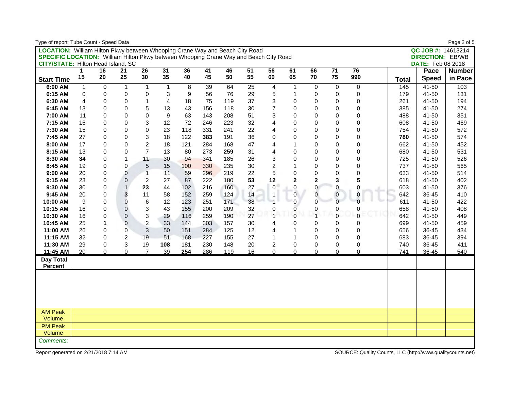| Type of report: Tube Count - Speed Data                                                      |                |             |                 |                 |                         |     |     |     |    |                 |                     |                  |                 |                |              |                          | Page 2 of 5   |
|----------------------------------------------------------------------------------------------|----------------|-------------|-----------------|-----------------|-------------------------|-----|-----|-----|----|-----------------|---------------------|------------------|-----------------|----------------|--------------|--------------------------|---------------|
| <b>LOCATION:</b> William Hilton Pkwy between Whooping Crane Way and Beach City Road          |                |             |                 |                 |                         |     |     |     |    |                 |                     |                  |                 |                |              | QC JOB #: 14613214       |               |
| <b>SPECIFIC LOCATION:</b> William Hilton Pkwy between Whooping Crane Way and Beach City Road |                |             |                 |                 |                         |     |     |     |    |                 |                     |                  |                 |                |              | <b>DIRECTION: EB/WB</b>  |               |
| <b>CITY/STATE: Hilton Head Island, SC</b>                                                    |                |             |                 |                 |                         |     |     |     |    |                 |                     |                  |                 |                |              | <b>DATE:</b> Feb 08 2018 |               |
|                                                                                              | $\mathbf{1}$   | 16          | $\overline{21}$ | $\overline{26}$ | 31                      | 36  | 41  | 46  | 51 | $\overline{56}$ | 61                  | 66               | $\overline{71}$ | 76             |              | Pace                     | <b>Number</b> |
| <b>Start Time</b>                                                                            | 15             | 20          | 25              | 30              | 35                      | 40  | 45  | 50  | 55 | 60              | 65                  | 70               | 75              | 999            | <b>Total</b> | <b>Speed</b>             | in Pace       |
| 6:00 AM                                                                                      | $\mathbf{1}$   | 0           | $\mathbf{1}$    | $\mathbf{1}$    | $\mathbf{1}$            | 8   | 39  | 64  | 25 | 4               | 1                   | 0                | $\mathbf 0$     | $\mathbf 0$    | 145          | $41 - 50$                | 103           |
| 6:15 AM                                                                                      | $\mathbf 0$    | $\mathbf 0$ | 0               | 0               | 3                       | 9   | 56  | 76  | 29 | 5               | 1                   | $\mathbf 0$      | 0               | $\mathbf 0$    | 179          | 41-50                    | 131           |
| 6:30 AM                                                                                      | $\overline{4}$ | $\mathbf 0$ | 0               | $\mathbf{1}$    | $\overline{\mathbf{4}}$ | 18  | 75  | 119 | 37 | 3               | $\mathbf 0$         | 0                | 0               | 0              | 261          | 41-50                    | 194           |
| 6:45 AM                                                                                      | 13             | $\mathbf 0$ | 0               | 5               | 13                      | 43  | 156 | 118 | 30 | $\overline{7}$  | $\mathbf 0$         | $\boldsymbol{0}$ | $\mathbf 0$     | 0              | 385          | 41-50                    | 274           |
| 7:00 AM                                                                                      | 11             | $\mathbf 0$ | 0               | $\mathsf 0$     | 9                       | 63  | 143 | 208 | 51 | 3               | $\mathbf 0$         | $\mathbf 0$      | $\Omega$        | $\mathbf{0}$   | 488          | 41-50                    | 351           |
| 7:15 AM                                                                                      | 16             | $\Omega$    | 0               | 3               | 12                      | 72  | 246 | 223 | 32 | 4               | $\mathbf 0$         | $\mathbf 0$      | $\Omega$        | $\mathbf{0}$   | 608          | 41-50                    | 469           |
| 7:30 AM                                                                                      | 15             | $\mathbf 0$ | 0               | 0               | 23                      | 118 | 331 | 241 | 22 | 4               | 0                   | $\mathbf 0$      | $\Omega$        | 0              | 754          | 41-50                    | 572           |
| 7:45 AM                                                                                      | 27             | $\mathbf 0$ | 0               | 3               | 18                      | 122 | 383 | 191 | 36 | 0               | $\mathbf 0$         | $\mathbf 0$      | $\Omega$        | 0              | 780          | 41-50                    | 574           |
| 8:00 AM                                                                                      | 17             | $\mathbf 0$ | 0               | $\overline{c}$  | 18                      | 121 | 284 | 168 | 47 | 4               | 1                   | $\mathbf 0$      | $\Omega$        | 0              | 662          | 41-50                    | 452           |
| 8:15 AM                                                                                      | 13             | $\mathbf 0$ | 0               | $\overline{7}$  | 13                      | 80  | 273 | 259 | 31 | 4               | $\mathbf 0$         | $\mathbf 0$      | $\Omega$        | 0              | 680          | 41-50                    | 531           |
| 8:30 AM                                                                                      | 34             | $\mathbf 0$ | 1               | 11              | 30                      | 94  | 341 | 185 | 26 | 3               | $\mathbf 0$         | $\mathbf 0$      | $\mathbf 0$     | 0              | 725          | 41-50                    | 526           |
| 8:45 AM                                                                                      | 19             | $\,0\,$     | 0               | 5               | 15                      | 100 | 330 | 235 | 30 | $\overline{c}$  | $\mathbf{1}$        | 0                | $\Omega$        | 0              | 737          | 41-50                    | 565           |
| 9:00 AM                                                                                      | 20             | $\mathbf 0$ | 0               | $\mathbf{1}$    | 11                      | 59  | 296 | 219 | 22 | 5               | $\mathbf 0$         | $\mathsf 0$      | $\overline{0}$  | 0              | 633          | 41-50                    | 514           |
| 9:15 AM                                                                                      | 23             | $\mathbf 0$ | $\mathsf 0$     | $\overline{c}$  | 27                      | 87  | 222 | 180 | 53 | 12              | $\mathbf 2$         | $\mathbf{2}$     | 3               | 5              | 618          | 41-50                    | 402           |
| 9:30 AM                                                                                      | 30             | $\pmb{0}$   | $\mathbf{1}$    | 23              | 44                      | 102 | 216 | 160 | 27 | $\pmb{0}$       | $\mathsf{O}\xspace$ | $\pmb{0}$        | $\mathbf 0$     | 0              | 603          | 41-50                    | 376           |
| 9:45 AM                                                                                      | 20             | $\mathbf 0$ | 3               | 11              | 58                      | 152 | 259 | 124 | 14 | $\mathbf{1}$    | $\mathsf 0$         | 0                | $\mathbf{0}$    | $\overline{0}$ | 642          | 36-45                    | 410           |
| 10:00 AM                                                                                     | 9              | $\Omega$    | 0               | 6               | 12                      | 123 | 251 | 171 | 38 | $\overline{1}$  | $\mathbf 0$         | $\overline{0}$   | $\mathbf 0$     | $\Omega$       | 611          | 41-50                    | 422           |
| 10:15 AM                                                                                     | 16             | $\mathbf 0$ | 0               | 3               | 43                      | 155 | 200 | 209 | 32 | 0               | 0                   | 0                | 0               | 0              | 658          | 41-50                    | 408           |
| 10:30 AM                                                                                     | 16             | $\mathbf 0$ | $\mathbf 0$     | 3               | 29                      | 116 | 259 | 190 | 27 | $\mathbf{1}$    | $\mathbf 0$         | $\mathbf{1}$     | $\Omega$        |                | 642          | 41-50                    | 449           |
| 10:45 AM                                                                                     | 25             | 1           | $\mathbf 0$     | $\overline{c}$  | 33                      | 144 | 303 | 157 | 30 | 4               | $\mathbf 0$         | $\mathbf 0$      | $\Omega$        | 0              | 699          | 41-50                    | 459           |
| 11:00 AM                                                                                     | 26             | $\mathbf 0$ | $\overline{0}$  | 3               | 50                      | 151 | 284 | 125 | 12 | 4               | $\mathbf{1}$        | $\Omega$         | $\Omega$        | $\mathbf{0}$   | 656          | 36-45                    | 434           |
| 11:15 AM                                                                                     | 32             | $\mathbf 0$ | $\overline{c}$  | 19              | 51                      | 168 | 227 | 155 | 27 | 1               | $\mathbf{1}$        | $\mathbf 0$      | $\mathbf 0$     | $\mathbf 0$    | 683          | 36-45                    | 394           |
| 11:30 AM                                                                                     | 29             | $\mathbf 0$ | 3               | 19              | 108                     | 181 | 230 | 148 | 20 | $\overline{c}$  | $\mathsf 0$         | $\mathbf 0$      | $\mathbf 0$     | 0              | 740          | 36-45                    | 411           |
| 11:45 AM                                                                                     | 20             | 0           | 0               | $\overline{7}$  | 39                      | 254 | 286 | 119 | 16 | 0               | 0                   | $\mathbf 0$      | $\Omega$        | $\mathbf{0}$   | 741          | 36-45                    | 540           |
| Day Total                                                                                    |                |             |                 |                 |                         |     |     |     |    |                 |                     |                  |                 |                |              |                          |               |
| <b>Percent</b>                                                                               |                |             |                 |                 |                         |     |     |     |    |                 |                     |                  |                 |                |              |                          |               |
|                                                                                              |                |             |                 |                 |                         |     |     |     |    |                 |                     |                  |                 |                |              |                          |               |
|                                                                                              |                |             |                 |                 |                         |     |     |     |    |                 |                     |                  |                 |                |              |                          |               |
|                                                                                              |                |             |                 |                 |                         |     |     |     |    |                 |                     |                  |                 |                |              |                          |               |
|                                                                                              |                |             |                 |                 |                         |     |     |     |    |                 |                     |                  |                 |                |              |                          |               |
|                                                                                              |                |             |                 |                 |                         |     |     |     |    |                 |                     |                  |                 |                |              |                          |               |
| <b>AM Peak</b>                                                                               |                |             |                 |                 |                         |     |     |     |    |                 |                     |                  |                 |                |              |                          |               |
| Volume                                                                                       |                |             |                 |                 |                         |     |     |     |    |                 |                     |                  |                 |                |              |                          |               |
| <b>PM Peak</b>                                                                               |                |             |                 |                 |                         |     |     |     |    |                 |                     |                  |                 |                |              |                          |               |
| Volume                                                                                       |                |             |                 |                 |                         |     |     |     |    |                 |                     |                  |                 |                |              |                          |               |
| Comments:                                                                                    |                |             |                 |                 |                         |     |     |     |    |                 |                     |                  |                 |                |              |                          |               |
|                                                                                              |                |             |                 |                 |                         |     |     |     |    |                 |                     |                  |                 |                |              |                          |               |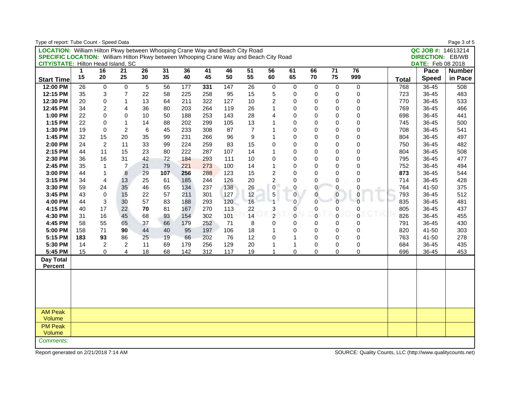| Type of report: Tube Count - Speed Data                                                      |     |                |                |                 |                 |     |     |     |                |                         |                     |             |                 |                 |              |                          | Page 3 of 5   |
|----------------------------------------------------------------------------------------------|-----|----------------|----------------|-----------------|-----------------|-----|-----|-----|----------------|-------------------------|---------------------|-------------|-----------------|-----------------|--------------|--------------------------|---------------|
| <b>LOCATION:</b> William Hilton Pkwy between Whooping Crane Way and Beach City Road          |     |                |                |                 |                 |     |     |     |                |                         |                     |             |                 |                 |              | QC JOB #: 14613214       |               |
| <b>SPECIFIC LOCATION:</b> William Hilton Pkwy between Whooping Crane Way and Beach City Road |     |                |                |                 |                 |     |     |     |                |                         |                     |             |                 |                 |              | <b>DIRECTION: EB/WB</b>  |               |
| <b>CITY/STATE: Hilton Head Island, SC</b>                                                    |     |                |                |                 |                 |     |     |     |                |                         |                     |             |                 |                 |              | <b>DATE:</b> Feb 08 2018 |               |
|                                                                                              | 1   | 16             | 21             | $\overline{26}$ | $\overline{31}$ | 36  | 41  | 46  | 51             | 56                      | 61                  | 66          | $\overline{71}$ | $\overline{76}$ |              | Pace                     | <b>Number</b> |
| <b>Start Time</b>                                                                            | 15  | 20             | 25             | 30              | 35              | 40  | 45  | 50  | 55             | 60                      | 65                  | 70          | 75              | 999             | <b>Total</b> | <b>Speed</b>             | in Pace       |
| 12:00 PM                                                                                     | 26  | 0              | $\mathbf 0$    | 5               | 56              | 177 | 331 | 147 | 26             | $\mathbf 0$             | $\mathbf{0}$        | $\mathbf 0$ | $\Omega$        | $\mathbf 0$     | 768          | 36-45                    | 508           |
| 12:15 PM                                                                                     | 35  | 3              | 7              | 22              | 58              | 225 | 258 | 95  | 15             | 5                       | $\mathbf 0$         | $\mathbf 0$ | $\Omega$        | $\mathbf 0$     | 723          | 36-45                    | 483           |
| 12:30 PM                                                                                     | 20  | $\mathbf 0$    | 1              | 13              | 64              | 211 | 322 | 127 | 10             | $\overline{c}$          | $\mathbf 0$         | $\mathbf 0$ | $\Omega$        | $\mathbf 0$     | 770          | 36-45                    | 533           |
| 12:45 PM                                                                                     | 34  | $\overline{c}$ | 4              | 36              | 80              | 203 | 264 | 119 | 26             | $\mathbf{1}$            | $\mathbf 0$         | $\mathbf 0$ | $\Omega$        | 0               | 769          | 36-45                    | 466           |
| 1:00 PM                                                                                      | 22  | $\mathbf 0$    | $\mathbf{0}$   | 10              | 50              | 188 | 253 | 143 | 28             | 4                       | $\mathbf 0$         | $\mathbf 0$ | $\Omega$        | 0               | 698          | 36-45                    | 441           |
| 1:15 PM                                                                                      | 22  | $\mathbf 0$    |                | 14              | 88              | 202 | 299 | 105 | 13             | 1                       | $\mathbf 0$         | $\mathbf 0$ | $\Omega$        | $\mathbf{0}$    | 745          | 36-45                    | 500           |
| 1:30 PM                                                                                      | 19  | $\mathbf 0$    | $\overline{c}$ | 6               | 45              | 233 | 308 | 87  | $\overline{7}$ | $\mathbf{1}$            | $\mathbf 0$         | 0           | $\mathbf 0$     | $\mathbf 0$     | 708          | 36-45                    | 541           |
| 1:45 PM                                                                                      | 32  | 15             | 20             | 35              | 99              | 231 | 266 | 96  | 9              | $\mathbf{1}$            | $\mathbf 0$         | $\mathbf 0$ | $\Omega$        | 0               | 804          | 36-45                    | 497           |
| 2:00 PM                                                                                      | 24  | 2              | 11             | 33              | 99              | 224 | 259 | 83  | 15             | 0                       | $\mathbf 0$         | 0           | $\Omega$        | 0               | 750          | 36-45                    | 482           |
| 2:15 PM                                                                                      | 44  | 11             | 15             | 23              | 80              | 222 | 287 | 107 | 14             | 1                       | $\mathbf 0$         | $\mathbf 0$ | $\Omega$        | 0               | 804          | 36-45                    | 508           |
| 2:30 PM                                                                                      | 36  | 16             | 31             | 42              | 72              | 184 | 293 | 111 | 10             | 0                       | $\mathbf 0$         | $\mathsf 0$ | 0               | $\mathbf 0$     | 795          | 36-45                    | 477           |
| 2:45 PM                                                                                      | 35  | $\mathbf{1}$   | $\overline{7}$ | 21              | 79              | 221 | 273 | 100 | 14             | $\mathbf{1}$            | $\mathbf 0$         | $\mathbf 0$ | $\Omega$        | 0               | 752          | 36-45                    | 494           |
| 3:00 PM                                                                                      | 44  | $\mathbf{1}$   | 8              | 29              | 107             | 256 | 288 | 123 | 15             | $\overline{c}$          | $\mathbf 0$         | $\mathbf 0$ | 0               | 0               | 873          | 36-45                    | 544           |
| 3:15 PM                                                                                      | 34  | $\overline{4}$ | 13             | 25              | 61              | 185 | 244 | 126 | 20             | $\overline{c}$          | $\Omega$            | 0           | $\Omega$        | $\mathbf 0$     | 714          | 36-45                    | 428           |
| 3:30 PM                                                                                      | 59  | 24             | 35             | 46              | 65              | 134 | 237 | 138 | 26             | 0                       | $\mathsf{O}\xspace$ | $\pmb{0}$   | 0               | 0               | 764          | 41-50                    | 375           |
| 3:45 PM                                                                                      | 43  | $\mathbf 0$    | 15             | 22              | 57              | 211 | 301 | 127 | 12             | 5                       | $\mathsf 0$         | 0           | $\overline{0}$  | $\overline{0}$  | 793          | 36-45                    | 512           |
| 4:00 PM                                                                                      | 44  | 3              | 30             | 57              | 83              | 188 | 293 | 120 | 16             | $\overline{\mathbf{1}}$ | $\Omega$            | $\mathbf 0$ | $\Omega$        | $\Omega$        | 835          | 36-45                    | 481           |
| 4:15 PM                                                                                      | 40  | 17             | 22             | 70              | 81              | 167 | 270 | 113 | 22             | 3                       | 0                   | $\mathbf 0$ | 0               | 0               | 805          | 36-45                    | 437           |
| 4:30 PM                                                                                      | 31  | 16             | 45             | 68              | 93              | 154 | 302 | 101 | 14             | $\overline{2}$          | $\mathbf 0$         | $\mathbf 0$ | $\Omega$        | $\Omega$        | 826          | 36-45                    | 455           |
| 4:45 PM                                                                                      | 58  | 55             | 65             | 37              | 66              | 179 | 252 | 71  | 8              | 0                       | $\mathbf 0$         | 0           | $\Omega$        | 0               | 791          | 36-45                    | 430           |
| 5:00 PM                                                                                      | 158 | 71             | 90             | 44              | 40              | 95  | 197 | 106 | 18             | 1                       | $\Omega$            | $\Omega$    | $\Omega$        | $\mathbf{0}$    | 820          | 41-50                    | 303           |
| 5:15 PM                                                                                      | 183 | 93             | 86             | 25              | 19              | 66  | 202 | 76  | 12             | 0                       | $\mathbf{1}$        | $\mathbf 0$ | $\Omega$        | $\mathbf 0$     | 763          | 41-50                    | 278           |
| 5:30 PM                                                                                      | 14  | $\overline{c}$ | $\overline{c}$ | 11              | 69              | 179 | 256 | 129 | 20             | 1                       | $\mathbf{1}$        | $\mathbf 0$ | $\Omega$        | 0               | 684          | 36-45                    | 435           |
| 5:45 PM                                                                                      | 15  | $\mathbf 0$    | 4              | 18              | 68              | 142 | 312 | 117 | 19             | -1                      | $\mathbf 0$         | $\mathbf 0$ | $\Omega$        | 0               | 696          | 36-45                    | 453           |
| <b>Day Total</b>                                                                             |     |                |                |                 |                 |     |     |     |                |                         |                     |             |                 |                 |              |                          |               |
| <b>Percent</b>                                                                               |     |                |                |                 |                 |     |     |     |                |                         |                     |             |                 |                 |              |                          |               |
|                                                                                              |     |                |                |                 |                 |     |     |     |                |                         |                     |             |                 |                 |              |                          |               |
|                                                                                              |     |                |                |                 |                 |     |     |     |                |                         |                     |             |                 |                 |              |                          |               |
|                                                                                              |     |                |                |                 |                 |     |     |     |                |                         |                     |             |                 |                 |              |                          |               |
|                                                                                              |     |                |                |                 |                 |     |     |     |                |                         |                     |             |                 |                 |              |                          |               |
|                                                                                              |     |                |                |                 |                 |     |     |     |                |                         |                     |             |                 |                 |              |                          |               |
| <b>AM Peak</b>                                                                               |     |                |                |                 |                 |     |     |     |                |                         |                     |             |                 |                 |              |                          |               |
| Volume                                                                                       |     |                |                |                 |                 |     |     |     |                |                         |                     |             |                 |                 |              |                          |               |
| <b>PM Peak</b>                                                                               |     |                |                |                 |                 |     |     |     |                |                         |                     |             |                 |                 |              |                          |               |
| Volume                                                                                       |     |                |                |                 |                 |     |     |     |                |                         |                     |             |                 |                 |              |                          |               |
| Comments:                                                                                    |     |                |                |                 |                 |     |     |     |                |                         |                     |             |                 |                 |              |                          |               |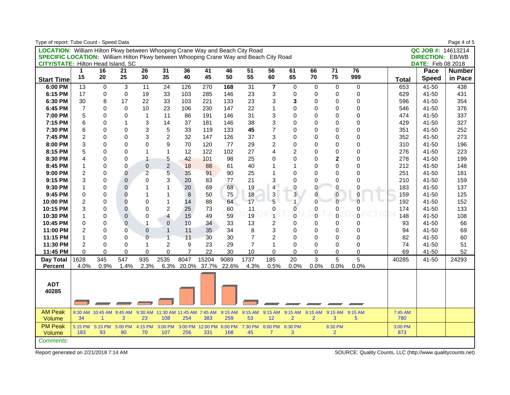| Type of report: Tube Count - Speed Data                                                      |                |                                 |                |                |                           |                  |                          |         |                |                         |                |                |                         |              |              |                          | Page 4 of 5   |
|----------------------------------------------------------------------------------------------|----------------|---------------------------------|----------------|----------------|---------------------------|------------------|--------------------------|---------|----------------|-------------------------|----------------|----------------|-------------------------|--------------|--------------|--------------------------|---------------|
| <b>LOCATION:</b> William Hilton Pkwy between Whooping Crane Way and Beach City Road          |                |                                 |                |                |                           |                  |                          |         |                |                         |                |                |                         |              |              | QC JOB #: 14613214       |               |
| <b>SPECIFIC LOCATION:</b> William Hilton Pkwy between Whooping Crane Way and Beach City Road |                |                                 |                |                |                           |                  |                          |         |                |                         |                |                |                         |              |              | <b>DIRECTION: EB/WB</b>  |               |
| <b>CITY/STATE: Hilton Head Island, SC</b>                                                    |                |                                 |                |                |                           |                  |                          |         |                |                         |                |                |                         |              |              | <b>DATE:</b> Feb 08 2018 |               |
|                                                                                              | 1              | 16                              | 21             | 26             | 31                        | 36               | 41                       | 46      | 51             | 56                      | 61             | 66             | $\overline{71}$         | 76           |              | Pace                     | <b>Number</b> |
| <b>Start Time</b>                                                                            | 15             | 20                              | 25             | 30             | 35                        | 40               | 45                       | 50      | 55             | 60                      | 65             | 70             | 75                      | 999          | <b>Total</b> | <b>Speed</b>             | in Pace       |
| 6:00 PM                                                                                      | 13             | $\mathbf 0$                     | 3              | 11             | 24                        | 126              | 270                      | 168     | 31             | $\overline{\mathbf{r}}$ | 0              | $\mathbf 0$    | $\mathbf 0$             | $\mathbf 0$  | 653          | 41-50                    | 438           |
| 6:15 PM                                                                                      | 17             | 0                               | $\mathbf 0$    | 19             | 33                        | 103              | 285                      | 146     | 23             | 3                       | 0              | $\mathbf 0$    | $\Omega$                | $\mathbf{0}$ | 629          | 41-50                    | 431           |
| 6:30 PM                                                                                      | 30             | 8                               | 17             | 22             | 33                        | 103              | 221                      | 133     | 23             | 3                       | 3              | $\mathbf 0$    | $\Omega$                | 0            | 596          | 41-50                    | 354           |
| 6:45 PM                                                                                      | $\overline{7}$ | 0                               | $\Omega$       | 10             | 23                        | 106              | 230                      | 147     | 22             | $\mathbf{1}$            | 0              | $\mathbf 0$    | $\Omega$                | 0            | 546          | 41-50                    | 376           |
| 7:00 PM                                                                                      | 5              | 0                               | 0              | $\mathbf{1}$   | 11                        | 86               | 191                      | 146     | 31             | 3                       | 0              | $\mathbf 0$    | $\Omega$                | 0            | 474          | 41-50                    | 337           |
| 7:15 PM                                                                                      | 6              | $\Omega$                        | 1              | 3              | 14                        | 37               | 181                      | 146     | 38             | 3                       | $\overline{0}$ | $\Omega$       | $\Omega$                | $\mathbf{0}$ | 429          | 41-50                    | 327           |
| 7:30 PM                                                                                      | 6              | 0                               | 0              | 3              | 5                         | 33               | 119                      | 133     | 45             | $\overline{7}$          | 0              | $\mathbf 0$    | $\Omega$                | 0            | 351          | 41-50                    | 252           |
| 7:45 PM                                                                                      | $\overline{2}$ | 0                               | 0              | 3              | $\overline{c}$            | 32               | 147                      | 126     | 37             | 3                       | $\overline{0}$ | $\mathbf 0$    | $\Omega$                | $\mathbf{0}$ | 352          | 41-50                    | 273           |
| 8:00 PM                                                                                      | 3              | $\Omega$                        | $\Omega$       | $\Omega$       | 9                         | 70               | 120                      | 77      | 29             | $\overline{c}$          | 0              | $\Omega$       | $\Omega$                | $\mathbf{0}$ | 310          | 41-50                    | 196           |
| 8:15 PM                                                                                      | 5              | 0                               | 0              | $\mathbf{1}$   | $\mathbf{1}$              | 12               | 122                      | 102     | 27             | 4                       | $\overline{c}$ | $\mathbf 0$    | $\mathbf 0$             | 0            | 276          | 41-50                    | 223           |
| 8:30 PM                                                                                      | 4              | 0                               | 0              | $\mathbf{1}$   | 5                         | 42               | 101                      | 98      | 25             | 0                       | 0              | $\mathbf 0$    | $\overline{\mathbf{2}}$ | 0            | 278          | 41-50                    | 199           |
| 8:45 PM                                                                                      | $\mathbf{1}$   | 0                               | 0              | $\overline{0}$ | $\overline{c}$            | 18               | 88                       | 61      | 40             | 1                       | $\mathbf{1}$   | 0              | $\Omega$                | 0            | 212          | 41-50                    | 148           |
| 9:00 PM                                                                                      | $\overline{c}$ | 0                               | 0              | $\overline{a}$ | 5                         | 35               | 91                       | 90      | 25             | 1                       | $\overline{0}$ | $\Omega$       | $\Omega$                | $\mathbf{0}$ | 251          | 41-50                    | 181           |
| 9:15 PM                                                                                      | 3              | 0                               | 0              | 0              | 3                         | 20               | 83                       | 77      | 21             | 3                       | $\mathbf 0$    | $\mathbf 0$    | $\Omega$                | 0            | 210          | 41-50                    | 159           |
| 9:30 PM                                                                                      | $\mathbf{1}$   | 0                               | $\overline{0}$ | 1              | $\mathbf{1}$              | 20               | 69                       | 68      | 19             | 4                       | $\mathsf 0$    | 0              | 0                       | 0            | 183          | 41-50                    | 137           |
| 9:45 PM                                                                                      | 0              | 0                               | 0              | 1              | 1                         | $\boldsymbol{8}$ | 50                       | 75      | 18             | 3                       | 3              | 0              | $\mathbf{0}$            | 0            | 159          | 41-50                    | 125           |
| 10:00 PM                                                                                     | $\overline{2}$ | 0                               | 0              | $\Omega$       | $\mathbf{1}$              | 14               | 88                       | 64      | 17             | 5                       | $\overline{ }$ | $\overline{0}$ | $\Omega$                | $\Omega$     | 192          | 41-50                    | 152           |
| 10:15 PM                                                                                     | 3              | 0                               | 0              | 0              | $\overline{c}$            | 25               | 73                       | 60      | 11             | 0                       | 0              | 0              | 0                       | 0            | 174          | 41-50                    | 133           |
| 10:30 PM                                                                                     | 1              | 0                               | 0              | 0              | 4                         | 15               | 49                       | 59      | 19             | 1                       | $\mathbf 0$    | $\mathbf 0$    | $\Omega$                | $\Omega$     | 148          | 41-50                    | 108           |
| 10:45 PM                                                                                     | 0              | 0                               | 0              | 1              | $\pmb{0}$                 | 10               | 34                       | 33      | 13             | 2                       | 0              | $\mathbf 0$    | $\Omega$                | 0            | 93           | 41-50                    | 66            |
| 11:00 PM                                                                                     | $\overline{2}$ | 0                               | 0              | $\overline{0}$ | $\mathbf{1}$              | 11               | 35                       | 34      | 8              | 3                       | 0              | $\mathbf 0$    | 0                       | 0            | 94           | 41-50                    | 69            |
| 11:15 PM                                                                                     | $\mathbf{1}$   | $\Omega$                        | 0              | $\Omega$       | $\mathbf{1}$              | 11               | 30                       | 30      | $\overline{7}$ | $\overline{c}$          | $\Omega$       | $\mathbf 0$    | $\Omega$                | 0            | 82           | 41-50                    | 60            |
| 11:30 PM                                                                                     | $\overline{2}$ | $\mathbf 0$                     | 0              | $\mathbf{1}$   | $\overline{2}$            | 9                | 23                       | 29      | $\overline{7}$ | 1                       | $\Omega$       | $\Omega$       | $\Omega$                | 0            | 74           | 41-50                    | 51            |
| 11:45 PM                                                                                     | $\Omega$       | 0                               | $\Omega$       | 0              | $\Omega$                  | $\overline{7}$   | 22                       | 30      | 10             | $\mathbf 0$             | 0              | $\Omega$       | 0                       | $\mathbf{0}$ | 69           | 41-50                    | 52            |
| Day Total                                                                                    | 1628           | 345                             | 547            | 935            | 2535                      | 8047             | 15204                    | 9089    | 1737           | 185                     | 20             | 3              | 5                       | 5            | 40285        | 41-50                    | 24293         |
| <b>Percent</b>                                                                               | 4.0%           | 0.9%                            | 1.4%           | 2.3%           |                           | 6.3% 20.0%       | 37.7%                    | 22.6%   | 4.3%           | 0.5%                    | 0.0%           | 0.0%           | 0.0%                    | 0.0%         |              |                          |               |
| <b>ADT</b><br>40285                                                                          |                |                                 |                |                |                           |                  |                          |         |                |                         |                |                |                         |              |              |                          |               |
| <b>AM Peak</b>                                                                               |                | 8:30 AM 10:45 AM 9:45 AM        |                | 9:30 AM        | 11:30 AM 11:45 AM 7:45 AM |                  |                          | 8:15 AM | 9:15 AM        | 9:15 AM                 | 9:15 AM        | 9:15 AM        | 9:15 AM                 | 9:15 AM      | 7:45 AM      |                          |               |
| Volume                                                                                       | 34             | 1                               | 3              | 23             | 108                       | 254              | 383                      | 259     | 53             | 12                      | $\overline{2}$ | $\overline{2}$ | 3                       | $\sqrt{5}$   | 780          |                          |               |
| <b>PM Peak</b>                                                                               |                | 5:15 PM 5:15 PM 5:00 PM 4:15 PM |                |                | 3:00 PM                   |                  | 3:00 PM 12:00 PM 6:00 PM |         | 7:30 PM        | 6:00 PM 6:30 PM         |                |                | 8:30 PM                 |              | 3:00 PM      |                          |               |
| Volume                                                                                       | 183            | 93                              | 90             | 70             | 107                       | 256              | 331                      | 168     | 45             | $\overline{7}$          | 3              |                | $\overline{2}$          |              | 873          |                          |               |
| Comments:                                                                                    |                |                                 |                |                |                           |                  |                          |         |                |                         |                |                |                         |              |              |                          |               |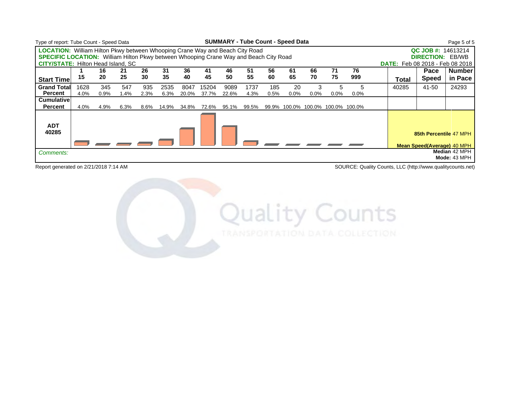| Type of report: Tube Count - Speed Data                                                      |      |      |      |      |       |       |       |       | <b>SUMMARY - Tube Count - Speed Data</b> |      |         |         |                                   |         |       |                                                       | Page 5 of 5                   |
|----------------------------------------------------------------------------------------------|------|------|------|------|-------|-------|-------|-------|------------------------------------------|------|---------|---------|-----------------------------------|---------|-------|-------------------------------------------------------|-------------------------------|
| <b>LOCATION:</b> William Hilton Pkwy between Whooping Crane Way and Beach City Road          |      |      |      |      |       |       |       |       |                                          |      |         |         |                                   |         |       | QC JOB #: 14613214                                    |                               |
| <b>SPECIFIC LOCATION:</b> William Hilton Pkwy between Whooping Crane Way and Beach City Road |      |      |      |      |       |       |       |       |                                          |      |         |         |                                   |         |       | <b>DIRECTION: EB/WB</b>                               |                               |
| <b>CITY/STATE: Hilton Head Island, SC</b>                                                    |      |      |      |      |       |       |       |       |                                          |      |         |         |                                   |         |       | <b>DATE:</b> Feb 08 2018 - Feb 08 2018                |                               |
|                                                                                              |      | 16   | 21   | 26   | 31    | 36    | 41    | 46    | 51                                       | 56   | 61      | 66      | 71                                | 76      |       | Pace                                                  | <b>Number</b>                 |
| <b>Start Time</b>                                                                            | 15   | 20   | 25   | 30   | 35    | 40    | 45    | 50    | 55                                       | 60   | 65      | 70      | 75                                | 999     | Total | <b>Speed</b>                                          | in Pace                       |
| <b>Grand Total</b>                                                                           | 1628 | 345  | 547  | 935  | 2535  | 8047  | 15204 | 9089  | 1737                                     | 185  | 20      | 3       |                                   | 5       | 40285 | 41-50                                                 | 24293                         |
| <b>Percent</b>                                                                               | 4.0% | 0.9% | l.4% | 2.3% | 6.3%  | 20.0% | 37.7% | 22.6% | 4.3%                                     | 0.5% | $0.0\%$ | $0.0\%$ | $0.0\%$                           | $0.0\%$ |       |                                                       |                               |
| <b>Cumulative</b>                                                                            |      |      |      |      |       |       |       |       |                                          |      |         |         |                                   |         |       |                                                       |                               |
| <b>Percent</b>                                                                               | 4.0% | 4.9% | 6.3% | 8.6% | 14.9% | 34.8% | 72.6% | 95.1% | 99.5%                                    |      |         |         | 99.9% 100.0% 100.0% 100.0% 100.0% |         |       |                                                       |                               |
| <b>ADT</b><br>40285                                                                          |      |      |      |      |       |       |       |       |                                          |      |         |         |                                   |         |       | 85th Percentile 47 MPH<br>Mean Speed(Average): 40 MPH |                               |
| Comments:                                                                                    |      |      |      |      |       |       |       |       |                                          |      |         |         |                                   |         |       |                                                       | Median 42 MPH<br>Mode: 43 MPH |

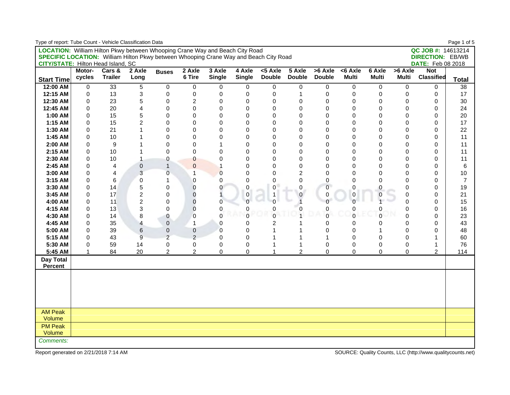| Type of report: Tube Count - Vehicle Classification Data                                     |              |                  |                         |                |                |                |                     |                |                |               |                |                |              |                          | Page 1 of 5  |
|----------------------------------------------------------------------------------------------|--------------|------------------|-------------------------|----------------|----------------|----------------|---------------------|----------------|----------------|---------------|----------------|----------------|--------------|--------------------------|--------------|
| <b>LOCATION:</b> William Hilton Pkwy between Whooping Crane Way and Beach City Road          |              |                  |                         |                |                |                |                     |                |                |               |                |                |              | QC JOB #: 14613214       |              |
| <b>SPECIFIC LOCATION:</b> William Hilton Pkwy between Whooping Crane Way and Beach City Road |              |                  |                         |                |                |                |                     |                |                |               |                |                |              | <b>DIRECTION: EB/WB</b>  |              |
| <b>CITY/STATE: Hilton Head Island, SC</b>                                                    |              |                  |                         |                |                |                |                     |                |                |               |                |                |              | <b>DATE:</b> Feb 08 2018 |              |
|                                                                                              | Motor-       | Cars &           | 2 Axle                  | <b>Buses</b>   | 2 Axle         | 3 Axle         | 4 Axle              | $<$ 5 Axle     | 5 Axle         | $>6$ Axle     | $< 6$ Axle     | 6 Axle         | >6 Axle      | <b>Not</b>               |              |
| <b>Start Time</b>                                                                            | cycles       | <b>Trailer</b>   | Long                    |                | 6 Tire         | <b>Single</b>  | <b>Single</b>       | <b>Double</b>  | <b>Double</b>  | <b>Double</b> | <b>Multi</b>   | <b>Multi</b>   | <b>Multi</b> | <b>Classified</b>        | <b>Total</b> |
| 12:00 AM                                                                                     | 0            | $\overline{33}$  | 5                       | 0              | 0              | 0              | 0                   | 0              | 0              | 0             | 0              | 0              | $\mathbf 0$  | 0                        | 38           |
| 12:15 AM                                                                                     | $\pmb{0}$    | 13               | 3                       | 0              | 0              | 0              | 0                   | $\mathsf 0$    | 1              | 0             | 0              | $\mathbf 0$    | $\mathbf 0$  | 0                        | 17           |
| 12:30 AM                                                                                     | 0            | 23               | 5                       | 0              | $\overline{c}$ | 0              | 0                   | 0              | 0              | 0             | $\mathbf 0$    | $\Omega$       | $\mathbf 0$  | 0                        | 30           |
| 12:45 AM                                                                                     | $\Omega$     | 20               | 4                       | 0              | 0              | 0              | $\mathbf 0$         | 0              | 0              | $\mathbf 0$   | $\mathbf 0$    | $\Omega$       | $\mathbf 0$  | 0                        | 24           |
| 1:00 AM                                                                                      | $\Omega$     | 15               | 5                       | 0              | 0              | $\mathbf{0}$   | $\mathbf 0$         | $\Omega$       | $\mathbf 0$    | $\mathbf 0$   | $\Omega$       | $\Omega$       | $\Omega$     | 0                        | 20           |
| 1:15 AM                                                                                      | $\Omega$     | 15               | $\overline{c}$          | 0              | 0              | $\mathbf{0}$   | $\Omega$            | $\Omega$       | $\mathbf 0$    | $\mathbf 0$   | $\Omega$       | $\Omega$       | $\Omega$     | 0                        | 17           |
| 1:30 AM                                                                                      | $\Omega$     | 21               |                         | 0              | 0              | 0              | 0                   | 0              | 0              | $\Omega$      | $\mathbf 0$    | $\Omega$       | $\Omega$     | 0                        | 22           |
| 1:45 AM                                                                                      | 0            | 10               |                         | 0              | 0              | 0              | $\mathbf 0$         | 0              | 0              | $\mathbf 0$   | $\mathbf 0$    | $\mathbf 0$    | $\mathbf 0$  | 0                        | 11           |
| 2:00 AM                                                                                      | 0            | $\boldsymbol{9}$ |                         | 0              | 0              | 1              | $\mathbf 0$         | $\mathbf 0$    | 0              | $\mathbf 0$   | $\mathbf 0$    | $\mathbf 0$    | $\mathbf 0$  | 0                        | 11           |
| 2:15 AM                                                                                      | $\Omega$     | 10               |                         | 0              | 0              | $\overline{0}$ | $\Omega$            | $\Omega$       | $\Omega$       | $\mathbf 0$   | $\Omega$       | $\Omega$       | $\Omega$     | $\mathsf 0$              | 11           |
| 2:30 AM                                                                                      | $\Omega$     | 10               | 1                       | 0              | $\overline{0}$ | $\mathbf{0}$   | $\Omega$            | $\Omega$       | $\mathbf 0$    | $\mathbf 0$   | $\Omega$       | $\Omega$       | $\Omega$     | 0                        | 11           |
| 2:45 AM                                                                                      | $\Omega$     | 4                | $\mathsf 0$             | $\mathbf{1}$   | $\overline{0}$ | 1              | $\Omega$            | $\Omega$       | 0              | $\mathbf 0$   | $\mathbf 0$    | $\mathbf 0$    | $\mathbf 0$  | 0                        | 6            |
| 3:00 AM                                                                                      | $\Omega$     | 4                | 3                       | 0              | 1              | $\overline{0}$ | $\Omega$            | 0              | $\overline{2}$ | 0             | $\Omega$       | $\Omega$       | $\Omega$     | 0                        | 10           |
| 3:15 AM                                                                                      | $\Omega$     | 6                | 0                       | 1              | 0              | 0              | $\Omega$            | $\Omega$       | $\Omega$       | $\Omega$      | $\Omega$       | $\Omega$       | $\Omega$     | 0                        | 7            |
| 3:30 AM                                                                                      | 0            | 14               | 5                       | 0              | 0              | 0              | 0                   | $\mathbf 0$    | $\mathbf 0$    | $\mathbf 0$   | 0              | $\bf{0}$       | $\mathbf 0$  | 0                        | 19           |
| 3:45 AM                                                                                      | 0            | 17               | $\overline{\mathbf{c}}$ | 0              | 0              | $\overline{1}$ | $\mathsf{O}\xspace$ | $\mathbf{1}$   | 0              | $\pmb{0}$     | $\mathbf 0$    | $\pmb{0}$      | $\pmb{0}$    | 0                        | 21           |
| 4:00 AM                                                                                      | $\Omega$     | 11               | $\overline{\mathbf{c}}$ | 0              | 0              | $\overline{0}$ | $\Omega$            | $\Omega$       |                | $\Omega$      | $\Omega$       |                | $\Omega$     | 0                        | 15           |
| 4:15 AM                                                                                      | $\Omega$     | 13               | 3                       | 0              | $\overline{0}$ | $\mathbf{0}$   | $\Omega$            | 0              | 0              | 0             | 0              | 0              | $\mathbf 0$  | $\Omega$                 | 16           |
| 4:30 AM                                                                                      | $\Omega$     | 14               | 8                       | $\pmb{0}$      | $\overline{0}$ | $\mathbf{0}$   | $\Omega$            | $\overline{0}$ | $\overline{1}$ | $\mathbf 0$   | $\overline{0}$ | $\overline{0}$ | $\Omega$     | 0                        | 23           |
| 4:45 AM                                                                                      | $\Omega$     | 35               | $\overline{4}$          | $\pmb{0}$      | 1              | 0              | $\Omega$            | 2              |                | $\mathbf{0}$  | $\mathbf{0}$   | $\Omega$       | $\Omega$     | 0                        | 43           |
| 5:00 AM                                                                                      | $\Omega$     | 39               | $\,6$                   | $\pmb{0}$      | 0              | 0              | $\Omega$            |                | 1              | $\mathbf{0}$  | $\Omega$       |                | $\Omega$     | 0                        | 48           |
| 5:15 AM                                                                                      | $\Omega$     | 43               | 9                       | $\overline{c}$ | $\overline{2}$ | 0              | $\mathbf 0$         | 1              | 1              | 1             | $\mathbf 0$    | $\mathbf 0$    | $\mathbf 0$  | $\mathbf{1}$             | 60           |
| 5:30 AM                                                                                      | $\mathbf 0$  | 59               | 14                      | $\mathsf 0$    | 0              | $\mathbf 0$    | $\mathbf 0$         | $\mathbf{1}$   | $\mathbf{1}$   | $\mathbf 0$   | $\mathbf 0$    | $\mathbf 0$    | $\mathbf 0$  | $\mathbf{1}$             | 76           |
| 5:45 AM                                                                                      | $\mathbf{1}$ | 84               | 20                      | $\overline{2}$ | $\overline{c}$ | $\overline{0}$ | $\mathbf 0$         | $\mathbf{1}$   | $\overline{2}$ | $\mathbf 0$   | $\mathbf 0$    | $\mathbf 0$    | $\Omega$     | $\overline{2}$           | 114          |
| Day Total                                                                                    |              |                  |                         |                |                |                |                     |                |                |               |                |                |              |                          |              |
| <b>Percent</b>                                                                               |              |                  |                         |                |                |                |                     |                |                |               |                |                |              |                          |              |
|                                                                                              |              |                  |                         |                |                |                |                     |                |                |               |                |                |              |                          |              |
|                                                                                              |              |                  |                         |                |                |                |                     |                |                |               |                |                |              |                          |              |
|                                                                                              |              |                  |                         |                |                |                |                     |                |                |               |                |                |              |                          |              |
|                                                                                              |              |                  |                         |                |                |                |                     |                |                |               |                |                |              |                          |              |
|                                                                                              |              |                  |                         |                |                |                |                     |                |                |               |                |                |              |                          |              |
| <b>AM Peak</b>                                                                               |              |                  |                         |                |                |                |                     |                |                |               |                |                |              |                          |              |
| Volume                                                                                       |              |                  |                         |                |                |                |                     |                |                |               |                |                |              |                          |              |
| <b>PM Peak</b>                                                                               |              |                  |                         |                |                |                |                     |                |                |               |                |                |              |                          |              |
| Volume                                                                                       |              |                  |                         |                |                |                |                     |                |                |               |                |                |              |                          |              |
| Comments:                                                                                    |              |                  |                         |                |                |                |                     |                |                |               |                |                |              |                          |              |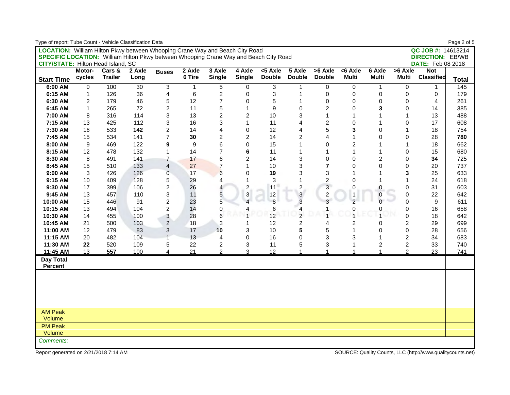| Type of report: Tube Count - Vehicle Classification Data                                     |                  |                     |        |                         |        |                         |                         |               |                          |                         |                |                |                |                          | Page 2 of 5  |
|----------------------------------------------------------------------------------------------|------------------|---------------------|--------|-------------------------|--------|-------------------------|-------------------------|---------------|--------------------------|-------------------------|----------------|----------------|----------------|--------------------------|--------------|
| LOCATION: William Hilton Pkwy between Whooping Crane Way and Beach City Road                 |                  |                     |        |                         |        |                         |                         |               |                          |                         |                |                |                | QC JOB #: 14613214       |              |
| <b>SPECIFIC LOCATION:</b> William Hilton Pkwy between Whooping Crane Way and Beach City Road |                  |                     |        |                         |        |                         |                         |               |                          |                         |                |                |                | <b>DIRECTION: EB/WB</b>  |              |
| <b>CITY/STATE: Hilton Head Island, SC</b>                                                    |                  |                     |        |                         |        |                         |                         |               |                          |                         |                |                |                | <b>DATE:</b> Feb 08 2018 |              |
|                                                                                              | Motor-           | $\overline{Cars}$ & | 2 Axle | <b>Buses</b>            | 2 Axle | 3 Axle                  | 4 Axle                  | <5 Axle       | 5 Axle                   | >6 Axle                 | $6 Axle$       | 6 Axle         | >6 Axle        | <b>Not</b>               |              |
| <b>Start Time</b>                                                                            | cycles           | <b>Trailer</b>      | Long   |                         | 6 Tire | <b>Single</b>           | <b>Single</b>           | <b>Double</b> | <b>Double</b>            | <b>Double</b>           | <b>Multi</b>   | <b>Multi</b>   | <b>Multi</b>   | <b>Classified</b>        | <b>Total</b> |
| 6:00 AM                                                                                      | 0                | 100                 | 30     | 3                       | 1      | 5                       | 0                       | 3             |                          | 0                       | 0              | -1             | 0              | 1                        | 145          |
| 6:15 AM                                                                                      | $\mathbf{1}$     | 126                 | 36     | 4                       | 6      | $\boldsymbol{2}$        | 0                       | 3             | 1                        | $\pmb{0}$               | $\mathbf 0$    | $\mathbf 0$    | 0              | 0                        | 179          |
| 6:30 AM                                                                                      | $\overline{c}$   | 179                 | 46     | 5                       | 12     | 7                       | 0                       | 5             |                          | $\mathbf 0$             | $\Omega$       | $\Omega$       | 0              | 4                        | 261          |
| 6:45 AM                                                                                      | $\mathbf{1}$     | 265                 | 72     | $\overline{c}$          | 11     | 5                       | $\mathbf{1}$            | 9             | $\Omega$                 | $\overline{2}$          | $\Omega$       | 3              | $\Omega$       | 14                       | 385          |
| 7:00 AM                                                                                      | 8                | 316                 | 114    | 3                       | 13     | $\overline{c}$          | $\overline{2}$          | 10            | 3                        | $\mathbf{1}$            | $\mathbf{1}$   | 1              | 1              | 13                       | 488          |
| 7:15 AM                                                                                      | 13               | 425                 | 112    | 3                       | 16     | 3                       | $\mathbf{1}$            | 11            | $\overline{4}$           | $\boldsymbol{2}$        | $\mathbf 0$    | 1              | 0              | 17                       | 608          |
| 7:30 AM                                                                                      | 16               | 533                 | 142    | $\overline{c}$          | 14     | 4                       | 0                       | 12            | $\overline{A}$           | 5                       | 3              | $\Omega$       | 1              | 18                       | 754          |
| 7:45 AM                                                                                      | 15               | 534                 | 141    | 7                       | 30     | $\overline{\mathbf{c}}$ | $\overline{2}$          | 14            | $\overline{2}$           | $\overline{4}$          | 1              | $\Omega$       | 0              | 28                       | 780          |
| 8:00 AM                                                                                      | $\boldsymbol{9}$ | 469                 | 122    | 9                       | 9      | 6                       | $\mathsf 0$             | 15            | 1                        | $\mathbf 0$             | $\overline{c}$ | 1              | 1              | 18                       | 662          |
| 8:15 AM                                                                                      | 12               | 478                 | 132    | $\mathbf{1}$            | 14     | $\overline{7}$          | 6                       | 11            | 1                        | 1                       | $\mathbf{1}$   | 1              | 0              | 15                       | 680          |
| 8:30 AM                                                                                      | 8                | 491                 | 141    | $\overline{7}$          | 17     | 6                       | $\overline{2}$          | 14            | 3                        | $\pmb{0}$               | $\mathbf 0$    | $\overline{2}$ | $\mathbf{0}$   | 34                       | 725          |
| 8:45 AM                                                                                      | 15               | 510                 | 133    | $\overline{\mathbf{4}}$ | 27     | $\overline{7}$          | $\mathbf{1}$            | 10            | 3                        | $\overline{\mathbf{z}}$ | $\Omega$       | $\Omega$       | $\Omega$       | 20                       | 737          |
| 9:00 AM                                                                                      | 3                | 426                 | 126    | 0                       | 17     | $6\phantom{1}6$         | $\mathbf 0$             | 19            | 3                        | 3                       | $\mathbf{1}$   |                | 3              | 25                       | 633          |
| 9:15 AM                                                                                      | 10               | 409                 | 128    | 5                       | 29     | 4                       | $\mathbf{1}$            | 3             | $\mathbf{1}$             | $\overline{c}$          | $\mathbf 0$    | 1              | 1              | 24                       | 618          |
| 9:30 AM                                                                                      | 17               | 399                 | 106    | 2                       | 26     | 4                       | $\overline{\mathbf{c}}$ | 11            | $\overline{c}$           | 3                       | $\mathbf 0$    | $\bf{0}$       | 0              | 31                       | 603          |
| 9:45 AM                                                                                      | 13               | 457                 | 110    | 3                       | 11     | 5                       | $\mathbf{3}$            | 12            | $\mathbf{3}$             | $\boldsymbol{2}$        | 1              | $\mathbf 0$    | $\Omega$       | 22                       | 642          |
| 10:00 AM                                                                                     | 15               | 446                 | 91     | $\overline{\mathbf{c}}$ | 23     | 5                       | $\overline{4}$          | 8             | 3                        | 3                       | $\overline{2}$ | $\Omega$       | $\Omega$       | 9                        | 611          |
| 10:15 AM                                                                                     | 13               | 494                 | 104    | $\overline{\mathbf{c}}$ | 14     | $\mathbf 0$             | 4                       | 6             | $\overline{\mathcal{A}}$ | 1                       | $\mathbf 0$    | 0              | 0              | 16                       | 658          |
| 10:30 AM                                                                                     | 14               | 455                 | 100    | 3                       | 28     | 6                       | $\overline{1}$          | 12            | $\overline{2}$           | 1                       |                |                | $\mathbf{0}$   | 18                       | 642          |
| 10:45 AM                                                                                     | 21               | 500                 | 103    | $\overline{c}$          | 18     | 3                       | 1                       | 12            | $\overline{c}$           | 4                       | 2              | $\Omega$       | $\overline{c}$ | 29                       | 699          |
| 11:00 AM                                                                                     | 12               | 479                 | 83     | 3                       | 17     | 10                      | 3                       | 10            | 5                        | 5                       | $\mathbf{1}$   | $\Omega$       | $\mathbf 0$    | 28                       | 656          |
| 11:15 AM                                                                                     | 20               | 482                 | 104    | $\mathbf{1}$            | 13     | 4                       | 0                       | 16            | $\mathbf 0$              | 3                       | 3              | 1              | 2              | 34                       | 683          |
| 11:30 AM                                                                                     | 22               | 520                 | 109    | 5                       | 22     | $\boldsymbol{2}$        | 3                       | 11            | 5                        | 3                       | $\overline{1}$ | $\overline{c}$ | $\overline{c}$ | 33                       | 740          |
| 11:45 AM                                                                                     | 13               | 557                 | 100    | 4                       | 21     | $\overline{2}$          | 3                       | 12            | 1                        |                         | 1              | $\overline{1}$ | $\overline{2}$ | 23                       | 741          |
| Day Total                                                                                    |                  |                     |        |                         |        |                         |                         |               |                          |                         |                |                |                |                          |              |
| <b>Percent</b>                                                                               |                  |                     |        |                         |        |                         |                         |               |                          |                         |                |                |                |                          |              |
|                                                                                              |                  |                     |        |                         |        |                         |                         |               |                          |                         |                |                |                |                          |              |
|                                                                                              |                  |                     |        |                         |        |                         |                         |               |                          |                         |                |                |                |                          |              |
|                                                                                              |                  |                     |        |                         |        |                         |                         |               |                          |                         |                |                |                |                          |              |
|                                                                                              |                  |                     |        |                         |        |                         |                         |               |                          |                         |                |                |                |                          |              |
|                                                                                              |                  |                     |        |                         |        |                         |                         |               |                          |                         |                |                |                |                          |              |
| <b>AM Peak</b>                                                                               |                  |                     |        |                         |        |                         |                         |               |                          |                         |                |                |                |                          |              |
| Volume                                                                                       |                  |                     |        |                         |        |                         |                         |               |                          |                         |                |                |                |                          |              |
| <b>PM Peak</b>                                                                               |                  |                     |        |                         |        |                         |                         |               |                          |                         |                |                |                |                          |              |
| Volume                                                                                       |                  |                     |        |                         |        |                         |                         |               |                          |                         |                |                |                |                          |              |
| Comments:                                                                                    |                  |                     |        |                         |        |                         |                         |               |                          |                         |                |                |                |                          |              |

Type of report: Tube Count - Vehicle Classification Data

 $P_{\text{max}}$   $Q_{\text{max}}$ 

Report generated on 2/21/2018 7:14 AM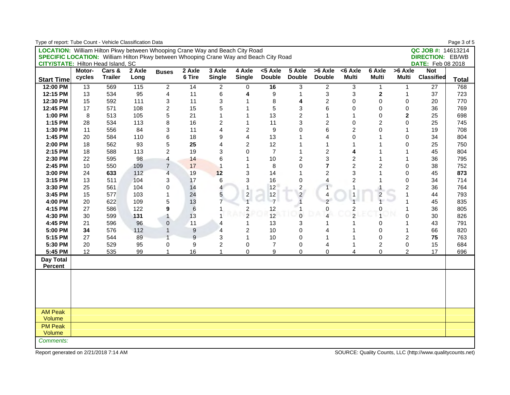| Type of report: Tube Count - Vehicle Classification Data                                     |                 |                |        |                         |                  |                         |                         |                  |                |                         |                         |                |                |                          | Page 3 of 5  |
|----------------------------------------------------------------------------------------------|-----------------|----------------|--------|-------------------------|------------------|-------------------------|-------------------------|------------------|----------------|-------------------------|-------------------------|----------------|----------------|--------------------------|--------------|
| LOCATION: William Hilton Pkwy between Whooping Crane Way and Beach City Road                 |                 |                |        |                         |                  |                         |                         |                  |                |                         |                         |                |                | QC JOB #: 14613214       |              |
| <b>SPECIFIC LOCATION:</b> William Hilton Pkwy between Whooping Crane Way and Beach City Road |                 |                |        |                         |                  |                         |                         |                  |                |                         |                         |                |                | <b>DIRECTION: EB/WB</b>  |              |
| <b>CITY/STATE: Hilton Head Island, SC</b>                                                    |                 |                |        |                         |                  |                         |                         |                  |                |                         |                         |                |                | <b>DATE:</b> Feb 08 2018 |              |
|                                                                                              | Motor-          | Cars &         | 2 Axle | <b>Buses</b>            | 2 Axle           | 3 Axle                  | 4 Axle                  | <5 Axle          | 5 Axle         | >6 Axle                 | $6 Axle$                | 6 Axle         | >6 Axle        | <b>Not</b>               |              |
| <b>Start Time</b>                                                                            | cycles          | <b>Trailer</b> | Long   |                         | 6 Tire           | <b>Single</b>           | <b>Single</b>           | <b>Double</b>    | <b>Double</b>  | <b>Double</b>           | <b>Multi</b>            | <b>Multi</b>   | <b>Multi</b>   | <b>Classified</b>        | <b>Total</b> |
| 12:00 PM                                                                                     | 13              | 569            | 115    | $\boldsymbol{2}$        | 14               | 2                       | 0                       | $\overline{16}$  | 3              | $\overline{c}$          | 3                       | 1              | 1              | $\overline{27}$          | 768          |
| 12:15 PM                                                                                     | 13              | 534            | 95     | $\overline{\mathbf{4}}$ | 11               | 6                       | 4                       | $\boldsymbol{9}$ | 1              | 3                       | 3                       | $\mathbf{2}$   | 1              | 37                       | 723          |
| 12:30 PM                                                                                     | 15              | 592            | 111    | 3                       | 11               | 3                       | 1                       | 8                | 4              | $\overline{c}$          | $\mathbf{0}$            | $\mathbf{0}$   | 0              | 20                       | 770          |
| 12:45 PM                                                                                     | 17              | 571            | 108    | $\overline{c}$          | 15               | 5                       | 1                       | 5                | 3              | 6                       | $\Omega$                | $\Omega$       | $\Omega$       | 36                       | 769          |
| 1:00 PM                                                                                      | 8               | 513            | 105    | 5                       | 21               | $\mathbf{1}$            | $\mathbf{1}$            | 13               | $\overline{2}$ | $\mathbf{1}$            | $\mathbf{1}$            | $\mathbf{0}$   | $\overline{2}$ | 25                       | 698          |
| 1:15 PM                                                                                      | 28              | 534            | 113    | 8                       | 16               | $\overline{c}$          | $\mathbf{1}$            | 11               | 3              | $\boldsymbol{2}$        | 0                       | 2              | 0              | 25                       | 745          |
| 1:30 PM                                                                                      | 11              | 556            | 84     | 3                       | 11               | 4                       | $\overline{2}$          | 9                | $\Omega$       | 6                       | $\overline{2}$          | $\Omega$       | 1              | 19                       | 708          |
| 1:45 PM                                                                                      | 20              | 584            | 110    | 6                       | 18               | 9                       | $\overline{4}$          | 13               |                | 4                       | $\Omega$                |                | 0              | 34                       | 804          |
| 2:00 PM                                                                                      | 18              | 562            | 93     | 5                       | 25               | $\overline{\mathbf{4}}$ | $\overline{c}$          | 12               |                | $\overline{1}$          | $\mathbf{1}$            | 1              | 0              | 25                       | 750          |
| 2:15 PM                                                                                      | 18              | 588            | 113    | $\overline{c}$          | 19               | 3                       | $\Omega$                | $\overline{7}$   |                | $\overline{\mathbf{c}}$ | 4                       |                |                | 45                       | 804          |
| 2:30 PM                                                                                      | 22              | 595            | 98     | 4                       | 14               | 6                       | $\mathbf 1$             | 10               | $\overline{2}$ | 3                       | $\overline{2}$          | 1              | 1              | 36                       | 795          |
| 2:45 PM                                                                                      | 10 <sup>1</sup> | 550            | 109    | $\overline{7}$          | 17               | $\overline{1}$          | $\mathbf{1}$            | 8                | $\Omega$       | $\overline{7}$          | $\overline{2}$          | $\overline{2}$ | $\Omega$       | 38                       | 752          |
| 3:00 PM                                                                                      | 24              | 633            | 112    | 4                       | 19               | 12                      | 3                       | 14               | 1              | $\overline{2}$          | 3                       | 1              | 0              | 45                       | 873          |
| 3:15 PM                                                                                      | 13              | 511            | 104    | 3                       | 17               | 6                       | 3                       | 16               | $\pmb{0}$      | $\overline{4}$          | $\overline{c}$          | 1              | 0              | 34                       | 714          |
| 3:30 PM                                                                                      | 25              | 561            | 104    | 0                       | 14               | $\overline{\mathbf{4}}$ |                         | 12               | $\overline{c}$ | $\overline{1}$          | 1                       | $\mathbf{1}$   | 2              | 36                       | 764          |
| 3:45 PM                                                                                      | 15              | 577            | 103    | 1                       | 24               | 5                       | $\frac{2}{1}$           | 12               | $\overline{c}$ | 4                       | 1                       | $\overline{c}$ |                | 44                       | 793          |
| 4:00 PM                                                                                      | 20              | 622            | 109    | 5                       | 13               | $\overline{7}$          |                         | $\overline{7}$   | $\overline{1}$ | $\overline{2}$          |                         |                |                | 45                       | 835          |
| 4:15 PM                                                                                      | 27              | 586            | 122    | 9                       | 6                | $\mathbf{1}$            | $\overline{\mathbf{c}}$ | 12               |                | $\pmb{0}$               |                         |                | 1              | 36                       | 805          |
| 4:30 PM                                                                                      | 30              | 599            | 131    | 1                       | 13               | 1                       | $\overline{2}$          | 12               | $\mathbf 0$    | $\Delta$                | $\frac{2}{2}$           |                | $\Omega$       | 30                       | 826          |
| 4:45 PM                                                                                      | 21              | 596            | 96     | $\mathbf 0$             | 11               | 4                       | $\mathbf{1}$            | 13               | 3              |                         | 1                       | 0              | 1              | 43                       | 791          |
| 5:00 PM                                                                                      | 34              | 576            | 112    | $\mathbf{1}$            | $\boldsymbol{9}$ | $\overline{4}$          | $\overline{2}$          | 10               | $\mathbf 0$    | 4                       | 1                       | $\mathbf{0}$   | 1              | 66                       | 820          |
| 5:15 PM                                                                                      | 27              | 544            | 89     | 1                       | 9                | 3                       | $\mathbf{1}$            | 10               | $\mathbf 0$    | 1                       | 1                       | 0              | 2              | 75                       | 763          |
| 5:30 PM                                                                                      | 20              | 529            | 95     | 0                       | 9                | $\overline{c}$          | 0                       | $\overline{7}$   | $\pmb{0}$      | 4                       | $\mathbf{1}$            | $\overline{c}$ | 0              | 15                       | 684          |
| 5:45 PM                                                                                      | 12              | 535            | 99     | $\mathbf{1}$            | 16               | $\mathbf{1}$            | 0                       | $\boldsymbol{9}$ | $\Omega$       | $\Omega$                | $\overline{\mathbf{4}}$ | $\Omega$       | $\overline{c}$ | 17                       | 696          |
| Day Total                                                                                    |                 |                |        |                         |                  |                         |                         |                  |                |                         |                         |                |                |                          |              |
| <b>Percent</b>                                                                               |                 |                |        |                         |                  |                         |                         |                  |                |                         |                         |                |                |                          |              |
|                                                                                              |                 |                |        |                         |                  |                         |                         |                  |                |                         |                         |                |                |                          |              |
|                                                                                              |                 |                |        |                         |                  |                         |                         |                  |                |                         |                         |                |                |                          |              |
|                                                                                              |                 |                |        |                         |                  |                         |                         |                  |                |                         |                         |                |                |                          |              |
|                                                                                              |                 |                |        |                         |                  |                         |                         |                  |                |                         |                         |                |                |                          |              |
|                                                                                              |                 |                |        |                         |                  |                         |                         |                  |                |                         |                         |                |                |                          |              |
| <b>AM Peak</b>                                                                               |                 |                |        |                         |                  |                         |                         |                  |                |                         |                         |                |                |                          |              |
| Volume                                                                                       |                 |                |        |                         |                  |                         |                         |                  |                |                         |                         |                |                |                          |              |
| <b>PM Peak</b>                                                                               |                 |                |        |                         |                  |                         |                         |                  |                |                         |                         |                |                |                          |              |
| Volume                                                                                       |                 |                |        |                         |                  |                         |                         |                  |                |                         |                         |                |                |                          |              |
| Comments:                                                                                    |                 |                |        |                         |                  |                         |                         |                  |                |                         |                         |                |                |                          |              |

Type of report: Tube Count - Vehicle Classification Data

 $P_{\text{max}}$  3 of  $\bar{r}$ 

Report generated on 2/21/2018 7:14 AM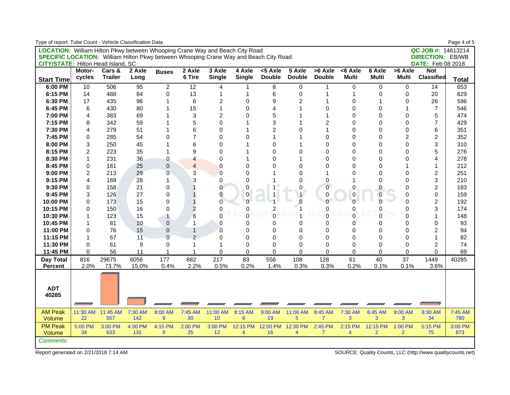| Type of report: Tube Count - Vehicle Classification Data                                     |                |                |         |                  |                |                  |               |                         |                |                |              |                |                |                          | Page 4 of 5  |
|----------------------------------------------------------------------------------------------|----------------|----------------|---------|------------------|----------------|------------------|---------------|-------------------------|----------------|----------------|--------------|----------------|----------------|--------------------------|--------------|
| LOCATION: William Hilton Pkwy between Whooping Crane Way and Beach City Road                 |                |                |         |                  |                |                  |               |                         |                |                |              |                |                | QC JOB #: 14613214       |              |
| <b>SPECIFIC LOCATION:</b> William Hilton Pkwy between Whooping Crane Way and Beach City Road |                |                |         |                  |                |                  |               |                         |                |                |              |                |                | <b>DIRECTION: EB/WB</b>  |              |
| <b>CITY/STATE: Hilton Head Island, SC</b>                                                    |                |                |         |                  |                |                  |               |                         |                |                |              |                |                | <b>DATE:</b> Feb 08 2018 |              |
|                                                                                              | Motor-         | Cars &         | 2 Axle  | <b>Buses</b>     | 2 Axle         | 3 Axle           | 4 Axle        | <5 Axle                 | 5 Axle         | $>6$ Axle      | $6 Axle$     | 6 Axle         | >6 Axle        | <b>Not</b>               |              |
| <b>Start Time</b>                                                                            | cycles         | <b>Trailer</b> | Long    |                  | 6 Tire         | <b>Single</b>    | <b>Single</b> | <b>Double</b>           | <b>Double</b>  | <b>Double</b>  | <b>Multi</b> | <b>Multi</b>   | <b>Multi</b>   | <b>Classified</b>        | <b>Total</b> |
| 6:00 PM                                                                                      | 10             | 506            | 95      | 2                | 12             | 4                |               | 8                       | 0              | 1              | 0            | 0              | 0              | 14                       | 653          |
| 6:15 PM                                                                                      | 14             | 488            | 84      | 0                | 13             | $\mathbf{1}$     | $\mathbf 1$   | $6\phantom{1}6$         | $\mathbf 0$    | 1              | $\mathbf 1$  | 0              | 0              | 20                       | 629          |
| 6:30 PM                                                                                      | 17             | 435            | 96      | 1                | 6              | $\boldsymbol{2}$ | $\mathbf 0$   | 9                       | $\overline{2}$ | 1              | 0            | 1              | 0              | 26                       | 596          |
| 6:45 PM                                                                                      | 6              | 430            | 80      | 1                | 15             | $\overline{1}$   | $\Omega$      | $\overline{4}$          |                | $\Omega$       | $\mathbf{0}$ | 0              |                | $\overline{7}$           | 546          |
| 7:00 PM                                                                                      | 4              | 383            | 69      |                  | 3              | $\overline{c}$   | $\Omega$      | 5                       |                | 1              | 0            | 0              | 0              | 5                        | 474          |
| 7:15 PM                                                                                      | 8              | 342            | 59      | 1                | 5              | $\mathbf 0$      |               | 3                       |                | 2              | 0            | 0              | 0              | $\overline{7}$           | 429          |
| 7:30 PM                                                                                      | 4              | 279            | 51      | 1                | 6              | 0                |               | $\overline{2}$          | $\Omega$       | 1              | 0            | 0              | 0              | 6                        | 351          |
| 7:45 PM                                                                                      | 0              | 285            | 54      | $\Omega$         | $\overline{7}$ | $\Omega$         | $\Omega$      | 1                       |                | $\Omega$       | $\mathbf{0}$ | $\mathbf{0}$   | $\overline{2}$ | $\overline{c}$           | 352          |
| 8:00 PM                                                                                      | 3              | 250            | 45      |                  | 6              | $\mathbf 0$      |               | $\mathbf 0$             |                | 0              | 0            | 0              | 0              | 3                        | 310          |
| 8:15 PM                                                                                      | $\overline{c}$ | 223            | 35      | 1                | 9              | $\mathbf 0$      |               | $\Omega$                | $\mathbf 0$    | $\mathbf 0$    | $\mathbf{0}$ | 0              | 0              | 5                        | 276          |
| 8:30 PM                                                                                      | 1              | 231            | 36      | 0                | $\overline{4}$ | $\mathbf 0$      |               | $\Omega$                |                | 0              | $\mathbf{0}$ | 0              | 0              | 4                        | 278          |
| 8:45 PM                                                                                      | 0              | 181            | 25      | $\mathbf 0$      | $\overline{4}$ | $\Omega$         | $\Omega$      | $\Omega$                | $\Omega$       | $\Omega$       | $\Omega$     | $\Omega$       | 1              | $\mathbf{1}$             | 212          |
| 9:00 PM                                                                                      | $\overline{c}$ | 213            | 29      | 0                | 3              | $\overline{0}$   | $\Omega$      |                         | $\Omega$       | 1              | $\Omega$     | 0              | 0              | $\overline{c}$           | 251          |
| 9:15 PM                                                                                      | 4              | 169            | 28      | 1                | 3              | $\mathbf 0$      | $\Omega$      | 1                       | $\Omega$       | $\Omega$       | 1            | 0              | $\Omega$       | 3                        | 210          |
| 9:30 PM                                                                                      | $\Omega$       | 158            | 21      | 0                |                | 0                | $\mathbf 0$   |                         | 0              | $\mathbf 0$    | 0            | 0              | 0              | $\overline{c}$           | 183          |
| 9:45 PM                                                                                      | 3              | 126            | 27      | 0                |                | $\overline{0}$   | $\mathbf 0$   |                         |                | $\Omega$       | 0            | $\mathbf{0}$   | $\Omega$       | $\mathbf 0$              | 159          |
| 10:00 PM                                                                                     | $\Omega$       | 173            | 15      | 0                |                | $\overline{0}$   | $\Omega$      |                         | $\Omega$       | $\Omega$       | $\Omega$     |                | $\Omega$       | $\overline{c}$           | 192          |
| 10:15 PM                                                                                     | $\Omega$       | 150            | 16      | 0                | $\overline{2}$ | $\mathbf 0$      | 0             | $\overline{\mathbf{c}}$ |                | 0              | 0            | 0              | 0              | 3                        | 174          |
| 10:30 PM                                                                                     | 1              | 123            | 15      | 1                | 6              | $\Omega$         | $\Omega$      | $\overline{0}$          | $\overline{1}$ | $\Omega$       | $\Omega$     | $\Omega$       | $\Omega$       | $\mathbf{1}$             | 148          |
| 10:45 PM                                                                                     |                | 81             | 10      | $\boldsymbol{0}$ | $\mathbf{1}$   | $\mathbf 0$      | $\Omega$      | 0                       | 0              | $\Omega$       | 0            | 0              | 0              | $\mathbf 0$              | 93           |
| 11:00 PM                                                                                     | $\Omega$       | 76             | 15      | $\mathbf 0$      | $\mathbf{1}$   | $\overline{0}$   | $\Omega$      | $\Omega$                | $\Omega$       | $\mathbf{0}$   | 0            | 0              | $\Omega$       | $\overline{c}$           | 94           |
| 11:15 PM                                                                                     | 1              | 67             | 11      | $\mathbf 0$      | $\overline{2}$ | $\Omega$         | $\Omega$      | $\Omega$                | $\Omega$       | 0              | 0            | 0              | $\Omega$       | 1                        | 82           |
| 11:30 PM                                                                                     | $\Omega$       | 61             | 9       | $\Omega$         | $\mathbf 1$    | $\mathbf 1$      | $\mathbf 0$   | $\Omega$                | $\Omega$       | $\Omega$       | 0            | 0              | 0              | 2                        | 74           |
| 11:45 PM                                                                                     | 0              | 56             | 11      | 1                | $\mathbf{1}$   | $\Omega$         | $\mathbf 0$   | $\Omega$                | $\Omega$       | $\Omega$       | $\Omega$     | $\Omega$       | $\Omega$       | $\Omega$                 | 69           |
| <b>Day Total</b>                                                                             | 816            | 29675          | 6056    | 177              | 882            | 217              | 83            | 556                     | 108            | 128            | 61           | 40             | 37             | 1449                     | 40285        |
| <b>Percent</b>                                                                               | 2.0%           | 73.7%          | 15.0%   | 0.4%             | 2.2%           | 0.5%             | 0.2%          | 1.4%                    | 0.3%           | 0.3%           | 0.2%         | 0.1%           | 0.1%           | 3.6%                     |              |
| <b>ADT</b><br>40285                                                                          |                |                |         |                  |                |                  |               |                         |                |                |              |                |                |                          |              |
| <b>AM Peak</b>                                                                               | 11:30 AM       | 11:45 AM       | 7:30 AM | 8:00 AM          | 7:45 AM        | 11:00 AM         | 8:15 AM       | 9:00 AM                 | 11:00 AM       | 8:45 AM        | 7:30 AM      | 6:45 AM        | 9:00 AM        | 8:30 AM                  | 7:45 AM      |
| Volume                                                                                       | 22             | 557            | 142     | 9                | 30             | 10               | 6             | 19                      | 5              | $\overline{7}$ | 3            | 3              | 3              | 34                       | 780          |
| <b>PM Peak</b>                                                                               | 5:00 PM        | 3:00 PM        | 4:30 PM | 4:15 PM          | 2:00 PM        | 3:00 PM          | 12:15 PM      | 12:00 PM                | 12:30 PM       | 2:45 PM        | 2:15 PM      | 12:15 PM       | 1:00 PM        | 5:15 PM                  | 3:00 PM      |
| Volume                                                                                       | 34             | 633            | 131     | 9                | 25             | 12 <sup>2</sup>  | 4             | 16                      | 4              | $\overline{7}$ | 4            | $\overline{2}$ | $\overline{2}$ | 75                       | 873          |
| <i><b>Comments:</b></i>                                                                      |                |                |         |                  |                |                  |               |                         |                |                |              |                |                |                          |              |
|                                                                                              |                |                |         |                  |                |                  |               |                         |                |                |              |                |                |                          |              |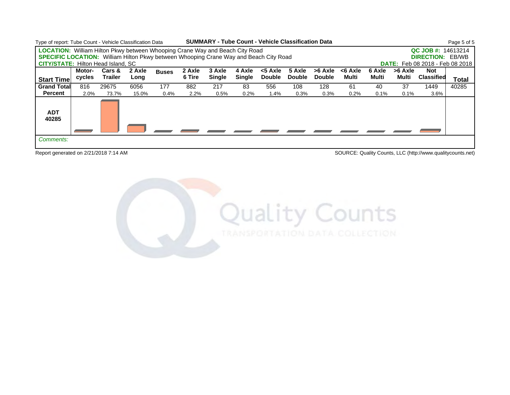

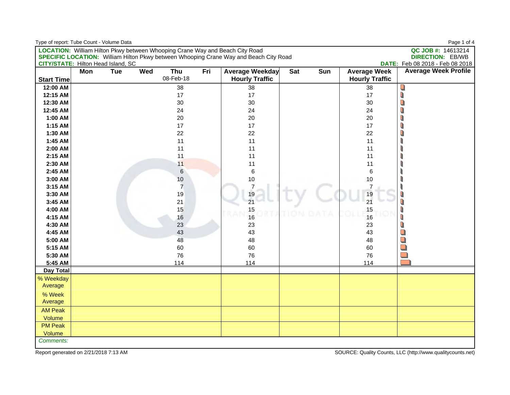| Type of report: Tube Count - Volume Data  |     |            |     |                  |     |                                                                                              |            |     |                                              | Page 1 of 4                     |
|-------------------------------------------|-----|------------|-----|------------------|-----|----------------------------------------------------------------------------------------------|------------|-----|----------------------------------------------|---------------------------------|
|                                           |     |            |     |                  |     | <b>LOCATION:</b> William Hilton Pkwy between Whooping Crane Way and Beach City Road          |            |     |                                              | QC JOB #: 14613214              |
|                                           |     |            |     |                  |     | <b>SPECIFIC LOCATION:</b> William Hilton Pkwy between Whooping Crane Way and Beach City Road |            |     |                                              | <b>DIRECTION: EB/WB</b>         |
| <b>CITY/STATE: Hilton Head Island, SC</b> |     |            |     |                  |     |                                                                                              |            |     |                                              | DATE: Feb 08 2018 - Feb 08 2018 |
| <b>Start Time</b>                         | Mon | <b>Tue</b> | Wed | Thu<br>08-Feb-18 | Fri | Average Weekday<br><b>Hourly Traffic</b>                                                     | <b>Sat</b> | Sun | <b>Average Week</b><br><b>Hourly Traffic</b> | <b>Average Week Profile</b>     |
| 12:00 AM                                  |     |            |     | 38               |     | 38                                                                                           |            |     | 38                                           | $\Box$                          |
| 12:15 AM                                  |     |            |     | 17               |     | 17                                                                                           |            |     | 17                                           | U                               |
| 12:30 AM                                  |     |            |     | 30               |     | 30                                                                                           |            |     | 30                                           | O                               |
| 12:45 AM                                  |     |            |     | 24               |     | 24                                                                                           |            |     | 24                                           | Ū                               |
| 1:00 AM                                   |     |            |     | 20               |     | 20                                                                                           |            |     | 20                                           | N                               |
| 1:15 AM                                   |     |            |     | 17               |     | 17                                                                                           |            |     | 17                                           | U                               |
| 1:30 AM                                   |     |            |     | 22               |     | 22                                                                                           |            |     | 22                                           | O                               |
| 1:45 AM                                   |     |            |     | 11               |     | 11                                                                                           |            |     | 11                                           |                                 |
| 2:00 AM                                   |     |            |     | 11               |     | 11                                                                                           |            |     | 11                                           |                                 |
| 2:15 AM                                   |     |            |     | 11               |     | 11                                                                                           |            |     | 11                                           |                                 |
| 2:30 AM                                   |     |            |     | 11               |     | 11                                                                                           |            |     | 11                                           |                                 |
| 2:45 AM                                   |     |            |     | $\,6$            |     | $\,6$                                                                                        |            |     | $\,6$                                        |                                 |
| 3:00 AM                                   |     |            |     | 10               |     | 10                                                                                           |            |     | 10                                           |                                 |
| 3:15 AM                                   |     |            |     | $\overline{7}$   |     | 7                                                                                            |            |     | $\overline{7}$                               |                                 |
| 3:30 AM                                   |     |            |     | 19               |     | 19                                                                                           |            |     | 19                                           |                                 |
| 3:45 AM                                   |     |            |     | 21               |     | 21                                                                                           |            |     | 21                                           | Π                               |
| 4:00 AM                                   |     |            |     | 15               |     | 15                                                                                           |            |     | 15                                           | U                               |
| 4:15 AM                                   |     |            |     | 16               |     | 16                                                                                           |            |     | 16                                           | U                               |
| 4:30 AM                                   |     |            |     | 23               |     | 23                                                                                           |            |     | 23                                           | Q                               |
| 4:45 AM                                   |     |            |     | 43               |     | 43                                                                                           |            |     | 43                                           | $\Box$                          |
| 5:00 AM                                   |     |            |     | 48               |     | 48                                                                                           |            |     | 48                                           | $\Box$                          |
| 5:15 AM                                   |     |            |     | 60               |     | 60                                                                                           |            |     | 60                                           | $\Box$                          |
| 5:30 AM                                   |     |            |     | 76               |     | 76                                                                                           |            |     | 76                                           | $\Box$                          |
| 5:45 AM                                   |     |            |     | 114              |     | 114                                                                                          |            |     | 114                                          |                                 |
| <b>Day Total</b>                          |     |            |     |                  |     |                                                                                              |            |     |                                              |                                 |
| % Weekday                                 |     |            |     |                  |     |                                                                                              |            |     |                                              |                                 |
| Average                                   |     |            |     |                  |     |                                                                                              |            |     |                                              |                                 |
| % Week                                    |     |            |     |                  |     |                                                                                              |            |     |                                              |                                 |
| Average                                   |     |            |     |                  |     |                                                                                              |            |     |                                              |                                 |
| <b>AM Peak</b>                            |     |            |     |                  |     |                                                                                              |            |     |                                              |                                 |
| Volume                                    |     |            |     |                  |     |                                                                                              |            |     |                                              |                                 |
| <b>PM Peak</b>                            |     |            |     |                  |     |                                                                                              |            |     |                                              |                                 |
| Volume                                    |     |            |     |                  |     |                                                                                              |            |     |                                              |                                 |
| Comments:                                 |     |            |     |                  |     |                                                                                              |            |     |                                              |                                 |
|                                           |     |            |     |                  |     |                                                                                              |            |     |                                              |                                 |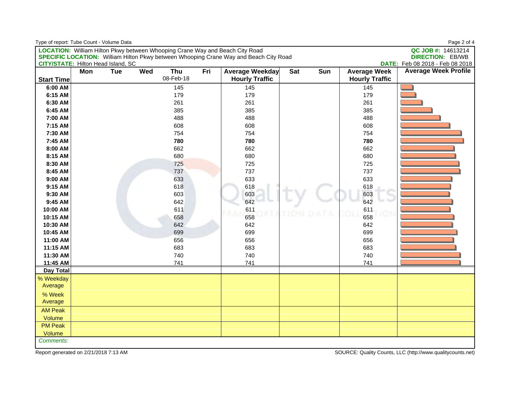| <b>LOCATION:</b> William Hilton Pkwy between Whooping Crane Way and Beach City Road<br><b>SPECIFIC LOCATION:</b> William Hilton Pkwy between Whooping Crane Way and Beach City Road<br><b>DIRECTION: EB/WB</b><br><b>CITY/STATE: Hilton Head Island, SC</b><br>DATE: Feb 08 2018 - Feb 08 2018<br><b>Average Week Profile</b><br>Wed<br>Thu<br>Fri<br>Mon<br><b>Tue</b><br>Average Weekday<br>Sat<br>Sun<br><b>Average Week</b><br>08-Feb-18<br><b>Hourly Traffic</b><br><b>Hourly Traffic</b><br><b>Start Time</b><br>6:00 AM<br>145<br>145<br>145<br>6:15 AM<br>179<br>179<br>179<br>6:30 AM<br>261<br>261<br>261<br>6:45 AM<br>385<br>385<br>385<br>488<br>488<br>488<br>7:00 AM<br>7:15 AM<br>608<br>608<br>608<br>754<br>754<br>7:30 AM<br>754<br>7:45 AM<br>780<br>780<br>780<br>662<br>8:00 AM<br>662<br>662<br>8:15 AM<br>680<br>680<br>680<br>8:30 AM<br>725<br>725<br>725<br>8:45 AM<br>737<br>737<br>737<br>9:00 AM<br>633<br>633<br>633<br>9:15 AM<br>618<br>618<br>618<br>9:30 AM<br>603<br>603<br>603<br>642<br>642<br>9:45 AM<br>642<br>10:00 AM<br>611<br>611<br>611<br>10:15 AM<br>658<br>658<br>658<br>10:30 AM<br>642<br>642<br>642<br>10:45 AM<br>699<br>699<br>699<br>11:00 AM<br>656<br>656<br>656<br>11:15 AM<br>683<br>683<br>683<br>11:30 AM<br>740<br>740<br>740<br>11:45 AM<br>741<br>741<br>741<br><b>Day Total</b><br>% Weekday<br>Average<br>% Week<br>Average<br><b>AM Peak</b><br>Volume<br><b>PM Peak</b><br>Volume<br>Comments: | Type of report: Tube Count - Volume Data |  |  |  |  | Page 2 of 4        |
|-------------------------------------------------------------------------------------------------------------------------------------------------------------------------------------------------------------------------------------------------------------------------------------------------------------------------------------------------------------------------------------------------------------------------------------------------------------------------------------------------------------------------------------------------------------------------------------------------------------------------------------------------------------------------------------------------------------------------------------------------------------------------------------------------------------------------------------------------------------------------------------------------------------------------------------------------------------------------------------------------------------------------------------------------------------------------------------------------------------------------------------------------------------------------------------------------------------------------------------------------------------------------------------------------------------------------------------------------------------------------------------------------------------------------------------------------------------------|------------------------------------------|--|--|--|--|--------------------|
|                                                                                                                                                                                                                                                                                                                                                                                                                                                                                                                                                                                                                                                                                                                                                                                                                                                                                                                                                                                                                                                                                                                                                                                                                                                                                                                                                                                                                                                                   |                                          |  |  |  |  | QC JOB #: 14613214 |
|                                                                                                                                                                                                                                                                                                                                                                                                                                                                                                                                                                                                                                                                                                                                                                                                                                                                                                                                                                                                                                                                                                                                                                                                                                                                                                                                                                                                                                                                   |                                          |  |  |  |  |                    |
|                                                                                                                                                                                                                                                                                                                                                                                                                                                                                                                                                                                                                                                                                                                                                                                                                                                                                                                                                                                                                                                                                                                                                                                                                                                                                                                                                                                                                                                                   |                                          |  |  |  |  |                    |
|                                                                                                                                                                                                                                                                                                                                                                                                                                                                                                                                                                                                                                                                                                                                                                                                                                                                                                                                                                                                                                                                                                                                                                                                                                                                                                                                                                                                                                                                   |                                          |  |  |  |  |                    |
|                                                                                                                                                                                                                                                                                                                                                                                                                                                                                                                                                                                                                                                                                                                                                                                                                                                                                                                                                                                                                                                                                                                                                                                                                                                                                                                                                                                                                                                                   |                                          |  |  |  |  |                    |
|                                                                                                                                                                                                                                                                                                                                                                                                                                                                                                                                                                                                                                                                                                                                                                                                                                                                                                                                                                                                                                                                                                                                                                                                                                                                                                                                                                                                                                                                   |                                          |  |  |  |  |                    |
|                                                                                                                                                                                                                                                                                                                                                                                                                                                                                                                                                                                                                                                                                                                                                                                                                                                                                                                                                                                                                                                                                                                                                                                                                                                                                                                                                                                                                                                                   |                                          |  |  |  |  |                    |
|                                                                                                                                                                                                                                                                                                                                                                                                                                                                                                                                                                                                                                                                                                                                                                                                                                                                                                                                                                                                                                                                                                                                                                                                                                                                                                                                                                                                                                                                   |                                          |  |  |  |  |                    |
|                                                                                                                                                                                                                                                                                                                                                                                                                                                                                                                                                                                                                                                                                                                                                                                                                                                                                                                                                                                                                                                                                                                                                                                                                                                                                                                                                                                                                                                                   |                                          |  |  |  |  |                    |
|                                                                                                                                                                                                                                                                                                                                                                                                                                                                                                                                                                                                                                                                                                                                                                                                                                                                                                                                                                                                                                                                                                                                                                                                                                                                                                                                                                                                                                                                   |                                          |  |  |  |  |                    |
|                                                                                                                                                                                                                                                                                                                                                                                                                                                                                                                                                                                                                                                                                                                                                                                                                                                                                                                                                                                                                                                                                                                                                                                                                                                                                                                                                                                                                                                                   |                                          |  |  |  |  |                    |
|                                                                                                                                                                                                                                                                                                                                                                                                                                                                                                                                                                                                                                                                                                                                                                                                                                                                                                                                                                                                                                                                                                                                                                                                                                                                                                                                                                                                                                                                   |                                          |  |  |  |  |                    |
|                                                                                                                                                                                                                                                                                                                                                                                                                                                                                                                                                                                                                                                                                                                                                                                                                                                                                                                                                                                                                                                                                                                                                                                                                                                                                                                                                                                                                                                                   |                                          |  |  |  |  |                    |
|                                                                                                                                                                                                                                                                                                                                                                                                                                                                                                                                                                                                                                                                                                                                                                                                                                                                                                                                                                                                                                                                                                                                                                                                                                                                                                                                                                                                                                                                   |                                          |  |  |  |  |                    |
|                                                                                                                                                                                                                                                                                                                                                                                                                                                                                                                                                                                                                                                                                                                                                                                                                                                                                                                                                                                                                                                                                                                                                                                                                                                                                                                                                                                                                                                                   |                                          |  |  |  |  |                    |
|                                                                                                                                                                                                                                                                                                                                                                                                                                                                                                                                                                                                                                                                                                                                                                                                                                                                                                                                                                                                                                                                                                                                                                                                                                                                                                                                                                                                                                                                   |                                          |  |  |  |  |                    |
|                                                                                                                                                                                                                                                                                                                                                                                                                                                                                                                                                                                                                                                                                                                                                                                                                                                                                                                                                                                                                                                                                                                                                                                                                                                                                                                                                                                                                                                                   |                                          |  |  |  |  |                    |
|                                                                                                                                                                                                                                                                                                                                                                                                                                                                                                                                                                                                                                                                                                                                                                                                                                                                                                                                                                                                                                                                                                                                                                                                                                                                                                                                                                                                                                                                   |                                          |  |  |  |  |                    |
|                                                                                                                                                                                                                                                                                                                                                                                                                                                                                                                                                                                                                                                                                                                                                                                                                                                                                                                                                                                                                                                                                                                                                                                                                                                                                                                                                                                                                                                                   |                                          |  |  |  |  |                    |
|                                                                                                                                                                                                                                                                                                                                                                                                                                                                                                                                                                                                                                                                                                                                                                                                                                                                                                                                                                                                                                                                                                                                                                                                                                                                                                                                                                                                                                                                   |                                          |  |  |  |  |                    |
|                                                                                                                                                                                                                                                                                                                                                                                                                                                                                                                                                                                                                                                                                                                                                                                                                                                                                                                                                                                                                                                                                                                                                                                                                                                                                                                                                                                                                                                                   |                                          |  |  |  |  |                    |
|                                                                                                                                                                                                                                                                                                                                                                                                                                                                                                                                                                                                                                                                                                                                                                                                                                                                                                                                                                                                                                                                                                                                                                                                                                                                                                                                                                                                                                                                   |                                          |  |  |  |  |                    |
|                                                                                                                                                                                                                                                                                                                                                                                                                                                                                                                                                                                                                                                                                                                                                                                                                                                                                                                                                                                                                                                                                                                                                                                                                                                                                                                                                                                                                                                                   |                                          |  |  |  |  |                    |
|                                                                                                                                                                                                                                                                                                                                                                                                                                                                                                                                                                                                                                                                                                                                                                                                                                                                                                                                                                                                                                                                                                                                                                                                                                                                                                                                                                                                                                                                   |                                          |  |  |  |  |                    |
|                                                                                                                                                                                                                                                                                                                                                                                                                                                                                                                                                                                                                                                                                                                                                                                                                                                                                                                                                                                                                                                                                                                                                                                                                                                                                                                                                                                                                                                                   |                                          |  |  |  |  |                    |
|                                                                                                                                                                                                                                                                                                                                                                                                                                                                                                                                                                                                                                                                                                                                                                                                                                                                                                                                                                                                                                                                                                                                                                                                                                                                                                                                                                                                                                                                   |                                          |  |  |  |  |                    |
|                                                                                                                                                                                                                                                                                                                                                                                                                                                                                                                                                                                                                                                                                                                                                                                                                                                                                                                                                                                                                                                                                                                                                                                                                                                                                                                                                                                                                                                                   |                                          |  |  |  |  |                    |
|                                                                                                                                                                                                                                                                                                                                                                                                                                                                                                                                                                                                                                                                                                                                                                                                                                                                                                                                                                                                                                                                                                                                                                                                                                                                                                                                                                                                                                                                   |                                          |  |  |  |  |                    |
|                                                                                                                                                                                                                                                                                                                                                                                                                                                                                                                                                                                                                                                                                                                                                                                                                                                                                                                                                                                                                                                                                                                                                                                                                                                                                                                                                                                                                                                                   |                                          |  |  |  |  |                    |
|                                                                                                                                                                                                                                                                                                                                                                                                                                                                                                                                                                                                                                                                                                                                                                                                                                                                                                                                                                                                                                                                                                                                                                                                                                                                                                                                                                                                                                                                   |                                          |  |  |  |  |                    |
|                                                                                                                                                                                                                                                                                                                                                                                                                                                                                                                                                                                                                                                                                                                                                                                                                                                                                                                                                                                                                                                                                                                                                                                                                                                                                                                                                                                                                                                                   |                                          |  |  |  |  |                    |
|                                                                                                                                                                                                                                                                                                                                                                                                                                                                                                                                                                                                                                                                                                                                                                                                                                                                                                                                                                                                                                                                                                                                                                                                                                                                                                                                                                                                                                                                   |                                          |  |  |  |  |                    |
|                                                                                                                                                                                                                                                                                                                                                                                                                                                                                                                                                                                                                                                                                                                                                                                                                                                                                                                                                                                                                                                                                                                                                                                                                                                                                                                                                                                                                                                                   |                                          |  |  |  |  |                    |
|                                                                                                                                                                                                                                                                                                                                                                                                                                                                                                                                                                                                                                                                                                                                                                                                                                                                                                                                                                                                                                                                                                                                                                                                                                                                                                                                                                                                                                                                   |                                          |  |  |  |  |                    |
|                                                                                                                                                                                                                                                                                                                                                                                                                                                                                                                                                                                                                                                                                                                                                                                                                                                                                                                                                                                                                                                                                                                                                                                                                                                                                                                                                                                                                                                                   |                                          |  |  |  |  |                    |
|                                                                                                                                                                                                                                                                                                                                                                                                                                                                                                                                                                                                                                                                                                                                                                                                                                                                                                                                                                                                                                                                                                                                                                                                                                                                                                                                                                                                                                                                   |                                          |  |  |  |  |                    |
|                                                                                                                                                                                                                                                                                                                                                                                                                                                                                                                                                                                                                                                                                                                                                                                                                                                                                                                                                                                                                                                                                                                                                                                                                                                                                                                                                                                                                                                                   |                                          |  |  |  |  |                    |
|                                                                                                                                                                                                                                                                                                                                                                                                                                                                                                                                                                                                                                                                                                                                                                                                                                                                                                                                                                                                                                                                                                                                                                                                                                                                                                                                                                                                                                                                   |                                          |  |  |  |  |                    |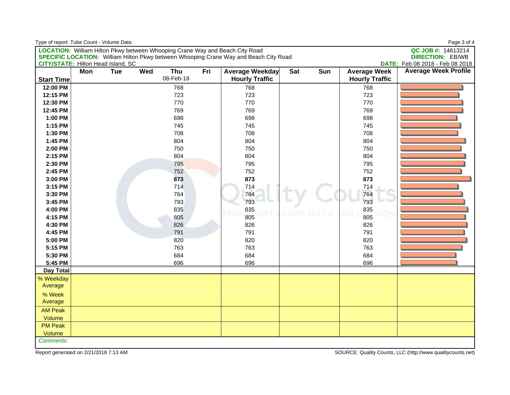| Type of report: Tube Count - Volume Data  |     |            |     |           |     |                                                                                              |            |     |                       | Page 3 of 4                     |
|-------------------------------------------|-----|------------|-----|-----------|-----|----------------------------------------------------------------------------------------------|------------|-----|-----------------------|---------------------------------|
|                                           |     |            |     |           |     | <b>LOCATION:</b> William Hilton Pkwy between Whooping Crane Way and Beach City Road          |            |     |                       | QC JOB #: 14613214              |
|                                           |     |            |     |           |     | <b>SPECIFIC LOCATION:</b> William Hilton Pkwy between Whooping Crane Way and Beach City Road |            |     |                       | <b>DIRECTION: EB/WB</b>         |
| <b>CITY/STATE: Hilton Head Island, SC</b> |     |            |     |           |     |                                                                                              |            |     |                       | DATE: Feb 08 2018 - Feb 08 2018 |
|                                           | Mon | <b>Tue</b> | Wed | Thu       | Fri | Average Weekday                                                                              | <b>Sat</b> | Sun | <b>Average Week</b>   | <b>Average Week Profile</b>     |
| <b>Start Time</b>                         |     |            |     | 08-Feb-18 |     | <b>Hourly Traffic</b>                                                                        |            |     | <b>Hourly Traffic</b> |                                 |
| 12:00 PM                                  |     |            |     | 768       |     | 768                                                                                          |            |     | 768                   |                                 |
| 12:15 PM                                  |     |            |     | 723       |     | 723                                                                                          |            |     | 723                   |                                 |
| 12:30 PM                                  |     |            |     | 770       |     | 770                                                                                          |            |     | 770                   |                                 |
| 12:45 PM                                  |     |            |     | 769       |     | 769                                                                                          |            |     | 769                   |                                 |
| 1:00 PM                                   |     |            |     | 698       |     | 698                                                                                          |            |     | 698                   |                                 |
| 1:15 PM                                   |     |            |     | 745       |     | 745                                                                                          |            |     | 745                   |                                 |
| 1:30 PM                                   |     |            |     | 708       |     | 708                                                                                          |            |     | 708                   |                                 |
| 1:45 PM                                   |     |            |     | 804       |     | 804                                                                                          |            |     | 804                   |                                 |
| 2:00 PM                                   |     |            |     | 750       |     | 750                                                                                          |            |     | 750                   |                                 |
| 2:15 PM                                   |     |            |     | 804       |     | 804                                                                                          |            |     | 804                   |                                 |
| 2:30 PM                                   |     |            |     | 795       |     | 795                                                                                          |            |     | 795                   |                                 |
| 2:45 PM                                   |     |            |     | 752       |     | 752                                                                                          |            |     | 752                   |                                 |
| 3:00 PM                                   |     |            |     | 873       |     | 873                                                                                          |            |     | 873                   |                                 |
| 3:15 PM                                   |     |            |     | 714       |     | 714                                                                                          |            |     | 714                   |                                 |
| 3:30 PM                                   |     |            |     | 764       |     | 764                                                                                          |            |     | 764                   |                                 |
| 3:45 PM                                   |     |            |     | 793       |     | 793                                                                                          |            |     | 793                   |                                 |
| 4:00 PM                                   |     |            |     | 835       |     | 835                                                                                          |            |     | 835                   |                                 |
| 4:15 PM                                   |     |            |     | 805       |     | 805                                                                                          |            |     | 805                   |                                 |
| 4:30 PM                                   |     |            |     | 826       |     | 826                                                                                          |            |     | 826                   |                                 |
| 4:45 PM                                   |     |            |     | 791       |     | 791                                                                                          |            |     | 791                   |                                 |
| 5:00 PM                                   |     |            |     | 820       |     | 820                                                                                          |            |     | 820                   |                                 |
| 5:15 PM                                   |     |            |     | 763       |     | 763                                                                                          |            |     | 763                   |                                 |
| 5:30 PM                                   |     |            |     | 684       |     | 684                                                                                          |            |     | 684                   |                                 |
| 5:45 PM                                   |     |            |     | 696       |     | 696                                                                                          |            |     | 696                   |                                 |
| <b>Day Total</b>                          |     |            |     |           |     |                                                                                              |            |     |                       |                                 |
| % Weekday                                 |     |            |     |           |     |                                                                                              |            |     |                       |                                 |
| Average                                   |     |            |     |           |     |                                                                                              |            |     |                       |                                 |
| % Week                                    |     |            |     |           |     |                                                                                              |            |     |                       |                                 |
| Average                                   |     |            |     |           |     |                                                                                              |            |     |                       |                                 |
| <b>AM Peak</b>                            |     |            |     |           |     |                                                                                              |            |     |                       |                                 |
| Volume                                    |     |            |     |           |     |                                                                                              |            |     |                       |                                 |
| <b>PM Peak</b>                            |     |            |     |           |     |                                                                                              |            |     |                       |                                 |
| Volume                                    |     |            |     |           |     |                                                                                              |            |     |                       |                                 |
| Comments:                                 |     |            |     |           |     |                                                                                              |            |     |                       |                                 |
|                                           |     |            |     |           |     |                                                                                              |            |     |                       |                                 |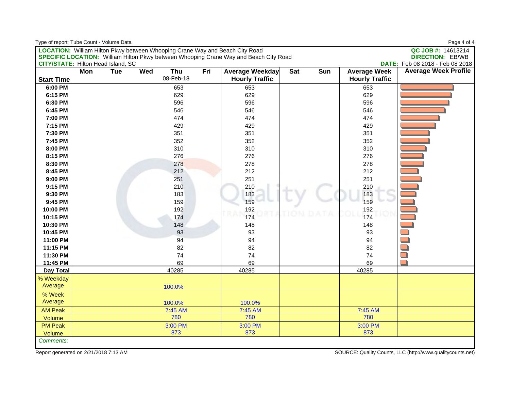|                                           |     |            |     |                  |     |                                                                                              |            |     |                                              | Page 4 of 4                                                |
|-------------------------------------------|-----|------------|-----|------------------|-----|----------------------------------------------------------------------------------------------|------------|-----|----------------------------------------------|------------------------------------------------------------|
|                                           |     |            |     |                  |     | LOCATION: William Hilton Pkwy between Whooping Crane Way and Beach City Road                 |            |     |                                              | QC JOB #: 14613214                                         |
|                                           |     |            |     |                  |     | <b>SPECIFIC LOCATION:</b> William Hilton Pkwy between Whooping Crane Way and Beach City Road |            |     |                                              | <b>DIRECTION: EB/WB</b><br>DATE: Feb 08 2018 - Feb 08 2018 |
| <b>CITY/STATE: Hilton Head Island, SC</b> |     |            |     |                  |     |                                                                                              |            |     |                                              | <b>Average Week Profile</b>                                |
| <b>Start Time</b>                         | Mon | <b>Tue</b> | Wed | Thu<br>08-Feb-18 | Fri | Average Weekday<br><b>Hourly Traffic</b>                                                     | <b>Sat</b> | Sun | <b>Average Week</b><br><b>Hourly Traffic</b> |                                                            |
| 6:00 PM                                   |     |            |     | 653              |     | 653                                                                                          |            |     | 653                                          |                                                            |
| 6:15 PM                                   |     |            |     | 629              |     | 629                                                                                          |            |     | 629                                          |                                                            |
| 6:30 PM                                   |     |            |     | 596              |     | 596                                                                                          |            |     | 596                                          |                                                            |
| 6:45 PM                                   |     |            |     | 546              |     | 546                                                                                          |            |     | 546                                          |                                                            |
| 7:00 PM                                   |     |            |     | 474              |     | 474                                                                                          |            |     | 474                                          |                                                            |
| 7:15 PM                                   |     |            |     | 429              |     | 429                                                                                          |            |     | 429                                          |                                                            |
| 7:30 PM                                   |     |            |     | 351              |     | 351                                                                                          |            |     | 351                                          |                                                            |
| 7:45 PM                                   |     |            |     | 352              |     | 352                                                                                          |            |     | 352                                          |                                                            |
| 8:00 PM                                   |     |            |     | 310              |     | 310                                                                                          |            |     | 310                                          | <u>Ser</u>                                                 |
| 8:15 PM                                   |     |            |     | 276              |     | 276                                                                                          |            |     | 276                                          |                                                            |
| 8:30 PM                                   |     |            |     | 278              |     | 278                                                                                          |            |     | 278                                          |                                                            |
| 8:45 PM                                   |     |            |     | 212              |     | 212                                                                                          |            |     | 212                                          |                                                            |
| 9:00 PM                                   |     |            |     | 251              |     | 251                                                                                          |            |     | 251                                          |                                                            |
| 9:15 PM                                   |     |            |     | 210              |     | 210                                                                                          |            |     | 210                                          |                                                            |
| 9:30 PM                                   |     |            |     | 183              |     | 183                                                                                          |            |     | 183                                          |                                                            |
| 9:45 PM                                   |     |            |     | 159              |     | 159                                                                                          |            |     | 159                                          |                                                            |
| 10:00 PM                                  |     |            |     | 192              |     | 192                                                                                          |            |     | 192                                          |                                                            |
| 10:15 PM                                  |     |            |     | 174              |     | 174                                                                                          |            |     | 174                                          |                                                            |
| 10:30 PM                                  |     |            |     | 148              |     | 148                                                                                          |            |     | 148                                          |                                                            |
| 10:45 PM                                  |     |            |     | 93               |     | 93                                                                                           |            |     | 93                                           |                                                            |
| 11:00 PM                                  |     |            |     | 94               |     | 94                                                                                           |            |     | 94                                           |                                                            |
| 11:15 PM                                  |     |            |     | 82               |     | 82                                                                                           |            |     | 82                                           | $\Box$                                                     |
| 11:30 PM                                  |     |            |     | 74               |     | 74                                                                                           |            |     | 74                                           | $\Box$                                                     |
| 11:45 PM                                  |     |            |     | 69               |     | 69                                                                                           |            |     | 69                                           |                                                            |
| <b>Day Total</b>                          |     |            |     | 40285            |     | 40285                                                                                        |            |     | 40285                                        |                                                            |
| % Weekday                                 |     |            |     |                  |     |                                                                                              |            |     |                                              |                                                            |
| Average                                   |     |            |     | 100.0%           |     |                                                                                              |            |     |                                              |                                                            |
| % Week                                    |     |            |     |                  |     |                                                                                              |            |     |                                              |                                                            |
| Average                                   |     |            |     | 100.0%           |     | 100.0%                                                                                       |            |     |                                              |                                                            |
| <b>AM Peak</b>                            |     |            |     | 7:45 AM          |     | 7:45 AM                                                                                      |            |     | 7:45 AM                                      |                                                            |
| Volume                                    |     |            |     | 780              |     | 780                                                                                          |            |     | 780                                          |                                                            |
| <b>PM Peak</b>                            |     |            |     | 3:00 PM          |     | 3:00 PM                                                                                      |            |     | 3:00 PM                                      |                                                            |
| Volume                                    |     |            |     | 873              |     | 873                                                                                          |            |     | 873                                          |                                                            |
| Comments:                                 |     |            |     |                  |     |                                                                                              |            |     |                                              |                                                            |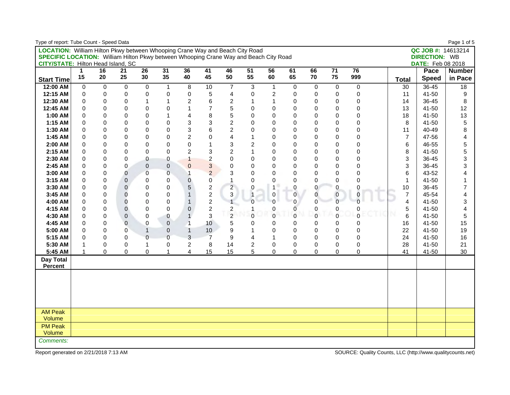| Type of report: Tube Count - Speed Data                                                      |              |                |                |                 |              |                           |                         |                         |                |                |                     |                |                 |             |                |                          | Page 1 of 5     |
|----------------------------------------------------------------------------------------------|--------------|----------------|----------------|-----------------|--------------|---------------------------|-------------------------|-------------------------|----------------|----------------|---------------------|----------------|-----------------|-------------|----------------|--------------------------|-----------------|
| <b>LOCATION:</b> William Hilton Pkwy between Whooping Crane Way and Beach City Road          |              |                |                |                 |              |                           |                         |                         |                |                |                     |                |                 |             |                | QC JOB #: 14613214       |                 |
| <b>SPECIFIC LOCATION:</b> William Hilton Pkwy between Whooping Crane Way and Beach City Road |              |                |                |                 |              |                           |                         |                         |                |                |                     |                |                 |             |                | <b>DIRECTION: WB</b>     |                 |
| <b>CITY/STATE: Hilton Head Island, SC</b>                                                    |              |                |                |                 |              |                           |                         |                         |                |                |                     |                |                 |             |                | <b>DATE:</b> Feb 08 2018 |                 |
|                                                                                              | $\mathbf{1}$ | 16             | 21             | $\overline{26}$ | 31           | 36                        | 41                      | 46                      | 51             | 56             | 61                  | 66             | $\overline{71}$ | 76          |                | Pace                     | <b>Number</b>   |
| <b>Start Time</b>                                                                            | 15           | 20             | 25             | 30              | 35           | 40                        | 45                      | 50                      | 55             | 60             | 65                  | 70             | 75              | 999         | <b>Total</b>   | <b>Speed</b>             | in Pace         |
| 12:00 AM                                                                                     | $\Omega$     | $\mathbf 0$    | $\Omega$       | 0               | $\mathbf{1}$ | 8                         | 10                      | $\overline{7}$          | 3              | $\mathbf{1}$   | 0                   | $\mathbf 0$    | $\mathbf 0$     | $\mathbf 0$ | 30             | $36 - 45$                | $\overline{18}$ |
| 12:15 AM                                                                                     | $\mathbf 0$  | $\Omega$       | 0              | 0               | 0            | 0                         | 5                       | 4                       | $\Omega$       | $\overline{c}$ | 0                   | 0              | $\mathbf 0$     | $\Omega$    | 11             | 41-50                    | 9               |
| 12:30 AM                                                                                     | 0            | 0              | 0              | $\mathbf{1}$    | 1            | $\boldsymbol{2}$          | 6                       | $\overline{c}$          | 1              | $\mathbf{1}$   | $\mathbf 0$         | $\mathbf 0$    | $\mathbf 0$     | 0           | 14             | 36-45                    | $\bf 8$         |
| 12:45 AM                                                                                     | $\Omega$     | 0              | $\Omega$       | 0               | 0            | $\mathbf{1}$              | $\overline{7}$          | 5                       | $\mathbf{0}$   | $\mathbf 0$    | $\mathbf 0$         | 0              | $\Omega$        | 0           | 13             | 41-50                    | 12              |
| 1:00 AM                                                                                      | 0            | 0              | 0              | 0               | 1            | $\overline{4}$            | 8                       | 5                       | $\mathbf{0}$   | $\Omega$       | $\mathbf 0$         | 0              | $\Omega$        | $\Omega$    | 18             | 41-50                    | 13              |
| 1:15 AM                                                                                      | $\Omega$     | $\Omega$       | $\Omega$       | 0               | 0            | 3                         | 3                       | $\overline{c}$          | $\Omega$       | $\Omega$       | $\mathbf 0$         | 0              | $\Omega$        | $\Omega$    | 8              | 41-50                    | 5               |
| 1:30 AM                                                                                      | 0            | 0              | $\mathbf 0$    | 0               | 0            | $\ensuremath{\mathsf{3}}$ | 6                       | $\overline{2}$          | $\mathbf{0}$   | $\mathbf 0$    | $\mathbf 0$         | 0              | $\mathbf 0$     | 0           | 11             | 40-49                    | 8               |
| 1:45 AM                                                                                      | 0            | $\mathsf 0$    | $\mathbf 0$    | 0               | $\mathbf 0$  | $\overline{c}$            | $\mathbf 0$             | 4                       | 1              | 0              | $\mathbf 0$         | $\mathbf 0$    | $\mathbf 0$     | 0           | $\overline{7}$ | 47-56                    | 4               |
| 2:00 AM                                                                                      | $\Omega$     | 0              | $\Omega$       | 0               | $\Omega$     | $\mathbf 0$               | $\overline{\mathbf{1}}$ | 3                       | $\overline{c}$ | $\Omega$       | $\mathbf 0$         | 0              | $\Omega$        | $\Omega$    | 6              | 46-55                    | 5               |
| 2:15 AM                                                                                      | $\Omega$     | $\Omega$       | $\Omega$       | 0               | $\mathbf 0$  | $\overline{2}$            | 3                       | $\overline{c}$          | $\mathbf{1}$   | $\mathbf 0$    | $\mathbf 0$         | 0              | $\Omega$        | $\Omega$    | 8              | 41-50                    | 5               |
| 2:30 AM                                                                                      | $\mathbf 0$  | 0              | $\mathbf 0$    | 0               | $\pmb{0}$    | $\mathbf{1}$              | $\overline{c}$          | 0                       | $\mathbf{0}$   | $\mathbf 0$    | $\mathbf 0$         | 0              | $\mathbf 0$     | 0           | 3              | 36-45                    | 3               |
| 2:45 AM                                                                                      | 0            | 0              | $\mathbf 0$    | $\mathbf 0$     | $\pmb{0}$    | $\pmb{0}$                 | $\mathbf{3}$            | 0                       | 0              | 0              | $\mathbf 0$         | $\mathbf 0$    | $\overline{0}$  | 0           | 3              | 36-45                    | 3               |
| 3:00 AM                                                                                      | $\Omega$     | $\mathsf 0$    | 0              | $\overline{0}$  | $\mathbf 0$  | $\mathbf{1}$              | $\overline{c}$          | 3                       | $\Omega$       | 0              | $\mathbf 0$         | $\overline{0}$ | $\Omega$        | $\Omega$    | 6              | 43-52                    | $\overline{4}$  |
| 3:15 AM                                                                                      | $\mathbf 0$  | 0              | $\mathbf 0$    | 0               | 0            | $\pmb{0}$                 | $\overline{0}$          | 1                       | $\Omega$       | $\mathbf 0$    | $\mathbf 0$         | 0              | $\Omega$        | $\Omega$    | 1              | 41-50                    | 1               |
| 3:30 AM                                                                                      | 0            | 0              | 0              | 0               | 0            | $\sqrt{5}$                | $\mathbf 2$             | $\overline{a}$          | 0              | $\mathbf{1}$   | $\pmb{0}$           | 0              | 0               | 0           | 10             | 36-45                    | $\overline{7}$  |
| 3:45 AM                                                                                      | 0            | 0              | 0              | 0               | 0            | $\mathbf{1}$              | $\mathbf 2$             | 3                       | $\overline{1}$ | $\pmb{0}$      | $\mathbf 0$         | 0              | $\mathbf 0$     | 0           | $\overline{7}$ | 45-54                    | 4               |
| 4:00 AM                                                                                      | $\Omega$     | $\Omega$       | 0              | 0               | 0            | $\mathbf{1}$              | $\mathbf 2$             |                         | $\Omega$       | $\mathbf 0$    | $\mathbf 0$         | $\mathbf 0$    | $\overline{0}$  | $\Omega$    | $\overline{4}$ | 41-50                    | 3               |
| 4:15 AM                                                                                      | $\Omega$     | $\overline{0}$ | 0              | 0               | 0            | $\mathbf 0$               | $\overline{c}$          | $\overline{\mathbf{c}}$ |                | 0              | $\mathsf{O}\xspace$ | 0              | 0               | 0           | 5              | 41-50                    | 4               |
| 4:30 AM                                                                                      | $\mathbf 0$  | 0              | $\mathbf 0$    | 0               | 0            | $\mathbf{1}$              | 3                       | $\overline{2}$          | $\Omega$       | $\mathbf 0$    | $\mathbf 0$         | $\mathbf 0$    | $\Omega$        | $\Omega$    | 6              | 41-50                    | 5               |
| 4:45 AM                                                                                      | $\mathbf 0$  | 0              | $\overline{0}$ | 0               | $\mathbf{0}$ | $\overline{1}$            | 10                      | 5                       | 0              | 0              | 0                   | 0              | $\Omega$        | $\Omega$    | 16             | 41-50                    | 15              |
| 5:00 AM                                                                                      | $\Omega$     | $\Omega$       | $\Omega$       | $\mathbf{1}$    | $\mathbf 0$  | $\mathbf{1}$              | 10                      | 9                       | 1              | $\Omega$       | $\mathbf 0$         | $\mathbf{0}$   | $\Omega$        | $\Omega$    | 22             | 41-50                    | 19              |
| 5:15 AM                                                                                      | $\Omega$     | $\Omega$       | $\Omega$       | $\Omega$        | $\mathbf 0$  | 3                         | $\overline{7}$          | 9                       | $\overline{4}$ | 1              | $\mathbf 0$         | $\mathbf 0$    | $\Omega$        | $\mathbf 0$ | 24             | 41-50                    | 16              |
| 5:30 AM                                                                                      | $\mathbf{1}$ | 0              | 0              | $\mathbf{1}$    | 0            | $\overline{2}$            | 8                       | 14                      | $\overline{c}$ | 0              | $\mathbf 0$         | 0              | $\Omega$        | 0           | 28             | 41-50                    | 21              |
| 5:45 AM                                                                                      | $\mathbf{1}$ | 0              | $\Omega$       | 0               | 1            | $\overline{4}$            | 15                      | 15                      | 5              | 0              | 0                   | 0              | $\mathbf 0$     | 0           | 41             | 41-50                    | 30              |
| Day Total                                                                                    |              |                |                |                 |              |                           |                         |                         |                |                |                     |                |                 |             |                |                          |                 |
| <b>Percent</b>                                                                               |              |                |                |                 |              |                           |                         |                         |                |                |                     |                |                 |             |                |                          |                 |
|                                                                                              |              |                |                |                 |              |                           |                         |                         |                |                |                     |                |                 |             |                |                          |                 |
|                                                                                              |              |                |                |                 |              |                           |                         |                         |                |                |                     |                |                 |             |                |                          |                 |
|                                                                                              |              |                |                |                 |              |                           |                         |                         |                |                |                     |                |                 |             |                |                          |                 |
|                                                                                              |              |                |                |                 |              |                           |                         |                         |                |                |                     |                |                 |             |                |                          |                 |
|                                                                                              |              |                |                |                 |              |                           |                         |                         |                |                |                     |                |                 |             |                |                          |                 |
| <b>AM Peak</b>                                                                               |              |                |                |                 |              |                           |                         |                         |                |                |                     |                |                 |             |                |                          |                 |
| Volume                                                                                       |              |                |                |                 |              |                           |                         |                         |                |                |                     |                |                 |             |                |                          |                 |
| <b>PM Peak</b>                                                                               |              |                |                |                 |              |                           |                         |                         |                |                |                     |                |                 |             |                |                          |                 |
| Volume                                                                                       |              |                |                |                 |              |                           |                         |                         |                |                |                     |                |                 |             |                |                          |                 |
| Comments:                                                                                    |              |                |                |                 |              |                           |                         |                         |                |                |                     |                |                 |             |                |                          |                 |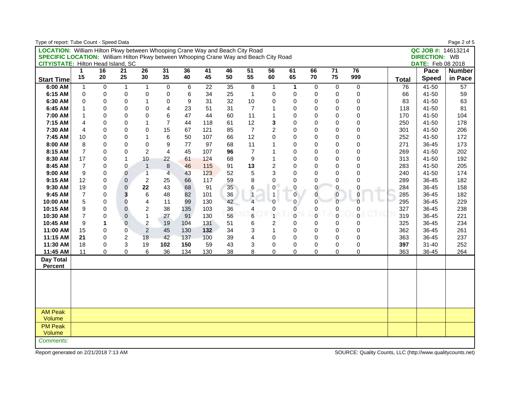| Type of report: Tube Count - Speed Data                                                      |                  |             |                |                 |                         |                  |                 |                 |                |                |                     |             |                 |                |              |                          | Page 2 of 5   |
|----------------------------------------------------------------------------------------------|------------------|-------------|----------------|-----------------|-------------------------|------------------|-----------------|-----------------|----------------|----------------|---------------------|-------------|-----------------|----------------|--------------|--------------------------|---------------|
| <b>LOCATION:</b> William Hilton Pkwy between Whooping Crane Way and Beach City Road          |                  |             |                |                 |                         |                  |                 |                 |                |                |                     |             |                 |                |              | QC JOB #: 14613214       |               |
| <b>SPECIFIC LOCATION:</b> William Hilton Pkwy between Whooping Crane Way and Beach City Road |                  |             |                |                 |                         |                  |                 |                 |                |                |                     |             |                 |                |              | <b>DIRECTION: WB</b>     |               |
| <b>CITY/STATE: Hilton Head Island, SC</b>                                                    |                  |             |                |                 |                         |                  |                 |                 |                |                |                     |             |                 |                |              | <b>DATE:</b> Feb 08 2018 |               |
|                                                                                              | $\mathbf 1$      | 16          | 21             | $\overline{26}$ | 31                      | 36               | 41              | 46              | 51             | 56             | 61                  | 66          | $\overline{71}$ | 76             |              | Pace                     | <b>Number</b> |
| <b>Start Time</b>                                                                            | 15               | 20          | 25             | 30              | 35                      | 40               | 45              | 50              | 55             | 60             | 65                  | 70          | 75              | 999            | <b>Total</b> | <b>Speed</b>             | in Pace       |
| 6:00 AM                                                                                      | $\mathbf{1}$     | 0           | $\mathbf{1}$   | $\mathbf{1}$    | $\pmb{0}$               | $\,6\,$          | $\overline{22}$ | $\overline{35}$ | 8              | $\mathbf{1}$   | 1                   | 0           | $\mathbf 0$     | $\mathbf 0$    | 76           | $41 - 50$                | 57            |
| 6:15 AM                                                                                      | 0                | $\mathbf 0$ | $\Omega$       | $\overline{0}$  | $\pmb{0}$               | $\,6\,$          | 34              | 25              | $\mathbf{1}$   | $\pmb{0}$      | $\mathbf 0$         | $\mathbf 0$ | $\Omega$        | $\Omega$       | 66           | 41-50                    | 59            |
| 6:30 AM                                                                                      | $\mathbf 0$      | $\mathbf 0$ | 0              | 1               | 0                       | $\boldsymbol{9}$ | 31              | 32              | 10             | 0              | $\mathbf 0$         | $\mathbf 0$ | $\Omega$        | $\mathbf 0$    | 83           | 41-50                    | 63            |
| 6:45 AM                                                                                      | $\mathbf{1}$     | $\mathbf 0$ | 0              | $\Omega$        | $\overline{\mathbf{4}}$ | 23               | 51              | 31              | $\overline{7}$ | $\mathbf{1}$   | $\mathbf 0$         | $\mathbf 0$ | $\Omega$        | 0              | 118          | 41-50                    | 81            |
| 7:00 AM                                                                                      | 1                | $\mathbf 0$ | 0              | $\Omega$        | 6                       | 47               | 44              | 60              | 11             | $\mathbf{1}$   | $\mathbf 0$         | $\mathbf 0$ | $\Omega$        | 0              | 170          | 41-50                    | 104           |
| 7:15 AM                                                                                      | 4                | $\mathbf 0$ | 0              | 1               | $\overline{7}$          | 44               | 118             | 61              | 12             | 3              | $\mathbf 0$         | $\mathbf 0$ | $\Omega$        | 0              | 250          | 41-50                    | 178           |
| 7:30 AM                                                                                      | 4                | $\mathbf 0$ | 0              | 0               | 15                      | 67               | 121             | 85              | $\overline{7}$ | $\overline{c}$ | $\mathbf 0$         | 0           | 0               | 0              | 301          | 41-50                    | 206           |
| 7:45 AM                                                                                      | 10               | $\mathbf 0$ | 0              | 1               | $\,6$                   | 50               | 107             | 66              | 12             | 0              | $\mathbf 0$         | $\mathbf 0$ | $\mathbf 0$     | 0              | 252          | 41-50                    | 172           |
| 8:00 AM                                                                                      | 8                | $\mathbf 0$ | 0              | 0               | 9                       | 77               | 97              | 68              | 11             | 1              | $\mathbf 0$         | $\mathbf 0$ | $\Omega$        | 0              | 271          | 36-45                    | 173           |
| 8:15 AM                                                                                      | $\overline{7}$   | $\Omega$    | $\mathbf{0}$   | $\overline{2}$  | $\overline{4}$          | 45               | 107             | 96              | $\overline{7}$ | 1              | $\mathbf 0$         | $\mathbf 0$ | $\Omega$        | $\mathbf{0}$   | 269          | 41-50                    | 202           |
| 8:30 AM                                                                                      | 17               | $\mathbf 0$ | 1              | 10              | 22                      | 61               | 124             | 68              | 9              | $\mathbf{1}$   | 0                   | $\mathbf 0$ | $\Omega$        | 0              | 313          | 41-50                    | 192           |
| 8:45 AM                                                                                      | $\overline{7}$   | 0           | 0              | $\mathbf{1}$    | 8                       | 46               | 115             | 91              | 13             | $\overline{c}$ | $\mathbf 0$         | 0           | 0               | 0              | 283          | 41-50                    | 205           |
| 9:00 AM                                                                                      | $\boldsymbol{9}$ | 0           | 0              | 1               | $\overline{4}$          | 43               | 123             | 52              | 5              | 3              | $\mathbf 0$         | $\mathbf 0$ | $\Omega$        | 0              | 240          | 41-50                    | 174           |
| 9:15 AM                                                                                      | 12               | $\mathbf 0$ | $\mathsf 0$    | $\overline{c}$  | 25                      | 66               | 117             | 59              | 8              | 0              | $\mathbf 0$         | $\mathbf 0$ | $\Omega$        | 0              | 289          | 36-45                    | 182           |
| 9:30 AM                                                                                      | 19               | $\mathbf 0$ | 0              | 22              | 43                      | 68               | 91              | 35              | 6              | 0              | $\mathsf{O}\xspace$ | $\pmb{0}$   | 0               | 0              | 284          | 36-45                    | 158           |
| 9:45 AM                                                                                      | $\overline{7}$   | $\,0\,$     | 3              | 6               | 48                      | 82               | 101             | 36              | $\overline{1}$ | $\mathbf{1}$   | $\mathsf 0$         | 0           | $\mathbf{0}$    | $\overline{0}$ | 285          | 36-45                    | 182           |
| 10:00 AM                                                                                     | 5                | $\mathbf 0$ | 0              | 4               | 11                      | 99               | 130             | 42              | $\overline{4}$ | $\Omega$       | $\mathbf 0$         | $\mathbf 0$ | $\Omega$        | $\Omega$       | 295          | 36-45                    | 229           |
| 10:15 AM                                                                                     | 9                | $\mathbf 0$ | 0              | $\overline{c}$  | 38                      | 135              | 103             | 36              | 4              | 0              | 0                   | $\mathbf 0$ | 0               | 0              | 327          | 36-45                    | 238           |
| 10:30 AM                                                                                     | $\overline{7}$   | $\mathbf 0$ | $\overline{0}$ | $\mathbf{1}$    | 27                      | 91               | 130             | 56              | 6              | $\overline{1}$ | $\mathbf 0$         | $\mathbf 0$ | $\Omega$        | $\Omega$       | 319          | 36-45                    | 221           |
| 10:45 AM                                                                                     | 9                | 1           | $\overline{0}$ | $\overline{c}$  | 19                      | 104              | 131             | 51              | 6              | 2              | 0                   | 0           | $\Omega$        | 0              | 325          | 36-45                    | 234           |
| 11:00 AM                                                                                     | 15               | $\mathbf 0$ | 0              | $\overline{c}$  | 45                      | 130              | 132             | 34              | 3              | 1              | $\mathbf 0$         | $\mathbf 0$ | $\Omega$        | 0              | 362          | 36-45                    | 261           |
| 11:15 AM                                                                                     | 21               | $\mathbf 0$ | $\overline{c}$ | 18              | 42                      | 137              | 100             | 39              | $\overline{4}$ | 0              | $\Omega$            | $\mathbf 0$ | $\Omega$        | $\mathbf 0$    | 363          | 36-45                    | 237           |
| 11:30 AM                                                                                     | 18               | $\mathbf 0$ | 3              | 19              | 102                     | 150              | 59              | 43              | 3              | 0              | $\mathbf 0$         | $\mathbf 0$ | $\Omega$        | 0              | 397          | $31 - 40$                | 252           |
| 11:45 AM                                                                                     | 11               | 0           | 0              | 6               | 36                      | 134              | 130             | 38              | 8              | 0              | 0                   | $\mathbf 0$ | $\Omega$        | 0              | 363          | 36-45                    | 264           |
| <b>Day Total</b>                                                                             |                  |             |                |                 |                         |                  |                 |                 |                |                |                     |             |                 |                |              |                          |               |
| <b>Percent</b>                                                                               |                  |             |                |                 |                         |                  |                 |                 |                |                |                     |             |                 |                |              |                          |               |
|                                                                                              |                  |             |                |                 |                         |                  |                 |                 |                |                |                     |             |                 |                |              |                          |               |
|                                                                                              |                  |             |                |                 |                         |                  |                 |                 |                |                |                     |             |                 |                |              |                          |               |
|                                                                                              |                  |             |                |                 |                         |                  |                 |                 |                |                |                     |             |                 |                |              |                          |               |
|                                                                                              |                  |             |                |                 |                         |                  |                 |                 |                |                |                     |             |                 |                |              |                          |               |
|                                                                                              |                  |             |                |                 |                         |                  |                 |                 |                |                |                     |             |                 |                |              |                          |               |
| <b>AM Peak</b>                                                                               |                  |             |                |                 |                         |                  |                 |                 |                |                |                     |             |                 |                |              |                          |               |
| Volume                                                                                       |                  |             |                |                 |                         |                  |                 |                 |                |                |                     |             |                 |                |              |                          |               |
| <b>PM Peak</b>                                                                               |                  |             |                |                 |                         |                  |                 |                 |                |                |                     |             |                 |                |              |                          |               |
| Volume                                                                                       |                  |             |                |                 |                         |                  |                 |                 |                |                |                     |             |                 |                |              |                          |               |
| Comments:                                                                                    |                  |             |                |                 |                         |                  |                 |                 |                |                |                     |             |                 |                |              |                          |               |
|                                                                                              |                  |             |                |                 |                         |                  |                 |                 |                |                |                     |             |                 |                |              |                          |               |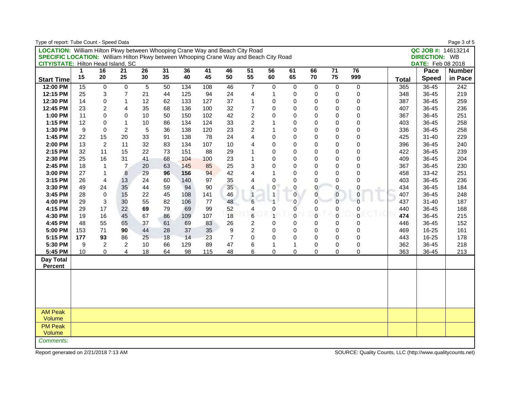| Type of report: Tube Count - Speed Data                                                      |                  |                |                |                 |    |     |     |                |                         |                |                     |                |                 |             |              |                          | Page 3 of 5   |
|----------------------------------------------------------------------------------------------|------------------|----------------|----------------|-----------------|----|-----|-----|----------------|-------------------------|----------------|---------------------|----------------|-----------------|-------------|--------------|--------------------------|---------------|
| <b>LOCATION:</b> William Hilton Pkwy between Whooping Crane Way and Beach City Road          |                  |                |                |                 |    |     |     |                |                         |                |                     |                |                 |             |              | QC JOB #: 14613214       |               |
| <b>SPECIFIC LOCATION:</b> William Hilton Pkwy between Whooping Crane Way and Beach City Road |                  |                |                |                 |    |     |     |                |                         |                |                     |                |                 |             |              | <b>DIRECTION: WB</b>     |               |
| <b>CITY/STATE: Hilton Head Island, SC</b>                                                    |                  |                |                |                 |    |     |     |                |                         |                |                     |                |                 |             |              | <b>DATE:</b> Feb 08 2018 |               |
|                                                                                              | $\mathbf 1$      | 16             | 21             | $\overline{26}$ | 31 | 36  | 41  | 46             | 51                      | 56             | 61                  | 66             | $\overline{71}$ | 76          |              | Pace                     | <b>Number</b> |
| <b>Start Time</b>                                                                            | 15               | 20             | 25             | 30              | 35 | 40  | 45  | 50             | 55                      | 60             | 65                  | 70             | 75              | 999         | <b>Total</b> | <b>Speed</b>             | in Pace       |
| 12:00 PM                                                                                     | $\overline{15}$  | $\pmb{0}$      | $\mathbf 0$    | 5               | 50 | 134 | 108 | 46             | $\overline{7}$          | $\mathbf 0$    | $\mathbf 0$         | $\mathbf 0$    | $\mathbf 0$     | $\mathbf 0$ | 365          | 36-45                    | 242           |
| 12:15 PM                                                                                     | 25               | 3              | $\overline{7}$ | 21              | 44 | 125 | 94  | 24             | $\overline{4}$          | 1              | 0                   | 0              | $\mathbf 0$     | $\mathbf 0$ | 348          | 36-45                    | 219           |
| 12:30 PM                                                                                     | 14               | 0              | 1              | 12              | 62 | 133 | 127 | 37             | 1                       | 0              | $\mathbf 0$         | 0              | $\mathbf 0$     | $\mathbf 0$ | 387          | 36-45                    | 259           |
| 12:45 PM                                                                                     | 23               | $\overline{c}$ | 4              | 35              | 68 | 136 | 100 | 32             | $\overline{7}$          | 0              | $\mathbf 0$         | 0              | $\mathbf 0$     | 0           | 407          | 36-45                    | 236           |
| 1:00 PM                                                                                      | 11               | 0              | 0              | 10              | 50 | 150 | 102 | 42             | $\overline{c}$          | 0              | 0                   | 0              | $\Omega$        | 0           | 367          | 36-45                    | 251           |
| 1:15 PM                                                                                      | 12               | 0              |                | 10              | 86 | 134 | 124 | 33             | $\overline{\mathbf{c}}$ | 1              | $\mathbf 0$         | 0              | $\Omega$        | 0           | 403          | 36-45                    | 258           |
| 1:30 PM                                                                                      | $\boldsymbol{9}$ | $\mathbf 0$    | $\overline{c}$ | 5               | 36 | 138 | 120 | 23             | $\overline{c}$          | $\mathbf{1}$   | $\mathbf 0$         | $\mathbf 0$    | $\mathbf 0$     | 0           | 336          | 36-45                    | 258           |
| 1:45 PM                                                                                      | 22               | 15             | 20             | 33              | 91 | 138 | 78  | 24             | 4                       | 0              | $\mathbf 0$         | $\mathbf 0$    | 0               | 0           | 425          | $31 - 40$                | 229           |
| 2:00 PM                                                                                      | 13               | 2              | 11             | 32              | 83 | 134 | 107 | 10             | 4                       | $\Omega$       | $\mathbf 0$         | 0              | $\Omega$        | $\Omega$    | 396          | 36-45                    | 240           |
| 2:15 PM                                                                                      | 32               | 11             | 15             | 22              | 73 | 151 | 88  | 29             | 1                       | $\Omega$       | $\mathbf 0$         | $\mathbf{0}$   | $\Omega$        | $\Omega$    | 422          | 36-45                    | 239           |
| 2:30 PM                                                                                      | 25               | 16             | 31             | 41              | 68 | 104 | 100 | 23             | 1                       | $\mathbf 0$    | $\mathbf 0$         | 0              | $\Omega$        | 0           | 409          | 36-45                    | 204           |
| 2:45 PM                                                                                      | 18               | 1              | $\overline{7}$ | 20              | 63 | 145 | 85  | 25             | 3                       | $\Omega$       | $\mathbf 0$         | 0              | $\Omega$        | 0           | 367          | 36-45                    | 230           |
| 3:00 PM                                                                                      | 27               | 1              | 8              | 29              | 96 | 156 | 94  | 42             | $\overline{A}$          |                | $\mathbf 0$         | 0              | $\Omega$        | $\Omega$    | 458          | 33-42                    | 251           |
| 3:15 PM                                                                                      | 26               | 4              | 13             | 24              | 60 | 140 | 97  | 35             | 4                       | 0              | $\mathbf 0$         | 0              | $\Omega$        | $\Omega$    | 403          | 36-45                    | 236           |
| 3:30 PM                                                                                      | 49               | 24             | 35             | 44              | 59 | 94  | 90  | 35             | 4                       | 0              | $\mathbf 0$         | 0              | 0               | 0           | 434          | 36-45                    | 184           |
| 3:45 PM                                                                                      | 28               | $\mathbf 0$    | 15             | 22              | 45 | 108 | 141 | 46             | $\overline{1}$          | $\mathbf{1}$   | $\mathbf 0$         | 0              | $\mathbf 0$     | 0           | 407          | 36-45                    | 248           |
| 4:00 PM                                                                                      | 29               | 3              | 30             | 55              | 82 | 106 | 77  | 48             | 6                       | $\overline{ }$ | $\mathbf 0$         | $\mathbf 0$    | $\overline{0}$  | $\Omega$    | 437          | $31 - 40$                | 187           |
| 4:15 PM                                                                                      | 29               | 17             | 22             | 69              | 79 | 69  | 99  | 52             | 4                       | 0              | $\mathsf{O}\xspace$ | 0              | 0               | 0           | 440          | 36-45                    | 168           |
| 4:30 PM                                                                                      | 19               | 16             | 45             | 67              | 86 | 109 | 107 | 18             | 6                       | $\overline{1}$ | $\mathbf 0$         | $\mathbf 0$    | $\mathbf 0$     | $\Omega$    | 474          | 36-45                    | 215           |
| 4:45 PM                                                                                      | 48               | 55             | 65             | 37              | 61 | 69  | 83  | 26             | 2                       | 0              | $\mathbf 0$         | 0              | $\mathbf 0$     | 0           | 446          | 36-45                    | 152           |
| 5:00 PM                                                                                      | 153              | 71             | 90             | 44              | 28 | 37  | 35  | 9              | $\overline{c}$          | $\Omega$       | $\mathbf 0$         | $\overline{0}$ | $\Omega$        | $\Omega$    | 469          | 16-25                    | 161           |
| 5:15 PM                                                                                      | 177              | 93             | 86             | 25              | 18 | 14  | 23  | $\overline{7}$ | $\Omega$                | $\mathbf 0$    | $\mathbf 0$         | 0              | $\Omega$        | $\mathbf 0$ | 443          | 16-25                    | 178           |
| 5:30 PM                                                                                      | 9                | $\overline{2}$ | $\overline{2}$ | 10              | 66 | 129 | 89  | 47             | 6                       | $\mathbf{1}$   | 1                   | 0              | $\Omega$        | 0           | 362          | 36-45                    | 218           |
| 5:45 PM                                                                                      | 10               | 0              | 4              | 18              | 64 | 98  | 115 | 48             | 6                       | $\Omega$       | 0                   | 0              | $\Omega$        | 0           | 363          | $36 - 45$                | 213           |
| Day Total                                                                                    |                  |                |                |                 |    |     |     |                |                         |                |                     |                |                 |             |              |                          |               |
| <b>Percent</b>                                                                               |                  |                |                |                 |    |     |     |                |                         |                |                     |                |                 |             |              |                          |               |
|                                                                                              |                  |                |                |                 |    |     |     |                |                         |                |                     |                |                 |             |              |                          |               |
|                                                                                              |                  |                |                |                 |    |     |     |                |                         |                |                     |                |                 |             |              |                          |               |
|                                                                                              |                  |                |                |                 |    |     |     |                |                         |                |                     |                |                 |             |              |                          |               |
|                                                                                              |                  |                |                |                 |    |     |     |                |                         |                |                     |                |                 |             |              |                          |               |
|                                                                                              |                  |                |                |                 |    |     |     |                |                         |                |                     |                |                 |             |              |                          |               |
| <b>AM Peak</b>                                                                               |                  |                |                |                 |    |     |     |                |                         |                |                     |                |                 |             |              |                          |               |
| Volume                                                                                       |                  |                |                |                 |    |     |     |                |                         |                |                     |                |                 |             |              |                          |               |
| <b>PM Peak</b>                                                                               |                  |                |                |                 |    |     |     |                |                         |                |                     |                |                 |             |              |                          |               |
| Volume                                                                                       |                  |                |                |                 |    |     |     |                |                         |                |                     |                |                 |             |              |                          |               |
| Comments:                                                                                    |                  |                |                |                 |    |     |     |                |                         |                |                     |                |                 |             |              |                          |               |
|                                                                                              |                  |                |                |                 |    |     |     |                |                         |                |                     |                |                 |             |              |                          |               |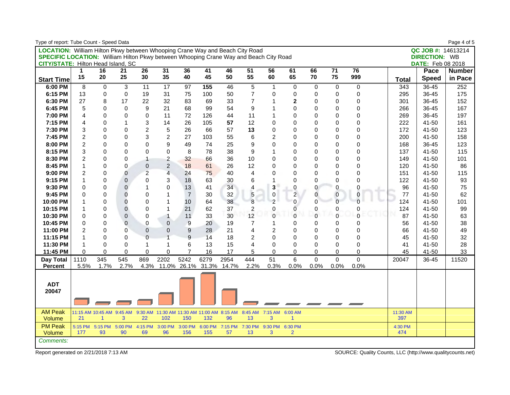| Type of report: Tube Count - Speed Data                                                      |                |                           |                |                |                |                |                                    |                 |                |                         |                |             |                 |                |              |                          | Page 4 of 5   |
|----------------------------------------------------------------------------------------------|----------------|---------------------------|----------------|----------------|----------------|----------------|------------------------------------|-----------------|----------------|-------------------------|----------------|-------------|-----------------|----------------|--------------|--------------------------|---------------|
| <b>LOCATION:</b> William Hilton Pkwy between Whooping Crane Way and Beach City Road          |                |                           |                |                |                |                |                                    |                 |                |                         |                |             |                 |                |              | QC JOB #: 14613214       |               |
| <b>SPECIFIC LOCATION:</b> William Hilton Pkwy between Whooping Crane Way and Beach City Road |                |                           |                |                |                |                |                                    |                 |                |                         |                |             |                 |                |              | <b>DIRECTION: WB</b>     |               |
| <b>CITY/STATE: Hilton Head Island, SC</b>                                                    |                |                           |                |                |                |                |                                    |                 |                |                         |                |             |                 |                |              | <b>DATE:</b> Feb 08 2018 |               |
|                                                                                              | 1.             | 16                        | 21             | 26             | 31             | 36             | 41                                 | 46              | 51             | 56                      | 61             | 66          | $\overline{71}$ | 76             |              | Pace                     | <b>Number</b> |
| <b>Start Time</b>                                                                            | 15             | 20                        | 25             | 30             | 35             | 40             | 45                                 | 50              | 55             | 60                      | 65             | 70          | 75              | 999            | <b>Total</b> | <b>Speed</b>             | in Pace       |
| 6:00 PM                                                                                      | 8              | $\mathbf 0$               | 3              | 11             | 17             | 97             | 155                                | 46              | 5              | $\mathbf{1}$            | 0              | 0           | $\mathbf 0$     | 0              | 343          | 36-45                    | 252           |
| 6:15 PM                                                                                      | 13             | $\mathbf 0$               | $\mathbf 0$    | 19             | 31             | 75             | 100                                | 50              | $\overline{7}$ | $\mathbf 0$             | 0              | $\mathbf 0$ | $\Omega$        | $\Omega$       | 295          | 36-45                    | 175           |
| 6:30 PM                                                                                      | 27             | 8                         | 17             | 22             | 32             | 83             | 69                                 | 33              | $\overline{7}$ | 1                       | $\mathbf{2}$   | $\mathbf 0$ | $\Omega$        | $\mathbf 0$    | 301          | 36-45                    | 152           |
| 6:45 PM                                                                                      | 5              | $\mathbf 0$               | $\Omega$       | 9              | 21             | 68             | 99                                 | 54              | 9              | 1                       | 0              | $\mathbf 0$ | $\Omega$        | 0              | 266          | 36-45                    | 167           |
| 7:00 PM                                                                                      | 4              | $\mathbf 0$               | $\Omega$       | 0              | 11             | 72             | 126                                | 44              | 11             | 1                       | $\mathbf 0$    | $\mathbf 0$ | $\Omega$        | $\Omega$       | 269          | 36-45                    | 197           |
| 7:15 PM                                                                                      | 4              | $\Omega$                  | 1              | 3              | 14             | 26             | 105                                | 57              | 12             | 0                       | $\Omega$       | $\Omega$    | $\Omega$        | $\Omega$       | 222          | 41-50                    | 161           |
| 7:30 PM                                                                                      | 3              | $\mathbf 0$               | $\Omega$       | $\overline{2}$ | 5              | 26             | 66                                 | 57              | 13             | 0                       | $\Omega$       | $\mathbf 0$ | $\Omega$        | 0              | 172          | 41-50                    | 123           |
| 7:45 PM                                                                                      | $\overline{c}$ | $\mathbf 0$               | $\Omega$       | 3              | $\overline{c}$ | 27             | 103                                | 55              | 6              | $\overline{c}$          | $\mathbf 0$    | $\mathbf 0$ | $\Omega$        | $\Omega$       | 200          | 41-50                    | 158           |
| 8:00 PM                                                                                      | $\overline{2}$ | $\mathbf 0$               | $\Omega$       | $\Omega$       | 9              | 49             | 74                                 | 25              | 9              | 0                       | $\mathbf 0$    | $\Omega$    | $\Omega$        | $\Omega$       | 168          | 36-45                    | 123           |
| 8:15 PM                                                                                      | 3              | $\Omega$                  | $\Omega$       | $\Omega$       | $\mathbf 0$    | 8              | 78                                 | 38              | 9              | 1                       | $\mathbf 0$    | $\Omega$    | $\Omega$        | $\Omega$       | 137          | 41-50                    | 115           |
| 8:30 PM                                                                                      | $\overline{2}$ | $\mathbf 0$               | 0              | $\mathbf{1}$   | $\overline{c}$ | 32             | 66                                 | 36              | 10             | 0                       | 0              | $\mathbf 0$ | $\Omega$        | 0              | 149          | 41-50                    | 101           |
| 8:45 PM                                                                                      | $\mathbf{1}$   | $\mathbf 0$               | 0              | 0              | $\overline{2}$ | 18             | 61                                 | 26              | 12             | 0                       | $\mathbf 0$    | $\mathbf 0$ | $\Omega$        | $\Omega$       | 120          | 41-50                    | 86            |
| 9:00 PM                                                                                      | $\overline{2}$ | $\mathbf 0$               | 0              | $\overline{2}$ | $\overline{4}$ | 24             | 75                                 | 40              | $\overline{4}$ | 0                       | $\overline{0}$ | $\Omega$    | $\Omega$        | $\Omega$       | 151          | 41-50                    | 115           |
| 9:15 PM                                                                                      | 1              | $\mathbf 0$               | 0              | 0              | 3              | 18             | 63                                 | 30              | 6              | 1                       | 0              | $\mathbf 0$ | $\Omega$        | $\Omega$       | 122          | 41-50                    | 93            |
| 9:30 PM                                                                                      | $\mathbf 0$    | 0                         | $\mathbf 0$    | 1              | $\mathbf 0$    | 13             | 41                                 | 34              | 4              | 3                       | $\mathbf 0$    | 0           | 0               | $\Omega$       | 96           | 41-50                    | 75            |
| 9:45 PM                                                                                      | $\Omega$       | $\mathbf 0$               | $\overline{0}$ | $\Omega$       | 1              | $\overline{7}$ | 30                                 | 32              | $\sqrt{5}$     | $\mathbf 0$             | $\overline{c}$ | 0           | $\mathbf{0}$    | $\overline{0}$ | 77           | 41-50                    | 62            |
| 10:00 PM                                                                                     | 1              | $\Omega$                  | $\overline{0}$ | $\Omega$       | $\overline{1}$ | 10             | 64                                 | 38              | 8              | $\overline{2}$          | $\Omega$       | $\Omega$    | $\Omega$        | $\Omega$       | 124          | 41-50                    | 101           |
| 10:15 PM                                                                                     | 1              | $\mathbf 0$               | $\mathbf 0$    | 0              | $\mathbf{1}$   | 21             | 62                                 | 37              | $\overline{c}$ | 0                       | 0              | 0           | 0               | 0              | 124          | 41-50                    | 99            |
| 10:30 PM                                                                                     | $\mathbf 0$    | $\mathbf 0$               | $\mathbf 0$    | $\Omega$       | $\mathbf{1}$   | 11             | 33                                 | 30              | 12             | $\Omega$                | $\Omega$       | $\Omega$    | $\Omega$        | $\Omega$       | 87           | 41-50                    | 63            |
| 10:45 PM                                                                                     | $\mathbf 0$    | $\Omega$                  | $\mathbf 0$    | 0              | $\mathbf 0$    | 9              | 20                                 | 19              | $\overline{7}$ | 1                       | 0              | $\Omega$    | $\Omega$        | $\Omega$       | 56           | 41-50                    | 38            |
| 11:00 PM                                                                                     | $\overline{2}$ | $\Omega$                  | $\overline{0}$ | 0              | $\Omega$       | 9              | 28                                 | 21              | 4              | $\overline{c}$          | $\mathbf 0$    | $\Omega$    | $\Omega$        | $\Omega$       | 66           | 41-50                    | 49            |
| 11:15 PM                                                                                     | $\mathbf{1}$   | $\Omega$                  | $\overline{0}$ | $\Omega$       | $\overline{1}$ | 9              | 14                                 | 18              | $\overline{2}$ | 0                       | $\mathbf{0}$   | $\mathbf 0$ | $\Omega$        | $\Omega$       | 45           | 41-50                    | 32            |
| 11:30 PM                                                                                     | $\mathbf{1}$   | $\Omega$                  | $\Omega$       | 1              | $\mathbf{1}$   | 6              | 13                                 | 15              | 4              | 0                       | $\mathbf{0}$   | $\Omega$    | $\Omega$        | $\Omega$       | 41           | 41-50                    | 28            |
| 11:45 PM                                                                                     | $\Omega$       | $\Omega$                  | $\Omega$       | 0              | $\Omega$       | $\overline{7}$ | 16                                 | 17              | 5              | $\Omega$                | 0              | $\Omega$    | $\Omega$        | $\Omega$       | 45           | 41-50                    | 33            |
| Day Total                                                                                    | 1110           | 345                       | 545            | 869            | 2202           | 5242           | 6279                               | 2954            | 444            | 51                      | 6              | $\mathbf 0$ | $\mathbf 0$     | $\mathbf 0$    | 20047        | 36-45                    | 11520         |
| <b>Percent</b>                                                                               | 5.5%           | 1.7%                      | 2.7%           |                |                |                | 4.3% 11.0% 26.1% 31.3%             | 14.7%           | 2.2%           | 0.3%                    | 0.0%           | 0.0%        | 0.0%            | 0.0%           |              |                          |               |
| <b>ADT</b><br>20047                                                                          |                |                           |                |                |                |                |                                    |                 |                |                         |                |             |                 |                |              |                          |               |
| <b>AM Peak</b>                                                                               |                | 11:15 AM 10:45 AM 9:45 AM |                | 9:30 AM        |                |                | 11:30 AM 11:30 AM 11:00 AM 8:15 AM |                 | 8:45 AM        | 7:15 AM                 | 6:00 AM        |             |                 |                | 11:30 AM     |                          |               |
| <b>Volume</b>                                                                                | 21             | 1                         | 3              | 22             | 102            | 150            | 132                                | 96              | 13             | 3                       | $\overline{1}$ |             |                 |                | 397          |                          |               |
| <b>PM Peak</b>                                                                               |                | 5:15 PM 5:15 PM 5:00 PM   |                | 4:15 PM        | 3:00 PM        | 3:00 PM        |                                    | 6:00 PM 7:15 PM |                | 7:30 PM 9:30 PM 6:30 PM |                |             |                 |                | 4:30 PM      |                          |               |
| Volume                                                                                       | 177            | 93                        | 90             | 69             | 96             | 156            | 155                                | 57              | 13             | 3                       | $\overline{2}$ |             |                 |                | 474          |                          |               |
| Comments:                                                                                    |                |                           |                |                |                |                |                                    |                 |                |                         |                |             |                 |                |              |                          |               |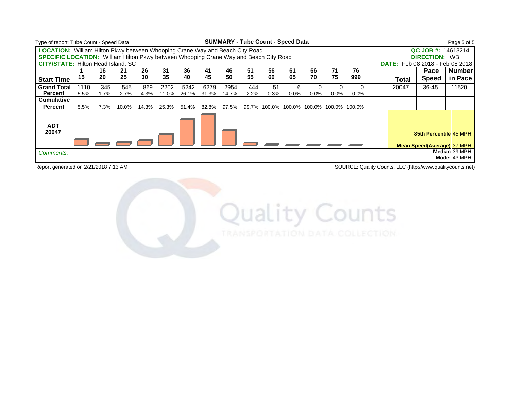| Type of report: Tube Count - Speed Data                                                      |      |        |       |       |       |       |       |       |       |      | <b>SUMMARY - Tube Count - Speed Data</b> |      |                                    |         |       |                                                       | Page 5 of 5                            |
|----------------------------------------------------------------------------------------------|------|--------|-------|-------|-------|-------|-------|-------|-------|------|------------------------------------------|------|------------------------------------|---------|-------|-------------------------------------------------------|----------------------------------------|
| <b>LOCATION:</b> William Hilton Pkwy between Whooping Crane Way and Beach City Road          |      |        |       |       |       |       |       |       |       |      |                                          |      |                                    |         |       | QC JOB #: 14613214                                    |                                        |
| <b>SPECIFIC LOCATION:</b> William Hilton Pkwy between Whooping Crane Way and Beach City Road |      |        |       |       |       |       |       |       |       |      |                                          |      |                                    |         |       | <b>DIRECTION: WB</b>                                  |                                        |
| <b>CITY/STATE: Hilton Head Island, SC</b>                                                    |      |        |       |       |       |       |       |       |       |      |                                          |      |                                    |         |       |                                                       | <b>DATE:</b> Feb 08 2018 - Feb 08 2018 |
|                                                                                              |      | 16     | 21    | 26    | 31    | 36    | 41    | 46    | 51    | 56   | 61                                       | 66   | 71                                 | 76      |       | Pace                                                  | <b>Number</b>                          |
| <b>Start Time</b>                                                                            | 15   | 20     | 25    | 30    | 35    | 40    | 45    | 50    | 55    | 60   | 65                                       | 70   | 75                                 | 999     | Total | <b>Speed</b>                                          | in Pace                                |
| <b>Grand Total</b>                                                                           | 1110 | 345    | 545   | 869   | 2202  | 5242  | 6279  | 2954  | 444   | 51   | 6                                        | 0    |                                    |         | 20047 | 36-45                                                 | 11520                                  |
| <b>Percent</b>                                                                               | 5.5% | $.7\%$ | 2.7%  | 4.3%  | 11.0% | 26.1% | 31.3% | 14.7% | 2.2%  | 0.3% | $0.0\%$                                  | 0.0% | $0.0\%$                            | $0.0\%$ |       |                                                       |                                        |
| <b>Cumulative</b>                                                                            |      |        |       |       |       |       |       |       |       |      |                                          |      |                                    |         |       |                                                       |                                        |
| <b>Percent</b>                                                                               | 5.5% | 7.3%   | 10.0% | 14.3% | 25.3% | 51.4% | 82.8% | 97.5% | 99.7% |      |                                          |      | 100.0% 100.0% 100.0% 100.0% 100.0% |         |       |                                                       |                                        |
| <b>ADT</b><br>20047                                                                          |      |        |       |       |       |       |       |       |       |      |                                          |      |                                    |         |       | 85th Percentile 45 MPH<br>Mean Speed(Average): 37 MPH |                                        |
| Comments:                                                                                    |      |        |       |       |       |       |       |       |       |      |                                          |      |                                    |         |       |                                                       | Median 39 MPH<br>Mode: 43 MPH          |

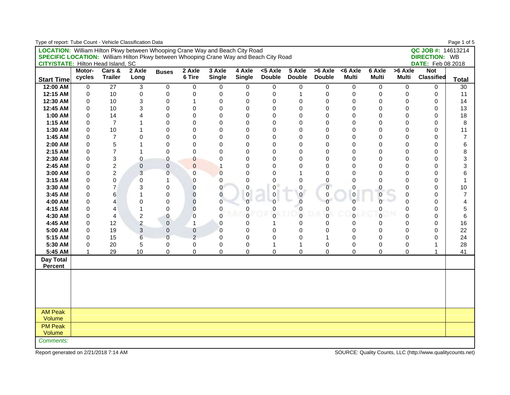| Type of report: Tube Count - Vehicle Classification Data                                     |              |                 |                         |                     |                |                |                     |                |                |                |                |                |              |                          | Page 1 of 5    |
|----------------------------------------------------------------------------------------------|--------------|-----------------|-------------------------|---------------------|----------------|----------------|---------------------|----------------|----------------|----------------|----------------|----------------|--------------|--------------------------|----------------|
| <b>LOCATION:</b> William Hilton Pkwy between Whooping Crane Way and Beach City Road          |              |                 |                         |                     |                |                |                     |                |                |                |                |                |              | QC JOB #: 14613214       |                |
| <b>SPECIFIC LOCATION:</b> William Hilton Pkwy between Whooping Crane Way and Beach City Road |              |                 |                         |                     |                |                |                     |                |                |                |                |                |              | <b>DIRECTION: WB</b>     |                |
| <b>CITY/STATE: Hilton Head Island, SC</b>                                                    |              |                 |                         |                     |                |                |                     |                |                |                |                |                |              | <b>DATE:</b> Feb 08 2018 |                |
|                                                                                              | Motor-       | Cars &          | 2 Axle                  | <b>Buses</b>        | 2 Axle         | 3 Axle         | 4 Axle              | $< 5$ Axle     | 5 Axle         | $>6$ Axle      | $< 6$ Axle     | 6 Axle         | >6 Axle      | <b>Not</b>               |                |
| <b>Start Time</b>                                                                            | cycles       | <b>Trailer</b>  | Long                    |                     | 6 Tire         | <b>Single</b>  | <b>Single</b>       | <b>Double</b>  | <b>Double</b>  | <b>Double</b>  | <b>Multi</b>   | <b>Multi</b>   | <b>Multi</b> | <b>Classified</b>        | <b>Total</b>   |
| 12:00 AM                                                                                     | 0            | $\overline{27}$ | 3                       | 0                   | 0              | 0              | 0                   | 0              | 0              | 0              | 0              | 0              | $\mathbf 0$  | 0                        | 30             |
| 12:15 AM                                                                                     | $\pmb{0}$    | 10              | 0                       | $\mathsf 0$         | 0              | 0              | 0                   | $\mathsf 0$    | 1              | 0              | 0              | $\mathbf 0$    | $\mathbf 0$  | 0                        | 11             |
| 12:30 AM                                                                                     | 0            | 10              | 3                       | 0                   | 1              | 0              | 0                   | 0              | 0              | $\mathbf 0$    | $\mathbf 0$    | $\Omega$       | $\mathbf 0$  | 0                        | 14             |
| 12:45 AM                                                                                     | $\Omega$     | 10              | 3                       | 0                   | 0              | 0              | $\mathbf 0$         | 0              | 0              | 0              | $\mathbf 0$    | $\Omega$       | $\mathbf 0$  | 0                        | 13             |
| 1:00 AM                                                                                      | $\Omega$     | 14              | 4                       | 0                   | 0              | $\Omega$       | $\mathbf 0$         | $\Omega$       | $\mathbf 0$    | $\mathbf 0$    | $\Omega$       | $\Omega$       | $\Omega$     | 0                        | 18             |
| 1:15 AM                                                                                      | $\Omega$     | $\overline{7}$  | 1                       | 0                   | 0              | $\mathbf{0}$   | $\Omega$            | $\Omega$       | $\mathbf 0$    | $\Omega$       | $\Omega$       | $\Omega$       | $\Omega$     | 0                        | 8              |
| 1:30 AM                                                                                      | $\Omega$     | 10              | 1                       | 0                   | 0              | 0              | 0                   | 0              | 0              | $\Omega$       | $\mathbf 0$    | $\Omega$       | $\Omega$     | 0                        | 11             |
| 1:45 AM                                                                                      | 0            | $\overline{7}$  | 0                       | 0                   | 0              | 0              | $\mathbf 0$         | 0              | 0              | $\mathbf 0$    | $\mathbf 0$    | $\mathbf 0$    | $\mathbf 0$  | 0                        | 7              |
| 2:00 AM                                                                                      | 0            | 5               | 1                       | 0                   | 0              | $\mathbf 0$    | $\mathbf 0$         | $\mathbf 0$    | 0              | $\mathbf 0$    | $\mathbf 0$    | $\mathbf 0$    | $\mathbf 0$  | $\mathsf 0$              | 6              |
| 2:15 AM                                                                                      | $\Omega$     | $\overline{7}$  | 1                       | $\mathsf 0$         | 0              | $\overline{0}$ | $\Omega$            | $\Omega$       | $\Omega$       | $\mathbf 0$    | $\Omega$       | $\Omega$       | $\Omega$     | $\mathsf 0$              | 8              |
| 2:30 AM                                                                                      | $\Omega$     | 3               | 0                       | 0                   | $\overline{0}$ | $\mathbf{0}$   | $\Omega$            | $\Omega$       | $\mathbf 0$    | $\mathbf 0$    | $\Omega$       | $\Omega$       | $\Omega$     | 0                        | 3              |
| 2:45 AM                                                                                      | $\Omega$     | $\overline{c}$  | $\mathbf 0$             | $\pmb{0}$           | $\overline{0}$ | 1              | $\Omega$            | 0              | $\mathbf 0$    | $\mathbf 0$    | $\mathbf 0$    | $\mathbf 0$    | $\mathbf 0$  | 0                        | 3              |
| 3:00 AM                                                                                      | $\Omega$     | $\overline{c}$  | 3                       | 0                   | 0              | $\overline{0}$ | $\Omega$            | 0              |                | 0              | $\Omega$       | $\Omega$       | $\Omega$     | 0                        | 6              |
| 3:15 AM                                                                                      | $\Omega$     | $\mathbf 0$     | 0                       | 1                   | 0              | 0              | $\Omega$            | $\Omega$       | 0              | $\Omega$       | $\Omega$       | $\Omega$       | $\Omega$     | 0                        | 1              |
| 3:30 AM                                                                                      | 0            | $\overline{7}$  | 3                       | 0                   | 0              | 0              | 0                   | $\mathbf 0$    | $\mathbf 0$    | $\mathbf 0$    | 0              | $\bf{0}$       | 0            | 0                        | 10             |
| 3:45 AM                                                                                      | 0            | 6               | 1                       | 0                   | 0              | $\overline{0}$ | $\mathsf{O}\xspace$ | $\pmb{0}$      | 0              | $\pmb{0}$      | $\mathbf 0$    | $\pmb{0}$      | $\pmb{0}$    | 0                        | $\overline{7}$ |
| 4:00 AM                                                                                      | $\Omega$     | 4               | 0                       | 0                   | 0              | $\overline{0}$ | $\Omega$            | $\Omega$       | $\overline{0}$ | $\overline{0}$ | $\overline{0}$ | $\Omega$       | $\Omega$     | 0                        | 4              |
| 4:15 AM                                                                                      | $\Omega$     | 4               | 1                       | 0                   | $\overline{0}$ | 0              | $\Omega$            | 0              | 0              | 0              | $\mathbf 0$    | 0              | $\mathbf 0$  | 0                        | 5              |
| 4:30 AM                                                                                      | $\Omega$     | 4               | $\overline{\mathbf{c}}$ | $\pmb{0}$           | $\overline{0}$ | $\mathbf{0}$   | $\Omega$            | $\overline{0}$ | $\overline{0}$ | $\mathbf 0$    | $\overline{0}$ | $\overline{0}$ | $\Omega$     | 0                        | 6              |
| 4:45 AM                                                                                      | $\Omega$     | 12              | $\overline{c}$          | $\pmb{0}$           | 1              | 0              | 0                   |                | 0              | 0              | $\mathbf{0}$   | $\Omega$       | $\Omega$     | 0                        | 16             |
| 5:00 AM                                                                                      | $\Omega$     | 19              | 3                       | $\pmb{0}$           | 0              | 0              | $\Omega$            | $\Omega$       | $\mathbf 0$    | $\mathbf{0}$   | $\Omega$       | $\Omega$       | $\Omega$     | 0                        | 22             |
| 5:15 AM                                                                                      | $\Omega$     | 15              | 6                       | 0                   | $\overline{c}$ | 0              | $\mathbf 0$         | 0              | $\overline{0}$ | 1              | $\mathbf 0$    | $\mathbf 0$    | $\mathbf 0$  | 0                        | 24             |
| 5:30 AM                                                                                      | $\mathbf 0$  | 20              | 5                       | $\mathsf{O}\xspace$ | 0              | $\mathbf 0$    | $\mathbf 0$         | $\mathbf{1}$   | $\mathbf{1}$   | $\pmb{0}$      | $\mathbf 0$    | $\mathbf 0$    | $\mathbf 0$  | $\mathbf{1}$             | 28             |
| 5:45 AM                                                                                      | $\mathbf{1}$ | 29              | 10                      | 0                   | 0              | $\overline{0}$ | $\mathbf 0$         | $\mathbf 0$    | 0              | $\mathbf{0}$   | $\mathbf 0$    | $\mathbf 0$    | $\Omega$     | $\mathbf{1}$             | 41             |
| Day Total                                                                                    |              |                 |                         |                     |                |                |                     |                |                |                |                |                |              |                          |                |
| <b>Percent</b>                                                                               |              |                 |                         |                     |                |                |                     |                |                |                |                |                |              |                          |                |
|                                                                                              |              |                 |                         |                     |                |                |                     |                |                |                |                |                |              |                          |                |
|                                                                                              |              |                 |                         |                     |                |                |                     |                |                |                |                |                |              |                          |                |
|                                                                                              |              |                 |                         |                     |                |                |                     |                |                |                |                |                |              |                          |                |
|                                                                                              |              |                 |                         |                     |                |                |                     |                |                |                |                |                |              |                          |                |
|                                                                                              |              |                 |                         |                     |                |                |                     |                |                |                |                |                |              |                          |                |
| <b>AM Peak</b>                                                                               |              |                 |                         |                     |                |                |                     |                |                |                |                |                |              |                          |                |
| Volume                                                                                       |              |                 |                         |                     |                |                |                     |                |                |                |                |                |              |                          |                |
| <b>PM Peak</b>                                                                               |              |                 |                         |                     |                |                |                     |                |                |                |                |                |              |                          |                |
| Volume                                                                                       |              |                 |                         |                     |                |                |                     |                |                |                |                |                |              |                          |                |
| Comments:                                                                                    |              |                 |                         |                     |                |                |                     |                |                |                |                |                |              |                          |                |
|                                                                                              |              |                 |                         |                     |                |                |                     |                |                |                |                |                |              |                          |                |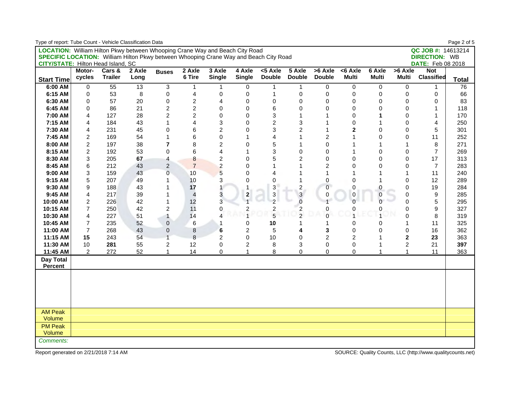| Type of report: Tube Count - Vehicle Classification Data                                     |                |                 |        |                           |                |                 |                |                |                |                |                     |                |                |                          | Page 2 of 5  |
|----------------------------------------------------------------------------------------------|----------------|-----------------|--------|---------------------------|----------------|-----------------|----------------|----------------|----------------|----------------|---------------------|----------------|----------------|--------------------------|--------------|
| <b>LOCATION:</b> William Hilton Pkwy between Whooping Crane Way and Beach City Road          |                |                 |        |                           |                |                 |                |                |                |                |                     |                |                | QC JOB #: 14613214       |              |
| <b>SPECIFIC LOCATION:</b> William Hilton Pkwy between Whooping Crane Way and Beach City Road |                |                 |        |                           |                |                 |                |                |                |                |                     |                |                | <b>DIRECTION: WB</b>     |              |
| <b>CITY/STATE: Hilton Head Island, SC</b>                                                    |                |                 |        |                           |                |                 |                |                |                |                |                     |                |                | <b>DATE:</b> Feb 08 2018 |              |
|                                                                                              | Motor-         | Cars &          | 2 Axle | <b>Buses</b>              | 2 Axle         | 3 Axle          | 4 Axle         | $<$ 5 Axle     | 5 Axle         | >6 Axle        | <6 Axle             | 6 Axle         | >6 Axle        | <b>Not</b>               |              |
| <b>Start Time</b>                                                                            | cycles         | <b>Trailer</b>  | Long   |                           | 6 Tire         | <b>Single</b>   | <b>Single</b>  | <b>Double</b>  | <b>Double</b>  | <b>Double</b>  | <b>Multi</b>        | <b>Multi</b>   | <b>Multi</b>   | <b>Classified</b>        | <b>Total</b> |
| 6:00 AM                                                                                      | 0              | $\overline{55}$ | 13     | $\ensuremath{\mathsf{3}}$ | 1              | 1               | 0              | 1              | 1              | 0              | 0                   | 0              | 0              | 1                        | 76           |
| 6:15 AM                                                                                      | 0              | 53              | 8      | $\pmb{0}$                 | 4              | 0               | 0              | $\mathbf{1}$   | $\pmb{0}$      | 0              | 0                   | 0              | 0              | 0                        | 66           |
| 6:30 AM                                                                                      | $\Omega$       | 57              | 20     | $\mathbf 0$               | $\overline{c}$ | 4               | 0              | 0              | $\Omega$       | $\Omega$       | $\Omega$            | $\Omega$       | $\Omega$       | 0                        | 83           |
| 6:45 AM                                                                                      | 0              | 86              | 21     | $\overline{c}$            | $\overline{2}$ | 0               | 0              | 6              | $\Omega$       | 0              | $\Omega$            | $\Omega$       | $\Omega$       | 1                        | 118          |
| 7:00 AM                                                                                      | $\overline{4}$ | 127             | 28     | $\overline{\mathbf{c}}$   | $\overline{2}$ | 0               | 0              | 3              | 1              |                | $\Omega$            | 1              | $\Omega$       | $\mathbf{1}$             | 170          |
| 7:15 AM                                                                                      | 4              | 184             | 43     | 1                         | 4              | 3               | 0              | $\overline{c}$ | 3              |                | $\Omega$            | 1              | $\Omega$       | 4                        | 250          |
| 7:30 AM                                                                                      | 4              | 231             | 45     | 0                         | 6              | $\overline{c}$  | 0              | 3              | $\overline{2}$ | 1              | $\overline{2}$      | $\Omega$       | $\overline{0}$ | 5                        | 301          |
| 7:45 AM                                                                                      | $\overline{2}$ | 169             | 54     | 1                         | 6              | 0               | $\mathbf{1}$   | 4              | 1              | $\overline{c}$ | 1                   | $\mathbf 0$    | 0              | 11                       | 252          |
| 8:00 AM                                                                                      | 2              | 197             | 38     | $\overline{7}$            | 8              | $\overline{c}$  | 0              | 5              | 1              | $\mathbf 0$    | 1                   | 1              | 1              | 8                        | 271          |
| 8:15 AM                                                                                      | $\overline{2}$ | 192             | 53     | $\pmb{0}$                 | 6              | 4               | 1              | 3              | $\Omega$       | $\mathbf{0}$   | 1                   | $\Omega$       | $\Omega$       | 7                        | 269          |
| 8:30 AM                                                                                      | 3              | 205             | 67     | 4                         | 8              | $\overline{c}$  | 0              | 5              | $\overline{c}$ | $\mathbf 0$    | $\Omega$            | $\Omega$       | 0              | 17                       | 313          |
| 8:45 AM                                                                                      | 6              | 212             | 43     | $\overline{2}$            | $\overline{7}$ | $\overline{a}$  | 0              | 1              | 1              | $\overline{c}$ | $\Omega$            | 0              | 0              | $\overline{7}$           | 283          |
| 9:00 AM                                                                                      | 3              | 159             | 43     | 0                         | 10             | 5               | 0              | 4              |                |                | 1                   | 1              | $\mathbf 1$    | 11                       | 240          |
| 9:15 AM                                                                                      | 5              | 207             | 49     | 1                         | 10             | 3               | 0              | 0              | 1              | $\mathbf 0$    | $\Omega$            | 1              | $\Omega$       | 12                       | 289          |
| 9:30 AM                                                                                      | 9              | 188             | 43     | 1                         | 17             | $\overline{1}$  | $\mathbf{1}$   | $\overline{3}$ | $\overline{2}$ | $\mathbf 0$    | 0                   | $\pmb{0}$      | 0              | 19                       | 284          |
| 9:45 AM                                                                                      | 4              | 217             | 39     | 1                         | $\overline{4}$ | 3               | 2              | 3              | $\mathbf{3}$   | $\mathbf 0$    | $\mathsf{O}\xspace$ | $\pmb{0}$      | 0              | 9                        | 285          |
| 10:00 AM                                                                                     | $\overline{c}$ | 226             | 42     | 1                         | 12             | 3               |                | $\overline{c}$ | $\overline{0}$ |                | $\overline{0}$      | $\Omega$       | $\Omega$       | 5                        | 295          |
| 10:15 AM                                                                                     | $\overline{7}$ | 250             | 42     | $\overline{\mathbf{c}}$   | 11             | 0               | 2              | $\frac{2}{5}$  | $\frac{2}{2}$  | $\pmb{0}$      | 0                   | 0              | $\Omega$       | 9                        | 327          |
| 10:30 AM                                                                                     | 4              | 227             | 51     | $\mathbf{1}$              | 14             | 4               | $\overline{1}$ |                |                | $\overline{0}$ | $\overline{1}$      | $\overline{1}$ | $\Omega$       | 8                        | 319          |
| 10:45 AM                                                                                     | $\overline{7}$ | 235             | 52     | $\mathbf 0$               | 6              | 1               | 0              | 10             |                | 1              | $\mathbf 0$         | 0              | $\mathbf{1}$   | 11                       | 325          |
| 11:00 AM                                                                                     | $\overline{7}$ | 268             | 43     | $\mathbf 0$               | 8              | $6\phantom{1}6$ | $\overline{2}$ | 5              | 4              | 3              | $\mathbf 0$         | $\Omega$       | $\overline{0}$ | 16                       | 362          |
| 11:15 AM                                                                                     | 15             | 243             | 54     | 1                         | 8              | $\overline{2}$  | 0              | 10             | $\mathbf 0$    | $\overline{c}$ | $\overline{2}$      | 1              | $\mathbf 2$    | 23                       | 363          |
| 11:30 AM                                                                                     | 10             | 281             | 55     | $\overline{c}$            | 12             | 0               | $\overline{2}$ | 8              | 3              | $\mathbf 0$    | $\mathbf 0$         | $\mathbf{1}$   | $\overline{2}$ | 21                       | 397          |
| 11:45 AM                                                                                     | 2              | 272             | 52     | $\mathbf{1}$              | 14             | 0               | $\mathbf{1}$   | 8              | 0              | 0              | $\mathbf 0$         | 1              | $\mathbf{1}$   | 11                       | 363          |
| <b>Day Total</b>                                                                             |                |                 |        |                           |                |                 |                |                |                |                |                     |                |                |                          |              |
| <b>Percent</b>                                                                               |                |                 |        |                           |                |                 |                |                |                |                |                     |                |                |                          |              |
|                                                                                              |                |                 |        |                           |                |                 |                |                |                |                |                     |                |                |                          |              |
|                                                                                              |                |                 |        |                           |                |                 |                |                |                |                |                     |                |                |                          |              |
|                                                                                              |                |                 |        |                           |                |                 |                |                |                |                |                     |                |                |                          |              |
|                                                                                              |                |                 |        |                           |                |                 |                |                |                |                |                     |                |                |                          |              |
|                                                                                              |                |                 |        |                           |                |                 |                |                |                |                |                     |                |                |                          |              |
| <b>AM Peak</b>                                                                               |                |                 |        |                           |                |                 |                |                |                |                |                     |                |                |                          |              |
| Volume                                                                                       |                |                 |        |                           |                |                 |                |                |                |                |                     |                |                |                          |              |
| <b>PM Peak</b>                                                                               |                |                 |        |                           |                |                 |                |                |                |                |                     |                |                |                          |              |
| Volume                                                                                       |                |                 |        |                           |                |                 |                |                |                |                |                     |                |                |                          |              |
| Comments:                                                                                    |                |                 |        |                           |                |                 |                |                |                |                |                     |                |                |                          |              |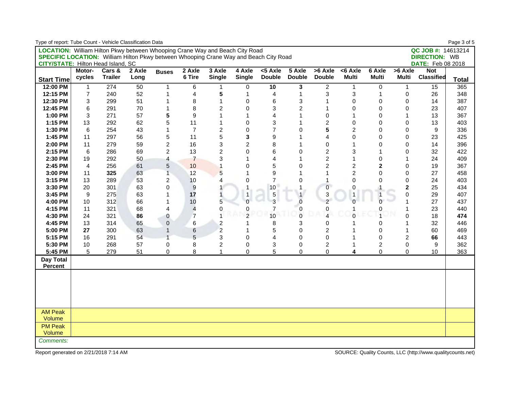| Type of report: Tube Count - Vehicle Classification Data                                     |                |                |        |                |                  |                |                |                |                |                           |                |                |                |                          | Page 3 of 5  |
|----------------------------------------------------------------------------------------------|----------------|----------------|--------|----------------|------------------|----------------|----------------|----------------|----------------|---------------------------|----------------|----------------|----------------|--------------------------|--------------|
| <b>LOCATION:</b> William Hilton Pkwy between Whooping Crane Way and Beach City Road          |                |                |        |                |                  |                |                |                |                |                           |                |                |                | QC JOB #: 14613214       |              |
| <b>SPECIFIC LOCATION:</b> William Hilton Pkwy between Whooping Crane Way and Beach City Road |                |                |        |                |                  |                |                |                |                |                           |                |                |                | <b>DIRECTION: WB</b>     |              |
| <b>CITY/STATE: Hilton Head Island, SC</b>                                                    |                |                |        |                |                  |                |                |                |                |                           |                |                |                | <b>DATE:</b> Feb 08 2018 |              |
|                                                                                              | Motor-         | Cars &         | 2 Axle | <b>Buses</b>   | 2 Axle           | 3 Axle         | 4 Axle         | $< 5$ Axle     | 5 Axle         | $>6$ Axle                 | $< 6$ Axle     | 6 Axle         | >6 Axle        | <b>Not</b>               |              |
| <b>Start Time</b>                                                                            | cycles         | <b>Trailer</b> | Long   |                | 6 Tire           | <b>Single</b>  | <b>Single</b>  | <b>Double</b>  | <b>Double</b>  | <b>Double</b>             | <b>Multi</b>   | <b>Multi</b>   | <b>Multi</b>   | <b>Classified</b>        | <b>Total</b> |
| 12:00 PM                                                                                     | $\mathbf{1}$   | 274            | 50     | $\mathbf 1$    | 6                | 1              | 0              | 10             | 3              | $\overline{2}$            | $\mathbf{1}$   | 0              | 1              | 15                       | 365          |
| 12:15 PM                                                                                     | $\overline{7}$ | 240            | 52     | 1              | 4                | 5              | $\mathbf{1}$   | 4              | $\mathbf{1}$   | 3                         | 3              | $\mathbf 1$    | $\mathbf 0$    | 26                       | 348          |
| 12:30 PM                                                                                     | 3              | 299            | 51     |                | 8                | 1              | 0              | 6              | 3              | 1                         | $\mathbf 0$    | $\mathbf 0$    | $\Omega$       | 14                       | 387          |
| 12:45 PM                                                                                     | 6              | 291            | 70     | 1              | 8                | $\overline{c}$ | $\mathbf 0$    | 3              | $\overline{2}$ | 1                         | 0              | $\mathbf 0$    | $\mathbf 0$    | 23                       | 407          |
| 1:00 PM                                                                                      | 3              | 271            | 57     | 5              | 9                | 1              | 1              | 4              | 1              | $\overline{0}$            | $\mathbf{1}$   | $\mathbf 0$    | 1              | 13                       | 367          |
| 1:15 PM                                                                                      | 13             | 292            | 62     | 5              | 11               | 1              | 0              | 3              | 1              | $\overline{2}$            | $\mathsf 0$    | $\mathbf 0$    | $\mathbf 0$    | 13                       | 403          |
| 1:30 PM                                                                                      | 6              | 254            | 43     | $\mathbf 1$    | $\overline{7}$   | $\overline{c}$ | $\mathsf 0$    | $\overline{7}$ | $\overline{0}$ | 5                         | $\overline{c}$ | $\Omega$       | $\Omega$       | 9                        | 336          |
| 1:45 PM                                                                                      | 11             | 297            | 56     | 5              | 11               | 5              | 3              | 9              | 1              | 4                         | $\mathbf 0$    | $\mathbf 0$    | $\mathbf 0$    | 23                       | 425          |
| 2:00 PM                                                                                      | 11             | 279            | 59     | $\overline{c}$ | 16               | 3              | $\overline{2}$ | 8              | 1              | 0                         | $\mathbf{1}$   | $\mathbf 0$    | $\Omega$       | 14                       | 396          |
| 2:15 PM                                                                                      | 6              | 286            | 69     | $\overline{c}$ | 13               | $\overline{c}$ | $\overline{0}$ | 6              | $\Omega$       | $\overline{c}$            | 3              | 1              | $\Omega$       | 32                       | 422          |
| 2:30 PM                                                                                      | 19             | 292            | 50     | 4              | $\overline{7}$   | 3              | 1              | 4              | $\mathbf{1}$   | $\overline{c}$            | $\mathbf{1}$   | $\mathbf 0$    | 1              | 24                       | 409          |
| 2:45 PM                                                                                      | 4              | 256            | 61     | 5              | 10               | 1              | $\Omega$       | 5              | $\Omega$       | $\overline{c}$            | $\overline{c}$ | $\mathbf 2$    | $\mathbf 0$    | 19                       | 367          |
| 3:00 PM                                                                                      | 11             | 325            | 63     | $\mathbf{1}$   | 12               | 5              | 1              | 9              | 1              | $\mathbf{1}$              | $\overline{2}$ | $\Omega$       | $\Omega$       | 27                       | 458          |
| 3:15 PM                                                                                      | 13             | 289            | 53     | $\overline{c}$ | 10               | 4              | $\overline{0}$ | $\overline{7}$ | $\Omega$       | $\mathbf{1}$              | $\Omega$       | $\Omega$       | $\Omega$       | 24                       | 403          |
| 3:30 PM                                                                                      | 20             | 301            | 63     | 0              | $\boldsymbol{9}$ |                | 1              | 10             | 1              | $\mathbf 0$               | 0              | $\mathbf{1}$   | $\mathbf{2}$   | 25                       | 434          |
| 3:45 PM                                                                                      | 9              | 275            | 63     | 1              | 17               | $\overline{1}$ | $\mathbf{1}$   | 5              | $\mathbf{1}$   | $\ensuremath{\mathsf{3}}$ | $\mathbf{1}$   | $\mathbf{1}$   | $\mathbf 0$    | 29                       | 407          |
| 4:00 PM                                                                                      | 10             | 312            | 66     | $\mathbf 1$    | 10               | 5              | $\overline{0}$ | 3              | $\overline{0}$ | $\overline{2}$            | $\Omega$       |                |                | 27                       | 437          |
| 4:15 PM                                                                                      | 11             | 321            | 68     | 4              | $\overline{4}$   | 0              | 0              | $\overline{7}$ | 0              | 0                         |                |                | 1              | 23                       | 440          |
| 4:30 PM                                                                                      | 24             | 321            | 86     | $\pmb{0}$      | $\overline{7}$   | 1              | $\overline{2}$ | 10             | $\overline{0}$ | $\overline{4}$            | $\Omega$       |                | $\Omega$       | 18                       | 474          |
| 4:45 PM                                                                                      | 13             | 314            | 65     | 0              | 6                | $\overline{c}$ | 1              | 8              | 3              | 0                         | $\mathbf 1$    | $\Omega$       | 1              | 32                       | 446          |
| 5:00 PM                                                                                      | 27             | 300            | 63     | $\mathbf{1}$   | 6                | $\overline{c}$ | 1              | 5              | $\mathbf 0$    | $\overline{2}$            | 1              | $\Omega$       | 1              | 60                       | 469          |
| 5:15 PM                                                                                      | 16             | 291            | 54     | 1              | 5                | 3              | 0              | 4              | 0              | 0                         | 1              | $\mathbf 0$    | $\overline{c}$ | 66                       | 443          |
| 5:30 PM                                                                                      | 10             | 268            | 57     | 0              | 8                | $\overline{c}$ | 0              | 3              | 0              | $\overline{c}$            | $\mathbf{1}$   | $\overline{c}$ | $\mathbf 0$    | 9                        | 362          |
| 5:45 PM                                                                                      | 5              | 279            | 51     | 0              | 8                | $\mathbf{1}$   | 0              | 5              | 0              | 0                         | 4              | $\mathbf 0$    | $\pmb{0}$      | 10                       | 363          |
| Day Total<br><b>Percent</b>                                                                  |                |                |        |                |                  |                |                |                |                |                           |                |                |                |                          |              |
|                                                                                              |                |                |        |                |                  |                |                |                |                |                           |                |                |                |                          |              |
|                                                                                              |                |                |        |                |                  |                |                |                |                |                           |                |                |                |                          |              |
|                                                                                              |                |                |        |                |                  |                |                |                |                |                           |                |                |                |                          |              |
|                                                                                              |                |                |        |                |                  |                |                |                |                |                           |                |                |                |                          |              |
|                                                                                              |                |                |        |                |                  |                |                |                |                |                           |                |                |                |                          |              |
| <b>AM Peak</b>                                                                               |                |                |        |                |                  |                |                |                |                |                           |                |                |                |                          |              |
| Volume                                                                                       |                |                |        |                |                  |                |                |                |                |                           |                |                |                |                          |              |
| <b>PM Peak</b>                                                                               |                |                |        |                |                  |                |                |                |                |                           |                |                |                |                          |              |
| Volume                                                                                       |                |                |        |                |                  |                |                |                |                |                           |                |                |                |                          |              |
| Comments:                                                                                    |                |                |        |                |                  |                |                |                |                |                           |                |                |                |                          |              |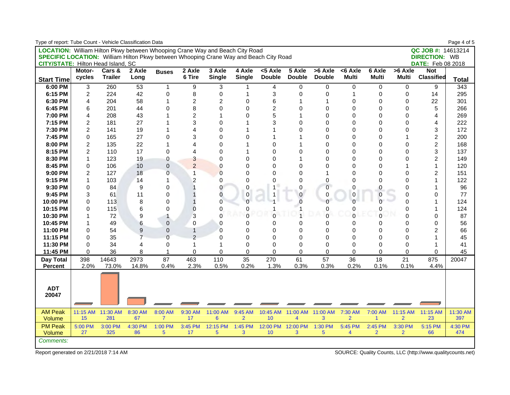| Type of report: Tube Count - Vehicle Classification Data                                     |                |                |                  |                |                |                |                |                |                |                |                |                |                |                          | Page 4 of 5  |
|----------------------------------------------------------------------------------------------|----------------|----------------|------------------|----------------|----------------|----------------|----------------|----------------|----------------|----------------|----------------|----------------|----------------|--------------------------|--------------|
| LOCATION: William Hilton Pkwy between Whooping Crane Way and Beach City Road                 |                |                |                  |                |                |                |                |                |                |                |                |                |                | QC JOB #: 14613214       |              |
| <b>SPECIFIC LOCATION:</b> William Hilton Pkwy between Whooping Crane Way and Beach City Road |                |                |                  |                |                |                |                |                |                |                |                |                |                | <b>DIRECTION: WB</b>     |              |
| <b>CITY/STATE: Hilton Head Island, SC</b>                                                    |                |                |                  |                |                |                |                |                |                |                |                |                |                | <b>DATE:</b> Feb 08 2018 |              |
|                                                                                              | Motor-         | Cars &         | 2 Axle           | <b>Buses</b>   | 2 Axle         | 3 Axle         | 4 Axle         | <5 Axle        | 5 Axle         | $>6$ Axle      | $< 6$ Axle     | 6 Axle         | >6 Axle        | <b>Not</b>               |              |
| <b>Start Time</b>                                                                            | cycles         | <b>Trailer</b> | Long             |                | 6 Tire         | <b>Single</b>  | <b>Single</b>  | <b>Double</b>  | <b>Double</b>  | <b>Double</b>  | <b>Multi</b>   | <b>Multi</b>   | <b>Multi</b>   | <b>Classified</b>        | <b>Total</b> |
| 6:00 PM                                                                                      | 3              | 260            | 53               | 1              | 9              | 3              | 1              | 4              | 0              | 0              | 0              | 0              | 0              | 9                        | 343          |
| 6:15 PM                                                                                      | $\overline{2}$ | 224            | 42               | 0              | 8              | 0              | 1              | 3              | 0              | 0              | 1              | 0              | 0              | 14                       | 295          |
| 6:30 PM                                                                                      | 4              | 204            | 58               | 1              | $\overline{c}$ | $\overline{c}$ | $\mathbf 0$    | 6              | 1              | 1              | $\mathbf 0$    | $\mathbf 0$    | $\Omega$       | 22                       | 301          |
| 6:45 PM                                                                                      | 6              | 201            | 44               | $\mathbf 0$    | 8              | $\overline{0}$ | $\mathbf 0$    | $\overline{c}$ | $\Omega$       | $\Omega$       | $\Omega$       | $\mathbf{0}$   | $\Omega$       | 5                        | 266          |
| 7:00 PM                                                                                      | 4              | 208            | 43               |                | $\overline{c}$ | 1              | $\mathbf 0$    | 5              | 1              | $\mathbf 0$    | $\mathbf 0$    | $\mathbf 0$    | $\Omega$       | 4                        | 269          |
| 7:15 PM                                                                                      | 2              | 181            | 27               | 1              | 3              | $\mathbf 0$    | 1              | 3              | $\mathbf 0$    | $\mathbf 0$    | $\mathbf 0$    | 0              | 0              | 4                        | 222          |
| 7:30 PM                                                                                      | $\overline{2}$ | 141            | 19               | 1              | $\overline{4}$ | 0              |                | 1              | $\Omega$       | $\Omega$       | $\Omega$       | $\mathbf{0}$   | $\Omega$       | 3                        | 172          |
| 7:45 PM                                                                                      | 0              | 165            | 27               | $\Omega$       | 3              | $\Omega$       | $\Omega$       |                |                | $\Omega$       | $\Omega$       | $\Omega$       |                | $\overline{c}$           | 200          |
| 8:00 PM                                                                                      | 2              | 135            | 22               | 1              | $\overline{4}$ | 0              | 1              | $\Omega$       |                | $\Omega$       | $\Omega$       | $\Omega$       | $\Omega$       | $\overline{c}$           | 168          |
| 8:15 PM                                                                                      | $\overline{2}$ | 110            | 17               | $\mathbf 0$    | $\overline{4}$ | $\Omega$       | 1              | $\Omega$       | $\Omega$       | $\Omega$       | $\Omega$       | $\Omega$       | $\Omega$       | 3                        | 137          |
| 8:30 PM                                                                                      | 1              | 123            | 19               | 0              | 3              | $\Omega$       | $\Omega$       | $\Omega$       |                | $\Omega$       | $\Omega$       | $\Omega$       | $\Omega$       | $\overline{c}$           | 149          |
| 8:45 PM                                                                                      | 0              | 106            | 10               | $\overline{0}$ | $\overline{2}$ | $\mathbf{0}$   | $\Omega$       | $\Omega$       | $\Omega$       | $\Omega$       | $\Omega$       | $\Omega$       | 1              | $\mathbf{1}$             | 120          |
| 9:00 PM                                                                                      | 2              | 127            | 18               | $\mathbf 0$    | 1              | $\overline{0}$ | $\mathbf 0$    | $\Omega$       | $\mathbf{0}$   |                | $\mathbf{0}$   | 0              | $\Omega$       | $\overline{c}$           | 151          |
| 9:15 PM                                                                                      | 1              | 103            | 14               | 1              | $\overline{2}$ | 0              | $\mathbf 0$    | $\Omega$       | $\mathbf 0$    | $\mathbf 0$    | 0              | 0              | $\Omega$       | $\mathbf{1}$             | 122          |
| 9:30 PM                                                                                      | 0              | 84             | 9                | 0              | $\overline{1}$ | $\overline{0}$ | 0              |                | 0              | $\mathbf 0$    | 0              | 0              | $\Omega$       | 1                        | 96           |
| 9:45 PM                                                                                      | 3              | 61             | 11               | 0              |                | $\overline{0}$ | $\mathsf 0$    |                | $\overline{0}$ | $\mathbf 0$    | 0              | $\mathbf 0$    | $\mathbf 0$    | 0                        | 77           |
| 10:00 PM                                                                                     | 0              | 113            | 8                | 0              |                | $\overline{0}$ | $\Omega$       |                | $\overline{0}$ | $\overline{0}$ | $\Omega$       | $\Omega$       | $\Omega$       | 1                        | 124          |
| 10:15 PM                                                                                     | $\Omega$       | 115            | 6                | 0              | $\overline{0}$ | 0              | 0              |                |                | $\mathbf 0$    | 0              | 0              | 0              | 1                        | 124          |
| 10:30 PM                                                                                     |                | 72             | 9                | 1              | 3              | 0              | $\overline{0}$ | $\overline{0}$ | $\overline{1}$ | $\overline{0}$ | $\mathbf 0$    | $\overline{0}$ | $\overline{0}$ | 0                        | 87           |
| 10:45 PM                                                                                     |                | 49             | 6                | $\mathbf 0$    | $\mathbf 0$    | $\mathbf 0$    | 0              | $\mathbf 0$    | 0              | 0              | 0              | 0              | 0              | 0                        | 56           |
| 11:00 PM                                                                                     | $\Omega$       | 54             | $\boldsymbol{9}$ | $\pmb{0}$      | $\mathbf{1}$   | $\overline{0}$ | $\Omega$       | $\Omega$       | $\mathbf 0$    | $\Omega$       | $\Omega$       | $\Omega$       | $\Omega$       | $\overline{c}$           | 66           |
| 11:15 PM                                                                                     | $\Omega$       | 35             | $\overline{7}$   | $\overline{0}$ | $\overline{2}$ | $\Omega$       | $\Omega$       | $\Omega$       | $\Omega$       | $\Omega$       | $\Omega$       | $\Omega$       | $\Omega$       | $\mathbf{1}$             | 45           |
| 11:30 PM                                                                                     | $\Omega$       | 34             | 4                | $\mathbf{0}$   | $\mathbf{1}$   | 1              | $\Omega$       | $\Omega$       | $\Omega$       | $\Omega$       | $\mathbf 0$    | $\Omega$       | $\Omega$       | $\mathbf{1}$             | 41           |
| 11:45 PM                                                                                     | 0              | 36             | 8                | $\mathbf{1}$   | 0              | $\overline{0}$ | 0              | $\Omega$       | $\mathbf 0$    | $\Omega$       | $\mathbf 0$    | $\Omega$       | $\Omega$       | 0                        | 45           |
| Day Total                                                                                    | 398            | 14643          | 2973             | 87             | 463            | 110            | 35             | 270            | 61             | 57             | 36             | 18             | 21             | 875                      | 20047        |
| <b>Percent</b>                                                                               | 2.0%           | 73.0%          | 14.8%            | 0.4%           | 2.3%           | 0.5%           | 0.2%           | 1.3%           | 0.3%           | 0.3%           | 0.2%           | 0.1%           | 0.1%           | 4.4%                     |              |
| <b>ADT</b><br>20047                                                                          |                |                |                  |                |                |                |                |                |                |                |                |                |                |                          |              |
| <b>AM Peak</b>                                                                               | 11:15 AM       | 11:30 AM       | 8:30 AM          | 8:00 AM        | 9:30 AM        | 11:00 AM       | 9:45 AM        | 10:45 AM       | 11:00 AM       | 11:00 AM       | 7:30 AM        | 7:00 AM        | 11:15 AM       | 11:15 AM                 | 11:30 AM     |
| Volume                                                                                       | 15             | 281            | 67               | $\overline{7}$ | 17             | $6\phantom{a}$ | $\overline{2}$ | 10             | 4              | 3              | $\overline{2}$ | 1              | $\overline{2}$ | 23                       | 397          |
| <b>PM Peak</b>                                                                               | 5:00 PM        | 3:00 PM        | 4:30 PM          | 1:00 PM        | 3:45 PM        | 12:15 PM       | 1:45 PM        | 12:00 PM       | 12:00 PM       | 1:30 PM        | 5:45 PM        | 2:45 PM        | 3:30 PM        | 5:15 PM                  | 4:30 PM      |
| Volume                                                                                       | 27             | 325            | 86               | 5              | 17             | 5              | 3              | 10             | 3              | 5              | 4              | $\overline{2}$ | $\overline{2}$ | 66                       | 474          |
| Comments:                                                                                    |                |                |                  |                |                |                |                |                |                |                |                |                |                |                          |              |
|                                                                                              |                |                |                  |                |                |                |                |                |                |                |                |                |                |                          |              |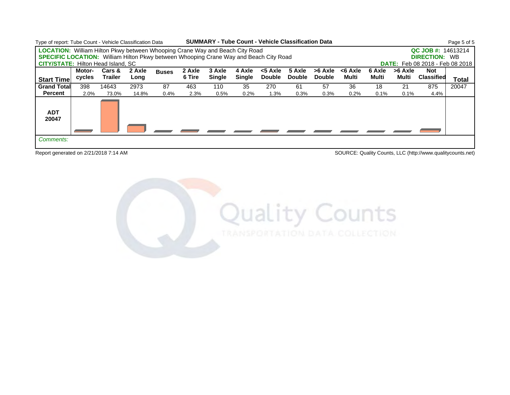

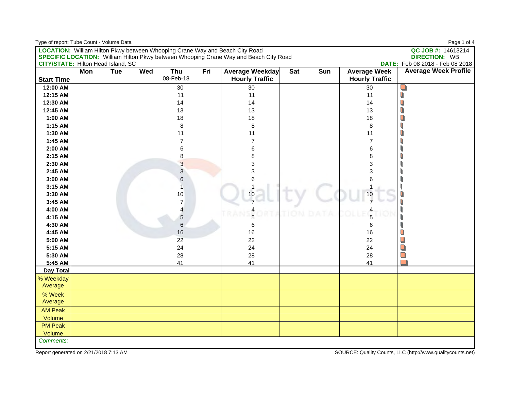| Type of report: Tube Count - Volume Data  |     |            |     |                  |     |                                                                                              |            |     |                                              | Page 1 of 4                     |
|-------------------------------------------|-----|------------|-----|------------------|-----|----------------------------------------------------------------------------------------------|------------|-----|----------------------------------------------|---------------------------------|
|                                           |     |            |     |                  |     | <b>LOCATION:</b> William Hilton Pkwy between Whooping Crane Way and Beach City Road          |            |     |                                              | QC JOB #: 14613214              |
|                                           |     |            |     |                  |     | <b>SPECIFIC LOCATION:</b> William Hilton Pkwy between Whooping Crane Way and Beach City Road |            |     |                                              | <b>DIRECTION: WB</b>            |
| <b>CITY/STATE: Hilton Head Island, SC</b> |     |            |     |                  |     |                                                                                              |            |     |                                              | DATE: Feb 08 2018 - Feb 08 2018 |
| <b>Start Time</b>                         | Mon | <b>Tue</b> | Wed | Thu<br>08-Feb-18 | Fri | Average Weekday<br><b>Hourly Traffic</b>                                                     | <b>Sat</b> | Sun | <b>Average Week</b><br><b>Hourly Traffic</b> | <b>Average Week Profile</b>     |
| 12:00 AM                                  |     |            |     | 30               |     | 30                                                                                           |            |     | 30                                           | $\Box$                          |
| 12:15 AM                                  |     |            |     | 11               |     | 11                                                                                           |            |     | 11                                           | Q                               |
| 12:30 AM                                  |     |            |     | 14               |     | 14                                                                                           |            |     | 14                                           | Q                               |
| 12:45 AM                                  |     |            |     | 13               |     | 13                                                                                           |            |     | 13                                           | O                               |
| 1:00 AM                                   |     |            |     | 18               |     | 18                                                                                           |            |     | 18                                           | $\Box$                          |
| 1:15 AM                                   |     |            |     | 8                |     | 8                                                                                            |            |     | 8                                            | U                               |
| 1:30 AM                                   |     |            |     | 11               |     | 11                                                                                           |            |     | 11                                           |                                 |
| 1:45 AM                                   |     |            |     | $\overline{7}$   |     | 7                                                                                            |            |     | $\overline{7}$                               |                                 |
| 2:00 AM                                   |     |            |     | 6                |     | 6                                                                                            |            |     | 6                                            |                                 |
| 2:15 AM                                   |     |            |     | 8                |     | 8                                                                                            |            |     | 8                                            |                                 |
| 2:30 AM                                   |     |            |     | 3                |     | 3                                                                                            |            |     | 3                                            |                                 |
| 2:45 AM                                   |     |            |     | 3                |     | 3                                                                                            |            |     | 3                                            |                                 |
| 3:00 AM                                   |     |            |     | $\,6$            |     | $\,6$                                                                                        |            |     | 6                                            |                                 |
| 3:15 AM                                   |     |            |     |                  |     | 1                                                                                            |            |     |                                              |                                 |
| 3:30 AM                                   |     |            |     | 10               |     | 10                                                                                           |            |     | 10                                           |                                 |
| 3:45 AM                                   |     |            |     | $\overline{7}$   |     |                                                                                              |            |     |                                              |                                 |
| 4:00 AM                                   |     |            |     | 4                |     | 4                                                                                            |            |     |                                              |                                 |
| 4:15 AM                                   |     |            |     | $\sqrt{5}$       |     | 5                                                                                            |            |     | 5                                            |                                 |
| 4:30 AM                                   |     |            |     | 6                |     | 6                                                                                            |            |     | 6                                            |                                 |
| 4:45 AM                                   |     |            |     | 16               |     | 16                                                                                           |            |     | 16                                           | $\Box$                          |
| 5:00 AM                                   |     |            |     | 22               |     | 22                                                                                           |            |     | 22                                           | $\Box$                          |
| 5:15 AM                                   |     |            |     | 24               |     | 24                                                                                           |            |     | 24                                           | Q                               |
| 5:30 AM                                   |     |            |     | 28               |     | 28                                                                                           |            |     | 28                                           | Q                               |
| 5:45 AM                                   |     |            |     | 41               |     | 41                                                                                           |            |     | 41                                           |                                 |
| <b>Day Total</b>                          |     |            |     |                  |     |                                                                                              |            |     |                                              |                                 |
| % Weekday<br>Average                      |     |            |     |                  |     |                                                                                              |            |     |                                              |                                 |
| % Week                                    |     |            |     |                  |     |                                                                                              |            |     |                                              |                                 |
| Average                                   |     |            |     |                  |     |                                                                                              |            |     |                                              |                                 |
| <b>AM Peak</b>                            |     |            |     |                  |     |                                                                                              |            |     |                                              |                                 |
| Volume                                    |     |            |     |                  |     |                                                                                              |            |     |                                              |                                 |
| <b>PM Peak</b>                            |     |            |     |                  |     |                                                                                              |            |     |                                              |                                 |
| Volume                                    |     |            |     |                  |     |                                                                                              |            |     |                                              |                                 |
| Comments:                                 |     |            |     |                  |     |                                                                                              |            |     |                                              |                                 |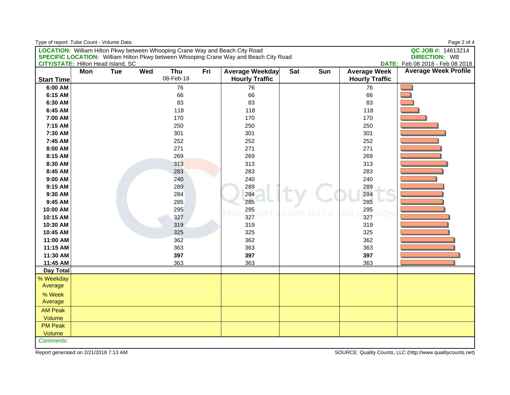| Type of report: Tube Count - Volume Data  |     |            |     |                  |     |                                                                                              |     |     |                                              | Page 2 of 4                     |
|-------------------------------------------|-----|------------|-----|------------------|-----|----------------------------------------------------------------------------------------------|-----|-----|----------------------------------------------|---------------------------------|
|                                           |     |            |     |                  |     | <b>LOCATION:</b> William Hilton Pkwy between Whooping Crane Way and Beach City Road          |     |     |                                              | QC JOB #: 14613214              |
|                                           |     |            |     |                  |     | <b>SPECIFIC LOCATION:</b> William Hilton Pkwy between Whooping Crane Way and Beach City Road |     |     |                                              | <b>DIRECTION: WB</b>            |
| <b>CITY/STATE: Hilton Head Island, SC</b> |     |            |     |                  |     |                                                                                              |     |     |                                              | DATE: Feb 08 2018 - Feb 08 2018 |
| <b>Start Time</b>                         | Mon | <b>Tue</b> | Wed | Thu<br>08-Feb-18 | Fri | Average Weekday<br><b>Hourly Traffic</b>                                                     | Sat | Sun | <b>Average Week</b><br><b>Hourly Traffic</b> | <b>Average Week Profile</b>     |
| 6:00 AM                                   |     |            |     | 76               |     | 76                                                                                           |     |     | 76                                           |                                 |
| 6:15 AM                                   |     |            |     | 66               |     | 66                                                                                           |     |     | 66                                           |                                 |
| 6:30 AM                                   |     |            |     | 83               |     | 83                                                                                           |     |     | 83                                           |                                 |
| 6:45 AM                                   |     |            |     | 118              |     | 118                                                                                          |     |     | 118                                          |                                 |
| 7:00 AM                                   |     |            |     | 170              |     | 170                                                                                          |     |     | 170                                          |                                 |
| 7:15 AM                                   |     |            |     | 250              |     | 250                                                                                          |     |     | 250                                          |                                 |
| 7:30 AM                                   |     |            |     | 301              |     | 301                                                                                          |     |     | 301                                          |                                 |
| 7:45 AM                                   |     |            |     | 252              |     | 252                                                                                          |     |     | 252                                          |                                 |
| 8:00 AM                                   |     |            |     | 271              |     | 271                                                                                          |     |     | 271                                          |                                 |
| 8:15 AM                                   |     |            |     | 269              |     | 269                                                                                          |     |     | 269                                          |                                 |
| 8:30 AM                                   |     |            |     | 313              |     | 313                                                                                          |     |     | 313                                          |                                 |
| 8:45 AM                                   |     |            |     | 283              |     | 283                                                                                          |     |     | 283                                          |                                 |
| 9:00 AM                                   |     |            |     | 240              |     | 240                                                                                          |     |     | 240                                          |                                 |
| 9:15 AM                                   |     |            |     | 289              |     | 289                                                                                          |     |     | 289                                          |                                 |
| 9:30 AM                                   |     |            |     | 284              |     | 284                                                                                          |     |     | 284                                          |                                 |
| 9:45 AM                                   |     |            |     | 285              |     | 285                                                                                          |     |     | 285                                          |                                 |
| 10:00 AM                                  |     |            |     | 295              |     | 295                                                                                          |     |     | 295                                          |                                 |
| 10:15 AM                                  |     |            |     | 327              |     | 327                                                                                          |     |     | 327                                          |                                 |
| 10:30 AM                                  |     |            |     | 319              |     | 319                                                                                          |     |     | 319                                          |                                 |
| 10:45 AM                                  |     |            |     | 325              |     | 325                                                                                          |     |     | 325                                          |                                 |
| 11:00 AM                                  |     |            |     | 362              |     | 362                                                                                          |     |     | 362                                          |                                 |
| 11:15 AM                                  |     |            |     | 363              |     | 363                                                                                          |     |     | 363                                          |                                 |
| 11:30 AM                                  |     |            |     | 397              |     | 397                                                                                          |     |     | 397                                          |                                 |
| 11:45 AM                                  |     |            |     | 363              |     | 363                                                                                          |     |     | 363                                          |                                 |
| Day Total                                 |     |            |     |                  |     |                                                                                              |     |     |                                              |                                 |
| % Weekday                                 |     |            |     |                  |     |                                                                                              |     |     |                                              |                                 |
| Average                                   |     |            |     |                  |     |                                                                                              |     |     |                                              |                                 |
| % Week                                    |     |            |     |                  |     |                                                                                              |     |     |                                              |                                 |
| Average                                   |     |            |     |                  |     |                                                                                              |     |     |                                              |                                 |
| <b>AM Peak</b>                            |     |            |     |                  |     |                                                                                              |     |     |                                              |                                 |
| Volume                                    |     |            |     |                  |     |                                                                                              |     |     |                                              |                                 |
| <b>PM Peak</b>                            |     |            |     |                  |     |                                                                                              |     |     |                                              |                                 |
| Volume                                    |     |            |     |                  |     |                                                                                              |     |     |                                              |                                 |
| Comments:                                 |     |            |     |                  |     |                                                                                              |     |     |                                              |                                 |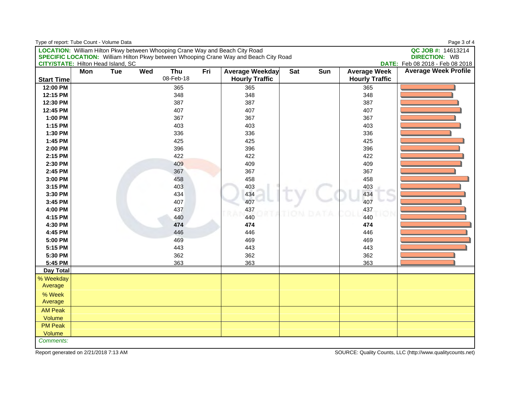|                                           |     |     |     |           |     | <b>LOCATION:</b> William Hilton Pkwy between Whooping Crane Way and Beach City Road          |            |     |                       | QC JOB #: 14613214                                      |
|-------------------------------------------|-----|-----|-----|-----------|-----|----------------------------------------------------------------------------------------------|------------|-----|-----------------------|---------------------------------------------------------|
| <b>CITY/STATE: Hilton Head Island, SC</b> |     |     |     |           |     | <b>SPECIFIC LOCATION:</b> William Hilton Pkwy between Whooping Crane Way and Beach City Road |            |     |                       | <b>DIRECTION: WB</b><br>DATE: Feb 08 2018 - Feb 08 2018 |
|                                           | Mon | Tue | Wed | Thu       | Fri | <b>Average Weekday</b>                                                                       | <b>Sat</b> | Sun | <b>Average Week</b>   | <b>Average Week Profile</b>                             |
| <b>Start Time</b>                         |     |     |     | 08-Feb-18 |     | <b>Hourly Traffic</b>                                                                        |            |     | <b>Hourly Traffic</b> |                                                         |
| 12:00 PM                                  |     |     |     | 365       |     | 365                                                                                          |            |     | 365                   |                                                         |
| 12:15 PM                                  |     |     |     | 348       |     | 348                                                                                          |            |     | 348                   |                                                         |
| 12:30 PM                                  |     |     |     | 387       |     | 387                                                                                          |            |     | 387                   |                                                         |
| 12:45 PM                                  |     |     |     | 407       |     | 407                                                                                          |            |     | 407                   |                                                         |
| 1:00 PM                                   |     |     |     | 367       |     | 367                                                                                          |            |     | 367                   |                                                         |
| 1:15 PM                                   |     |     |     | 403       |     | 403                                                                                          |            |     | 403                   |                                                         |
| 1:30 PM                                   |     |     |     | 336       |     | 336                                                                                          |            |     | 336                   |                                                         |
| 1:45 PM                                   |     |     |     | 425       |     | 425                                                                                          |            |     | 425                   |                                                         |
| 2:00 PM                                   |     |     |     | 396       |     | 396                                                                                          |            |     | 396                   |                                                         |
| 2:15 PM                                   |     |     |     | 422       |     | 422                                                                                          |            |     | 422                   |                                                         |
| 2:30 PM                                   |     |     |     | 409       |     | 409                                                                                          |            |     | 409                   |                                                         |
| 2:45 PM                                   |     |     |     | 367       |     | 367                                                                                          |            |     | 367                   |                                                         |
| 3:00 PM                                   |     |     |     | 458       |     | 458                                                                                          |            |     | 458                   |                                                         |
| 3:15 PM                                   |     |     |     | 403       |     | 403                                                                                          |            |     | 403                   |                                                         |
| 3:30 PM                                   |     |     |     | 434       |     | 434                                                                                          |            |     | 434                   |                                                         |
| 3:45 PM                                   |     |     |     | 407       |     | 407                                                                                          |            |     | 407                   |                                                         |
| 4:00 PM                                   |     |     |     | 437       |     | 437                                                                                          |            |     | 437                   |                                                         |
| 4:15 PM                                   |     |     |     | 440       |     | 440                                                                                          |            |     | 440                   |                                                         |
| 4:30 PM                                   |     |     |     | 474       |     | 474                                                                                          |            |     | 474                   |                                                         |
| 4:45 PM                                   |     |     |     | 446       |     | 446                                                                                          |            |     | 446                   |                                                         |
| 5:00 PM                                   |     |     |     | 469       |     | 469                                                                                          |            |     | 469                   |                                                         |
| 5:15 PM                                   |     |     |     | 443       |     | 443                                                                                          |            |     | 443                   |                                                         |
| 5:30 PM                                   |     |     |     | 362       |     | 362                                                                                          |            |     | 362                   |                                                         |
| 5:45 PM                                   |     |     |     | 363       |     | 363                                                                                          |            |     | 363                   |                                                         |
| <b>Day Total</b>                          |     |     |     |           |     |                                                                                              |            |     |                       |                                                         |
| % Weekday<br>Average                      |     |     |     |           |     |                                                                                              |            |     |                       |                                                         |
| % Week                                    |     |     |     |           |     |                                                                                              |            |     |                       |                                                         |
| Average                                   |     |     |     |           |     |                                                                                              |            |     |                       |                                                         |
| <b>AM Peak</b>                            |     |     |     |           |     |                                                                                              |            |     |                       |                                                         |
| Volume                                    |     |     |     |           |     |                                                                                              |            |     |                       |                                                         |
| <b>PM Peak</b>                            |     |     |     |           |     |                                                                                              |            |     |                       |                                                         |
| Volume                                    |     |     |     |           |     |                                                                                              |            |     |                       |                                                         |
| Comments:                                 |     |     |     |           |     |                                                                                              |            |     |                       |                                                         |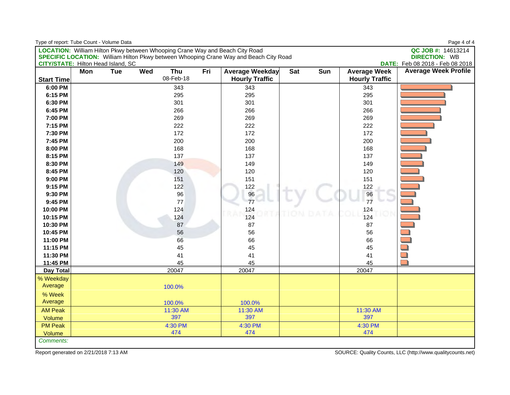| <b>LOCATION:</b> William Hilton Pkwy between Whooping Crane Way and Beach City Road<br><b>SPECIFIC LOCATION:</b> William Hilton Pkwy between Whooping Crane Way and Beach City Road<br><b>CITY/STATE: Hilton Head Island, SC</b><br>Wed<br>Fri<br>Mon<br><b>Tue</b><br>Thu<br>Average Weekday<br>Sat<br>Sun<br><b>Average Week</b><br>08-Feb-18<br><b>Hourly Traffic</b><br><b>Hourly Traffic</b><br><b>Start Time</b><br>6:00 PM<br>343<br>343<br>343<br>6:15 PM<br>295<br>295<br>295<br>6:30 PM<br>301<br>301<br>301<br>6:45 PM<br>266<br>266<br>266<br>7:00 PM<br>269<br>269<br>269<br>7:15 PM<br>222<br>222<br>222<br>7:30 PM<br>172<br>172<br>172<br>7:45 PM<br>200<br>200<br>200<br>È<br>8:00 PM<br>168<br>168<br>168<br>8:15 PM<br>137<br>137<br>137<br>8:30 PM<br>149<br>149<br>149<br>8:45 PM<br>120<br>120<br>120<br>9:00 PM<br>151<br>151<br>151<br>9:15 PM<br>122<br>122<br>122<br>96<br>96<br>9:30 PM<br>96<br>77<br>77<br>9:45 PM<br>77<br>124<br>10:00 PM<br>124<br>124<br>124<br>10:15 PM<br>124<br>124<br>87<br>87<br>87<br>10:30 PM<br>56<br>56<br>10:45 PM<br>56<br>11:00 PM<br>66<br>66<br>66<br>45<br>45<br>11:15 PM<br>45<br>11:30 PM<br>41<br>41<br>41<br>$\Box$<br>11:45 PM<br>45<br>45<br>45<br>20047<br>20047<br>20047<br>Day Total | Page 4 of 4                     |
|---------------------------------------------------------------------------------------------------------------------------------------------------------------------------------------------------------------------------------------------------------------------------------------------------------------------------------------------------------------------------------------------------------------------------------------------------------------------------------------------------------------------------------------------------------------------------------------------------------------------------------------------------------------------------------------------------------------------------------------------------------------------------------------------------------------------------------------------------------------------------------------------------------------------------------------------------------------------------------------------------------------------------------------------------------------------------------------------------------------------------------------------------------------------------------------------------------------------------------------------------------------|---------------------------------|
|                                                                                                                                                                                                                                                                                                                                                                                                                                                                                                                                                                                                                                                                                                                                                                                                                                                                                                                                                                                                                                                                                                                                                                                                                                                               | QC JOB #: 14613214              |
|                                                                                                                                                                                                                                                                                                                                                                                                                                                                                                                                                                                                                                                                                                                                                                                                                                                                                                                                                                                                                                                                                                                                                                                                                                                               | <b>DIRECTION: WB</b>            |
|                                                                                                                                                                                                                                                                                                                                                                                                                                                                                                                                                                                                                                                                                                                                                                                                                                                                                                                                                                                                                                                                                                                                                                                                                                                               | DATE: Feb 08 2018 - Feb 08 2018 |
|                                                                                                                                                                                                                                                                                                                                                                                                                                                                                                                                                                                                                                                                                                                                                                                                                                                                                                                                                                                                                                                                                                                                                                                                                                                               | <b>Average Week Profile</b>     |
|                                                                                                                                                                                                                                                                                                                                                                                                                                                                                                                                                                                                                                                                                                                                                                                                                                                                                                                                                                                                                                                                                                                                                                                                                                                               |                                 |
|                                                                                                                                                                                                                                                                                                                                                                                                                                                                                                                                                                                                                                                                                                                                                                                                                                                                                                                                                                                                                                                                                                                                                                                                                                                               |                                 |
|                                                                                                                                                                                                                                                                                                                                                                                                                                                                                                                                                                                                                                                                                                                                                                                                                                                                                                                                                                                                                                                                                                                                                                                                                                                               |                                 |
|                                                                                                                                                                                                                                                                                                                                                                                                                                                                                                                                                                                                                                                                                                                                                                                                                                                                                                                                                                                                                                                                                                                                                                                                                                                               |                                 |
|                                                                                                                                                                                                                                                                                                                                                                                                                                                                                                                                                                                                                                                                                                                                                                                                                                                                                                                                                                                                                                                                                                                                                                                                                                                               |                                 |
|                                                                                                                                                                                                                                                                                                                                                                                                                                                                                                                                                                                                                                                                                                                                                                                                                                                                                                                                                                                                                                                                                                                                                                                                                                                               |                                 |
|                                                                                                                                                                                                                                                                                                                                                                                                                                                                                                                                                                                                                                                                                                                                                                                                                                                                                                                                                                                                                                                                                                                                                                                                                                                               |                                 |
|                                                                                                                                                                                                                                                                                                                                                                                                                                                                                                                                                                                                                                                                                                                                                                                                                                                                                                                                                                                                                                                                                                                                                                                                                                                               | <b>START</b>                    |
|                                                                                                                                                                                                                                                                                                                                                                                                                                                                                                                                                                                                                                                                                                                                                                                                                                                                                                                                                                                                                                                                                                                                                                                                                                                               |                                 |
|                                                                                                                                                                                                                                                                                                                                                                                                                                                                                                                                                                                                                                                                                                                                                                                                                                                                                                                                                                                                                                                                                                                                                                                                                                                               |                                 |
|                                                                                                                                                                                                                                                                                                                                                                                                                                                                                                                                                                                                                                                                                                                                                                                                                                                                                                                                                                                                                                                                                                                                                                                                                                                               |                                 |
|                                                                                                                                                                                                                                                                                                                                                                                                                                                                                                                                                                                                                                                                                                                                                                                                                                                                                                                                                                                                                                                                                                                                                                                                                                                               |                                 |
|                                                                                                                                                                                                                                                                                                                                                                                                                                                                                                                                                                                                                                                                                                                                                                                                                                                                                                                                                                                                                                                                                                                                                                                                                                                               |                                 |
|                                                                                                                                                                                                                                                                                                                                                                                                                                                                                                                                                                                                                                                                                                                                                                                                                                                                                                                                                                                                                                                                                                                                                                                                                                                               |                                 |
|                                                                                                                                                                                                                                                                                                                                                                                                                                                                                                                                                                                                                                                                                                                                                                                                                                                                                                                                                                                                                                                                                                                                                                                                                                                               |                                 |
|                                                                                                                                                                                                                                                                                                                                                                                                                                                                                                                                                                                                                                                                                                                                                                                                                                                                                                                                                                                                                                                                                                                                                                                                                                                               |                                 |
|                                                                                                                                                                                                                                                                                                                                                                                                                                                                                                                                                                                                                                                                                                                                                                                                                                                                                                                                                                                                                                                                                                                                                                                                                                                               |                                 |
|                                                                                                                                                                                                                                                                                                                                                                                                                                                                                                                                                                                                                                                                                                                                                                                                                                                                                                                                                                                                                                                                                                                                                                                                                                                               |                                 |
|                                                                                                                                                                                                                                                                                                                                                                                                                                                                                                                                                                                                                                                                                                                                                                                                                                                                                                                                                                                                                                                                                                                                                                                                                                                               |                                 |
|                                                                                                                                                                                                                                                                                                                                                                                                                                                                                                                                                                                                                                                                                                                                                                                                                                                                                                                                                                                                                                                                                                                                                                                                                                                               |                                 |
|                                                                                                                                                                                                                                                                                                                                                                                                                                                                                                                                                                                                                                                                                                                                                                                                                                                                                                                                                                                                                                                                                                                                                                                                                                                               |                                 |
|                                                                                                                                                                                                                                                                                                                                                                                                                                                                                                                                                                                                                                                                                                                                                                                                                                                                                                                                                                                                                                                                                                                                                                                                                                                               |                                 |
|                                                                                                                                                                                                                                                                                                                                                                                                                                                                                                                                                                                                                                                                                                                                                                                                                                                                                                                                                                                                                                                                                                                                                                                                                                                               |                                 |
|                                                                                                                                                                                                                                                                                                                                                                                                                                                                                                                                                                                                                                                                                                                                                                                                                                                                                                                                                                                                                                                                                                                                                                                                                                                               |                                 |
|                                                                                                                                                                                                                                                                                                                                                                                                                                                                                                                                                                                                                                                                                                                                                                                                                                                                                                                                                                                                                                                                                                                                                                                                                                                               |                                 |
| % Weekday                                                                                                                                                                                                                                                                                                                                                                                                                                                                                                                                                                                                                                                                                                                                                                                                                                                                                                                                                                                                                                                                                                                                                                                                                                                     |                                 |
| Average<br>100.0%                                                                                                                                                                                                                                                                                                                                                                                                                                                                                                                                                                                                                                                                                                                                                                                                                                                                                                                                                                                                                                                                                                                                                                                                                                             |                                 |
| % Week                                                                                                                                                                                                                                                                                                                                                                                                                                                                                                                                                                                                                                                                                                                                                                                                                                                                                                                                                                                                                                                                                                                                                                                                                                                        |                                 |
| Average<br>100.0%<br>100.0%                                                                                                                                                                                                                                                                                                                                                                                                                                                                                                                                                                                                                                                                                                                                                                                                                                                                                                                                                                                                                                                                                                                                                                                                                                   |                                 |
| 11:30 AM<br><b>AM Peak</b><br>11:30 AM<br>11:30 AM                                                                                                                                                                                                                                                                                                                                                                                                                                                                                                                                                                                                                                                                                                                                                                                                                                                                                                                                                                                                                                                                                                                                                                                                            |                                 |
| 397<br>397<br>397<br>Volume                                                                                                                                                                                                                                                                                                                                                                                                                                                                                                                                                                                                                                                                                                                                                                                                                                                                                                                                                                                                                                                                                                                                                                                                                                   |                                 |
| <b>PM Peak</b><br>4:30 PM<br>4:30 PM<br>4:30 PM                                                                                                                                                                                                                                                                                                                                                                                                                                                                                                                                                                                                                                                                                                                                                                                                                                                                                                                                                                                                                                                                                                                                                                                                               |                                 |
| 474<br>474<br>474<br>Volume                                                                                                                                                                                                                                                                                                                                                                                                                                                                                                                                                                                                                                                                                                                                                                                                                                                                                                                                                                                                                                                                                                                                                                                                                                   |                                 |
| Comments:                                                                                                                                                                                                                                                                                                                                                                                                                                                                                                                                                                                                                                                                                                                                                                                                                                                                                                                                                                                                                                                                                                                                                                                                                                                     |                                 |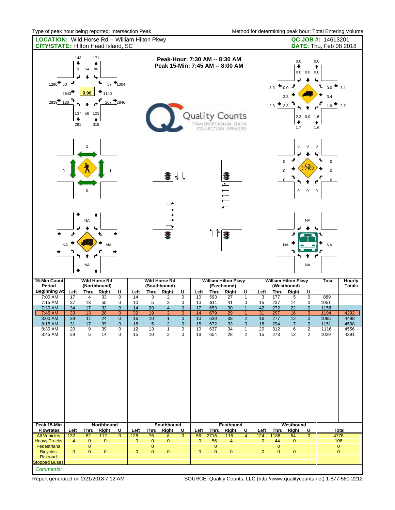| <b>LOCATION:</b> Wild Horse Rd -- William Hilton Pkwy<br><b>CITY/STATE: Hilton Head Island, SC</b> |                                                  |                                                        |                                                      |                                                                       |                                        |                                                   |                                                                                                                         |                                                                       |                                          |                                               |                                                                |                                                                                      |                                        |                                               |                                                                             |                                                                                                 | QC JOB #: 14613201<br><b>DATE:</b> Thu, Feb 08 2018  |                                      |
|----------------------------------------------------------------------------------------------------|--------------------------------------------------|--------------------------------------------------------|------------------------------------------------------|-----------------------------------------------------------------------|----------------------------------------|---------------------------------------------------|-------------------------------------------------------------------------------------------------------------------------|-----------------------------------------------------------------------|------------------------------------------|-----------------------------------------------|----------------------------------------------------------------|--------------------------------------------------------------------------------------|----------------------------------------|-----------------------------------------------|-----------------------------------------------------------------------------|-------------------------------------------------------------------------------------------------|------------------------------------------------------|--------------------------------------|
| 1290<br>60<br>2833 130                                                                             | 143<br>۰<br>$\boldsymbol{9}$<br>2643<br>۰<br>291 | 171<br>٠<br>54<br>80<br>ı<br>0.96<br>137 58 123<br>318 | 1140<br>٠                                            | $57$ $*$ <sub>1304</sub><br>$107 - 2846$                              |                                        |                                                   | Peak-Hour: 7:30 AM -- 8:30 AM<br>Peak 15-Min: 7:45 AM -- 8:00 AM                                                        |                                                                       |                                          |                                               | Quality Counts<br>TRANSPORTATION, DATA<br>COLLECTION SERVICES  |                                                                                      |                                        | 3.3<br>$2.3$ $\bullet$                        | 0.0<br>٠<br>0.0<br>2.3<br>2.3<br>۰<br>1.7                                   | 0.0<br>$0.0 \quad 0.0 \quad 0.0$<br>ı<br>2.2 0.0 1.6                                            | ٠<br>0.0<br>3.4<br>٠<br>1.6                          | 3.1<br>2.2                           |
|                                                                                                    |                                                  | $\overline{2}$<br>$\Omega$                             |                                                      |                                                                       |                                        |                                                   | Ŧ                                                                                                                       | ∢                                                                     |                                          |                                               | 建<br>$\begin{array}{c} \uparrow \uparrow \uparrow \end{array}$ |                                                                                      |                                        | $\mathbf 0$                                   | $\pmb{0}$<br>$\pmb{0}$                                                      | $\mathsf 0$<br>$\pmb{0}$                                                                        | $\mathsf 0$<br>$\pmb{0}$<br>0<br>0<br>$\mathsf 0$    |                                      |
|                                                                                                    | <b>NA</b><br>۰                                   | <b>NA</b><br><b>NA</b>                                 | <b>NA</b>                                            |                                                                       |                                        |                                                   | Ŧ                                                                                                                       |                                                                       |                                          |                                               | 小生                                                             |                                                                                      |                                        |                                               | <b>NA</b>                                                                   | <b>NA</b><br><b>NA</b>                                                                          | <b>NA</b>                                            |                                      |
| 15-Min Count<br>Period<br><b>Beginning At</b>                                                      |                                                  |                                                        | <b>Wild Horse Rd</b><br>(Northbound)                 |                                                                       |                                        |                                                   | <b>Wild Horse Rd</b><br>(Southbound)                                                                                    |                                                                       |                                          |                                               | <b>William Hilton Pkwy</b><br>(Eastbound)                      |                                                                                      |                                        |                                               | <b>William Hilton Pkwy</b><br>(Westbound)                                   |                                                                                                 | <b>Total</b>                                         | Hourly<br><b>Totals</b>              |
| 7:00 AM                                                                                            | Left<br>17                                       | <b>Thru</b><br>$\overline{4}$                          | <b>Right</b><br>33                                   | U<br>$\overline{0}$                                                   | Left<br>14                             | <b>Thru</b><br>$\overline{3}$                     | Right<br>2                                                                                                              | <u>u</u><br>$\overline{0}$                                            | Left<br>10                               | <b>Thru</b><br>593                            | <b>Right</b><br>27                                             | U<br>$\overline{1}$                                                                  | Left<br>$\overline{3}$                 | <b>Thru</b><br>177                            | Right<br>5                                                                  | U<br>$\overline{0}$                                                                             | 889                                                  |                                      |
| 7:15 AM<br>7:30 AM<br>7:45 AM<br>8:00 AM<br>$8.15$ AM<br>8:30 AM<br>8:45 AM<br>Peak 15-Min         | 37<br>34<br>33<br>39<br>31<br>20<br>29           | 13<br>17<br>13<br>11<br>17<br>9<br>5                   | 55<br>32<br>28<br>24<br>39<br>39<br>14<br>Northbound | 0<br>$\mathbf 0$<br>$\overline{0}$<br>$\pmb{0}$<br>$\Omega$<br>0<br>0 | 10<br>14<br>32<br>16<br>18<br>12<br>15 | 5<br>$\overline{20}$<br>19<br>10<br>5<br>13<br>10 | 3<br>$\overline{4}$<br>$\overline{2}$<br>$\mathbf{1}$<br>$\overline{2}$<br>$\mathbf{1}$<br>$\overline{2}$<br>Southbound | 0<br>$\mathbf 0$<br>$\overline{0}$<br>$\pmb{0}$<br>$\Omega$<br>0<br>0 | $10$<br>17<br>14<br>10<br>15<br>10<br>18 | 611<br>653<br>679<br>639<br>672<br>637<br>604 | 41<br>30<br>29<br>38<br>33<br>34<br>28<br>Eastbound            | 0<br>$\mathbf{1}$<br>$\mathbf{1}$<br>$\overline{2}$<br>$\Omega$<br>$\mathbf{1}$<br>2 | 15<br>42<br>31<br>16<br>18<br>20<br>15 | 237<br>272<br>297<br>277<br>294<br>312<br>273 | 14<br>$\overline{22}$<br>16<br>12<br>$\overline{7}$<br>6<br>12<br>Westbound | $\pmb{0}$<br>$\overline{0}$<br>$\overline{0}$<br>$\mathbf 0$<br>$\Omega$<br>$\overline{2}$<br>2 | 1051<br>1158<br>1194<br>1095<br>1151<br>1116<br>1029 | 4292<br>4498<br>4598<br>4556<br>4391 |
| <b>Flowrates</b><br><b>All Vehicles</b>                                                            | Left<br>132                                      | <b>Thru</b><br>52                                      | <b>Right</b><br>112                                  | U<br>$\overline{0}$                                                   | Left<br>128                            | <b>Thru</b><br>76                                 | Right<br>8                                                                                                              | <u>u</u><br>$\overline{0}$                                            | <b>Left</b><br>56                        | <b>Thru</b><br>2716                           | <b>Right</b><br>116                                            | <u>U</u><br>$\overline{4}$                                                           | Left<br>124                            | <b>Thru</b><br>1188                           | Right<br>64                                                                 | U<br>$\overline{0}$                                                                             |                                                      | Total<br>4776                        |
| <b>Heavy Trucks</b><br><b>Pedestrians</b>                                                          | $\overline{4}$                                   | $\pmb{0}$<br>$\mathbf 0$                               | $\mathbf{0}$                                         |                                                                       | $\mathbf 0$                            | $\bf 0$<br>0                                      | $\mathbf 0$                                                                                                             |                                                                       | $\mathbf 0$                              | 56<br>0                                       | 4                                                              |                                                                                      | $\mathbf 0$                            | 44<br>$\mathbf{0}$                            | $\mathbf{0}$                                                                |                                                                                                 |                                                      | 108<br>$\mathbf{0}$                  |
| <b>Bicycles</b><br>Railroad<br><b>Stopped Buses</b>                                                | $\mathbf 0$                                      | $\pmb{0}$                                              | $\bf 0$                                              |                                                                       | $\pmb{0}$                              | 0                                                 | $\pmb{0}$                                                                                                               |                                                                       | 0                                        | $\pmb{0}$                                     | $\pmb{0}$                                                      |                                                                                      | $\pmb{0}$                              | $\mathbf 0$                                   | $\pmb{0}$                                                                   |                                                                                                 |                                                      | $\pmb{0}$                            |
| Comments:                                                                                          |                                                  |                                                        |                                                      |                                                                       |                                        |                                                   |                                                                                                                         |                                                                       |                                          |                                               |                                                                |                                                                                      |                                        |                                               |                                                                             |                                                                                                 |                                                      |                                      |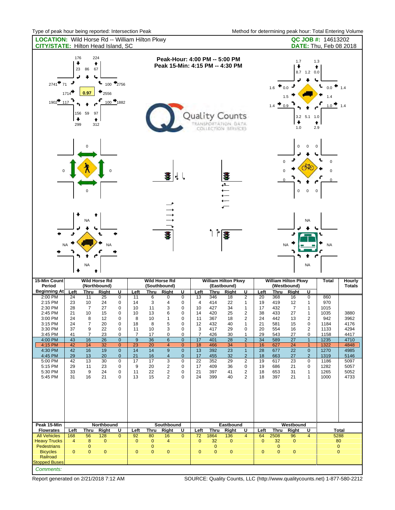| rypo or poun nour borrig reported. Intersection r can<br><b>LOCATION:</b> Wild Horse Rd -- William Hilton Pkwy<br><b>CITY/STATE: Hilton Head Island, SC</b>                    |                                                                                              |                                                                                                                  |                                                                                                           |                                                                                                                                                                     |                                                                                          |                                                                                           |                                                                                                                                                                    |                                                                                                                                       |                                                                                           |                                                                                                              |                                                                                                                                   |                                                                                                                                                                            |                                                                                              |                                                                                                              |                                                                                                          |                                                                                                                                                                                                                          | QC JOB #: 14613202<br><b>DATE:</b> Thu, Feb 08 2018                                                                       | monioù ion dolc'himmig pouk noar. Tolar Entering Volank                                              |
|--------------------------------------------------------------------------------------------------------------------------------------------------------------------------------|----------------------------------------------------------------------------------------------|------------------------------------------------------------------------------------------------------------------|-----------------------------------------------------------------------------------------------------------|---------------------------------------------------------------------------------------------------------------------------------------------------------------------|------------------------------------------------------------------------------------------|-------------------------------------------------------------------------------------------|--------------------------------------------------------------------------------------------------------------------------------------------------------------------|---------------------------------------------------------------------------------------------------------------------------------------|-------------------------------------------------------------------------------------------|--------------------------------------------------------------------------------------------------------------|-----------------------------------------------------------------------------------------------------------------------------------|----------------------------------------------------------------------------------------------------------------------------------------------------------------------------|----------------------------------------------------------------------------------------------|--------------------------------------------------------------------------------------------------------------|----------------------------------------------------------------------------------------------------------|--------------------------------------------------------------------------------------------------------------------------------------------------------------------------------------------------------------------------|---------------------------------------------------------------------------------------------------------------------------|------------------------------------------------------------------------------------------------------|
| 2741<br>1902 117                                                                                                                                                               | 176<br>۰<br>23<br>1714<br>۰<br>299                                                           | 86<br>0.97<br>156 59 97                                                                                          | 224<br>٠<br>67<br>t.<br>2556<br>٠<br>312                                                                  | $100$ $\bigstar$ 2756<br>$100$ $*1882$                                                                                                                              |                                                                                          |                                                                                           |                                                                                                                                                                    |                                                                                                                                       |                                                                                           |                                                                                                              | Peak-Hour: 4:00 PM -- 5:00 PM<br>Peak 15-Min: 4:15 PM -- 4:30 PM<br>Quality Counts<br>TRANSPORTATION, DATA<br>COLLECTION SERVICES |                                                                                                                                                                            |                                                                                              | 1.6                                                                                                          | 1.7<br>Ĵ<br>0.0<br>1.5<br>۰<br>1.0                                                                       | 8.7 1.2 0.0<br>3.2 5.1 1.0                                                                                                                                                                                               | 1.3<br>٠<br>۱.<br>$0.0\,$<br>1.4<br>1.0<br>♠<br>2.9                                                                       | $\bullet$ 1.4<br>1.4                                                                                 |
|                                                                                                                                                                                | <b>NA</b>                                                                                    | $\Omega$<br><b>NA</b><br>NA                                                                                      |                                                                                                           |                                                                                                                                                                     |                                                                                          |                                                                                           | Ŧ<br>Ŧ                                                                                                                                                             | $\frac{1}{2}$                                                                                                                         |                                                                                           |                                                                                                              | $\frac{1}{\sqrt{2}}$<br>上書                                                                                                        |                                                                                                                                                                            |                                                                                              |                                                                                                              | $\pmb{0}$<br>$\Omega$<br>$\pmb{0}$<br><b>NA</b>                                                          | $\mathbf 0$<br>$\mathbf 0$<br><b>NA</b><br>NA                                                                                                                                                                            | $\mathbf 0$<br>$\Omega$<br>0<br>$\mathbf 0$<br><b>NA</b>                                                                  |                                                                                                      |
| 15-Min Count                                                                                                                                                                   |                                                                                              |                                                                                                                  | <b>Wild Horse Rd</b>                                                                                      |                                                                                                                                                                     |                                                                                          |                                                                                           | <b>Wild Horse Rd</b>                                                                                                                                               |                                                                                                                                       |                                                                                           |                                                                                                              | <b>William Hilton Pkwy</b>                                                                                                        |                                                                                                                                                                            |                                                                                              |                                                                                                              | <b>William Hilton Pkwy</b>                                                                               |                                                                                                                                                                                                                          | <b>Total</b>                                                                                                              | Hourly                                                                                               |
| Period<br>Beginning At                                                                                                                                                         | Left                                                                                         | Thru                                                                                                             | (Northbound)<br><b>Right</b>                                                                              | U                                                                                                                                                                   | Left                                                                                     | Thru                                                                                      | (Southbound)<br>Right                                                                                                                                              | U                                                                                                                                     | Left                                                                                      | <b>Thru</b>                                                                                                  | (Eastbound)<br><b>Right</b>                                                                                                       | U                                                                                                                                                                          | Left                                                                                         | Thru                                                                                                         | (Westbound)<br>Right                                                                                     | U                                                                                                                                                                                                                        |                                                                                                                           | <b>Totals</b>                                                                                        |
| $2:00$ PM<br>2:15 PM<br>2:30 PM<br>2:45 PM<br>3:00 PM<br>3:15 PM<br>3:30 PM<br>3:45 PM<br>4:00 PM<br>4:15 PM<br>4:30 PM<br>4:45 PM<br>5:00 PM<br>5:15 PM<br>5:30 PM<br>5:45 PM | 24<br>23<br>28<br>21<br>24<br>24<br>37<br>41<br>43<br>42<br>42<br>29<br>42<br>29<br>33<br>31 | $\overline{11}$<br>10<br>$\overline{7}$<br>10<br>8<br>7<br>9<br>7<br>16<br>14<br>16<br>13<br>13<br>11<br>9<br>16 | $\overline{25}$<br>24<br>27<br>15<br>12<br>20<br>22<br>23<br>26<br>32<br>19<br>20<br>30<br>23<br>24<br>21 | $\overline{0}$<br>0<br>$\mathbf 0$<br>0<br>$\mathbf 0$<br>0<br>0<br>0<br>$\mathbf{0}$<br>$\mathbf{0}$<br>$\mathbf{0}$<br>$\mathbf{0}$<br>0<br>0<br>0<br>$\mathbf 0$ | 11<br>14<br>10<br>10<br>8<br>18<br>11<br>7<br>9<br>23<br>14<br>21<br>17<br>9<br>11<br>13 | 6<br>3<br>11<br>13<br>10<br>8<br>10<br>17<br>36<br>20<br>14<br>16<br>17<br>20<br>22<br>15 | 0<br>4<br>3<br>6<br>$\mathbf{1}$<br>5<br>3<br>0<br>6<br>$\overline{4}$<br>9<br>$\overline{4}$<br>3<br>2<br>$\overline{\mathbf{c}}$<br>$\overline{2}$<br>Southbound | $\overline{0}$<br>0<br>0<br>0<br>0<br>0<br>0<br>0<br>$\mathbf{0}$<br>$\mathbf{0}$<br>$\mathbf{0}$<br>$\mathbf{0}$<br>0<br>0<br>0<br>0 | 13<br>4<br>10<br>14<br>11<br>12<br>3<br>7<br>17<br>18<br>13<br>17<br>22<br>17<br>21<br>24 | 346<br>414<br>427<br>420<br>367<br>432<br>417<br>426<br>401<br>466<br>392<br>455<br>352<br>409<br>397<br>399 | 18<br>22<br>34<br>25<br>18<br>40<br>29<br>30<br>28<br>34<br>23<br>32<br>29<br>36<br>41<br>40                                      | 2<br>$\mathbf{1}$<br>$\mathbf{1}$<br>$\overline{\mathbf{c}}$<br>2<br>1<br>0<br>1<br>$\overline{2}$<br>1<br>$\mathbf{1}$<br>$\overline{2}$<br>2<br>0<br>$\overline{c}$<br>2 | 20<br>19<br>17<br>38<br>24<br>21<br>20<br>29<br>34<br>16<br>28<br>18<br>19<br>19<br>18<br>18 | 368<br>419<br>432<br>433<br>442<br>581<br>554<br>543<br>589<br>627<br>677<br>663<br>617<br>686<br>653<br>397 | 16<br>12<br>$\overline{7}$<br>27<br>13<br>15<br>16<br>27<br>27<br>24<br>22<br>27<br>23<br>21<br>31<br>21 | $\overline{0}$<br>$\mathbf{1}$<br>$\mathbf{1}$<br>$\mathbf{1}$<br>$\overline{2}$<br>0<br>$\overline{2}$<br>0<br>$\mathbf{1}$<br>$\mathbf{1}$<br>$\mathbf{0}$<br>$\overline{2}$<br>0<br>0<br>$\mathbf{1}$<br>$\mathbf{1}$ | 860<br>970<br>1015<br>1035<br>942<br>1184<br>1133<br>1158<br>1235<br>1322<br>1270<br>1319<br>1186<br>1282<br>1265<br>1000 | 3880<br>3962<br>4176<br>4294<br>4417<br>4710<br>4848<br>4985<br>5146<br>5097<br>5057<br>5052<br>4733 |
| Peak 15-Min                                                                                                                                                                    |                                                                                              |                                                                                                                  | Northbound                                                                                                |                                                                                                                                                                     |                                                                                          |                                                                                           |                                                                                                                                                                    |                                                                                                                                       |                                                                                           |                                                                                                              | Eastbound                                                                                                                         |                                                                                                                                                                            |                                                                                              |                                                                                                              | Westbound                                                                                                |                                                                                                                                                                                                                          |                                                                                                                           |                                                                                                      |
| <b>Flowrates</b>                                                                                                                                                               | Left                                                                                         | <b>Thru</b>                                                                                                      | <b>Right</b>                                                                                              | U                                                                                                                                                                   | <b>Left</b>                                                                              | <b>Thru</b>                                                                               | Right                                                                                                                                                              | U                                                                                                                                     | Left                                                                                      | Thru                                                                                                         | Right                                                                                                                             | U                                                                                                                                                                          | Left                                                                                         | Thru                                                                                                         | Right                                                                                                    | U                                                                                                                                                                                                                        |                                                                                                                           | Total                                                                                                |
| <b>All Vehicles</b><br><b>Heavy Trucks</b>                                                                                                                                     | 168<br>$\overline{4}$                                                                        | 56<br>8                                                                                                          | 128<br>$\mathbf 0$                                                                                        | $\overline{0}$                                                                                                                                                      | 92<br>$\mathbf{0}$                                                                       | 80<br>$\mathbf{0}$                                                                        | 16<br>4                                                                                                                                                            | $\overline{0}$                                                                                                                        | 72<br>$\mathbf 0$                                                                         | 1864<br>32                                                                                                   | 136<br>$\mathbf 0$                                                                                                                | 4                                                                                                                                                                          | 64<br>$\mathbf 0$                                                                            | 2508<br>32                                                                                                   | 96<br>$\mathbf{0}$                                                                                       | $\overline{4}$                                                                                                                                                                                                           |                                                                                                                           | 5288<br>80                                                                                           |

Bicycles 0 0 0 0 0 0 0 0 0 0 0 0 0

Stopped Buse *Comments:*

**Railroad**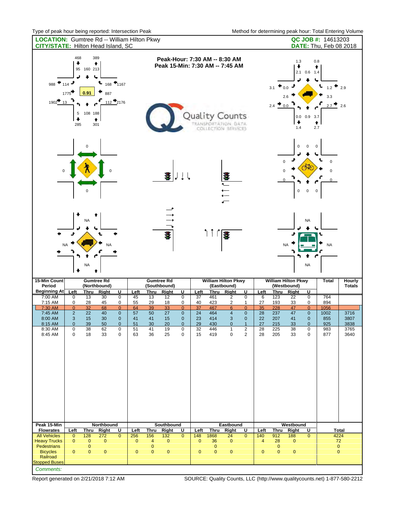| <b>LOCATION:</b> Gumtree Rd -- William Hilton Pkwy<br><b>CITY/STATE: Hilton Head Island, SC</b> |                                                              |                                                  |                                                |                                                                      |                                  |                                  |                                                |                                                                   |                                  |                                        |                                                                                                                                        |                                                                                  |                                  |                                        |                                                              |                                                                           | QC JOB #: 14613203<br><b>DATE:</b> Thu, Feb 08 2018                                                               |                                      |
|-------------------------------------------------------------------------------------------------|--------------------------------------------------------------|--------------------------------------------------|------------------------------------------------|----------------------------------------------------------------------|----------------------------------|----------------------------------|------------------------------------------------|-------------------------------------------------------------------|----------------------------------|----------------------------------------|----------------------------------------------------------------------------------------------------------------------------------------|----------------------------------------------------------------------------------|----------------------------------|----------------------------------------|--------------------------------------------------------------|---------------------------------------------------------------------------|-------------------------------------------------------------------------------------------------------------------|--------------------------------------|
| 988<br>$1902 - 13$                                                                              | 468<br>٠<br>95<br>114<br>1775<br>5<br>۰<br>285               | 160 213<br>÷<br>↳<br>0.91<br>108 188<br>301<br>0 | 389<br>٠<br>t.<br>887<br>٠                     | $168$ $*$ 1167<br>$112 \cdot 2176$                                   |                                  |                                  | Ŧ                                              |                                                                   |                                  |                                        | Peak-Hour: 7:30 AM -- 8:30 AM<br>Peak 15-Min: 7:30 AM -- 7:45 AM<br>Quality Counts<br>transportation. Data<br>COLLECTION SERVICES<br>T |                                                                                  |                                  | 3.1<br>$\mathbf 0$<br>$\Omega$         | 1.3<br>۰<br>0.0<br>2.6<br>₩<br>1.4<br>$\pmb{0}$<br>$\pmb{0}$ | $2.1$ 0.6 1.4<br>۳<br>$0.0$ $0.9$ $3.7$<br>$\mathbf 0$<br>$\mathbf 0$     | 0.8<br>٠<br>t.<br>1.2<br>3.3<br>2.7<br>♠<br>2.7<br>$\mathbf 0$<br>$\mathsf 0$<br>0<br>$\mathbf{0}$<br>$\mathbf 0$ | 2.9<br>$\bullet$ 2.6                 |
| 15-Min Count                                                                                    | <b>NA</b>                                                    | <b>NA</b><br><b>NA</b>                           | <b>NA</b><br><b>Gumtree Rd</b>                 |                                                                      |                                  |                                  | Ŧ<br><b>Gumtree Rd</b>                         |                                                                   |                                  | ׀֟׀ ׀ ( <b>۱</b>                       | Ŧ<br><b>William Hilton Pkwy</b>                                                                                                        |                                                                                  |                                  |                                        | <b>NA</b><br><b>William Hilton Pkwy</b>                      | <b>NA</b><br><b>NA</b>                                                    | <b>NA</b><br><b>Total</b>                                                                                         | Hourly                               |
| Period<br>Beginning At                                                                          | Left                                                         | <b>Thru</b>                                      | (Northbound)<br>Right                          | $\overline{\mathsf{U}}$                                              | Left                             | Thru                             | (Southbound)<br><b>Right</b>                   | U                                                                 | Left                             | Thru                                   | (Eastbound)<br>Right                                                                                                                   | U                                                                                | Left                             | <b>Thru</b>                            | (Westbound)<br>Right                                         | U                                                                         |                                                                                                                   | <b>Totals</b>                        |
| 7:00 AM<br>7:15 AM                                                                              | 0<br>0                                                       | 13<br>28                                         | 30<br>45                                       | $\overline{0}$<br>0                                                  | 45<br>55                         | $\overline{13}$<br>29            | 12<br>18                                       | $\overline{0}$<br>0                                               | 37<br>40                         | 461<br>423                             | $\overline{2}$<br>2                                                                                                                    | $\overline{0}$<br>$\mathbf{1}$                                                   | $6\overline{6}$<br>27            | 123<br>193                             | 22<br>33                                                     | $\overline{0}$<br>$\mathbf 0$                                             | 764<br>894                                                                                                        |                                      |
| 7:30 AM<br>7:45 AM<br>8:00 AM<br>8:15 AM<br>8:30 AM<br>8:45 AM<br>Peak 15-Min                   | $\overline{0}$<br>$\overline{2}$<br>3<br>$\pmb{0}$<br>0<br>0 | 32<br>22<br>15<br>39<br>38<br>18                 | 68<br>40<br>30<br>50<br>62<br>33<br>Northbound | $\overline{0}$<br>$\pmb{0}$<br>$\mathbf 0$<br>$\mathbf{0}$<br>0<br>0 | 64<br>57<br>41<br>51<br>51<br>63 | 39<br>50<br>41<br>30<br>41<br>36 | 33<br>27<br>15<br>20<br>19<br>25<br>Southbound | $\overline{0}$<br>$\pmb{0}$<br>$\mathbf 0$<br>$\pmb{0}$<br>0<br>0 | 37<br>24<br>23<br>29<br>32<br>15 | 467<br>464<br>414<br>430<br>446<br>419 | 6<br>$\overline{\mathbf{4}}$<br>$\mathbf{3}$<br>$\mathbf{0}$<br>1<br>0<br>Eastbound                                                    | $\overline{0}$<br>$\pmb{0}$<br>$\mathbf 0$<br>$\mathbf 1$<br>2<br>$\overline{2}$ | 35<br>28<br>22<br>27<br>28<br>28 | 228<br>237<br>207<br>215<br>225<br>205 | 47<br>47<br>41<br>33<br>38<br>33<br>Westbound                | $\overline{0}$<br>$\pmb{0}$<br>$\mathbf 0$<br>$\pmb{0}$<br>0<br>$\pmb{0}$ | 1056<br>1002<br>855<br>925<br>983<br>877                                                                          | 3716<br>3807<br>3838<br>3765<br>3640 |
| <b>Flowrates</b><br><b>All Vehicles</b>                                                         | Left<br>$\mathbf 0$                                          | <b>Thru</b><br>128                               | <b>Right</b><br>272                            | U<br>$\mathbf{0}$                                                    | Left<br>256                      | <u>Thru</u><br>156               | Right<br>$132$                                 | <u>U</u><br>$\overline{0}$                                        | Left<br>148                      | <u>Thru</u><br>1868                    | Right<br>24                                                                                                                            | <u>u</u><br>$\mathbf{0}$                                                         | Left<br>140                      | <u>Thru</u><br>912                     | Right<br>188                                                 | U<br>$\overline{0}$                                                       |                                                                                                                   | <b>Total</b><br>4224                 |
| <b>Heavy Trucks</b><br>Pedestrians                                                              | $\mathbf 0$                                                  | $\bf{0}$<br>$\mathbf 0$                          | $\mathbf 0$                                    |                                                                      | $\mathbf 0$                      | 4<br>0                           | $\mathbf 0$                                    |                                                                   | $\mathbf 0$                      | 36<br>$\pmb{0}$                        | 0                                                                                                                                      |                                                                                  | 4                                | 28<br>$\pmb{0}$                        | $\mathbf 0$                                                  |                                                                           |                                                                                                                   | $72\,$<br>$\mathbf 0$                |
| <b>Bicycles</b><br>Railroad<br><b>Stopped Buses</b>                                             | 0                                                            | $\pmb{0}$                                        | $\pmb{0}$                                      |                                                                      | 0                                | 0                                | $\pmb{0}$                                      |                                                                   | $\bf{0}$                         | $\bf 0$                                | 0                                                                                                                                      |                                                                                  | $\bf{0}$                         | $\pmb{0}$                              | $\mathbf 0$                                                  |                                                                           |                                                                                                                   | $\pmb{0}$                            |
| Comments:                                                                                       |                                                              |                                                  |                                                |                                                                      |                                  |                                  |                                                |                                                                   |                                  |                                        |                                                                                                                                        |                                                                                  |                                  |                                        |                                                              |                                                                           |                                                                                                                   |                                      |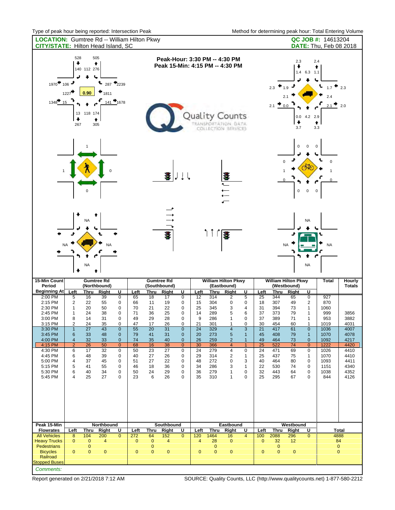| <b>LOCATION:</b> Gumtree Rd -- William Hilton Pkwy<br><b>CITY/STATE: Hilton Head Island, SC</b>                                    |                                                                                                                     |                                                                  |                                                                   |                                                                                                                       |                                                                  |                                                                         |                                                                          |                                                                                                                |                                                                 |                                                                            |                                                                                                                                  |                                                                                                   |                                                                  |                                                                            |                                                                          |                                                                                                                                      | QC JOB #: 14613204<br><b>DATE:</b> Thu, Feb 08 2018                      |                                                         |
|------------------------------------------------------------------------------------------------------------------------------------|---------------------------------------------------------------------------------------------------------------------|------------------------------------------------------------------|-------------------------------------------------------------------|-----------------------------------------------------------------------------------------------------------------------|------------------------------------------------------------------|-------------------------------------------------------------------------|--------------------------------------------------------------------------|----------------------------------------------------------------------------------------------------------------|-----------------------------------------------------------------|----------------------------------------------------------------------------|----------------------------------------------------------------------------------------------------------------------------------|---------------------------------------------------------------------------------------------------|------------------------------------------------------------------|----------------------------------------------------------------------------|--------------------------------------------------------------------------|--------------------------------------------------------------------------------------------------------------------------------------|--------------------------------------------------------------------------|---------------------------------------------------------|
| 1970<br>$1348$ 15                                                                                                                  | 528<br>٠<br>106<br>1227<br>13<br>٠<br>267                                                                           | 140 112 276<br>0.90<br>118 174                                   | 505<br>٠<br>287<br>1811<br>305                                    | $T_{2239}$<br>$141$ $*1678$                                                                                           |                                                                  |                                                                         |                                                                          |                                                                                                                |                                                                 |                                                                            | Peak-Hour: 3:30 PM -- 4:30 PM<br>Peak 15-Min: 4:15 PM -- 4:30 PM<br>Quality Counts<br>TRANSPORTATION DATA<br>COLLECTION SERVICES |                                                                                                   |                                                                  | 2.3<br>2.1                                                                 | 2.3<br>1.9<br>0.0<br>0.0<br>٠<br>3.7                                     | 2.4<br>$1.4$ 6.3 1.1<br>4.2 2.9                                                                                                      | 1.7<br>2.4<br>٠<br>3.3                                                   | 2.3<br>2.0                                              |
|                                                                                                                                    |                                                                                                                     | O                                                                |                                                                   |                                                                                                                       |                                                                  |                                                                         | Ŧ                                                                        |                                                                                                                |                                                                 |                                                                            |                                                                                                                                  |                                                                                                   |                                                                  |                                                                            | 0<br>$\Omega$<br>$\pmb{0}$                                               | $\mathbf 0$<br>0<br>$\pmb{0}$<br>0                                                                                                   | 0                                                                        |                                                         |
| 15-Min Count<br>Period                                                                                                             |                                                                                                                     | <b>NA</b><br>NA                                                  | <b>NA</b><br><b>Gumtree Rd</b><br>(Northbound)                    |                                                                                                                       |                                                                  |                                                                         | Æ<br><b>Gumtree Rd</b><br>(Southbound)                                   |                                                                                                                |                                                                 | ׀ 1 ('                                                                     | 围<br><b>William Hilton Pkwy</b><br>(Eastbound)                                                                                   |                                                                                                   |                                                                  |                                                                            | <b>NA</b><br><b>William Hilton Pkwy</b><br>(Westbound)                   | <b>NA</b><br><b>NA</b>                                                                                                               | NA<br>Total                                                              | Hourly<br><b>Totals</b>                                 |
| Beginning At<br>2:00 PM<br>2:15 PM<br>2:30 PM<br>2:45 PM<br>3:00 PM<br>3:15 PM<br>3:30 PM<br>3:45 PM<br>4:00 PM<br>4:15 PM         | Left<br>5<br>$\overline{2}$<br>$\mathbf{1}$<br>1<br>8<br>2<br>$\mathbf{1}$<br>6<br>$\overline{4}$<br>$\overline{2}$ | Thru<br>16<br>22<br>20<br>24<br>14<br>24<br>27<br>33<br>32<br>26 | Right<br>39<br>55<br>50<br>38<br>31<br>35<br>43<br>48<br>33<br>50 | U<br>$\overline{0}$<br>0<br>0<br>$\mathbf 0$<br>0<br>0<br>$\mathbf{0}$<br>$\mathbf 0$<br>$\mathbf{0}$<br>$\mathbf{0}$ | Left<br>65<br>66<br>70<br>71<br>49<br>47<br>55<br>79<br>74<br>68 | <b>Thru</b><br>18<br>11<br>21<br>36<br>29<br>17<br>20<br>41<br>35<br>16 | <b>Right</b><br>17<br>19<br>22<br>25<br>28<br>26<br>31<br>31<br>40<br>38 | U<br>$\overline{0}$<br>0<br>0<br>0<br>0<br>0<br>$\mathbf{0}$<br>$\mathbf{0}$<br>$\mathbf{0}$<br>$\overline{0}$ | Left<br>12<br>15<br>25<br>14<br>9<br>21<br>24<br>20<br>26<br>30 | Thru<br>314<br>304<br>345<br>289<br>286<br>301<br>329<br>273<br>259<br>366 | Right<br>2<br>0<br>3<br>5<br>1<br>1<br>$\overline{\mathbf{4}}$<br>5<br>$\overline{2}$<br>$\overline{4}$                          | U<br>$\overline{5}$<br>0<br>4<br>6<br>0<br>0<br>3<br>$\mathbf{1}$<br>$\mathbf{1}$<br>$\mathbf{1}$ | Left<br>25<br>18<br>31<br>37<br>37<br>30<br>21<br>45<br>49<br>25 | Thru<br>344<br>307<br>394<br>373<br>389<br>454<br>417<br>408<br>464<br>522 | <b>Right</b><br>65<br>49<br>73<br>79<br>71<br>60<br>61<br>79<br>73<br>74 | U<br>$\overline{0}$<br>$\overline{2}$<br>$\mathbf{1}$<br>1<br>1<br>1<br>$\mathbf 0$<br>$\mathbf{1}$<br>$\mathbf 0$<br>$\overline{0}$ | 927<br>870<br>1060<br>999<br>953<br>1019<br>1036<br>1070<br>1092<br>1222 | 3856<br>3882<br>4031<br>4007<br>4078<br>4217<br>4420    |
| 4:30 PM<br>4:45 PM<br>5:00 PM<br>5:15 PM<br>5:30 PM<br>5:45 PM                                                                     | 6<br>6<br>4<br>5<br>6<br>4                                                                                          | 17<br>48<br>37<br>41<br>40<br>25                                 | 32<br>39<br>45<br>55<br>34<br>27                                  | 0<br>0<br>0<br>0<br>0<br>$\mathbf 0$                                                                                  | 50<br>40<br>51<br>46<br>50<br>23                                 | 23<br>27<br>27<br>18<br>24<br>6                                         | 27<br>26<br>22<br>36<br>29<br>26                                         | 0<br>0<br>0<br>$\mathbf 0$<br>0<br>$\mathbf 0$                                                                 | 24<br>29<br>48<br>34<br>36<br>35                                | 279<br>314<br>272<br>286<br>279<br>310                                     | 4<br>2<br>0<br>3<br>1<br>1                                                                                                       | 0<br>1<br>3<br>$\mathbf{1}$<br>0<br>0                                                             | 24<br>25<br>40<br>22<br>32<br>25                                 | 471<br>437<br>464<br>530<br>443<br>295                                     | 69<br>75<br>80<br>74<br>64<br>67                                         | 0<br>$\mathbf{1}$<br>0<br>0<br>0<br>$\mathbf 0$                                                                                      | 1026<br>1070<br>1093<br>1151<br>1038<br>844                              | 4410<br>4410<br>4411<br>4340<br>4352<br>4126            |
| Peak 15-Min<br><b>Flowrates</b><br><b>All Vehicles</b><br><b>Heavy Trucks</b><br><b>Pedestrians</b><br><b>Bicycles</b><br>Railroad | Left<br>8<br>$\mathbf{0}$<br>$\mathbf{0}$                                                                           | <b>Thru</b><br>104<br>$\pmb{0}$<br>$\mathbf 0$<br>0              | Northbound<br><b>Right</b><br>200<br>$\overline{4}$<br>$\pmb{0}$  | U<br>$\overline{0}$                                                                                                   | Left<br>272<br>$\mathbf 0$<br>$\mathbf{0}$                       | <b>Thru</b><br>64<br>$\pmb{0}$<br>$\mathbf{0}$<br>$\mathbf{0}$          | Southbound<br>Right<br>152<br>4<br>0                                     | U<br>$\overline{0}$                                                                                            | Left<br>120<br>$\overline{4}$<br>$\mathbf 0$                    | <b>Thru</b><br>1464<br>28<br>$\mathbf 0$<br>$\pmb{0}$                      | Eastbound<br>Right<br>16<br>$\pmb{0}$<br>$\pmb{0}$                                                                               | U<br>$\overline{4}$                                                                               | Left<br>100<br>$\pmb{0}$<br>$\pmb{0}$                            | <b>Thru</b><br>2088<br>32<br>$\mathbf 0$<br>$\pmb{0}$                      | Westbound<br>Right<br>296<br>12<br>$\pmb{0}$                             | U<br>$\overline{0}$                                                                                                                  |                                                                          | <b>Total</b><br>4888<br>84<br>$\mathbf{0}$<br>$\pmb{0}$ |

Stopped Buses *Comments:*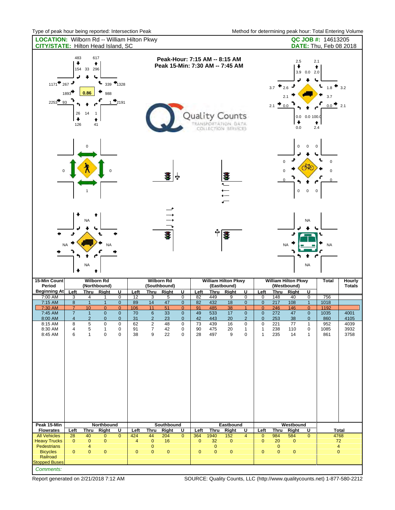| <b>LOCATION:</b> Wilborn Rd -- William Hilton Pkwy<br><b>CITY/STATE: Hilton Head Island, SC</b> |                                                                            |                                                                |                                                                                |                                                                                  |                                   |                                                        |                                                                  |                                                           |                                  |                                        |                                                                     |                                                                            |                                                                      |                                        |                                           |                                                                    | QC JOB #: 14613205<br>DATE: Thu, Feb 08 2018               |                                      |
|-------------------------------------------------------------------------------------------------|----------------------------------------------------------------------------|----------------------------------------------------------------|--------------------------------------------------------------------------------|----------------------------------------------------------------------------------|-----------------------------------|--------------------------------------------------------|------------------------------------------------------------------|-----------------------------------------------------------|----------------------------------|----------------------------------------|---------------------------------------------------------------------|----------------------------------------------------------------------------|----------------------------------------------------------------------|----------------------------------------|-------------------------------------------|--------------------------------------------------------------------|------------------------------------------------------------|--------------------------------------|
| $1171$ <sup><math>+</math></sup> 267 $\rightarrow$<br>2253                                      | 483<br>۰<br>1893<br>93<br>26<br>۰<br>126                                   | 617<br>٠<br>154 33 296<br>0.86<br>14<br>1<br>٠<br>41           | L<br>988                                                                       | $339$ $*$ 1328<br>$1 - 2191$                                                     |                                   |                                                        | Peak-Hour: 7:15 AM -- 8:15 AM<br>Peak 15-Min: 7:30 AM -- 7:45 AM |                                                           |                                  |                                        | <b>Quality Counts</b><br>TRANSPORTATION DATA<br>COLLECTION SERVICES |                                                                            |                                                                      | 3.7<br>2.1 $\bullet$                   | 2.5<br>٠<br>2.6<br>2.1<br>0.0<br>۰<br>0.0 | $3.9$ 0.0 2.0<br>↳<br>$0.0$ 0.0 100.0                              | 2.1<br>٠<br>1.8<br>3.7<br>$0.0$ 2.1<br>2.4                 | 3.2                                  |
| $\mathbf 0$                                                                                     |                                                                            | 0                                                              |                                                                                |                                                                                  |                                   |                                                        | 輩 ⊹                                                              |                                                           |                                  |                                        | $rac{4}{3}$<br>$\leftarrow$                                         |                                                                            |                                                                      |                                        | $\pmb{0}$<br>$\mathbf 0$<br>$\pmb{0}$     | $\mathbf 0$<br>$\mathbf 0$                                         | $\mathbf 0$<br>$\pmb{0}$<br>O<br>$\mathbf{0}$<br>$\pmb{0}$ |                                      |
|                                                                                                 | <b>NA</b><br>⋅                                                             | <b>NA</b><br><b>NA</b>                                         | NA                                                                             |                                                                                  |                                   |                                                        | Æ                                                                |                                                           |                                  | ∱                                      | T                                                                   |                                                                            |                                                                      |                                        | <b>NA</b>                                 | <b>NA</b><br><b>NA</b>                                             | NA                                                         |                                      |
| 15-Min Count<br>Period                                                                          |                                                                            |                                                                | <b>Wilborn Rd</b><br>(Northbound)                                              |                                                                                  |                                   |                                                        | <b>Wilborn Rd</b><br>(Southbound)                                |                                                           |                                  |                                        | <b>William Hilton Pkwy</b><br>(Eastbound)                           |                                                                            |                                                                      |                                        | <b>William Hilton Pkwy</b><br>(Westbound) |                                                                    | <b>Total</b>                                               | Hourly<br><b>Totals</b>              |
| <b>Beginning At</b><br>7:00 AM                                                                  | Left<br>3                                                                  | <b>Thru</b><br>4                                               | Right<br>1                                                                     | <u>U</u><br>$\overline{0}$                                                       | Left<br>12                        | <b>Thru</b><br>3                                       | Right<br>5                                                       | <u>U</u><br>$\overline{0}$                                | <u>Left</u><br>82                | <b>Thru</b><br>449                     | <b>Right</b><br>9                                                   | $\cup$<br>$\overline{0}$                                                   | Left<br>0                                                            | <b>Thru</b><br>148                     | <b>Right</b><br>40                        | U<br>$\overline{0}$                                                | 756                                                        |                                      |
| 7:15 AM                                                                                         | $\boldsymbol{8}$                                                           | $\overline{1}$                                                 | $\mathbf{1}$                                                                   | $\pmb{0}$                                                                        | 89                                | 14                                                     | 47                                                               | $\pmb{0}$                                                 | 82                               | 432                                    | 18                                                                  | $\mathbf{0}$                                                               | $\pmb{0}$                                                            | 217                                    | 108                                       | $\overline{1}$                                                     | 1018                                                       |                                      |
| 7:30 AM<br>7:45 AM<br>8:00 AM<br>8:15 AM<br>8:30 AM<br>8:45 AM                                  | $\overline{7}$<br>$\overline{7}$<br>$\overline{\mathbf{4}}$<br>8<br>4<br>6 | 10<br>$\mathbf{1}$<br>$\overline{2}$<br>5<br>5<br>$\mathbf{1}$ | $\overline{0}$<br>$\mathbf 0$<br>$\mathbf{0}$<br>$\mathbf 0$<br>1<br>$\pmb{0}$ | $\overline{0}$<br>$\mathbf 0$<br>$\mathbf{0}$<br>$\mathbf 0$<br>0<br>$\mathbf 0$ | 106<br>70<br>31<br>62<br>91<br>38 | 11<br>$6\phantom{1}6$<br>$\overline{2}$<br>2<br>7<br>9 | 51<br>33<br>23<br>48<br>42<br>22                                 | $\overline{0}$<br>$\pmb{0}$<br>$\mathbf 0$<br>0<br>0<br>0 | 91<br>49<br>42<br>73<br>90<br>28 | 485<br>533<br>443<br>439<br>475<br>497 | 38<br>17<br>20<br>16<br>20<br>9                                     | $\mathbf{1}$<br>$\pmb{0}$<br>$\overline{2}$<br>$\pmb{0}$<br>1<br>$\pmb{0}$ | $\overline{0}$<br>$\pmb{0}$<br>$\mathbf 0$<br>0<br>1<br>$\mathbf{1}$ | 246<br>272<br>253<br>221<br>238<br>235 | 146<br>47<br>38<br>77<br>110<br>14        | $\overline{0}$<br>$\pmb{0}$<br>$\pmb{0}$<br>1<br>0<br>$\mathbf{1}$ | 1192<br>1035<br>860<br>952<br>1085<br>861                  | 4001<br>4105<br>4039<br>3932<br>3758 |
|                                                                                                 |                                                                            |                                                                |                                                                                |                                                                                  |                                   |                                                        |                                                                  |                                                           |                                  |                                        |                                                                     |                                                                            |                                                                      |                                        |                                           |                                                                    |                                                            |                                      |
| Peak 15-Min<br><b>Flowrates</b>                                                                 | Left                                                                       | Thru                                                           | Northbound<br><b>Right</b>                                                     | U                                                                                | Left                              | <b>Thru</b>                                            | Southbound<br><b>Right</b>                                       | U                                                         | Left                             | $Thru$                                 | Eastbound<br>Right                                                  | U                                                                          | Left                                                                 | $Thru$                                 | Westbound<br>Right                        | U                                                                  |                                                            | Total                                |
| <b>All Vehicles</b><br><b>Heavy Trucks</b>                                                      | 28<br>$\mathbf{0}$                                                         | 40<br>$\pmb{0}$                                                | $\mathbf{0}$<br>$\pmb{0}$                                                      | $\overline{0}$                                                                   | 424<br>$\overline{4}$             | 44<br>$\mathbf{0}$                                     | 204<br>16                                                        | $\overline{0}$                                            | 364<br>$\mathbf 0$               | 1940<br>32                             | 152<br>$\mathbf 0$                                                  | 4                                                                          | $\mathbf 0$<br>$\pmb{0}$                                             | 984<br>20                              | 584<br>$\mathbf{0}$                       | $\overline{0}$                                                     |                                                            | 4768<br>72                           |
| <b>Pedestrians</b>                                                                              | $\mathbf{0}$                                                               | 4<br>$\mathbf 0$                                               | $\mathbf{0}$                                                                   |                                                                                  | $\mathbf{0}$                      | $\mathbf 0$<br>$\mathbf 0$                             | $\mathbf{0}$                                                     |                                                           |                                  | $\mathbf 0$<br>$\mathbf 0$             | $\mathbf 0$                                                         |                                                                            |                                                                      | $\mathbf 0$<br>$\mathbf{0}$            | $\mathbf{0}$                              |                                                                    | $\mathbf{0}$                                               | $\overline{4}$                       |
| <b>Bicycles</b><br>Railroad<br><b>Stopped Buses</b>                                             |                                                                            |                                                                |                                                                                |                                                                                  |                                   |                                                        |                                                                  |                                                           | $\pmb{0}$                        |                                        |                                                                     |                                                                            | $\pmb{0}$                                                            |                                        |                                           |                                                                    |                                                            |                                      |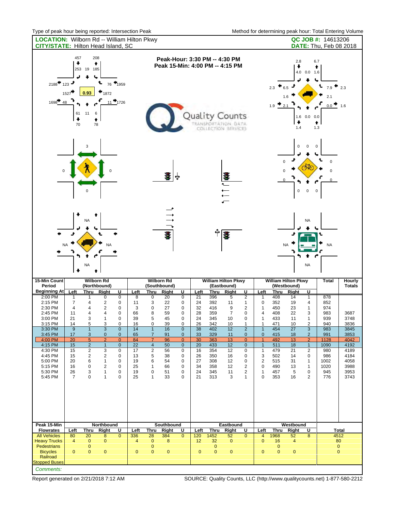|                                                   |                                   |                                  | <b>LOCATION:</b> Wilborn Rd -- William Hilton Pkwy<br><b>CITY/STATE: Hilton Head Island, SC</b> |                                |                      |                                  |                                                                  |                                |              |                          |                                                                     |                                |                                |                             |                                           |                                | QC JOB #: 14613206<br><b>DATE:</b> Thu, Feb 08 2018        |                           |
|---------------------------------------------------|-----------------------------------|----------------------------------|-------------------------------------------------------------------------------------------------|--------------------------------|----------------------|----------------------------------|------------------------------------------------------------------|--------------------------------|--------------|--------------------------|---------------------------------------------------------------------|--------------------------------|--------------------------------|-----------------------------|-------------------------------------------|--------------------------------|------------------------------------------------------------|---------------------------|
| $2188$ <sup>+</sup> $123$ →<br>$1698$ 48          | 457<br>٠<br>1527<br>61<br>۰<br>70 | 253 19<br>185<br>0.93<br>11      | 208<br>٠<br>t<br>1872<br>6<br>٠<br>78                                                           | 76 1959<br>$11 \cdot 1726$     |                      |                                  | Peak-Hour: 3:30 PM -- 4:30 PM<br>Peak 15-Min: 4:00 PM -- 4:15 PM |                                |              |                          | <b>Quality Counts</b><br>TRANSPORTATION DATA<br>COLLECTION SERVICES |                                |                                | 2.3<br>$1.9$ $\bullet$      | 2.8<br>٠<br>6.5<br>1.6<br>2.1<br>۰<br>1.4 | 4.0 0.0 1.6<br>$1.6$ 0.0 0.0   | 6.7<br>٠<br>7.9<br>2.1<br>$0.0$ $\bullet$ 1.6<br>٠<br>1.3  | 2.3                       |
|                                                   |                                   | 3<br>0                           |                                                                                                 |                                |                      |                                  | 輩 ⊹                                                              |                                |              |                          |                                                                     |                                |                                | $\mathbf 0$                 | $\mathsf 0$<br>$\pmb{0}$                  | 0<br>$\pmb{0}$                 | $\mathsf 0$<br>$\pmb{0}$<br>0<br>$\mathbf{0}$<br>$\pmb{0}$ |                           |
|                                                   | <b>NA</b>                         | <b>NA</b><br><b>NA</b>           |                                                                                                 |                                |                      |                                  | Ŧ                                                                |                                |              | ∱                        | ₩                                                                   |                                |                                |                             | <b>NA</b>                                 | <b>NA</b><br><b>NA</b>         | <b>NA</b>                                                  |                           |
|                                                   |                                   |                                  |                                                                                                 |                                |                      |                                  |                                                                  |                                |              |                          |                                                                     |                                |                                |                             |                                           |                                |                                                            |                           |
| 15-Min Count<br>Period                            |                                   | <b>Wilborn Rd</b>                | (Northbound)                                                                                    |                                |                      |                                  | <b>Wilborn Rd</b><br>(Southbound)                                |                                |              |                          | <b>William Hilton Pkwy</b><br>(Eastbound)                           |                                |                                |                             | <b>William Hilton Pkwy</b><br>(Westbound) |                                | <b>Total</b>                                               | Hourly<br><b>Totals</b>   |
| Beginning At                                      | Left                              | <b>Thru</b>                      | <b>Right</b>                                                                                    | $\overline{U}$                 | Left                 | <b>Thru</b>                      | <b>Right</b>                                                     | U                              | Left         | <b>Thru</b>              | <b>Right</b>                                                        | $\overline{U}$                 | Left                           | <b>Thru</b>                 | <b>Right</b>                              | U                              |                                                            |                           |
| 2:00 PM<br>2:15 PM                                | $\mathbf{1}$<br>$\overline{7}$    | 1<br>4                           | $\overline{0}$<br>$\overline{c}$                                                                | $\overline{0}$<br>0            | $\overline{8}$<br>11 | $\overline{0}$<br>3              | 20<br>22                                                         | $\overline{0}$<br>0            | 21<br>24     | 396<br>392               | 5<br>11                                                             | 2<br>$\mathbf{1}$              | 1<br>0                         | 408<br>352                  | 14<br>19                                  | $\overline{1}$<br>4            | 878<br>852                                                 |                           |
| 2:30 PM                                           | $\overline{4}$                    | 4                                | $\overline{c}$                                                                                  | 0                              | 3                    | 0                                | 27                                                               | $\mathbf 0$                    | 32           | 416                      | 9                                                                   | $\overline{\mathbf{c}}$        | $\mathbf{1}$                   | 450                         | 23                                        | $\mathbf{1}$                   | 974                                                        |                           |
| 2:45 PM<br>3:00 PM                                | 11<br>21                          | 4<br>3                           | 4<br>1                                                                                          | 0<br>$\mathbf 0$               | 66<br>39             | 8<br>5                           | 59<br>45                                                         | 0<br>$\mathbf 0$               | 28<br>24     | 359<br>345               | $\overline{7}$<br>10                                                | 0<br>0                         | $\overline{4}$<br>1            | 408<br>433                  | 22<br>11                                  | 3<br>$\mathbf{1}$              | 983<br>939                                                 | 3687<br>3748              |
| 3:15 PM                                           | 14                                | 5                                | 3                                                                                               | 0                              | 16                   | 0                                | 39                                                               | $\mathbf 0$                    | 26           | 342                      | 10                                                                  | 1                              | 1                              | 471                         | 10                                        | 2                              | 940                                                        | 3836                      |
| 3:30 PM<br>3:45 PM                                | 9<br>17                           | $\mathbf{1}$<br>3                | $\mathbf{3}$<br>$\mathbf{0}$                                                                    | $\mathbf{0}$<br>$\mathbf{0}$   | 14<br>65             | $\mathbf{1}$<br>$\overline{7}$   | 16<br>91                                                         | $\mathbf 0$<br>$\mathbf{0}$    | 38<br>33     | 402<br>329               | 12<br>11                                                            | $\overline{c}$<br>$\mathbf{0}$ | $\mathbf{1}$<br>$\mathbf 0$    | 454<br>415                  | 27<br>18                                  | 3<br>$\overline{2}$            | 983<br>991                                                 | 3845<br>3853              |
| 4:00 PM                                           | 20<br>15                          | $\overline{5}$<br>$\overline{2}$ | $\overline{2}$<br>$\mathbf{1}$                                                                  | $\overline{0}$<br>$\mathbf{0}$ | 84<br>22             | $\overline{7}$<br>$\overline{4}$ | 96                                                               | $\overline{0}$<br>$\mathbf{0}$ | 30           | 363                      | 13                                                                  | $\overline{0}$<br>$\mathbf{0}$ | $\overline{1}$<br>$\mathbf{1}$ | 492                         | 13                                        | $\overline{2}$                 | 1128                                                       | 4042<br>4192              |
| 4:15 PM<br>4:30 PM                                | 15                                | 2                                | 3                                                                                               | 0                              | 17                   | 2                                | 50<br>56                                                         | $\pmb{0}$                      | 20<br>16     | 433<br>354               | 12<br>12                                                            | 0                              | $\mathbf{1}$                   | 511<br>479                  | 18<br>21                                  | $\mathbf{1}$<br>$\overline{2}$ | 1090<br>980                                                | 4189                      |
| 4:45 PM<br>5:00 PM                                | 15<br>20                          | 2<br>6                           | $\overline{2}$<br>$\mathbf{1}$                                                                  | 0<br>0                         | 13<br>19             | 5<br>6                           | 38<br>54                                                         | 0<br>$\mathbf 0$               | 26<br>27     | 350<br>308               | 16<br>12                                                            | 0<br>0                         | 3<br>$\mathbf 2$               | 502<br>515                  | 14<br>31                                  | $\mathbf 0$<br>$\mathbf{1}$    | 986<br>1002                                                | 4184<br>4058              |
| 5:15 PM                                           | 16                                | 0                                | $\overline{2}$                                                                                  | 0                              | 25                   | 1                                | 66                                                               | 0                              | 34           | 358                      | 12                                                                  | 2                              | 0                              | 490                         | 13                                        | $\mathbf{1}$                   | 1020                                                       | 3988                      |
| 5:30 PM<br>5:45 PM                                | 26<br>$\overline{7}$              | 3<br>0                           | $\mathbf{1}$<br>$\mathbf{1}$                                                                    | 0<br>0                         | 19<br>25             | 0<br>1                           | 51<br>33                                                         | 0<br>0                         | 24<br>21     | 345<br>313               | 11<br>3                                                             | $\overline{\mathbf{c}}$<br>1   | $\mathbf{1}$<br>$\mathbf 0$    | 457<br>353                  | 5<br>16                                   | $\mathbf 0$<br>$\overline{2}$  | 945<br>776                                                 | 3953<br>3743              |
|                                                   |                                   |                                  |                                                                                                 |                                |                      |                                  |                                                                  |                                |              |                          |                                                                     |                                |                                |                             |                                           |                                |                                                            |                           |
| Peak 15-Min                                       |                                   |                                  | Northbound                                                                                      |                                |                      |                                  | <b>Southbound</b>                                                |                                |              |                          | Eastbound                                                           |                                |                                |                             | Westbound                                 |                                |                                                            |                           |
| <b>Flowrates</b><br><b>All Vehicles</b>           | Left<br>80                        | Thru<br>20                       | Right<br>8                                                                                      | $\cup$<br>$\mathbf{0}$         | Left<br>336          | <b>Thru</b><br>28                | Right<br>384                                                     | U<br>$\overline{0}$            | Left<br>120  | Thru<br>1452             | Right<br>52                                                         | $\cup$<br>$\mathbf{0}$         | Left<br>4                      | <b>Thru</b><br>1968         | Right<br>52                               | U<br>8                         |                                                            | <b>Total</b><br>4512      |
| <b>Heavy Trucks</b>                               | $\overline{4}$                    | $\pmb{0}$                        | $\overline{0}$                                                                                  |                                | $\overline{4}$       | $\mathbf{0}$                     | 8                                                                |                                | 12           | 32                       | $\mathbf{0}$                                                        |                                | $\pmb{0}$                      | 16                          | $\overline{4}$                            |                                |                                                            | 80                        |
| <b>Pedestrians</b><br><b>Bicycles</b><br>Railroad | $\mathbf{0}$                      | $\mathbf 0$<br>$\mathbf 0$       | $\mathbf{0}$                                                                                    |                                | $\mathbf{0}$         | $\mathbf{0}$<br>$\mathbf 0$      | $\mathbf{0}$                                                     |                                | $\mathbf{0}$ | $\mathbf 0$<br>$\pmb{0}$ | $\mathbf 0$                                                         |                                | $\mathbf{0}$                   | $\mathbf 0$<br>$\mathbf{0}$ | $\mathbf{0}$                              |                                |                                                            | $\pmb{0}$<br>$\mathbf{0}$ |

*Comments:*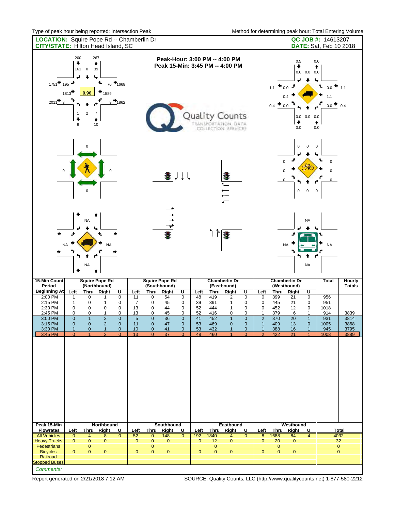| LOCATION: Squire Pope Rd -- Chamberlin Dr<br><b>CITY/STATE: Hilton Head Island, SC</b>                                                                                                                                                                                                                                                                                                                                                                                                                                                                                  |                                                                                                                                                                                                                                                                                                                                                                 |                                                                                                                                                                                                                                                                                                                                             |                                                                                                                                                                                                                                                                                                                                             | QC JOB #: 14613207<br><b>DATE:</b> Sat, Feb 10 2018                                               |
|-------------------------------------------------------------------------------------------------------------------------------------------------------------------------------------------------------------------------------------------------------------------------------------------------------------------------------------------------------------------------------------------------------------------------------------------------------------------------------------------------------------------------------------------------------------------------|-----------------------------------------------------------------------------------------------------------------------------------------------------------------------------------------------------------------------------------------------------------------------------------------------------------------------------------------------------------------|---------------------------------------------------------------------------------------------------------------------------------------------------------------------------------------------------------------------------------------------------------------------------------------------------------------------------------------------|---------------------------------------------------------------------------------------------------------------------------------------------------------------------------------------------------------------------------------------------------------------------------------------------------------------------------------------------|---------------------------------------------------------------------------------------------------|
| 200<br>267<br>٠<br>٠<br>161<br>$\overline{\mathbf{0}}$<br>39<br>L<br>÷<br>Ł<br>70 1668<br>1751 195<br>1813<br>0.96<br>1589<br>$9 - 1862$<br>$2011 - 3$<br>$\overline{c}$<br>$\overline{7}$<br>$\mathbf{1}$<br>$\ddot{\phantom{0}}$<br>٠<br>10<br>9                                                                                                                                                                                                                                                                                                                      |                                                                                                                                                                                                                                                                                                                                                                 | Peak-Hour: 3:00 PM -- 4:00 PM<br>Peak 15-Min: 3:45 PM -- 4:00 PM<br>Quality Counts<br>TRANSPORTATION DATA<br>COLLECTION SERVICES                                                                                                                                                                                                            | 0.5<br>٠<br>$0.6$ 0.0 0.0<br>$\bullet$ 0.0<br>1.1<br>0.4<br>$0.4 \bullet 0.0$<br>$0.0$ $0.0$ $0.0$<br>۰<br>0.0                                                                                                                                                                                                                              | 0.0<br>٠<br>↳<br>t<br>$0.0$ $\bullet$ 1.1<br>1.1<br>$0.0 \rightarrow 0.4$<br>$\bullet$<br>$0.0\,$ |
| ŋ<br>$\mathbf 0$<br>0                                                                                                                                                                                                                                                                                                                                                                                                                                                                                                                                                   | Ŧ                                                                                                                                                                                                                                                                                                                                                               | $\frac{1}{\sqrt{2}}$                                                                                                                                                                                                                                                                                                                        | $\pmb{0}$<br>$\mathbf 0$<br>0<br>$\Omega$<br>O<br>$\pmb{0}$<br>$\pmb{0}$                                                                                                                                                                                                                                                                    | $\mathbf 0$<br>0<br>0<br>$\mathbf{0}$<br>$\mathbf 0$                                              |
| <b>NA</b><br><b>NA</b><br>NA<br>NA<br>۰<br><b>Squire Pope Rd</b><br>15-Min Count                                                                                                                                                                                                                                                                                                                                                                                                                                                                                        | $\overrightarrow{ }$<br>Ŧ<br><b>Squire Pope Rd</b>                                                                                                                                                                                                                                                                                                              | 11 أ<br>T<br><b>Chamberlin Dr</b>                                                                                                                                                                                                                                                                                                           | <b>NA</b><br><b>NA</b><br><b>NA</b><br><b>Chamberlin Dr</b>                                                                                                                                                                                                                                                                                 | <b>NA</b><br><b>Total</b><br>Hourly                                                               |
| (Northbound)<br>Period<br>Beginning At<br>Left<br>U<br>Thru<br>Right                                                                                                                                                                                                                                                                                                                                                                                                                                                                                                    | (Southbound)<br><b>Thru</b><br>$\overline{\mathsf{U}}$<br>Left<br><b>Right</b>                                                                                                                                                                                                                                                                                  | (Eastbound)<br><b>Thru</b><br>Left<br>Right<br>U                                                                                                                                                                                                                                                                                            | (Westbound)<br><b>Thru</b><br>Left<br>Right<br>U                                                                                                                                                                                                                                                                                            | <b>Totals</b>                                                                                     |
| 2:00 PM<br>$\overline{0}$<br>0<br>1<br>1<br>2:15 PM<br>$\mathbf 0$<br>$\mathbf 0$<br>$\mathbf{1}$<br>$\mathbf{1}$<br>2:30 PM<br>$\mathbf 0$<br>$\mathbf 0$<br>0<br>$\mathbf 0$<br>0<br>2:45 PM<br>0<br>0<br>1<br>$\overline{2}$<br>$\mathbf 0$<br>$\mathbf{1}$<br>$\mathbf 0$<br>3:00 PM<br>3:15 PM<br>$\overline{\mathbf{c}}$<br>$\pmb{0}$<br>$\mathbf{0}$<br>$\overline{0}$<br>3:30 PM<br>$\mathbf 0$<br>$\mathbf{1}$<br>$\mathbf{1}$<br>$\mathbf{0}$<br>3:45 PM<br>$\overline{0}$<br>$\overline{1}$<br>$\overline{2}$<br>$\overline{0}$<br>Peak 15-Min<br>Northbound | $\overline{0}$<br>11<br>54<br>0<br>$\overline{7}$<br>$\mathbf 0$<br>45<br>$\mathbf 0$<br>13<br>$\mathbf 0$<br>44<br>$\mathbf 0$<br>13<br>$\pmb{0}$<br>0<br>45<br>$5\phantom{.0}$<br>$\mathbf 0$<br>36<br>$\mathbf 0$<br>11<br>$\mathbf{0}$<br>$\pmb{0}$<br>47<br>10<br>$\mathbf 0$<br>41<br>$\mathbf 0$<br>37<br>13<br>$\Omega$<br>$\overline{0}$<br>Southbound | 419<br>$\overline{0}$<br>48<br>$\overline{2}$<br>391<br>$\pmb{0}$<br>39<br>$\mathbf{1}$<br>52<br>444<br>$\mathbf{1}$<br>0<br>52<br>416<br>0<br>0<br>41<br>452<br>$\mathbf{1}$<br>$\mathbf 0$<br>53<br>469<br>$\pmb{0}$<br>$\pmb{0}$<br>53<br>432<br>$\mathbf{1}$<br>$\mathbf 0$<br>48<br>460<br>$\overline{0}$<br>$\mathbf{1}$<br>Eastbound | 399<br>$\overline{0}$<br>21<br>0<br>$\pmb{0}$<br>$\pmb{0}$<br>445<br>21<br>$\mathbf 0$<br>452<br>12<br>0<br>$\mathbf{1}$<br>379<br>6<br>1<br>$\overline{2}$<br>370<br>20<br>$\mathbf{1}$<br>$\mathbf{1}$<br>$\pmb{0}$<br>409<br>13<br>388<br>$\mathbf{1}$<br>16<br>$\mathbf{1}$<br>$\overline{2}$<br>422<br>21<br>$\mathbf{1}$<br>Westbound | 956<br>951<br>1018<br>914<br>3839<br>931<br>3814<br>1005<br>3868<br>3795<br>945<br>1008<br>3889   |
| <b>Flowrates</b><br>Left<br><b>Thru</b><br>Right<br><u>u</u><br><b>All Vehicles</b><br>$\overline{4}$<br>$\overline{8}$<br>$\overline{0}$<br>$\mathbf{0}$                                                                                                                                                                                                                                                                                                                                                                                                               | Right<br><b>Left</b><br><u>Thru</u><br><u>U</u><br>$\overline{148}$<br>52<br>$\overline{0}$<br>$\overline{0}$                                                                                                                                                                                                                                                   | <b>Thru</b><br>Right<br>Left<br><u>U</u><br>192<br>1840<br>$\overline{4}$<br>$\mathbf{0}$                                                                                                                                                                                                                                                   | Left<br><b>Thru</b><br>Right<br><u>U</u><br>1688<br>$\overline{8}$<br>84<br>$\overline{4}$                                                                                                                                                                                                                                                  | <b>Total</b><br>4032                                                                              |
| <b>Heavy Trucks</b><br>0<br>0<br>0<br>Pedestrians<br>0                                                                                                                                                                                                                                                                                                                                                                                                                                                                                                                  | 0<br>$\mathbf 0$<br>$\mathbf 0$<br>$\mathbf 0$                                                                                                                                                                                                                                                                                                                  | 0<br>12<br>$\mathbf 0$<br>$\mathbf 0$                                                                                                                                                                                                                                                                                                       | $\mathbf 0$<br>20<br>$\mathbf{0}$<br>$\mathbf 0$                                                                                                                                                                                                                                                                                            | 32 <sub>2</sub><br>$\overline{0}$                                                                 |
| $\overline{0}$<br><b>Bicycles</b><br>0<br>0<br>Railroad<br><b>Stopped Buses</b><br>Comments:                                                                                                                                                                                                                                                                                                                                                                                                                                                                            | 0<br>0<br>$\mathbf 0$                                                                                                                                                                                                                                                                                                                                           | $\mathbf 0$<br>$\pmb{0}$<br>0                                                                                                                                                                                                                                                                                                               | $\mathbf 0$<br>$\mathbf 0$<br>$\mathbf 0$                                                                                                                                                                                                                                                                                                   | $\mathbf 0$                                                                                       |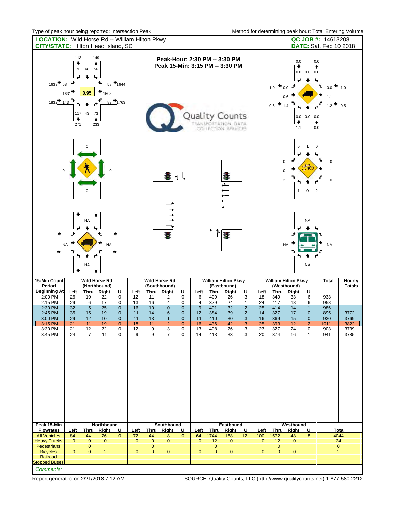| <b>LOCATION:</b> Wild Horse Rd -- William Hilton Pkwy<br><b>CITY/STATE: Hilton Head Island, SC</b> |                                                        |                                                          |                                      |                              |                   |                   |                                                                  |                                           |                                  |                        |                                                              |                                |                     |                          |                                           |                                             | QC JOB #: 14613208<br><b>DATE:</b> Sat, Feb 10 2018         |                             |
|----------------------------------------------------------------------------------------------------|--------------------------------------------------------|----------------------------------------------------------|--------------------------------------|------------------------------|-------------------|-------------------|------------------------------------------------------------------|-------------------------------------------|----------------------------------|------------------------|--------------------------------------------------------------|--------------------------------|---------------------|--------------------------|-------------------------------------------|---------------------------------------------|-------------------------------------------------------------|-----------------------------|
| 1639<br>1832 143                                                                                   | 113<br>٠<br>$\boldsymbol{9}$<br>58<br>1631<br>۰<br>271 | 149<br>48<br>56<br>÷<br>↳<br>0.95<br>117 43<br>73<br>233 | ٠<br>Ł<br>1503<br>٠                  | $58$ $*$ 1644<br>$83 - 1763$ |                   |                   | Peak-Hour: 2:30 PM -- 3:30 PM<br>Peak 15-Min: 3:15 PM -- 3:30 PM |                                           |                                  |                        | Quality Counts<br>TRANSPORTATION DATA<br>COLLECTION SERVICES |                                |                     | 1.0<br>$0.6$ $+$ 1.4     | 0.0<br>٠<br>0.0<br>0.6<br>۰<br>1.1        | $0.0$ $0.0$ $0.0$<br>↳<br>$0.0$ $0.0$ $0.0$ | 0.0<br>٠<br>t.<br>$0.0\,$<br>1.1<br>1.2<br>$\bullet$<br>0.0 | 1.0<br>$\bullet$ 0.5        |
|                                                                                                    | <b>NA</b>                                              | 0<br><b>NA</b>                                           | <b>NA</b>                            |                              |                   |                   | ₽<br>T                                                           | ধু                                        |                                  | ן ∱ (*                 | 1111<br>₩                                                    |                                |                     | $\mathbf 0$<br>$\Omega$  | $\mathsf 0$<br>$\mathbf{1}$<br><b>NA</b>  | $\mathbf{1}$<br>$\pmb{0}$<br><b>NA</b>      | $\mathbf 0$<br>0<br>0<br>$\sqrt{2}$<br><b>NA</b>            |                             |
| 15-Min Count<br>Period                                                                             | $\ddot{\phantom{0}}$                                   | NA<br>۰                                                  | <b>Wild Horse Rd</b><br>(Northbound) |                              |                   |                   | <b>Wild Horse Rd</b><br>(Southbound)                             |                                           |                                  |                        | <b>William Hilton Pkwy</b><br>(Eastbound)                    |                                |                     |                          | <b>William Hilton Pkwy</b><br>(Westbound) | <b>NA</b>                                   | <b>Total</b>                                                | Hourly<br><b>Totals</b>     |
| <b>Beginning At</b><br>2:00 PM                                                                     | Left<br>26                                             | <b>Thru</b><br>10                                        | <b>Right</b><br>$\overline{22}$      | U<br>$\overline{0}$          | Left<br>12        | Thru<br>11        | Right<br>2                                                       | $\overline{\mathsf{U}}$<br>$\overline{0}$ | Left<br>6                        | <b>Thru</b><br>409     | Right<br>26                                                  | U<br>3                         | Left<br>18          | <b>Thru</b><br>349       | Right<br>33                               | U<br>$6\overline{6}$                        | 933                                                         |                             |
| 2:15 PM<br>2:30 PM                                                                                 | 29<br>32                                               | 6<br>$5\phantom{.0}$                                     | 17<br>25                             | $\pmb{0}$<br>$\mathbf{0}$    | 13<br>16          | 16<br>10          | 4<br>$\mathbf{0}$                                                | 0<br>$\mathbf{0}$                         | $\overline{4}$<br>$\overline{9}$ | 379<br>401             | 24<br>32                                                     | $\mathbf{1}$<br>$\overline{2}$ | 24<br>25            | 417<br>414               | 18<br>14                                  | 6<br>$\mathbf{1}$                           | 958<br>986                                                  |                             |
| 2:45 PM                                                                                            | 35                                                     | 15                                                       | 19                                   | $\mathbf 0$                  | 11                | 14                | 6                                                                | $\pmb{0}$                                 | 12                               | 384                    | 39                                                           | $\mathbf 2$                    | 14                  | 327                      | 17                                        | $\pmb{0}$                                   | 895                                                         | 3772                        |
| 3:00 PM<br>3:15 PM                                                                                 | 29<br>21                                               | 12<br>$\hat{\mathbf{u}}$                                 | 10<br>19                             | $\mathbf{0}$<br>$\Omega$     | 11<br>18          | 13<br>44          | $\mathbf{1}$<br>$\Omega$                                         | $\mathbf{0}$<br>$\Omega$                  | 11<br>16                         | 410<br>436             | 30<br>42                                                     | 3<br>$\bullet$                 | 16<br>OE            | 369<br>393               | 15<br>10                                  | $\mathbf 0$<br>$\Omega$                     | 930<br>1011                                                 | 3769<br>3822                |
| 3:30 PM<br>3:45 PM<br>Peak 15-Min                                                                  | 21<br>24                                               | 12<br>$\overline{7}$                                     | 22<br>11<br>Northbound               | $\mathbf 0$<br>0             | 12<br>9           | 9<br>9            | 3<br>$\overline{7}$<br>Southbound                                | 0<br>$\mathbf 0$                          | 13<br>14                         | 408<br>413             | 26<br>33<br>Eastbound                                        | 3<br>3                         | 23<br>20            | 327<br>374               | 24<br>16<br>Westbound                     | $\mathbf 0$<br>$\mathbf{1}$                 | 903<br>941                                                  | 3739<br>3785                |
| <b>Flowrates</b>                                                                                   | Left                                                   | <u>Thru</u>                                              | <b>Right</b>                         | <u>u</u>                     | Left              | <b>Thru</b>       | <b>Right</b>                                                     | <u>U</u>                                  | <b>Left</b>                      | <u>Thru</u>            | Right                                                        | <u>U</u>                       | Left                | <b>Thru</b>              | Right                                     | U                                           |                                                             | <b>Total</b>                |
| <b>All Vehicles</b><br><b>Heavy Trucks</b>                                                         | 84<br>$\mathbf{0}$                                     | 44<br>$\pmb{0}$                                          | 76<br>$\mathbf 0$                    | $\overline{0}$               | 72<br>$\mathbf 0$ | 44<br>$\mathbf 0$ | $\overline{\mathbf{8}}$<br>$\mathbf 0$                           | $\overline{0}$                            | 64<br>$\mathbf{0}$               | 1744<br>12             | 168<br>$\mathbf 0$                                           | $\overline{12}$                | 100<br>$\mathbf{0}$ | 1572<br>12               | 48<br>$\mathbf 0$                         | 8                                           |                                                             | 4044<br>24                  |
| Pedestrians<br><b>Bicycles</b>                                                                     | $\mathbf{0}$                                           | $\pmb{0}$<br>$\mathbf 0$                                 | $\overline{2}$                       |                              | $\mathbf 0$       | 0<br>$\mathbf{0}$ | $\pmb{0}$                                                        |                                           | $\mathbf 0$                      | $\pmb{0}$<br>$\pmb{0}$ | 0                                                            |                                | $\mathbf 0$         | $\pmb{0}$<br>$\mathbf 0$ | $\pmb{0}$                                 |                                             |                                                             | $\pmb{0}$<br>$\overline{2}$ |
| Railroad<br><b>Stopped Buses</b>                                                                   |                                                        |                                                          |                                      |                              |                   |                   |                                                                  |                                           |                                  |                        |                                                              |                                |                     |                          |                                           |                                             |                                                             |                             |
| Comments:                                                                                          |                                                        |                                                          |                                      |                              |                   |                   |                                                                  |                                           |                                  |                        |                                                              |                                |                     |                          |                                           |                                             |                                                             |                             |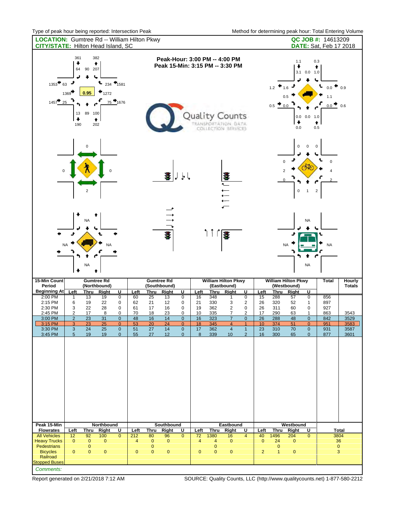| <b>LOCATION:</b> Gumtree Rd -- William Hilton Pkwy<br><b>CITY/STATE: Hilton Head Island, SC</b>     |                                                                      |                                        |                                                     |                                                                                                     |                                              |                                        |                                                                  |                                                                                                       |                                             |                                                      |                                                                                                                |                                                                                                                 |                                        |                                                      |                                                     |                                                                                                           | QC JOB #: 14613209<br><b>DATE: Sat, Feb 17 2018</b>         |                                      |
|-----------------------------------------------------------------------------------------------------|----------------------------------------------------------------------|----------------------------------------|-----------------------------------------------------|-----------------------------------------------------------------------------------------------------|----------------------------------------------|----------------------------------------|------------------------------------------------------------------|-------------------------------------------------------------------------------------------------------|---------------------------------------------|------------------------------------------------------|----------------------------------------------------------------------------------------------------------------|-----------------------------------------------------------------------------------------------------------------|----------------------------------------|------------------------------------------------------|-----------------------------------------------------|-----------------------------------------------------------------------------------------------------------|-------------------------------------------------------------|--------------------------------------|
| 1353<br>$1457 - 25$                                                                                 | 361<br>٠<br>64<br>63<br>1369<br>13<br>۰<br>190                       | 90 207<br>⋅<br>۱,<br>0.95<br>89 100    | 382<br>٠<br>t<br>1272<br>٠<br>202                   | $234$ $*$ 1581<br>75 + 1676                                                                         |                                              |                                        | Peak-Hour: 3:00 PM -- 4:00 PM<br>Peak 15-Min: 3:15 PM -- 3:30 PM |                                                                                                       |                                             |                                                      | Quality Counts<br>transportation. Data<br>COLLECTION SERVICES                                                  |                                                                                                                 |                                        | 1.2<br>$0.5 \t 0.0$                                  | 1.1<br>٠<br>1.6<br>0.5<br>۰<br>0.0                  | 0.3<br>٠<br>$3.1$ 0.0 1.0<br>۳<br>$0.0$ $0.0$ 1.0<br>0.5                                                  | t<br>$_{0.0}$ $\bullet$<br>1.1<br>0.0<br>♠                  | 0.9<br>$\bullet$ 0.6                 |
|                                                                                                     |                                                                      | $\sqrt{2}$<br><b>NA</b>                |                                                     |                                                                                                     |                                              |                                        | Ŧ                                                                | ŀl                                                                                                    |                                             |                                                      | ľ<br>$\overline{\phantom{0}}$<br>$\overline{\phantom{a}}$                                                      |                                                                                                                 |                                        |                                                      | $\pmb{0}$<br>0<br>$\overline{2}$<br>0<br>$\pmb{0}$  | $\mathbf 0$<br>$\mathbf 0$<br>$\overline{1}$<br><b>NA</b>                                                 | 0<br>$\overline{2}$                                         |                                      |
|                                                                                                     | <b>NA</b><br>∔                                                       | ΝA                                     | <b>NA</b>                                           |                                                                                                     |                                              |                                        | t                                                                |                                                                                                       |                                             | $\uparrow \uparrow \uparrow$                         | 審                                                                                                              |                                                                                                                 |                                        |                                                      | <b>NA</b>                                           | <b>NA</b>                                                                                                 | <b>NA</b>                                                   |                                      |
| 15-Min Count<br>Period<br><b>Beginning At</b>                                                       | Left                                                                 | <b>Thru</b>                            | <b>Gumtree Rd</b><br>(Northbound)<br>Right          | $\overline{\mathsf{U}}$                                                                             | Left                                         | <b>Thru</b>                            | <b>Gumtree Rd</b><br>(Southbound)<br>Right                       | $\overline{U}$                                                                                        | Left                                        | <b>Thru</b>                                          | <b>William Hilton Pkwy</b><br>(Eastbound)<br>Right                                                             | $\overline{U}$                                                                                                  | Left                                   | <b>Thru</b>                                          | <b>William Hilton Pkwy</b><br>(Westbound)<br>Right  | $\overline{U}$                                                                                            | <b>Total</b>                                                | Hourly<br><b>Totals</b>              |
| 2:00 PM<br>2:15 PM<br>2:30 PM<br>2:45 PM<br>3:00 PM<br>3:15 PM<br>3:30 PM<br>3:45 PM<br>Peak 15-Min | 1<br>6<br>3<br>$\overline{2}$<br>$\overline{2}$<br>$\mathbf{3}$<br>5 | 13<br>19<br>22<br>17<br>23<br>24<br>19 | 19<br>22<br>28<br>8<br>31<br>25<br>19<br>Northbound | $\overline{0}$<br>$\pmb{0}$<br>$\pmb{0}$<br>$\pmb{0}$<br>$\mathbf 0$<br>$\mathbf 0$<br>$\mathbf{0}$ | 60<br>62<br>61<br>70<br>48<br>53<br>51<br>55 | 25<br>21<br>17<br>18<br>16<br>27<br>27 | 13<br>12<br>16<br>23<br>14<br>14<br>12<br>Southbound             | $\overline{0}$<br>$\pmb{0}$<br>$\mathbf 0$<br>$\pmb{0}$<br>$\mathbf 0$<br>$\mathbf 0$<br>$\mathbf{0}$ | 16<br>21<br>19<br>10<br>16<br>18<br>17<br>8 | 348<br>330<br>362<br>335<br>323<br>345<br>362<br>339 | 1<br>3<br>$\overline{2}$<br>$\overline{7}$<br>$\overline{7}$<br>$\overline{4}$<br>10 <sup>1</sup><br>Eastbound | $\overline{0}$<br>$\overline{\mathbf{c}}$<br>0<br>$\overline{c}$<br>$\pmb{0}$<br>$\mathbf{1}$<br>$\overline{2}$ | 15<br>26<br>26<br>17<br>26<br>23<br>16 | 288<br>320<br>311<br>290<br>288<br>374<br>310<br>300 | 57<br>52<br>60<br>63<br>48<br>70<br>65<br>Westbound | $\overline{0}$<br>$\mathbf{1}$<br>$\mathbf 0$<br>$\mathbf{1}$<br>$\mathbf 0$<br>$\pmb{0}$<br>$\mathbf{0}$ | 856<br>897<br>927<br>863<br>842<br><u>951</u><br>931<br>877 | 3543<br>3529<br>3583<br>3587<br>3601 |
| <b>Flowrates</b><br><b>All Vehicles</b>                                                             | Left<br>12                                                           | <b>Thru</b><br>92                      | <b>Right</b><br>100                                 | U<br>$\mathbf{0}$                                                                                   | <u>Left</u><br>212                           | <b>Thru</b><br>80                      | Right<br>96                                                      | <u>u</u><br>$\mathbf{0}$                                                                              | Left<br>72                                  | <b>Thru</b><br>1380                                  | <b>Right</b><br>16                                                                                             | U<br>4                                                                                                          | Left<br>40                             | <u>Thru</u><br>1496                                  | <b>Right</b><br>204                                 | U<br>$\mathbf 0$                                                                                          | 3804                                                        | <b>Total</b>                         |
| <b>Heavy Trucks</b><br><b>Pedestrians</b>                                                           | $\mathbf{0}$                                                         | $\pmb{0}$<br>$\pmb{0}$                 | $\mathbf 0$                                         |                                                                                                     | 4                                            | 0<br>0                                 | $\mathbf 0$                                                      |                                                                                                       | $\overline{4}$                              | 4<br>0                                               | 0                                                                                                              |                                                                                                                 | $\mathbf{0}$                           | 24<br>$\mathbf 0$                                    | $\mathbf 0$                                         |                                                                                                           | 36                                                          | $\mathbf 0$                          |
| <b>Bicycles</b><br>Railroad<br><b>Stopped Buses</b>                                                 | $\mathbf 0$                                                          | $\mathbf{0}$                           | $\pmb{0}$                                           |                                                                                                     | $\mathbf 0$                                  | $\mathbf{0}$                           | $\pmb{0}$                                                        |                                                                                                       | 0                                           | $\mathbf{0}$                                         | 0                                                                                                              |                                                                                                                 | $\overline{c}$                         | $\mathbf{1}$                                         | $\mathbf{0}$                                        |                                                                                                           |                                                             | 3                                    |
| Comments:                                                                                           |                                                                      |                                        |                                                     |                                                                                                     |                                              |                                        |                                                                  |                                                                                                       |                                             |                                                      |                                                                                                                |                                                                                                                 |                                        |                                                      |                                                     |                                                                                                           |                                                             |                                      |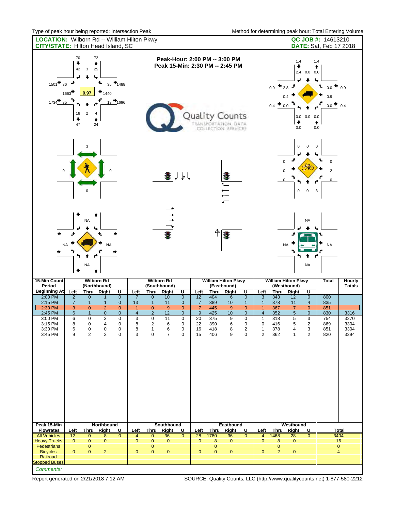| <b>LOCATION:</b> Wilborn Rd -- William Hilton Pkwy<br><b>CITY/STATE: Hilton Head Island, SC</b> |                                        |                                                                               |                                                  |                                             |                                        |                                             |                                                                  |                                                        |                                        |                          |                                                                     |                                       |                                                             |                               |                                                           |                                                                 | QC JOB #: 14613210<br><b>DATE: Sat, Feb 17 2018</b> |                                |
|-------------------------------------------------------------------------------------------------|----------------------------------------|-------------------------------------------------------------------------------|--------------------------------------------------|---------------------------------------------|----------------------------------------|---------------------------------------------|------------------------------------------------------------------|--------------------------------------------------------|----------------------------------------|--------------------------|---------------------------------------------------------------------|---------------------------------------|-------------------------------------------------------------|-------------------------------|-----------------------------------------------------------|-----------------------------------------------------------------|-----------------------------------------------------|--------------------------------|
| $1501$ $36$<br>$1734$ 35                                                                        | 70<br>۰<br>42<br>1663<br>18<br>۰<br>47 | 72<br>٠<br>$\mathbf{3}$<br>25<br>۱,<br>0.97<br>$\overline{c}$<br>4<br>٠<br>24 | L<br>1440                                        | $35$ $*$ 1488<br>13 1696                    |                                        |                                             | Peak-Hour: 2:00 PM -- 3:00 PM<br>Peak 15-Min: 2:30 PM -- 2:45 PM |                                                        |                                        |                          | <b>Quality Counts</b><br>TRANSPORTATION DATA<br>COLLECTION SERVICES |                                       |                                                             | 0.9<br>$0.4 \pm 0.0$          | 1.4<br>٠<br>2.8<br>0.4<br>۰<br>0.0                        | 1.4<br>٠<br>$2.4$ 0.0 0.0<br>٠<br>$0.0$ $0.0$ $0.0$<br>٠<br>0.0 | 0.0<br>0.9<br>$0.0$ 0.4                             | 0.9                            |
| $\mathsf 0$                                                                                     |                                        | 3<br>0                                                                        |                                                  |                                             |                                        |                                             | Ŧ                                                                | $\mathcal{F}$                                          |                                        |                          |                                                                     |                                       |                                                             | $\pmb{0}$                     | $\mathsf 0$<br>$\pmb{0}$                                  | $\mathbf 0$<br>$\mathbf 0$<br>$\mathbf 0$<br>3                  | $\pmb{0}$<br>2<br>$\mathbf{0}$                      |                                |
|                                                                                                 | <b>NA</b>                              | <b>NA</b><br><b>NA</b>                                                        | NA                                               |                                             |                                        |                                             | Ŧ                                                                |                                                        |                                        | ∱∗                       | Ŧ                                                                   |                                       |                                                             |                               | <b>NA</b>                                                 | <b>NA</b><br><b>NA</b>                                          | <b>NA</b>                                           |                                |
| 15-Min Count<br>Period<br><b>Beginning At</b>                                                   | Left                                   | Thru                                                                          | <b>Wilborn Rd</b><br>(Northbound)<br>Right       | $\overline{\mathsf{U}}$                     | Left                                   | <b>Thru</b>                                 | <b>Wilborn Rd</b><br>(Southbound)<br><b>Right</b>                | $\overline{U}$                                         | Left                                   | <b>Thru</b>              | <b>William Hilton Pkwy</b><br>(Eastbound)<br><b>Right</b>           | $\overline{U}$                        | Left                                                        | <b>Thru</b>                   | <b>William Hilton Pkwy</b><br>(Westbound)<br><b>Right</b> | $\overline{U}$                                                  | <b>Total</b>                                        | <b>Hourly</b><br><b>Totals</b> |
| 2:00 PM<br>2:15 PM<br>2:30 PM                                                                   | $\overline{2}$<br>$\overline{7}$<br>3  | $\pmb{0}$<br>$\mathbf{1}$<br>$\overline{0}$                                   | $\overline{1}$<br>$\mathbf{1}$<br>$\overline{2}$ | $\pmb{0}$<br>$\mathbf{0}$<br>$\overline{0}$ | $\overline{7}$<br>13<br>$\overline{1}$ | $\pmb{0}$<br>$\mathbf{1}$<br>$\overline{0}$ | 10<br>11<br>9                                                    | $\overline{\mathbf{0}}$<br>$\pmb{0}$<br>$\overline{0}$ | 12<br>$\overline{7}$<br>$\overline{7}$ | 404<br>389<br>445        | $\,6$<br>10<br>9                                                    | $\pmb{0}$<br>$\mathbf{1}$<br>$\Omega$ | $\ensuremath{\mathsf{3}}$<br>$\mathbf{1}$<br>$\overline{1}$ | $\frac{1}{343}$<br>378<br>367 | 12<br>11<br>$\overline{7}$                                | $\mathbf 0$<br>$\overline{4}$<br>$\overline{0}$                 | 800<br>835<br>851                                   |                                |
| 2:45 PM<br>3:00 PM                                                                              | $\,$ 6<br>6                            | $\mathbf{1}$<br>0                                                             | $\mathbf{0}$<br>3                                | $\pmb{0}$<br>$\pmb{0}$                      | $\overline{4}$<br>3                    | $\overline{2}$<br>$\mathbf 0$               | 12<br>11                                                         | $\pmb{0}$<br>0                                         | $\boldsymbol{9}$<br>20                 | 425<br>375               | 10<br>9                                                             | $\pmb{0}$<br>$\mathbf 0$              | $\overline{\mathbf{4}}$<br>$\mathbf{1}$                     | 352<br>318                    | $\overline{5}$<br>5                                       | $\pmb{0}$<br>3                                                  | 830<br>754                                          | 3316<br>3270                   |
| 3:15 PM<br>3:30 PM<br>3:45 PM                                                                   | 8<br>6<br>9                            | 0<br>0<br>$\overline{2}$                                                      | 4<br>$\pmb{0}$<br>$\mathbf 2$                    | 0<br>0<br>$\pmb{0}$                         | 8<br>8<br>3                            | 2<br>1<br>0                                 | 6<br>6<br>$\overline{7}$                                         | 0<br>0<br>0                                            | 22<br>16<br>15                         | 390<br>418<br>406        | 6<br>8<br>9                                                         | 0<br>2<br>0                           | $\pmb{0}$<br>$\mathbf{1}$<br>$\overline{2}$                 | 416<br>378<br>362             | 5<br>4<br>$\mathbf{1}$                                    | $\overline{2}$<br>3<br>$\overline{2}$                           | 869<br>851<br>820                                   | 3304<br>3304<br>3294           |
| Peak 15-Min<br><b>Flowrates</b>                                                                 | Left                                   |                                                                               | Northbound<br>Thru Right                         | U                                           | Left                                   | <b>Thru</b>                                 | Southbound<br>Right                                              | U                                                      | Left                                   | <b>Thru</b>              | <b>Eastbound</b><br>Right                                           | <u>U</u>                              | Left                                                        | <b>Thru</b>                   | Westbound<br>Right                                        | <u>U</u>                                                        |                                                     | <b>Total</b>                   |
| <b>All Vehicles</b><br><b>Heavy Trucks</b>                                                      | 12<br>$\mathbf{0}$                     | 0<br>$\pmb{0}$                                                                | 8<br>$\mathbf{0}$                                | $\mathbf{0}$                                | 4<br>$\mathbf{0}$                      | 0<br>$\mathbf{0}$                           | 36<br>$\mathbf{0}$                                               | $\overline{\text{o}}$                                  | 28<br>$\pmb{0}$                        | 1780<br>8                | 36<br>0                                                             | $\mathbf{0}$                          | 4<br>$\pmb{0}$                                              | 1468<br>$\bf8$                | 28<br>$\mathbf{0}$                                        | $\mathbf 0$                                                     | 3404                                                | 16                             |
| <b>Pedestrians</b><br><b>Bicycles</b><br>Railroad<br><b>Stopped Buses</b>                       | $\mathbf{0}$                           | $\mathbf 0$<br>$\mathbf{0}$                                                   | $\overline{2}$                                   |                                             | $\mathbf{0}$                           | 0<br>$\mathbf 0$                            | $\pmb{0}$                                                        |                                                        | $\pmb{0}$                              | $\mathbf 0$<br>$\pmb{0}$ | $\pmb{0}$                                                           |                                       | $\pmb{0}$                                                   | $\pmb{0}$<br>$\overline{2}$   | $\mathbf{0}$                                              |                                                                 | $\overline{\mathbf{4}}$                             | $\pmb{0}$                      |
| Comments:                                                                                       |                                        |                                                                               |                                                  |                                             |                                        |                                             |                                                                  |                                                        |                                        |                          |                                                                     |                                       |                                                             |                               |                                                           |                                                                 |                                                     |                                |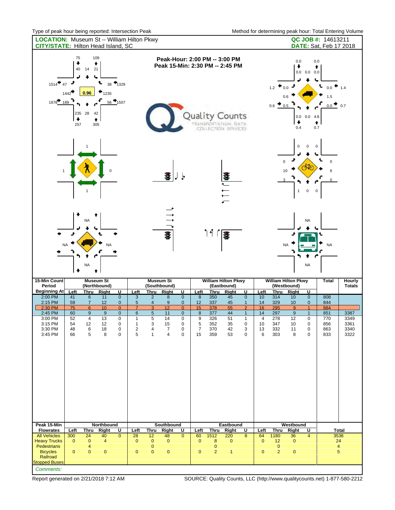|                                                                                                                                                                                                                                                                                                                                      | <b>LOCATION:</b> Museum St -- William Hilton Pkwy<br><b>CITY/STATE: Hilton Head Island, SC</b> |                                    |                                                  |                                |                                  |                                  |                                           |                                    |                                |                                  |                                                                         |                                |                                 |                               |                                                    |                                                                     | QC JOB #: 14613211<br><b>DATE: Sat, Feb 17 2018</b> |                                |
|--------------------------------------------------------------------------------------------------------------------------------------------------------------------------------------------------------------------------------------------------------------------------------------------------------------------------------------|------------------------------------------------------------------------------------------------|------------------------------------|--------------------------------------------------|--------------------------------|----------------------------------|----------------------------------|-------------------------------------------|------------------------------------|--------------------------------|----------------------------------|-------------------------------------------------------------------------|--------------------------------|---------------------------------|-------------------------------|----------------------------------------------------|---------------------------------------------------------------------|-----------------------------------------------------|--------------------------------|
| 109<br>75<br>Peak-Hour: 2:00 PM -- 3:00 PM<br>۰<br>٠<br>Peak 15-Min: 2:30 PM -- 2:45 PM<br>40<br>14<br>21<br>t<br>38 1329<br>1514<br>47<br>0.96<br>1235<br>1442<br>$\frac{1}{66}$ 1507<br>1678 189<br>235 28<br>42<br><b>Quality Counts</b><br>$\ddot{\phantom{0}}$<br>٠<br>TRANSPORTATION DATA<br>257<br>305<br>COLLECTION SERVICES |                                                                                                |                                    |                                                  |                                |                                  |                                  |                                           |                                    |                                |                                  |                                                                         |                                |                                 | 1.2<br>$0.6 \frac{1}{2} 0.5$  | 0.0<br>٠<br>0.0<br>0.6<br>۰<br>0.4                 | 0.0<br>٠<br>$0.0 \quad 0.0 \quad 0.0$<br>۱,<br>$0.0$ 0.0 4.8<br>0.7 | $0.0\,$<br>1.5<br>$0.0$ $\bullet$ 0.7<br>$\bullet$  | $\bullet$ 1.4                  |
|                                                                                                                                                                                                                                                                                                                                      |                                                                                                |                                    |                                                  |                                |                                  |                                  | Ŧ                                         | ŀ                                  |                                |                                  | 建<br>$\left  \begin{array}{c} \uparrow \\ \uparrow \end{array} \right $ |                                |                                 | $\mathbf 0$                   | $\pmb{0}$<br>$\mathbf{1}$                          | $\mathsf 0$<br>$\mathbf 0$<br>$\mathsf 0$<br>$\mathbf 0$            | $\pmb{0}$<br>6<br>$\mathbf{0}$                      |                                |
| <b>NA</b>                                                                                                                                                                                                                                                                                                                            | ٠<br>۰                                                                                         | <b>NA</b><br><b>NA</b>             | <b>NA</b>                                        |                                |                                  |                                  | Ŧ                                         |                                    |                                | $\uparrow$ $\uparrow$ $\uparrow$ | 審                                                                       |                                |                                 |                               | <b>NA</b>                                          | <b>NA</b><br><b>NA</b>                                              | <b>NA</b>                                           |                                |
| 15-Min Count<br>Period<br>Beginning At                                                                                                                                                                                                                                                                                               | Left                                                                                           | <b>Thru</b>                        | <b>Museum St</b><br>(Northbound)<br><b>Right</b> | U                              | Left                             | <b>Thru</b>                      | <b>Museum St</b><br>(Southbound)<br>Right | U                                  | Left                           | <b>Thru</b>                      | <b>William Hilton Pkwy</b><br>(Eastbound)<br><b>Right</b>               | U                              | Left                            | <b>Thru</b>                   | <b>William Hilton Pkwy</b><br>(Westbound)<br>Right | U                                                                   | <b>Total</b>                                        | <b>Hourly</b><br><b>Totals</b> |
| 2:00 PM<br>2:15 PM                                                                                                                                                                                                                                                                                                                   | 41<br>59                                                                                       | $\boldsymbol{6}$<br>$\overline{7}$ | 11<br>12                                         | $\mathbf 0$<br>$\pmb{0}$       | 3<br>5                           | $\overline{2}$<br>$\overline{4}$ | 8<br>$9\,$                                | $\overline{0}$<br>$\pmb{0}$        | $\bf8$<br>12                   | 350<br>337                       | 45<br>45                                                                | $\mathbf 0$<br>$\mathbf{1}$    | 10<br>14                        | $\overline{314}$<br>329       | 10<br>10                                           | $\mathbf 0$<br>$\mathbf 0$                                          | 808<br>844                                          |                                |
| 2:30 PM<br>2:45 PM                                                                                                                                                                                                                                                                                                                   | 75<br>60                                                                                       | 6<br>9                             | 10<br>9                                          | $\overline{0}$<br>$\mathbf{0}$ | $\overline{7}$<br>$6\phantom{1}$ | 3<br>$\overline{5}$              | 12<br>11                                  | $\overline{0}$<br>$\mathbf{0}$     | 15<br>$\boldsymbol{8}$         | 378<br>377                       | 55<br>44                                                                | $\overline{2}$<br>$\mathbf{1}$ | 16<br>14                        | 295<br>297                    | 9<br>9                                             | $\overline{1}$<br>$\overline{1}$                                    | 884<br>851                                          | 3387                           |
| 3:00 PM<br>3:15 PM<br>3:30 PM<br>3:45 PM                                                                                                                                                                                                                                                                                             | 52<br>54<br>48<br>66                                                                           | $\overline{4}$<br>12<br>6<br>5     | 13<br>12<br>18<br>8                              | $\pmb{0}$<br>0<br>0<br>0       | $\mathbf{1}$<br>1<br>2<br>5      | 5<br>3<br>4<br>$\mathbf{1}$      | 14<br>15<br>7<br>4                        | $\pmb{0}$<br>0<br>0<br>$\mathbf 0$ | 9<br>5<br>$\overline{7}$<br>15 | 326<br>352<br>370<br>359         | 51<br>35<br>42<br>53                                                    | $\mathbf{1}$<br>0<br>3<br>0    | $\overline{4}$<br>10<br>13<br>6 | 278<br>347<br>332<br>303      | 12<br>10<br>11<br>8                                | $\pmb{0}$<br>0<br>$\mathbf 0$<br>0                                  | 770<br>856<br>863<br>833                            | 3349<br>3361<br>3340<br>3322   |
| Peak 15-Min<br><b>Flowrates</b>                                                                                                                                                                                                                                                                                                      | Left                                                                                           | <b>Thru</b>                        | Northbound<br>Right                              | U                              | Left                             | <b>Thru</b>                      | Southbound<br><b>Right</b>                | U                                  | Left                           | <b>Thru</b>                      | Eastbound<br><b>Right</b>                                               | <u>U</u>                       | Left                            | Thru                          | Westbound<br>Right                                 | <u>u</u>                                                            |                                                     | Total                          |
| <b>All Vehicles</b><br><b>Heavy Trucks</b>                                                                                                                                                                                                                                                                                           | 300<br>$\mathbf{0}$                                                                            | 24<br>$\pmb{0}$                    | 40<br>$\overline{4}$                             | $\overline{0}$                 | 28<br>$\mathbf{0}$               | 12<br>$\mathbf{0}$               | 48<br>$\mathbf{0}$                        | $\overline{0}$                     | 60<br>$\mathbf 0$              | 1512<br>$\bf8$                   | $\overline{220}$<br>$\mathbf 0$                                         | 8                              | 64<br>$\pmb{0}$                 | 1180<br>12                    | 36<br>$\mathbf{0}$                                 | 4                                                                   |                                                     | 3536<br>24                     |
| Pedestrians<br><b>Bicycles</b><br>Railroad<br><b>Stopped Buses</b>                                                                                                                                                                                                                                                                   | $\mathbf{0}$                                                                                   | 4<br>$\mathbf{0}$                  | $\pmb{0}$                                        |                                | $\mathbf{0}$                     | 0<br>0                           | $\pmb{0}$                                 |                                    | $\mathbf 0$                    | $\pmb{0}$<br>$\overline{c}$      | 1                                                                       |                                | $\pmb{0}$                       | $\mathbf 0$<br>$\overline{2}$ | $\pmb{0}$                                          |                                                                     |                                                     | $\overline{4}$<br>$\sqrt{5}$   |
| Comments:                                                                                                                                                                                                                                                                                                                            |                                                                                                |                                    |                                                  |                                |                                  |                                  |                                           |                                    |                                |                                  |                                                                         |                                |                                 |                               |                                                    |                                                                     |                                                     |                                |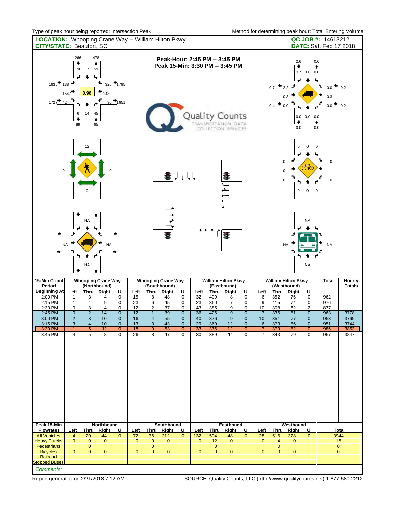| <b>LOCATION:</b> Whooping Crane Way -- William Hilton Pkwy<br><b>CITY/STATE: Beaufort, SC</b> |                                                                                     |                                                      |                                                    |                                                                                      |                                  |                                                                 |                                                                  |                                                                                          |                                  |                                        |                                                                    |                                                                        |                                                         |                                        |                                                    |                                                                                 | QC JOB #: 14613212<br><b>DATE:</b> Sat, Feb 17 2018 |                         |
|-----------------------------------------------------------------------------------------------|-------------------------------------------------------------------------------------|------------------------------------------------------|----------------------------------------------------|--------------------------------------------------------------------------------------|----------------------------------|-----------------------------------------------------------------|------------------------------------------------------------------|------------------------------------------------------------------------------------------|----------------------------------|----------------------------------------|--------------------------------------------------------------------|------------------------------------------------------------------------|---------------------------------------------------------|----------------------------------------|----------------------------------------------------|---------------------------------------------------------------------------------|-----------------------------------------------------|-------------------------|
| 1635<br>$1727$ 42                                                                             | 266<br>۰<br>138<br>1547<br>6<br>₩<br>89                                             | 478<br>190 17<br>59<br>۱.<br>0.98<br>45<br>14<br>٠   | ٠<br>t<br>1439<br>65                               | 326 1795<br>$30 - 1651$                                                              |                                  |                                                                 | Peak-Hour: 2:45 PM -- 3:45 PM<br>Peak 15-Min: 3:30 PM -- 3:45 PM |                                                                                          |                                  |                                        | Quality Counts<br>TRANSPORTATION DATA<br>COLLECTION SERVICES       |                                                                        |                                                         | 0.7<br>$0.4 \pm 0.0$                   | 2.6<br>۰<br>2.2<br>0.3<br>۰<br>0.0                 | 0.6<br>٠<br>$3.7\quad0.0$<br>0.0<br>↳<br>$0.0$ 0.0 0.0<br>٠<br>0.0              | 0.0<br>0.3<br>0.0                                   | 0.2<br>0.2              |
| $\pmb{0}$                                                                                     |                                                                                     | 12<br>$\pmb{0}$                                      |                                                    |                                                                                      |                                  |                                                                 | Ŧ                                                                |                                                                                          |                                  |                                        | 1141年                                                              |                                                                        |                                                         | $\Omega$                               | $\pmb{0}$<br>$\mathbf 0$<br>$\pmb{0}$              | $\mathbf 0$<br>$\mathbf 0$<br>$\mathbf 0$<br>$\mathbf 0$                        | 0<br>$\mathbf{0}$                                   |                         |
|                                                                                               | <b>NA</b>                                                                           | <b>NA</b><br><b>NA</b>                               | ΝA                                                 |                                                                                      |                                  |                                                                 | T                                                                |                                                                                          |                                  | 11 r r                                 | Ŧ                                                                  |                                                                        |                                                         |                                        | <b>NA</b>                                          | <b>NA</b><br><b>NA</b>                                                          | <b>NA</b>                                           |                         |
| 15-Min Count<br>Period<br>Beginning At                                                        | Left                                                                                | <b>Thru</b>                                          | <b>Whooping Crane Way</b><br>(Northbound)<br>Right | U                                                                                    | Left                             | <b>Thru</b>                                                     | <b>Whooping Crane Way</b><br>(Southbound)<br>Right               | U                                                                                        | Left                             | <b>Thru</b>                            | <b>William Hilton Pkwy</b><br>(Eastbound)<br>Right                 | $\overline{\mathtt{U}}$                                                | Left                                                    | <b>Thru</b>                            | <b>William Hilton Pkwy</b><br>(Westbound)<br>Right | U                                                                               | <b>Total</b>                                        | Hourly<br><b>Totals</b> |
| 2:00 PM<br>2:15 PM<br>2:30 PM<br>2:45 PM<br>3:00 PM<br>3:15 PM                                | $\overline{1}$<br>$\mathbf{1}$<br>$\mathbf 0$<br>$\mathbf 0$<br>$\overline{2}$<br>3 | 3<br>$\overline{4}$<br>3<br>$\overline{2}$<br>3<br>4 | $\overline{4}$<br>9<br>4<br>14<br>10<br>10         | $\overline{0}$<br>0<br>$\pmb{0}$<br>$\overline{0}$<br>$\overline{0}$<br>$\mathbf{0}$ | 15<br>23<br>12<br>12<br>16<br>13 | $\overline{8}$<br>6<br>2<br>$\mathbf{1}$<br>$\overline{4}$<br>3 | 48<br>45<br>37<br>39<br>55<br>43                                 | $\overline{0}$<br>$\mathbf 0$<br>$\pmb{0}$<br>$\mathbf 0$<br>$\mathbf 0$<br>$\mathbf{0}$ | 32<br>23<br>43<br>36<br>40<br>29 | 409<br>360<br>385<br>426<br>376<br>369 | $\overline{8}$<br>$\overline{7}$<br>9<br>$\overline{9}$<br>9<br>12 | $\overline{0}$<br>0<br>0<br>$\mathbf 0$<br>$\mathbf 0$<br>$\mathbf{0}$ | 6<br>9<br>10<br>$\overline{7}$<br>10<br>$6\phantom{1}6$ | 352<br>415<br>308<br>336<br>351<br>373 | 76<br>74<br>62<br>81<br>77<br>86                   | $\overline{0}$<br>$\mathbf 0$<br>2<br>$\mathbf 0$<br>$\mathbf 0$<br>$\mathbf 0$ | 962<br>976<br>877<br>963<br>953<br>951              | 3778<br>3769<br>3744    |
| 3:30 PM<br>3:45 PM<br>Peak 15-Min                                                             | $\overline{1}$<br>$\overline{4}$                                                    | $5\overline{)}$<br>5                                 | 11<br>8<br>Northbound                              | $\overline{0}$<br>$\mathbf 0$                                                        | 18<br>26                         | 9<br>8                                                          | 53<br>47<br>Southbound                                           | $\mathbf{0}$<br>$\mathbf 0$                                                              | 33<br>30                         | 376<br>389                             | 12<br>11<br>Eastbound                                              | $\overline{0}$<br>0                                                    | $\overline{7}$<br>$\overline{7}$                        | 379<br>343                             | 82<br>79<br>Westbound                              | $\mathbf{0}$<br>0                                                               | 986<br>957                                          | 3853<br>3847            |
| <b>Flowrates</b><br><b>All Vehicles</b>                                                       | Left<br>4                                                                           | Thru<br>20                                           | Right<br>44                                        | U<br>$\mathbf{0}$                                                                    | Left<br>72                       | <b>Thru</b><br>36                                               | Right<br>212                                                     | U<br>$\mathbf{0}$                                                                        | Left<br>132                      | 1504                                   | Thru Right<br>48                                                   | U<br>$\mathbf{0}$                                                      | Left<br>28                                              | Thru<br>1516                           | Right<br>328                                       | U<br>$\mathbf{0}$                                                               | 3944                                                | Total                   |
| <b>Heavy Trucks</b><br><b>Pedestrians</b>                                                     | $\mathbf{0}$                                                                        | $\mathbf{0}$<br>0                                    | $\mathbf{0}$                                       |                                                                                      | $\mathbf{0}$                     | $\mathbf{0}$<br>0                                               | $\mathbf{0}$                                                     |                                                                                          | $\mathbf{0}$                     | 12<br>0                                | $\mathbf{0}$                                                       |                                                                        | $\pmb{0}$                                               | $\overline{4}$<br>$\mathbf{0}$         | $\mathbf{0}$                                       |                                                                                 |                                                     | 16<br>$\overline{0}$    |
| <b>Bicycles</b><br>Railroad                                                                   | $\mathbf{0}$                                                                        | $\mathbf{0}$                                         | $\mathbf{0}$                                       |                                                                                      | $\mathbf{0}$                     | $\mathbf{0}$                                                    | $\mathbf{0}$                                                     |                                                                                          | $\mathbf{0}$                     | $\mathbf{0}$                           | $\mathbf{0}$                                                       |                                                                        | $\pmb{0}$                                               | $\mathbf{0}$                           | $\overline{0}$                                     |                                                                                 | $\mathbf{0}$                                        |                         |
| <b>Stopped Buses</b>                                                                          |                                                                                     |                                                      |                                                    |                                                                                      |                                  |                                                                 |                                                                  |                                                                                          |                                  |                                        |                                                                    |                                                                        |                                                         |                                        |                                                    |                                                                                 |                                                     |                         |
| Comments:                                                                                     |                                                                                     |                                                      |                                                    |                                                                                      |                                  |                                                                 |                                                                  |                                                                                          |                                  |                                        |                                                                    |                                                                        |                                                         |                                        |                                                    |                                                                                 |                                                     |                         |